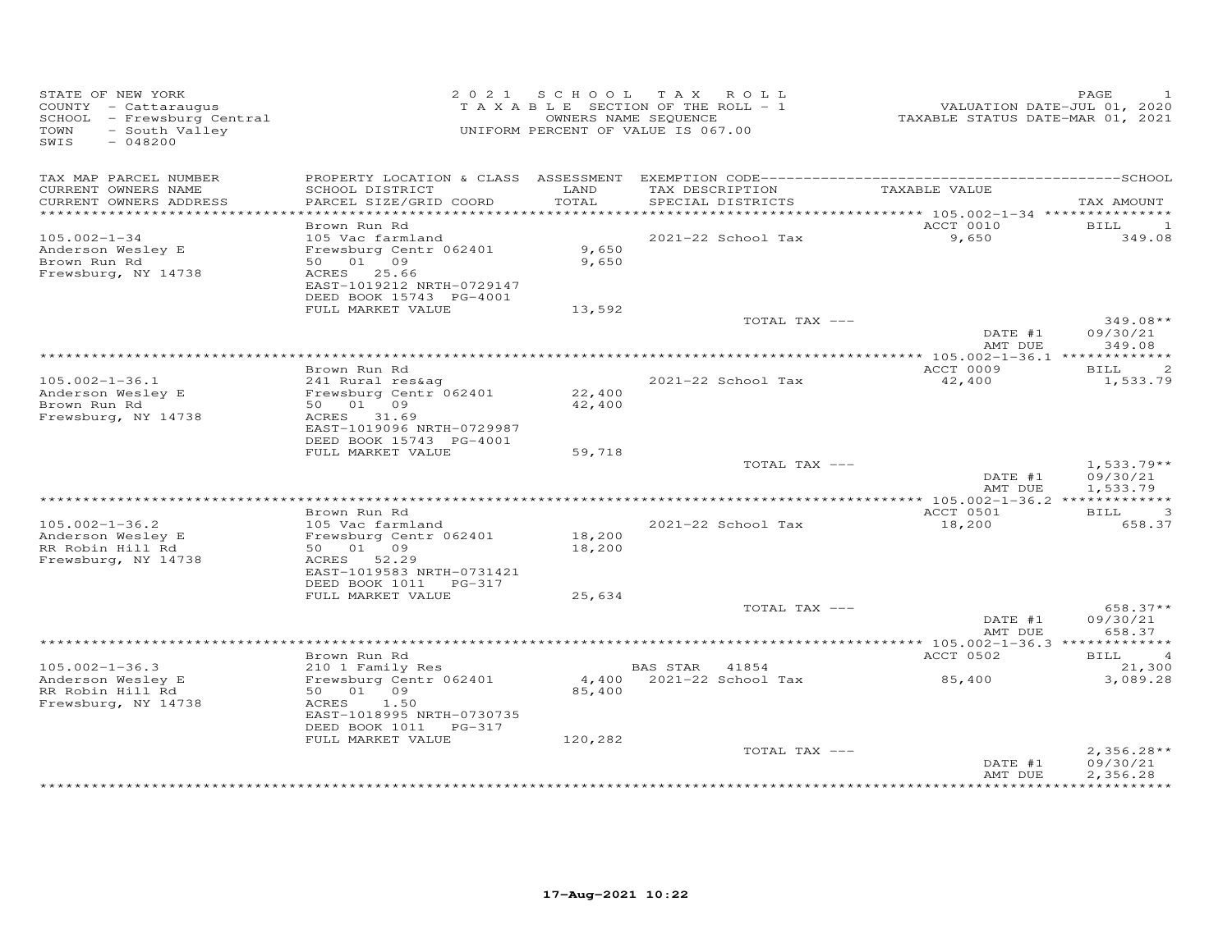| STATE OF NEW YORK<br>COUNTY - Cattaraugus<br>SCHOOL - Frewsburg Central<br>- South Valley<br>TOWN<br>$-048200$<br>SWIS |                                                                                                                                               |                  | 2021 SCHOOL TAX ROLL<br>TAXABLE SECTION OF THE ROLL - 1<br>OWNERS NAME SEQUENCE<br>UNIFORM PERCENT OF VALUE IS 067.00 | VALUATION DATE-JUL 01, 2020<br>TAXABLE STATUS DATE-MAR 01, 2021 | PAGE                                                |
|------------------------------------------------------------------------------------------------------------------------|-----------------------------------------------------------------------------------------------------------------------------------------------|------------------|-----------------------------------------------------------------------------------------------------------------------|-----------------------------------------------------------------|-----------------------------------------------------|
| TAX MAP PARCEL NUMBER<br>CURRENT OWNERS NAME<br>CURRENT OWNERS ADDRESS                                                 | SCHOOL DISTRICT<br>PARCEL SIZE/GRID COORD                                                                                                     | LAND<br>TOTAL    | TAX DESCRIPTION<br>SPECIAL DISTRICTS                                                                                  | TAXABLE VALUE                                                   | TAX AMOUNT                                          |
|                                                                                                                        |                                                                                                                                               |                  |                                                                                                                       |                                                                 |                                                     |
| $105.002 - 1 - 34$<br>Anderson Wesley E<br>Brown Run Rd<br>Frewsburg, NY 14738                                         | Brown Run Rd<br>105 Vac farmland<br>Frewsburg Centr 062401<br>50 01 09<br>ACRES 25.66<br>EAST-1019212 NRTH-0729147<br>DEED BOOK 15743 PG-4001 | 9,650<br>9,650   | 2021-22 School Tax                                                                                                    | ACCT 0010<br>9,650                                              | BILL<br>$\mathbf{1}$<br>349.08                      |
|                                                                                                                        | FULL MARKET VALUE                                                                                                                             | 13,592           |                                                                                                                       |                                                                 |                                                     |
|                                                                                                                        |                                                                                                                                               |                  | TOTAL TAX ---                                                                                                         | DATE #1<br>AMT DUE                                              | $349.08**$<br>09/30/21<br>349.08                    |
|                                                                                                                        |                                                                                                                                               |                  |                                                                                                                       |                                                                 |                                                     |
| $105.002 - 1 - 36.1$<br>Anderson Wesley E<br>Brown Run Rd<br>Frewsburg, NY 14738                                       | Brown Run Rd<br>241 Rural res&ag<br>Frewsburg Centr 062401<br>50 01 09<br>ACRES 31.69<br>EAST-1019096 NRTH-0729987<br>DEED BOOK 15743 PG-4001 | 22,400<br>42,400 | 2021-22 School Tax                                                                                                    | ACCT 0009<br>42,400                                             | 2<br>BILL<br>1,533.79                               |
|                                                                                                                        | FULL MARKET VALUE                                                                                                                             | 59,718           |                                                                                                                       |                                                                 |                                                     |
|                                                                                                                        |                                                                                                                                               |                  | TOTAL TAX ---                                                                                                         | DATE #1<br>AMT DUE                                              | $1,533.79**$<br>09/30/21<br>1,533.79                |
|                                                                                                                        | Brown Run Rd                                                                                                                                  |                  |                                                                                                                       | ACCT 0501                                                       | <b>BILL</b><br>3                                    |
| $105.002 - 1 - 36.2$<br>Anderson Wesley E<br>RR Robin Hill Rd<br>Frewsburg, NY 14738                                   | 105 Vac farmland<br>Frewsburg Centr 062401<br>50 01 09<br>ACRES 52.29<br>EAST-1019583 NRTH-0731421                                            | 18,200<br>18,200 | 2021-22 School Tax                                                                                                    | 18,200                                                          | 658.37                                              |
|                                                                                                                        | DEED BOOK 1011 PG-317<br>FULL MARKET VALUE                                                                                                    | 25,634           |                                                                                                                       |                                                                 |                                                     |
|                                                                                                                        |                                                                                                                                               |                  | TOTAL TAX ---                                                                                                         | DATE #1<br>AMT DUE                                              | 658.37**<br>09/30/21<br>658.37                      |
|                                                                                                                        |                                                                                                                                               |                  |                                                                                                                       | ********* 105.002-1-36.3 *************                          |                                                     |
| $105.002 - 1 - 36.3$<br>Anderson Wesley E<br>RR Robin Hill Rd<br>Frewsburg, NY 14738                                   | Brown Run Rd<br>210 1 Family Res<br>Frewsburg Centr 062401<br>50 01 09<br>ACRES<br>1.50<br>EAST-1018995 NRTH-0730735<br>DEED BOOK 1011 PG-317 | 85,400           | BAS STAR 41854<br>4,400 2021-22 School Tax                                                                            | ACCT 0502<br>85,400                                             | <b>BILL</b><br>$\overline{4}$<br>21,300<br>3,089.28 |
|                                                                                                                        | FULL MARKET VALUE                                                                                                                             | 120,282          | TOTAL TAX ---                                                                                                         | DATE #1<br>AMT DUE                                              | $2,356.28**$<br>09/30/21<br>2,356.28<br>*********** |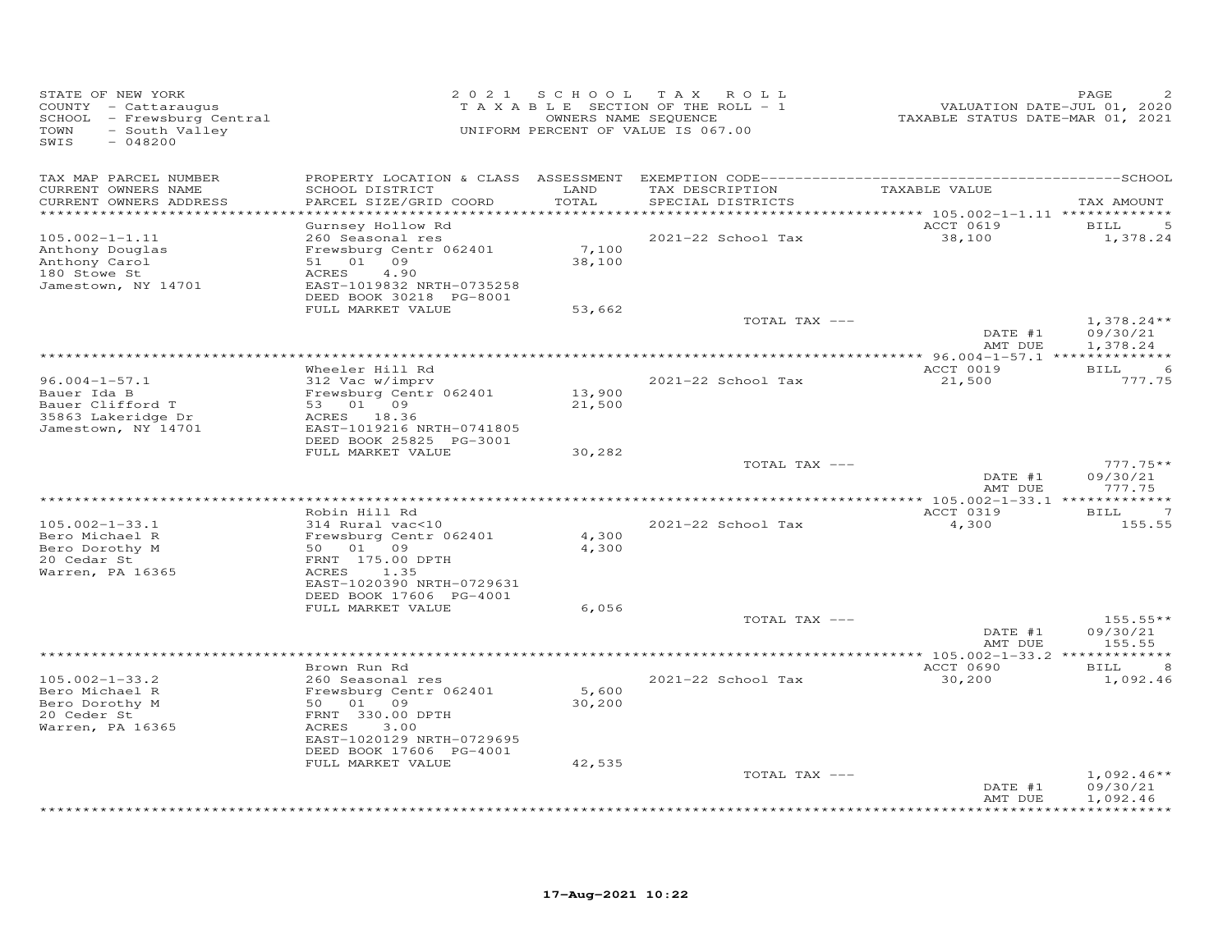| STATE OF NEW YORK<br>COUNTY - Cattaraugus<br>SCHOOL - Frewsburg Central<br>TOWN<br>- South Valley<br>SWIS<br>$-048200$ | 2 0 2 1                                                                                                                                                                                  | SCHOOL TAX                | ROLL<br>TAXABLE SECTION OF THE ROLL - 1<br>OWNERS NAME SEQUENCE<br>UNIFORM PERCENT OF VALUE IS 067.00 | VALUATION DATE-JUL 01, 2020<br>TAXABLE STATUS DATE-MAR 01, 2021 | PAGE                                 |
|------------------------------------------------------------------------------------------------------------------------|------------------------------------------------------------------------------------------------------------------------------------------------------------------------------------------|---------------------------|-------------------------------------------------------------------------------------------------------|-----------------------------------------------------------------|--------------------------------------|
| TAX MAP PARCEL NUMBER<br>CURRENT OWNERS NAME<br>CURRENT OWNERS ADDRESS<br>**********************                       | SCHOOL DISTRICT<br>PARCEL SIZE/GRID COORD<br>************************                                                                                                                    | LAND<br>TOTAL             | TAX DESCRIPTION<br>SPECIAL DISTRICTS                                                                  | TAXABLE VALUE                                                   | TAX AMOUNT                           |
| $105.002 - 1 - 1.11$<br>Anthony Douglas<br>Anthony Carol<br>180 Stowe St<br>Jamestown, NY 14701                        | Gurnsey Hollow Rd<br>260 Seasonal res<br>Frewsburg Centr 062401<br>51 01 09<br>ACRES<br>4.90<br>EAST-1019832 NRTH-0735258<br>DEED BOOK 30218 PG-8001<br>FULL MARKET VALUE                | 7,100<br>38,100<br>53,662 | 2021-22 School Tax                                                                                    | ACCT 0619<br>38,100                                             | BILL<br>1,378.24                     |
|                                                                                                                        |                                                                                                                                                                                          |                           | TOTAL TAX ---                                                                                         | DATE #1                                                         | $1,378.24**$<br>09/30/21             |
|                                                                                                                        | Wheeler Hill Rd                                                                                                                                                                          |                           |                                                                                                       | AMT DUE<br>ACCT 0019                                            | 1,378.24<br><b>BILL</b><br>6         |
| $96.004 - 1 - 57.1$<br>Bauer Ida B<br>Bauer Clifford T<br>35863 Lakeridge Dr<br>Jamestown, NY 14701                    | 312 Vac w/imprv<br>Frewsburg Centr 062401<br>53 01 09<br>ACRES 18.36<br>EAST-1019216 NRTH-0741805<br>DEED BOOK 25825 PG-3001<br>FULL MARKET VALUE                                        | 13,900<br>21,500          | 2021-22 School Tax                                                                                    | 21,500                                                          | 777.75                               |
|                                                                                                                        |                                                                                                                                                                                          | 30,282                    | TOTAL TAX ---                                                                                         | DATE #1<br>AMT DUE                                              | $777.75**$<br>09/30/21<br>777.75     |
| $105.002 - 1 - 33.1$<br>Bero Michael R<br>Bero Dorothy M<br>20 Cedar St<br>Warren, PA 16365                            | Robin Hill Rd<br>314 Rural vac<10<br>Frewsburg Centr 062401<br>50 01 09<br>FRNT 175.00 DPTH<br>ACRES<br>1.35                                                                             | 4,300<br>4,300            | $2021 - 22$ School Tax                                                                                | ACCT 0319<br>4,300                                              | <b>BILL</b><br>7<br>155.55           |
|                                                                                                                        | EAST-1020390 NRTH-0729631<br>DEED BOOK 17606 PG-4001<br>FULL MARKET VALUE                                                                                                                | 6,056                     | TOTAL TAX ---                                                                                         | DATE #1<br>AMT DUE                                              | $155.55**$<br>09/30/21<br>155.55     |
|                                                                                                                        |                                                                                                                                                                                          |                           |                                                                                                       |                                                                 |                                      |
| $105.002 - 1 - 33.2$<br>Bero Michael R<br>Bero Dorothy M<br>20 Ceder St<br>Warren, PA 16365                            | Brown Run Rd<br>260 Seasonal res<br>Frewsburg Centr 062401<br>50 01 09<br>FRNT 330.00 DPTH<br>ACRES<br>3.00<br>EAST-1020129 NRTH-0729695<br>DEED BOOK 17606 PG-4001<br>FULL MARKET VALUE | 5,600<br>30,200<br>42,535 | 2021-22 School Tax                                                                                    | ACCT 0690<br>30,200                                             | BILL<br>8<br>1,092.46                |
|                                                                                                                        |                                                                                                                                                                                          |                           | TOTAL TAX ---                                                                                         | DATE #1<br>AMT DUE                                              | $1,092.46**$<br>09/30/21<br>1,092.46 |
|                                                                                                                        |                                                                                                                                                                                          |                           |                                                                                                       |                                                                 | ********                             |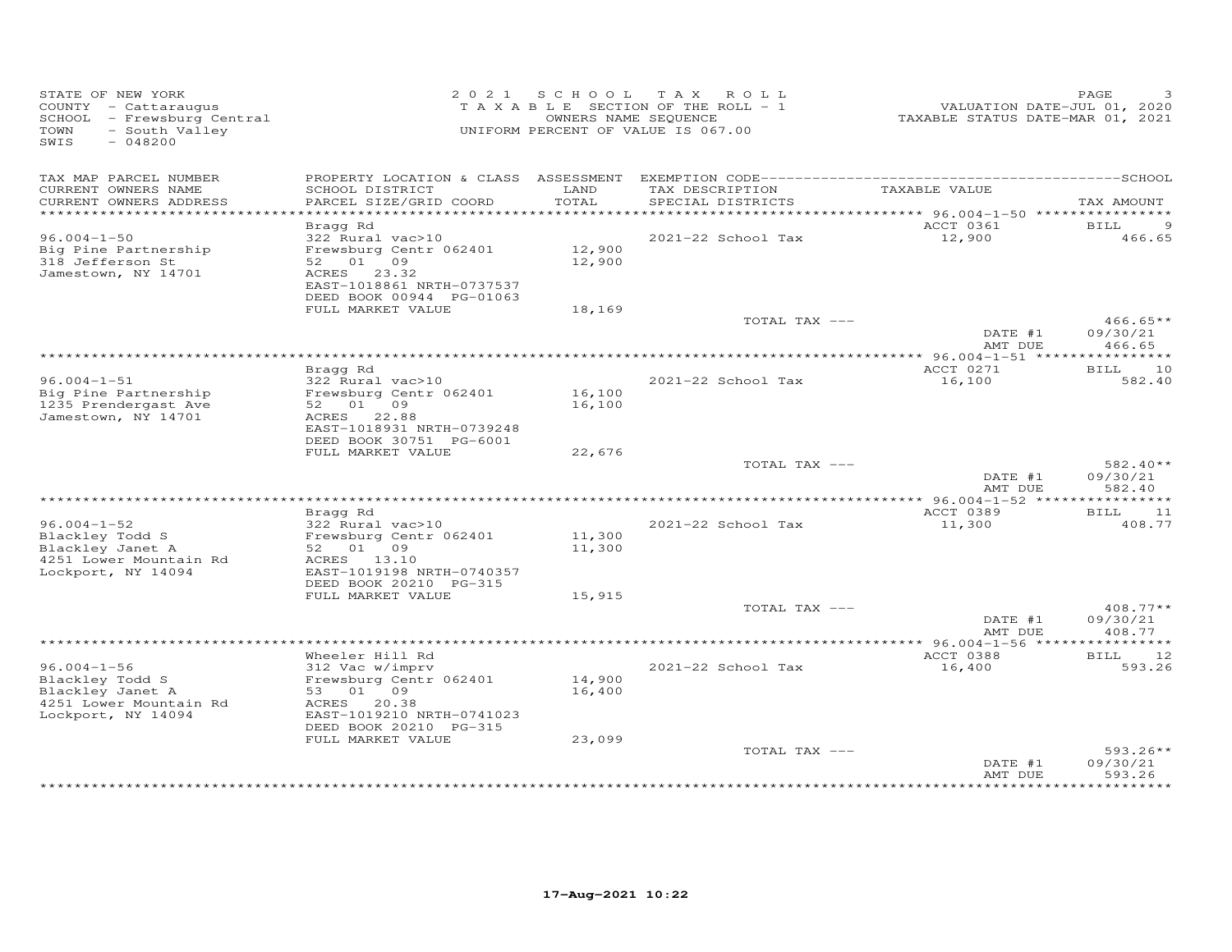| STATE OF NEW YORK<br>COUNTY - Cattaraugus<br>SCHOOL - Frewsburg Central<br>TOWN<br>- South Valley<br>SWIS<br>$-048200$ |                                                                                                                                                |                  | 2021 SCHOOL TAX ROLL<br>TAXABLE SECTION OF THE ROLL - 1<br>OWNERS NAME SEQUENCE<br>UNIFORM PERCENT OF VALUE IS 067.00 | VALUATION DATE-JUL 01, 2020<br>TAXABLE STATUS DATE-MAR 01, 2021 | PAGE                             |
|------------------------------------------------------------------------------------------------------------------------|------------------------------------------------------------------------------------------------------------------------------------------------|------------------|-----------------------------------------------------------------------------------------------------------------------|-----------------------------------------------------------------|----------------------------------|
| TAX MAP PARCEL NUMBER<br>CURRENT OWNERS NAME<br>CURRENT OWNERS ADDRESS                                                 | SCHOOL DISTRICT<br>PARCEL SIZE/GRID COORD                                                                                                      | LAND<br>TOTAL    | TAX DESCRIPTION<br>SPECIAL DISTRICTS                                                                                  | TAXABLE VALUE                                                   | TAX AMOUNT                       |
|                                                                                                                        |                                                                                                                                                |                  |                                                                                                                       | ********** 96.004-1-50 *****************                        |                                  |
| $96.004 - 1 - 50$                                                                                                      | Bragg Rd<br>322 Rural vac>10                                                                                                                   |                  | 2021-22 School Tax                                                                                                    | ACCT 0361<br>12,900                                             | <b>BILL</b><br>466.65            |
| Big Pine Partnership<br>318 Jefferson St<br>Jamestown, NY 14701                                                        | Frewsburg Centr 062401<br>52 01 09<br>ACRES 23.32<br>EAST-1018861 NRTH-0737537<br>DEED BOOK 00944 PG-01063                                     | 12,900<br>12,900 |                                                                                                                       |                                                                 |                                  |
|                                                                                                                        | FULL MARKET VALUE                                                                                                                              | 18,169           |                                                                                                                       |                                                                 |                                  |
|                                                                                                                        |                                                                                                                                                |                  | TOTAL TAX ---                                                                                                         | DATE #1<br>AMT DUE                                              | $466.65**$<br>09/30/21<br>466.65 |
|                                                                                                                        |                                                                                                                                                |                  |                                                                                                                       |                                                                 |                                  |
|                                                                                                                        | Bragg Rd                                                                                                                                       |                  |                                                                                                                       | ACCT 0271                                                       | BILL 10                          |
| $96.004 - 1 - 51$<br>Big Pine Partnership<br>1235 Prendergast Ave<br>Jamestown, NY 14701                               | 322 Rural vac>10<br>Frewsburg Centr 062401<br>52  01  09<br>ACRES 22.88<br>EAST-1018931 NRTH-0739248<br>DEED BOOK 30751 PG-6001                | 16,100<br>16,100 | 2021-22 School Tax                                                                                                    | 16,100                                                          | 582.40                           |
|                                                                                                                        | FULL MARKET VALUE                                                                                                                              | 22,676           |                                                                                                                       |                                                                 |                                  |
|                                                                                                                        |                                                                                                                                                |                  | TOTAL TAX ---                                                                                                         | DATE #1<br>AMT DUE                                              | $582.40**$<br>09/30/21<br>582.40 |
|                                                                                                                        | Bragg Rd                                                                                                                                       |                  |                                                                                                                       | ACCT 0389                                                       | <b>BILL</b><br>11                |
| $96.004 - 1 - 52$<br>Blackley Todd S                                                                                   | 322 Rural vac>10<br>Frewsburg Centr 062401                                                                                                     | 11,300           | 2021-22 School Tax                                                                                                    | 11,300                                                          | 408.77                           |
| Blackley Janet A<br>4251 Lower Mountain Rd<br>Lockport, NY 14094                                                       | 52 01 09<br>ACRES 13.10<br>EAST-1019198 NRTH-0740357<br>DEED BOOK 20210 PG-315                                                                 | 11,300           |                                                                                                                       |                                                                 |                                  |
|                                                                                                                        | FULL MARKET VALUE                                                                                                                              | 15,915           | TOTAL TAX ---                                                                                                         |                                                                 | 408.77**                         |
|                                                                                                                        |                                                                                                                                                |                  |                                                                                                                       | DATE #1<br>AMT DUE                                              | 09/30/21<br>408.77               |
|                                                                                                                        |                                                                                                                                                |                  |                                                                                                                       |                                                                 |                                  |
| $96.004 - 1 - 56$<br>Blackley Todd S<br>Blackley Janet A<br>4251 Lower Mountain Rd<br>Lockport, NY 14094               | Wheeler Hill Rd<br>312 Vac w/imprv<br>Frewsburg Centr 062401<br>53 01 09<br>ACRES 20.38<br>EAST-1019210 NRTH-0741023<br>DEED BOOK 20210 PG-315 | 14,900<br>16,400 | 2021-22 School Tax                                                                                                    | ACCT 0388<br>16,400                                             | BILL 12<br>593.26                |
|                                                                                                                        | FULL MARKET VALUE                                                                                                                              | 23,099           | TOTAL TAX ---                                                                                                         | DATE #1                                                         | $593.26**$<br>09/30/21           |
|                                                                                                                        |                                                                                                                                                |                  |                                                                                                                       | AMT DUE                                                         | 593.26                           |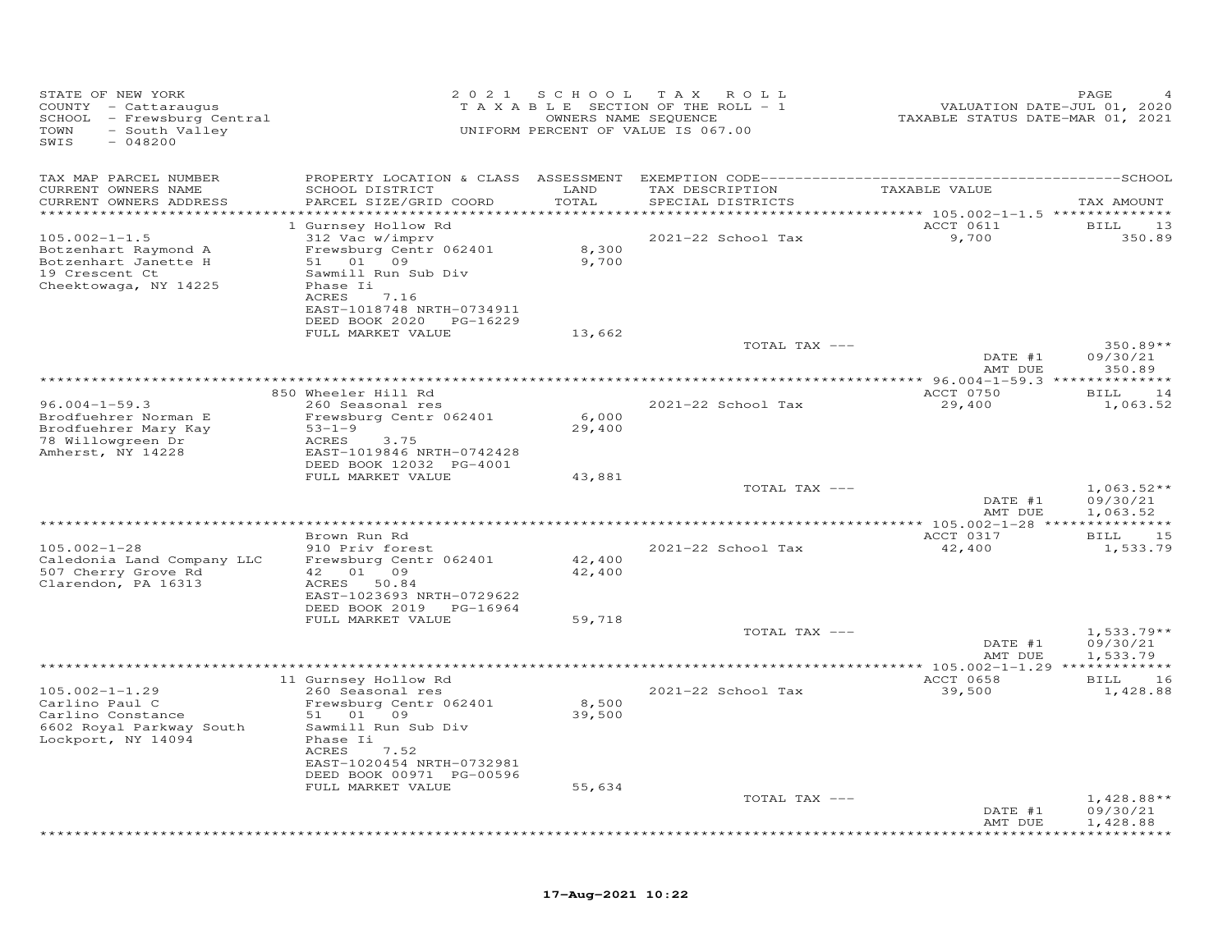| STATE OF NEW YORK<br>COUNTY - Cattaraugus<br>SCHOOL - Frewsburg Central<br>TOWN<br>- South Valley<br>$-048200$<br>SWIS |                                                         | 2021 SCHOOL    | T A X<br>ROLL<br>TAXABLE SECTION OF THE ROLL - 1<br>OWNERS NAME SEQUENCE<br>UNIFORM PERCENT OF VALUE IS 067.00 | VALUATION DATE-JUL 01, 2020<br>TAXABLE STATUS DATE-MAR 01, 2021 | PAGE                             |
|------------------------------------------------------------------------------------------------------------------------|---------------------------------------------------------|----------------|----------------------------------------------------------------------------------------------------------------|-----------------------------------------------------------------|----------------------------------|
| TAX MAP PARCEL NUMBER                                                                                                  |                                                         |                |                                                                                                                |                                                                 |                                  |
| CURRENT OWNERS NAME<br>CURRENT OWNERS ADDRESS                                                                          | SCHOOL DISTRICT<br>PARCEL SIZE/GRID COORD               | LAND<br>TOTAL  | TAX DESCRIPTION<br>SPECIAL DISTRICTS                                                                           | TAXABLE VALUE                                                   | TAX AMOUNT                       |
| ***********************                                                                                                |                                                         |                |                                                                                                                |                                                                 |                                  |
| $105.002 - 1 - 1.5$                                                                                                    | 1 Gurnsey Hollow Rd<br>312 Vac w/imprv                  |                | 2021-22 School Tax                                                                                             | ACCT 0611<br>9,700                                              | 13<br>BILL<br>350.89             |
| Botzenhart Raymond A<br>Botzenhart Janette H                                                                           | Frewsburg Centr 062401<br>09<br>01                      | 8,300<br>9,700 |                                                                                                                |                                                                 |                                  |
| 19 Crescent Ct<br>Cheektowaga, NY 14225                                                                                | Sawmill Run Sub Div<br>Phase Ii<br>ACRES<br>7.16        |                |                                                                                                                |                                                                 |                                  |
|                                                                                                                        | EAST-1018748 NRTH-0734911<br>DEED BOOK 2020<br>PG-16229 |                |                                                                                                                |                                                                 |                                  |
|                                                                                                                        | FULL MARKET VALUE                                       | 13,662         | TOTAL TAX ---                                                                                                  | DATE #1                                                         | 350.89**<br>09/30/21             |
|                                                                                                                        |                                                         |                |                                                                                                                | AMT DUE                                                         | 350.89                           |
|                                                                                                                        |                                                         |                |                                                                                                                |                                                                 |                                  |
| $96.004 - 1 - 59.3$                                                                                                    | 850 Wheeler Hill Rd<br>260 Seasonal res                 |                | 2021-22 School Tax                                                                                             | ACCT 0750<br>29,400                                             | BILL<br>14<br>1,063.52           |
| Brodfuehrer Norman E                                                                                                   | Frewsburg Centr 062401                                  | 6,000          |                                                                                                                |                                                                 |                                  |
| Brodfuehrer Mary Kay                                                                                                   | $53 - 1 - 9$                                            | 29,400         |                                                                                                                |                                                                 |                                  |
| 78 Willowgreen Dr<br>Amherst, NY 14228                                                                                 | ACRES<br>3.75<br>EAST-1019846 NRTH-0742428              |                |                                                                                                                |                                                                 |                                  |
|                                                                                                                        | DEED BOOK 12032 PG-4001                                 |                |                                                                                                                |                                                                 |                                  |
|                                                                                                                        | FULL MARKET VALUE                                       | 43,881         |                                                                                                                |                                                                 |                                  |
|                                                                                                                        |                                                         |                | TOTAL TAX ---                                                                                                  | DATE #1                                                         | $1,063.52**$<br>09/30/21         |
|                                                                                                                        |                                                         |                |                                                                                                                | AMT DUE                                                         | 1,063.52                         |
|                                                                                                                        | Brown Run Rd                                            |                |                                                                                                                | ACCT 0317                                                       | 15<br>BILL                       |
| $105.002 - 1 - 28$                                                                                                     | 910 Priv forest                                         |                | 2021-22 School Tax                                                                                             | 42,400                                                          | 1,533.79                         |
| Caledonia Land Company LLC                                                                                             | Frewsburg Centr 062401                                  | 42,400         |                                                                                                                |                                                                 |                                  |
| 507 Cherry Grove Rd<br>Clarendon, PA 16313                                                                             | 01 09<br>42<br>ACRES<br>50.84                           | 42,400         |                                                                                                                |                                                                 |                                  |
|                                                                                                                        | EAST-1023693 NRTH-0729622                               |                |                                                                                                                |                                                                 |                                  |
|                                                                                                                        | DEED BOOK 2019 PG-16964                                 |                |                                                                                                                |                                                                 |                                  |
|                                                                                                                        | FULL MARKET VALUE                                       | 59,718         | TOTAL TAX ---                                                                                                  |                                                                 | $1,533.79**$                     |
|                                                                                                                        |                                                         |                |                                                                                                                | DATE #1                                                         | 09/30/21                         |
|                                                                                                                        |                                                         |                |                                                                                                                | AMT DUE                                                         | 1,533.79                         |
|                                                                                                                        | 11 Gurnsey Hollow Rd                                    |                |                                                                                                                | ACCT 0658                                                       | ***********<br><b>BILL</b><br>16 |
| $105.002 - 1 - 1.29$                                                                                                   | 260 Seasonal res                                        |                | 2021-22 School Tax                                                                                             | 39,500                                                          | 1,428.88                         |
| Carlino Paul C                                                                                                         | Frewsburg Centr 062401                                  | 8,500          |                                                                                                                |                                                                 |                                  |
| Carlino Constance<br>6602 Royal Parkway South                                                                          | 51 01<br>09<br>Sawmill Run Sub Div                      | 39,500         |                                                                                                                |                                                                 |                                  |
| Lockport, NY 14094                                                                                                     | Phase Ii                                                |                |                                                                                                                |                                                                 |                                  |
|                                                                                                                        | <b>ACRES</b><br>7.52                                    |                |                                                                                                                |                                                                 |                                  |
|                                                                                                                        | EAST-1020454 NRTH-0732981<br>DEED BOOK 00971 PG-00596   |                |                                                                                                                |                                                                 |                                  |
|                                                                                                                        | FULL MARKET VALUE                                       | 55,634         |                                                                                                                |                                                                 |                                  |
|                                                                                                                        |                                                         |                | TOTAL TAX ---                                                                                                  |                                                                 | $1,428.88**$                     |
|                                                                                                                        |                                                         |                |                                                                                                                | DATE #1<br>AMT DUE                                              | 09/30/21<br>1,428.88             |
|                                                                                                                        |                                                         |                |                                                                                                                |                                                                 |                                  |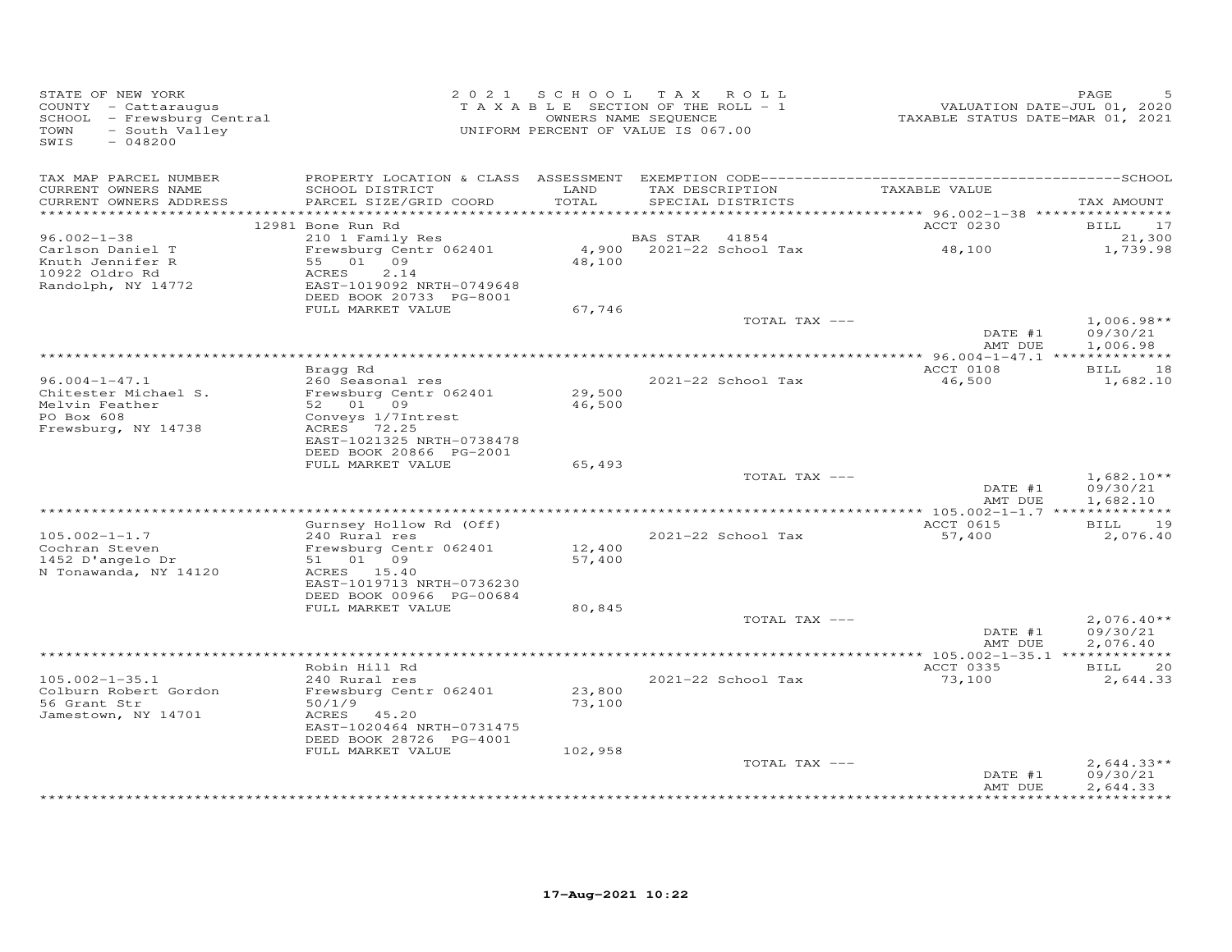| STATE OF NEW YORK<br>COUNTY - Cattaraugus<br>SCHOOL - Frewsburg Central<br>- South Valley<br>TOWN<br>SWIS<br>$-048200$ |                                                                                  |                  | 2021 SCHOOL TAX ROLL<br>TAXABLE SECTION OF THE ROLL - 1<br>OWNERS NAME SEQUENCE<br>UNIFORM PERCENT OF VALUE IS 067.00 | VALUATION DATE-JUL 01, 2020<br>TAXABLE STATUS DATE-MAR 01, 2021 | PAGE                     |
|------------------------------------------------------------------------------------------------------------------------|----------------------------------------------------------------------------------|------------------|-----------------------------------------------------------------------------------------------------------------------|-----------------------------------------------------------------|--------------------------|
| TAX MAP PARCEL NUMBER<br>CURRENT OWNERS NAME<br>CURRENT OWNERS ADDRESS<br>***********************                      | SCHOOL DISTRICT<br>PARCEL SIZE/GRID COORD                                        | LAND<br>TOTAL    | TAX DESCRIPTION<br>SPECIAL DISTRICTS                                                                                  | TAXABLE VALUE                                                   | TAX AMOUNT               |
|                                                                                                                        | 12981 Bone Run Rd                                                                |                  |                                                                                                                       | ACCT 0230                                                       | 17<br>BILL               |
| $96.002 - 1 - 38$                                                                                                      | 210 1 Family Res                                                                 |                  | BAS STAR<br>41854                                                                                                     |                                                                 | 21,300                   |
| Carlson Daniel T<br>Knuth Jennifer R<br>10922 Oldro Rd<br>Randolph, NY 14772                                           | Frewsburg Centr 062401<br>55 01 09<br>ACRES<br>2.14<br>EAST-1019092 NRTH-0749648 | 4,900<br>48,100  | 2021-22 School Tax                                                                                                    | 48,100                                                          | 1,739.98                 |
|                                                                                                                        | DEED BOOK 20733 PG-8001<br>FULL MARKET VALUE                                     | 67,746           |                                                                                                                       |                                                                 |                          |
|                                                                                                                        |                                                                                  |                  | TOTAL TAX ---                                                                                                         |                                                                 | $1,006.98**$             |
|                                                                                                                        |                                                                                  |                  |                                                                                                                       | DATE #1<br>AMT DUE                                              | 09/30/21<br>1,006.98     |
|                                                                                                                        |                                                                                  |                  |                                                                                                                       |                                                                 |                          |
| $96.004 - 1 - 47.1$                                                                                                    | Bragg Rd<br>260 Seasonal res                                                     |                  | 2021-22 School Tax                                                                                                    | ACCT 0108<br>46,500                                             | BILL 18<br>1,682.10      |
| Chitester Michael S.                                                                                                   | Frewsburg Centr 062401                                                           | 29,500           |                                                                                                                       |                                                                 |                          |
| Melvin Feather                                                                                                         | 52 01 09                                                                         | 46,500           |                                                                                                                       |                                                                 |                          |
| PO Box 608                                                                                                             | Conveys 1/7Intrest                                                               |                  |                                                                                                                       |                                                                 |                          |
| Frewsburg, NY 14738                                                                                                    | ACRES 72.25<br>EAST-1021325 NRTH-0738478<br>DEED BOOK 20866 PG-2001              |                  |                                                                                                                       |                                                                 |                          |
|                                                                                                                        | FULL MARKET VALUE                                                                | 65,493           |                                                                                                                       |                                                                 |                          |
|                                                                                                                        |                                                                                  |                  | TOTAL TAX ---                                                                                                         | DATE #1                                                         | $1,682.10**$<br>09/30/21 |
|                                                                                                                        |                                                                                  |                  |                                                                                                                       | AMT DUE                                                         | 1,682.10                 |
|                                                                                                                        | Gurnsey Hollow Rd (Off)                                                          |                  |                                                                                                                       | ACCT 0615                                                       | BILL 19                  |
| $105.002 - 1 - 1.7$                                                                                                    | 240 Rural res                                                                    |                  | 2021-22 School Tax                                                                                                    | 57,400                                                          | 2,076.40                 |
| Cochran Steven<br>1452 D'angelo Dr                                                                                     | Frewsburg Centr 062401<br>01 09                                                  | 12,400<br>57,400 |                                                                                                                       |                                                                 |                          |
| N Tonawanda, NY 14120                                                                                                  | 51<br>ACRES 15.40<br>EAST-1019713 NRTH-0736230                                   |                  |                                                                                                                       |                                                                 |                          |
|                                                                                                                        | DEED BOOK 00966 PG-00684                                                         |                  |                                                                                                                       |                                                                 |                          |
|                                                                                                                        | FULL MARKET VALUE                                                                | 80,845           |                                                                                                                       |                                                                 |                          |
|                                                                                                                        |                                                                                  |                  | TOTAL TAX ---                                                                                                         | DATE #1                                                         | $2,076.40**$<br>09/30/21 |
|                                                                                                                        |                                                                                  |                  |                                                                                                                       | AMT DUE                                                         | 2,076.40                 |
|                                                                                                                        | Robin Hill Rd                                                                    |                  |                                                                                                                       | ACCT 0335                                                       | <b>BILL</b><br>20        |
| $105.002 - 1 - 35.1$<br>Colburn Robert Gordon                                                                          | 240 Rural res<br>Frewsburg Centr 062401                                          | 23,800           | 2021-22 School Tax                                                                                                    | 73,100                                                          | 2,644.33                 |
| 56 Grant Str                                                                                                           | 50/1/9                                                                           | 73,100           |                                                                                                                       |                                                                 |                          |
| Jamestown, NY 14701                                                                                                    | ACRES 45.20<br>EAST-1020464 NRTH-0731475                                         |                  |                                                                                                                       |                                                                 |                          |
|                                                                                                                        | DEED BOOK 28726 PG-4001<br>FULL MARKET VALUE                                     | 102,958          |                                                                                                                       |                                                                 |                          |
|                                                                                                                        |                                                                                  |                  | TOTAL TAX ---                                                                                                         | DATE #1                                                         | $2,644.33**$<br>09/30/21 |
|                                                                                                                        |                                                                                  |                  |                                                                                                                       | AMT DUE                                                         | 2,644.33                 |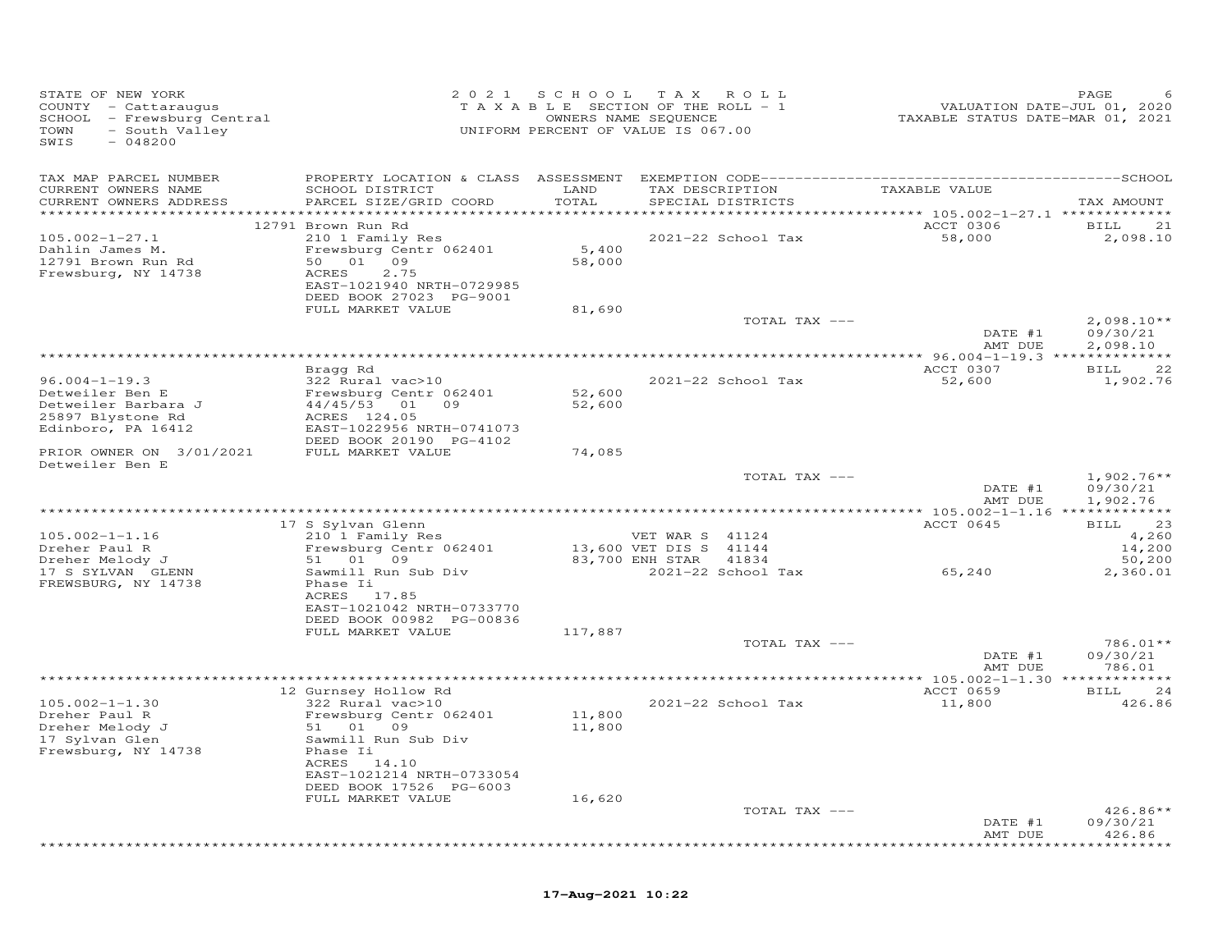| STATE OF NEW YORK<br>COUNTY - Cattaraugus<br>SCHOOL - Frewsburg Central<br>TOWN<br>- South Valley<br>SWIS<br>$-048200$ | 2021                                                                                                                                                  | S C H O O L      | TAX ROLL<br>TAXABLE SECTION OF THE ROLL - 1<br>OWNERS NAME SEQUENCE<br>UNIFORM PERCENT OF VALUE IS 067.00 |               | VALUATION DATE-JUL 01, 2020<br>TAXABLE STATUS DATE-MAR 01, 2021 | PAGE                                    |
|------------------------------------------------------------------------------------------------------------------------|-------------------------------------------------------------------------------------------------------------------------------------------------------|------------------|-----------------------------------------------------------------------------------------------------------|---------------|-----------------------------------------------------------------|-----------------------------------------|
| TAX MAP PARCEL NUMBER<br>CURRENT OWNERS NAME<br>CURRENT OWNERS ADDRESS                                                 | SCHOOL DISTRICT<br>PARCEL SIZE/GRID COORD<br>*******************                                                                                      | LAND<br>TOTAL    | TAX DESCRIPTION<br>SPECIAL DISTRICTS                                                                      |               | TAXABLE VALUE<br>******** 105.002-1-27.1 *************          | TAX AMOUNT                              |
| $105.002 - 1 - 27.1$<br>Dahlin James M.<br>12791 Brown Run Rd<br>Frewsburg, NY 14738                                   | 12791 Brown Run Rd<br>210 1 Family Res<br>Frewsburg Centr 062401<br>50 01 09<br>2.75<br>ACRES<br>EAST-1021940 NRTH-0729985<br>DEED BOOK 27023 PG-9001 | 5,400<br>58,000  | 2021-22 School Tax                                                                                        |               | ACCT 0306<br>58,000                                             | 21<br><b>BILL</b><br>2,098.10           |
|                                                                                                                        | FULL MARKET VALUE                                                                                                                                     | 81,690           |                                                                                                           | TOTAL TAX --- | DATE #1                                                         | $2,098.10**$<br>09/30/21                |
|                                                                                                                        |                                                                                                                                                       |                  | ********************************                                                                          |               | AMT DUE<br>******* 96.004-1-19.3 **************                 | 2,098.10                                |
| $96.004 - 1 - 19.3$<br>Detweiler Ben E<br>Detweiler Barbara J<br>25897 Blystone Rd<br>Edinboro, PA 16412               | Bragg Rd<br>322 Rural vac>10<br>Frewsburg Centr 062401<br>44/45/53 01 09<br>ACRES 124.05<br>EAST-1022956 NRTH-0741073                                 | 52,600<br>52,600 | 2021-22 School Tax                                                                                        |               | ACCT 0307<br>52,600                                             | <b>BILL</b><br>22<br>1,902.76           |
| PRIOR OWNER ON 3/01/2021                                                                                               | DEED BOOK 20190 PG-4102<br>FULL MARKET VALUE                                                                                                          | 74,085           |                                                                                                           |               |                                                                 |                                         |
| Detweiler Ben E                                                                                                        |                                                                                                                                                       |                  |                                                                                                           | TOTAL TAX --- | DATE #1<br>AMT DUE                                              | $1,902.76**$<br>09/30/21<br>1,902.76    |
|                                                                                                                        |                                                                                                                                                       |                  |                                                                                                           |               |                                                                 |                                         |
| $105.002 - 1 - 1.16$<br>Dreher Paul R<br>Dreher Melody J                                                               | 17 S Sylvan Glenn<br>210 1 Family Res<br>Frewsburg Centr 062401<br>51 01 09                                                                           |                  | VET WAR S 41124<br>13,600 VET DIS S 41144<br>83,700 ENH STAR<br>41834                                     |               | ACCT 0645                                                       | 23<br>BILL<br>4,260<br>14,200<br>50,200 |
| 17 S SYLVAN GLENN<br>FREWSBURG, NY 14738                                                                               | Sawmill Run Sub Div<br>Phase Ii<br>ACRES 17.85<br>EAST-1021042 NRTH-0733770<br>DEED BOOK 00982 PG-00836                                               |                  | 2021-22 School Tax                                                                                        |               | 65,240                                                          | 2,360.01                                |
|                                                                                                                        | FULL MARKET VALUE                                                                                                                                     | 117,887          |                                                                                                           | TOTAL TAX --- | DATE #1<br>AMT DUE                                              | 786.01**<br>09/30/21<br>786.01          |
|                                                                                                                        |                                                                                                                                                       |                  |                                                                                                           |               |                                                                 |                                         |
| $105.002 - 1 - 1.30$<br>Dreher Paul R<br>Dreher Melody J<br>17 Sylvan Glen<br>Frewsburg, NY 14738                      | 12 Gurnsey Hollow Rd<br>322 Rural vac>10<br>Frewsburg Centr 062401<br>51 01<br>09<br>Sawmill Run Sub Div<br>Phase Ii<br>ACRES 14.10                   | 11,800<br>11,800 | 2021-22 School Tax                                                                                        |               | ACCT 0659<br>11,800                                             | 24<br><b>BILL</b><br>426.86             |
|                                                                                                                        | EAST-1021214 NRTH-0733054<br>DEED BOOK 17526 PG-6003<br>FULL MARKET VALUE                                                                             | 16,620           |                                                                                                           | TOTAL TAX --- | DATE #1                                                         | $426.86**$<br>09/30/21                  |
|                                                                                                                        |                                                                                                                                                       |                  |                                                                                                           |               | AMT DUE                                                         | 426.86<br>*********                     |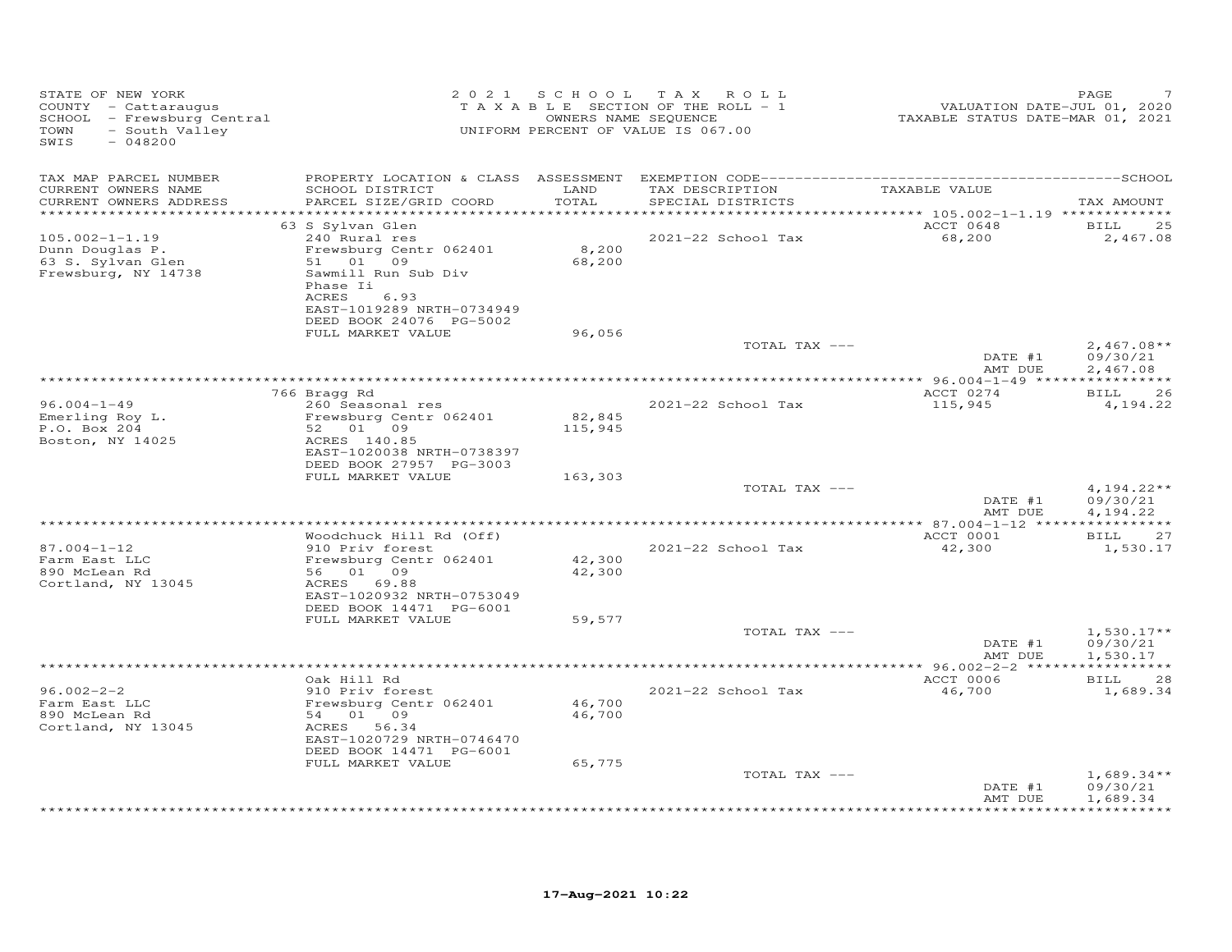| STATE OF NEW YORK<br>COUNTY - Cattaraugus<br>SCHOOL - Frewsburg Central<br>- South Valley<br>TOWN<br>SWIS<br>$-048200$ |                                                                                                                                                                                     |                            | 2021 SCHOOL TAX ROLL<br>TAXABLE SECTION OF THE ROLL - 1<br>OWNERS NAME SEQUENCE<br>UNIFORM PERCENT OF VALUE IS 067.00 | VALUATION DATE-JUL 01, 2020<br>TAXABLE STATUS DATE-MAR 01, 2021 | PAGE                                 |
|------------------------------------------------------------------------------------------------------------------------|-------------------------------------------------------------------------------------------------------------------------------------------------------------------------------------|----------------------------|-----------------------------------------------------------------------------------------------------------------------|-----------------------------------------------------------------|--------------------------------------|
| TAX MAP PARCEL NUMBER<br>CURRENT OWNERS NAME<br>CURRENT OWNERS ADDRESS<br>***********************                      | SCHOOL DISTRICT<br>PARCEL SIZE/GRID COORD                                                                                                                                           | LAND<br>TOTAL              | TAX DESCRIPTION<br>SPECIAL DISTRICTS                                                                                  | TAXABLE VALUE                                                   | TAX AMOUNT                           |
| $105.002 - 1 - 1.19$<br>Dunn Douglas P.<br>63 S. Sylvan Glen<br>Frewsburg, NY 14738                                    | 63 S Sylvan Glen<br>240 Rural res<br>Frewsburg Centr 062401<br>51 01 09<br>Sawmill Run Sub Div<br>Phase Ii<br>ACRES<br>6.93<br>EAST-1019289 NRTH-0734949<br>DEED BOOK 24076 PG-5002 | 8,200<br>68,200            | 2021-22 School Tax                                                                                                    | ACCT 0648<br>68,200                                             | <b>BILL</b><br>25<br>2,467.08        |
|                                                                                                                        | FULL MARKET VALUE                                                                                                                                                                   | 96,056                     | TOTAL TAX ---                                                                                                         | DATE #1<br>AMT DUE                                              | $2,467.08**$<br>09/30/21<br>2,467.08 |
|                                                                                                                        |                                                                                                                                                                                     |                            |                                                                                                                       |                                                                 |                                      |
| $96.004 - 1 - 49$<br>Emerling Roy L.<br>P.O. Box 204<br>Boston, NY 14025                                               | 766 Bragg Rd<br>260 Seasonal res<br>Frewsburg Centr 062401<br>52 01 09<br>ACRES 140.85<br>EAST-1020038 NRTH-0738397<br>DEED BOOK 27957 PG-3003                                      | 82,845<br>115,945          | 2021-22 School Tax                                                                                                    | ACCT 0274<br>115,945                                            | <b>BILL</b><br>26<br>4,194.22        |
|                                                                                                                        | FULL MARKET VALUE                                                                                                                                                                   | 163,303                    |                                                                                                                       |                                                                 |                                      |
|                                                                                                                        |                                                                                                                                                                                     |                            | TOTAL TAX ---                                                                                                         | DATE #1<br>AMT DUE                                              | $4,194.22**$<br>09/30/21<br>4,194.22 |
|                                                                                                                        |                                                                                                                                                                                     |                            | **************************************                                                                                | ************** 87.004-1-12 *****************                    |                                      |
| $87.004 - 1 - 12$<br>Farm East LLC<br>890 McLean Rd<br>Cortland, NY 13045                                              | Woodchuck Hill Rd (Off)<br>910 Priv forest<br>Frewsburg Centr 062401<br>56 01 09<br>ACRES 69.88<br>EAST-1020932 NRTH-0753049<br>DEED BOOK 14471 PG-6001                             | 42,300<br>42,300           | 2021-22 School Tax                                                                                                    | ACCT 0001<br>42,300                                             | BILL<br>27<br>1,530.17               |
|                                                                                                                        | FULL MARKET VALUE                                                                                                                                                                   | 59,577                     |                                                                                                                       |                                                                 |                                      |
|                                                                                                                        |                                                                                                                                                                                     |                            | TOTAL TAX ---                                                                                                         | DATE #1<br>AMT DUE                                              | $1,530.17**$<br>09/30/21<br>1,530.17 |
|                                                                                                                        |                                                                                                                                                                                     |                            |                                                                                                                       |                                                                 |                                      |
| $96.002 - 2 - 2$<br>Farm East LLC<br>890 McLean Rd<br>Cortland, NY 13045                                               | Oak Hill Rd<br>910 Priv forest<br>Frewsburg Centr 062401<br>54 01 09<br>ACRES<br>56.34<br>EAST-1020729 NRTH-0746470<br>DEED BOOK 14471 PG-6001<br>FULL MARKET VALUE                 | 46,700<br>46,700<br>65,775 | 2021-22 School Tax                                                                                                    | ACCT 0006<br>46,700                                             | <b>BILL</b><br>28<br>1,689.34        |
|                                                                                                                        |                                                                                                                                                                                     |                            | TOTAL TAX ---                                                                                                         |                                                                 | $1,689.34**$                         |
|                                                                                                                        |                                                                                                                                                                                     |                            |                                                                                                                       | DATE #1<br>AMT DUE                                              | 09/30/21<br>1,689.34                 |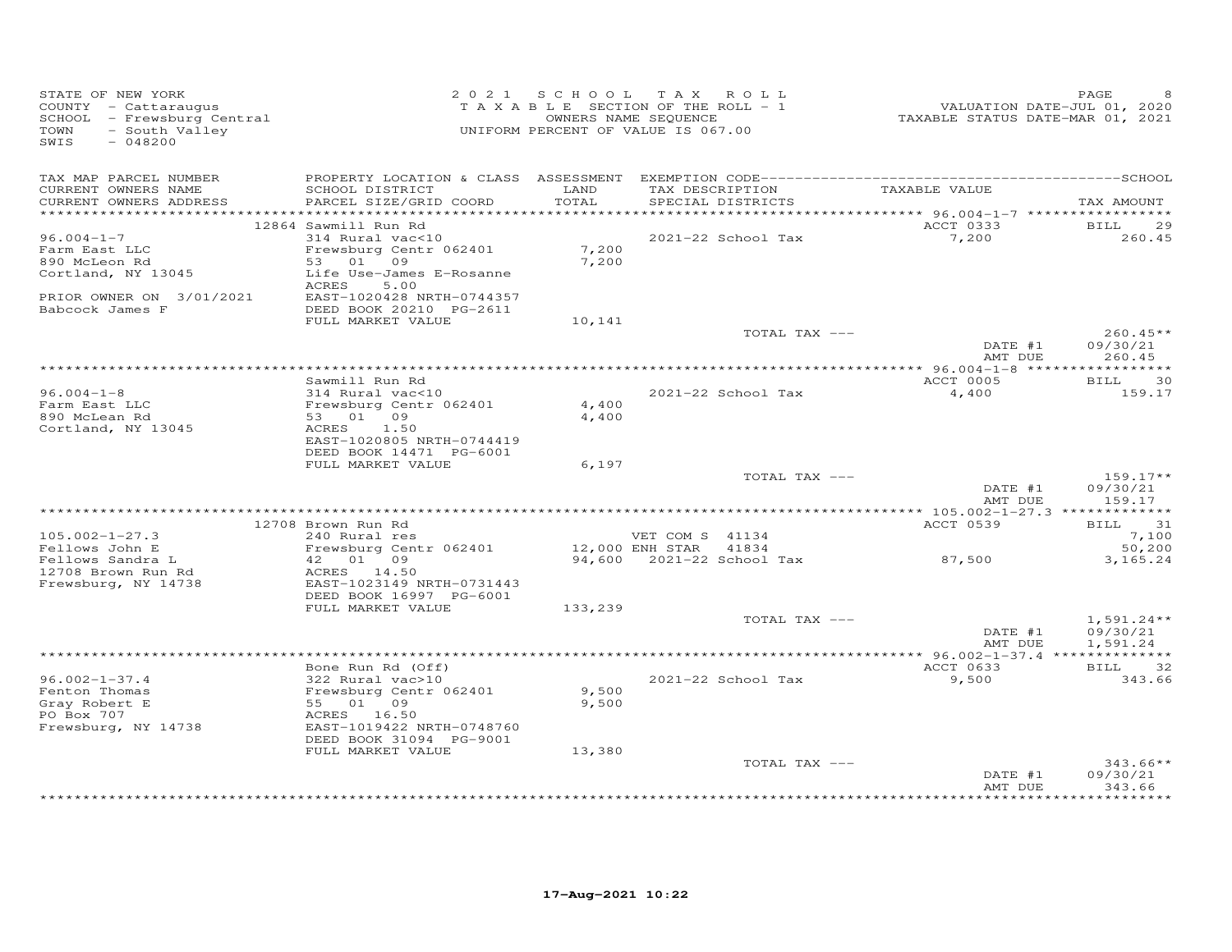| STATE OF NEW YORK<br>COUNTY - Cattaraugus<br>SCHOOL - Frewsburg Central<br>- South Valley<br>TOWN<br>SWIS<br>$-048200$ |                                           |               | 2021 SCHOOL TAX ROLL<br>TAXABLE SECTION OF THE ROLL - 1<br>OWNERS NAME SEQUENCE<br>UNIFORM PERCENT OF VALUE IS 067.00 | VALUATION DATE-JUL 01, 2020<br>TAXABLE STATUS DATE-MAR 01, 2021 | PAGE                   |
|------------------------------------------------------------------------------------------------------------------------|-------------------------------------------|---------------|-----------------------------------------------------------------------------------------------------------------------|-----------------------------------------------------------------|------------------------|
| TAX MAP PARCEL NUMBER<br>CURRENT OWNERS NAME<br>CURRENT OWNERS ADDRESS                                                 | SCHOOL DISTRICT<br>PARCEL SIZE/GRID COORD | LAND<br>TOTAL | TAX DESCRIPTION<br>SPECIAL DISTRICTS                                                                                  | TAXABLE VALUE                                                   | TAX AMOUNT             |
|                                                                                                                        | 12864 Sawmill Run Rd                      |               |                                                                                                                       | ACCT 0333                                                       | <b>BILL</b><br>29      |
| $96.004 - 1 - 7$                                                                                                       | 314 Rural vac<10                          |               | 2021-22 School Tax                                                                                                    | 7,200                                                           | 260.45                 |
| Farm East LLC                                                                                                          | Frewsburg Centr 062401                    | 7,200         |                                                                                                                       |                                                                 |                        |
| 890 McLeon Rd                                                                                                          | 53 01 09<br>Life Use-James E-Rosanne      | 7,200         |                                                                                                                       |                                                                 |                        |
| Cortland, NY 13045                                                                                                     | ACRES<br>5.00                             |               |                                                                                                                       |                                                                 |                        |
| PRIOR OWNER ON 3/01/2021                                                                                               | EAST-1020428 NRTH-0744357                 |               |                                                                                                                       |                                                                 |                        |
| Babcock James F                                                                                                        | DEED BOOK 20210 PG-2611                   |               |                                                                                                                       |                                                                 |                        |
|                                                                                                                        | FULL MARKET VALUE                         | 10,141        |                                                                                                                       |                                                                 |                        |
|                                                                                                                        |                                           |               | TOTAL TAX ---                                                                                                         | DATE #1                                                         | $260.45**$<br>09/30/21 |
|                                                                                                                        |                                           |               |                                                                                                                       | AMT DUE                                                         | 260.45                 |
|                                                                                                                        |                                           |               |                                                                                                                       |                                                                 |                        |
|                                                                                                                        | Sawmill Run Rd                            |               |                                                                                                                       | ACCT 0005                                                       | <b>BILL</b><br>30      |
| $96.004 - 1 - 8$                                                                                                       | 314 Rural vac<10                          |               | 2021-22 School Tax                                                                                                    | 4,400                                                           | 159.17                 |
| Farm East LLC                                                                                                          | Frewsburg Centr 062401                    | 4,400         |                                                                                                                       |                                                                 |                        |
| 890 McLean Rd<br>Cortland, NY 13045                                                                                    | 53 01 09<br>1.50<br>ACRES                 | 4,400         |                                                                                                                       |                                                                 |                        |
|                                                                                                                        | EAST-1020805 NRTH-0744419                 |               |                                                                                                                       |                                                                 |                        |
|                                                                                                                        | DEED BOOK 14471 PG-6001                   |               |                                                                                                                       |                                                                 |                        |
|                                                                                                                        | FULL MARKET VALUE                         | 6,197         |                                                                                                                       |                                                                 |                        |
|                                                                                                                        |                                           |               | TOTAL TAX ---                                                                                                         |                                                                 | $159.17**$             |
|                                                                                                                        |                                           |               |                                                                                                                       | DATE #1<br>AMT DUE                                              | 09/30/21<br>159.17     |
|                                                                                                                        |                                           |               |                                                                                                                       |                                                                 |                        |
|                                                                                                                        | 12708 Brown Run Rd                        |               |                                                                                                                       | <b>ACCT 0539</b>                                                | <b>BILL</b><br>31      |
| $105.002 - 1 - 27.3$                                                                                                   | 240 Rural res                             |               | VET COM S 41134                                                                                                       |                                                                 | 7,100                  |
| Fellows John E                                                                                                         | Frewsburg Centr 062401                    |               | 12,000 ENH STAR 41834                                                                                                 |                                                                 | 50,200                 |
| Fellows Sandra L<br>12708 Brown Run Rd                                                                                 | 42 01 09<br>ACRES 14.50                   |               | 94,600 2021-22 School Tax                                                                                             | 87,500                                                          | 3,165.24               |
| Frewsburg, NY 14738                                                                                                    | EAST-1023149 NRTH-0731443                 |               |                                                                                                                       |                                                                 |                        |
|                                                                                                                        | DEED BOOK 16997 PG-6001                   |               |                                                                                                                       |                                                                 |                        |
|                                                                                                                        | FULL MARKET VALUE                         | 133,239       |                                                                                                                       |                                                                 |                        |
|                                                                                                                        |                                           |               | TOTAL TAX ---                                                                                                         |                                                                 | $1,591.24**$           |
|                                                                                                                        |                                           |               |                                                                                                                       | DATE #1<br>AMT DUE                                              | 09/30/21<br>1,591.24   |
|                                                                                                                        |                                           |               |                                                                                                                       |                                                                 |                        |
|                                                                                                                        | Bone Run Rd (Off)                         |               |                                                                                                                       | ACCT 0633                                                       | <b>BILL</b><br>32      |
| $96.002 - 1 - 37.4$                                                                                                    | 322 Rural vac>10                          |               | 2021-22 School Tax                                                                                                    | 9,500                                                           | 343.66                 |
| Fenton Thomas                                                                                                          | Frewsburg Centr 062401                    | 9,500         |                                                                                                                       |                                                                 |                        |
| Gray Robert E                                                                                                          | 55 01 09                                  | 9,500         |                                                                                                                       |                                                                 |                        |
| PO Box 707<br>Frewsburg, NY 14738                                                                                      | ACRES 16.50<br>EAST-1019422 NRTH-0748760  |               |                                                                                                                       |                                                                 |                        |
|                                                                                                                        | DEED BOOK 31094 PG-9001                   |               |                                                                                                                       |                                                                 |                        |
|                                                                                                                        | FULL MARKET VALUE                         | 13,380        |                                                                                                                       |                                                                 |                        |
|                                                                                                                        |                                           |               | TOTAL TAX ---                                                                                                         |                                                                 | $343.66**$             |
|                                                                                                                        |                                           |               |                                                                                                                       | DATE #1                                                         | 09/30/21               |
|                                                                                                                        |                                           |               |                                                                                                                       | AMT DUE<br>****************                                     | 343.66<br>**********   |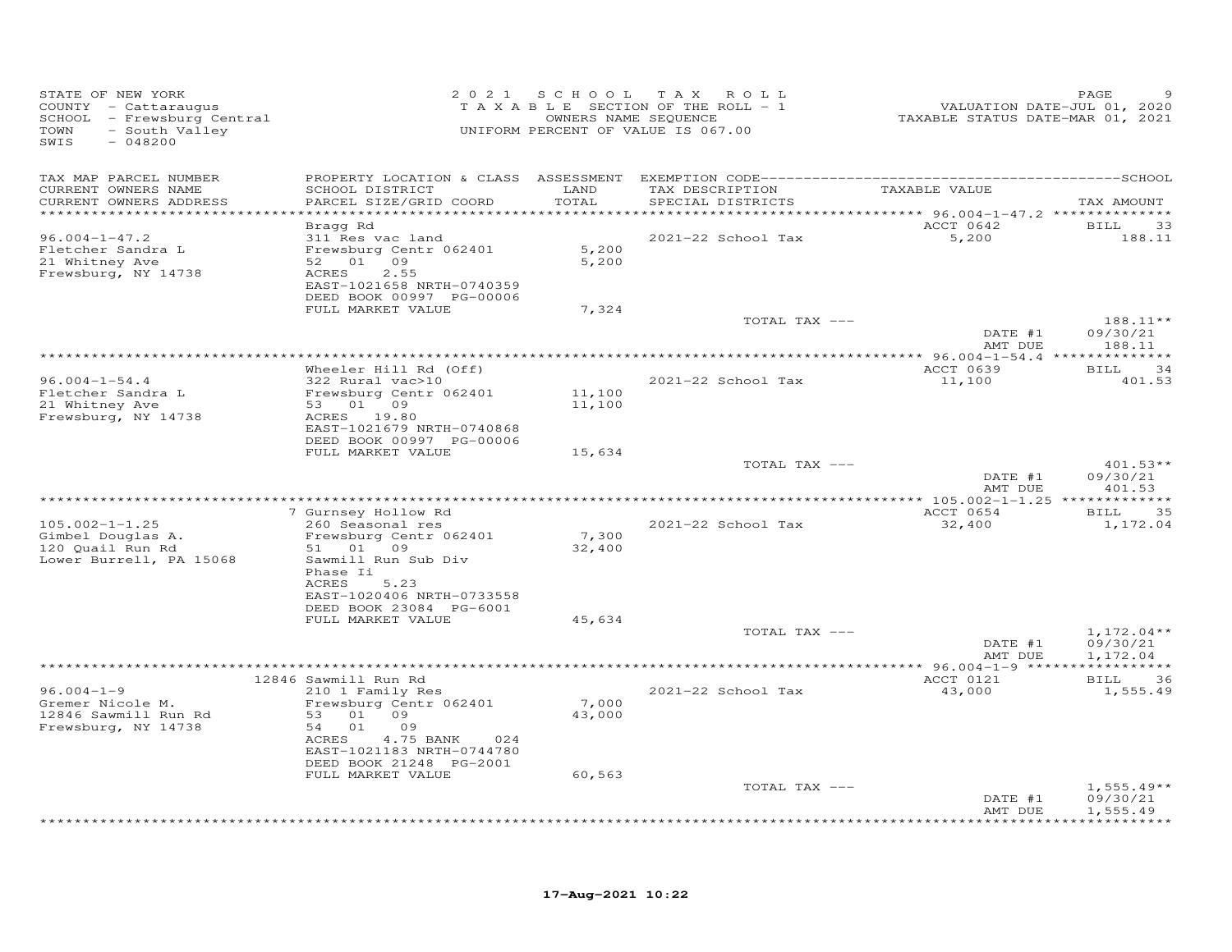| STATE OF NEW YORK<br>COUNTY - Cattaraugus<br>SCHOOL - Frewsburg Central<br>- South Valley<br>TOWN<br>SWIS<br>$-048200$ | 2 0 2 1                                                                | S C H O O L      | T A X<br>ROLL<br>TAXABLE SECTION OF THE ROLL - 1<br>OWNERS NAME SEQUENCE<br>UNIFORM PERCENT OF VALUE IS 067.00 | VALUATION DATE-JUL 01, 2020<br>TAXABLE STATUS DATE-MAR 01, 2021 | PAGE                  |
|------------------------------------------------------------------------------------------------------------------------|------------------------------------------------------------------------|------------------|----------------------------------------------------------------------------------------------------------------|-----------------------------------------------------------------|-----------------------|
| TAX MAP PARCEL NUMBER                                                                                                  |                                                                        |                  |                                                                                                                |                                                                 |                       |
| CURRENT OWNERS NAME<br>CURRENT OWNERS ADDRESS                                                                          | SCHOOL DISTRICT<br>PARCEL SIZE/GRID COORD                              | LAND<br>TOTAL    | TAX DESCRIPTION<br>SPECIAL DISTRICTS                                                                           | TAXABLE VALUE                                                   | TAX AMOUNT            |
| ***********************                                                                                                | Bragg Rd                                                               |                  |                                                                                                                | ACCT 0642                                                       | 33<br>BILL            |
| $96.004 - 1 - 47.2$<br>Fletcher Sandra L<br>21 Whitney Ave                                                             | 311 Res vac land<br>Frewsburg Centr 062401<br>52 01 09                 | 5,200<br>5,200   | 2021-22 School Tax                                                                                             | 5,200                                                           | 188.11                |
| Frewsburg, NY 14738                                                                                                    | ACRES<br>2.55<br>EAST-1021658 NRTH-0740359<br>DEED BOOK 00997 PG-00006 |                  |                                                                                                                |                                                                 |                       |
|                                                                                                                        | FULL MARKET VALUE                                                      | 7,324            |                                                                                                                |                                                                 |                       |
|                                                                                                                        |                                                                        |                  | TOTAL TAX ---                                                                                                  | DATE #1                                                         | 188.11**<br>09/30/21  |
|                                                                                                                        |                                                                        |                  |                                                                                                                | AMT DUE                                                         | 188.11                |
|                                                                                                                        | Wheeler Hill Rd (Off)                                                  |                  |                                                                                                                | ACCT 0639                                                       | 34<br>BILL            |
| $96.004 - 1 - 54.4$                                                                                                    | 322 Rural vac>10                                                       |                  | 2021-22 School Tax                                                                                             | 11,100                                                          | 401.53                |
| Fletcher Sandra L<br>21 Whitney Ave                                                                                    | Frewsburg Centr 062401<br>53<br>01 09                                  | 11,100<br>11,100 |                                                                                                                |                                                                 |                       |
| Frewsburg, NY 14738                                                                                                    | ACRES<br>19.80                                                         |                  |                                                                                                                |                                                                 |                       |
|                                                                                                                        | EAST-1021679 NRTH-0740868                                              |                  |                                                                                                                |                                                                 |                       |
|                                                                                                                        | DEED BOOK 00997 PG-00006<br>FULL MARKET VALUE                          | 15,634           |                                                                                                                |                                                                 |                       |
|                                                                                                                        |                                                                        |                  | TOTAL TAX ---                                                                                                  |                                                                 | $401.53**$            |
|                                                                                                                        |                                                                        |                  |                                                                                                                | DATE #1<br>AMT DUE                                              | 09/30/21<br>401.53    |
|                                                                                                                        | 7 Gurnsey Hollow Rd                                                    |                  |                                                                                                                | ACCT 0654                                                       | 35<br><b>BILL</b>     |
| $105.002 - 1 - 1.25$                                                                                                   | 260 Seasonal res                                                       |                  | 2021-22 School Tax                                                                                             | 32,400                                                          | 1,172.04              |
| Gimbel Douglas A.                                                                                                      | Frewsburg Centr 062401                                                 | 7,300            |                                                                                                                |                                                                 |                       |
| 120 Quail Run Rd                                                                                                       | 51 01 09                                                               | 32,400           |                                                                                                                |                                                                 |                       |
| Lower Burrell, PA 15068                                                                                                | Sawmill Run Sub Div<br>Phase Ii                                        |                  |                                                                                                                |                                                                 |                       |
|                                                                                                                        | ACRES<br>5.23                                                          |                  |                                                                                                                |                                                                 |                       |
|                                                                                                                        | EAST-1020406 NRTH-0733558                                              |                  |                                                                                                                |                                                                 |                       |
|                                                                                                                        | DEED BOOK 23084 PG-6001<br>FULL MARKET VALUE                           | 45,634           |                                                                                                                |                                                                 |                       |
|                                                                                                                        |                                                                        |                  | TOTAL TAX ---                                                                                                  |                                                                 | $1,172.04**$          |
|                                                                                                                        |                                                                        |                  |                                                                                                                | DATE #1                                                         | 09/30/21              |
|                                                                                                                        |                                                                        |                  |                                                                                                                | AMT DUE                                                         | 1,172.04              |
|                                                                                                                        | 12846 Sawmill Run Rd                                                   |                  |                                                                                                                | ACCT 0121                                                       | <b>BILL</b><br>36     |
| $96.004 - 1 - 9$                                                                                                       | 210 1 Family Res                                                       |                  | 2021-22 School Tax                                                                                             | 43,000                                                          | 1,555.49              |
| Gremer Nicole M.                                                                                                       | Frewsburg Centr 062401<br>09                                           | 7,000            |                                                                                                                |                                                                 |                       |
| 12846 Sawmill Run Rd<br>Frewsburg, NY 14738                                                                            | 53<br>01<br>01<br>09<br>54                                             | 43,000           |                                                                                                                |                                                                 |                       |
|                                                                                                                        | 4.75 BANK<br>ACRES<br>024                                              |                  |                                                                                                                |                                                                 |                       |
|                                                                                                                        | EAST-1021183 NRTH-0744780                                              |                  |                                                                                                                |                                                                 |                       |
|                                                                                                                        | DEED BOOK 21248 PG-2001<br>FULL MARKET VALUE                           | 60,563           |                                                                                                                |                                                                 |                       |
|                                                                                                                        |                                                                        |                  | TOTAL TAX ---                                                                                                  |                                                                 | $1,555.49**$          |
|                                                                                                                        |                                                                        |                  |                                                                                                                | DATE #1                                                         | 09/30/21              |
|                                                                                                                        |                                                                        |                  |                                                                                                                | AMT DUE                                                         | 1,555.49<br>********* |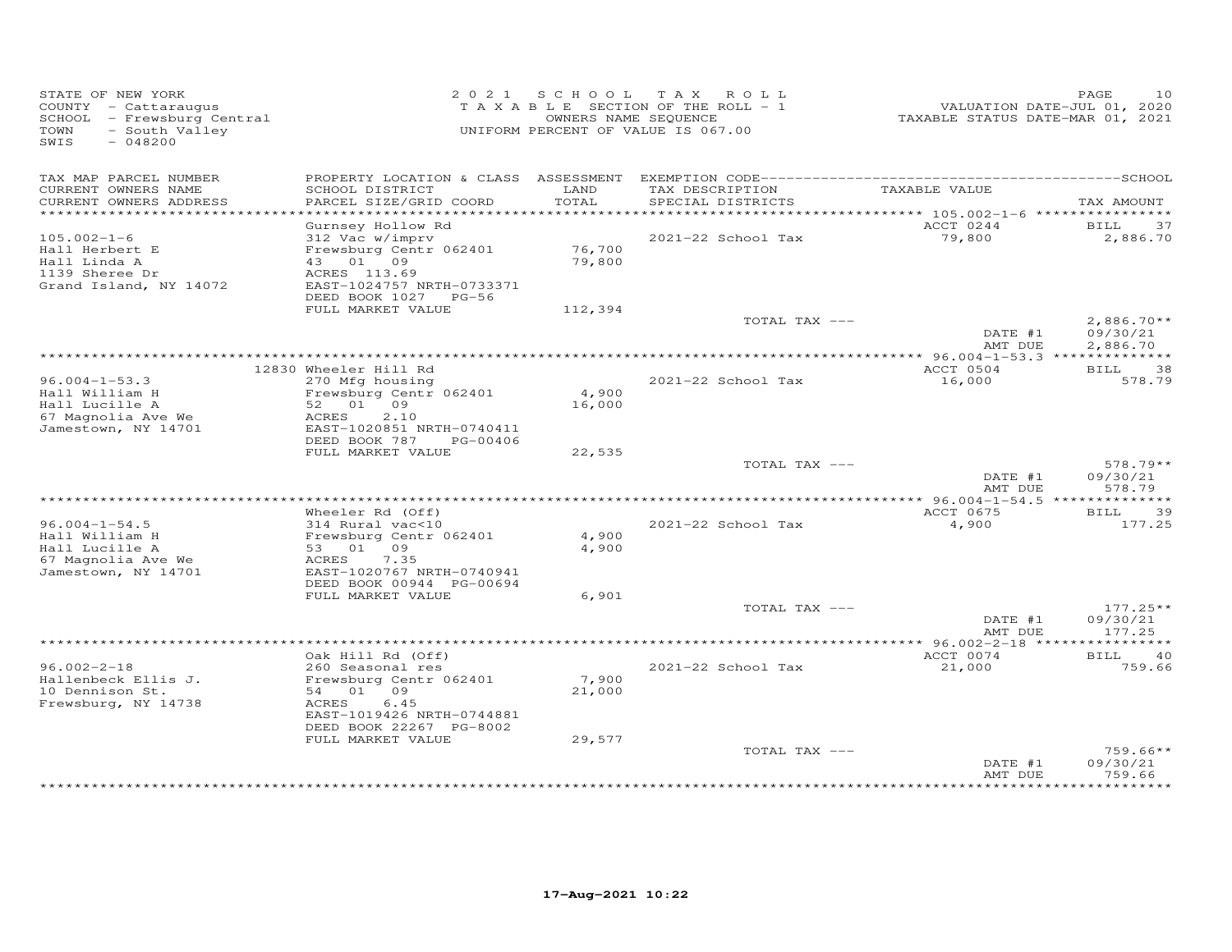| STATE OF NEW YORK<br>COUNTY - Cattaraugus<br>SCHOOL - Frewsburg Central<br>- South Valley<br>TOWN<br>SWIS<br>$-048200$ |                                                                                                                                                      | 2021 SCHOOL      | TAX ROLL<br>TAXABLE SECTION OF THE ROLL - 1<br>OWNERS NAME SEQUENCE<br>UNIFORM PERCENT OF VALUE IS 067.00 | VALUATION DATE-JUL 01, 2020<br>TAXABLE STATUS DATE-MAR 01, 2021 | PAGE<br>10                       |
|------------------------------------------------------------------------------------------------------------------------|------------------------------------------------------------------------------------------------------------------------------------------------------|------------------|-----------------------------------------------------------------------------------------------------------|-----------------------------------------------------------------|----------------------------------|
| TAX MAP PARCEL NUMBER<br>CURRENT OWNERS NAME<br>CURRENT OWNERS ADDRESS                                                 | SCHOOL DISTRICT<br>PARCEL SIZE/GRID COORD                                                                                                            | LAND<br>TOTAL    | TAX DESCRIPTION<br>SPECIAL DISTRICTS                                                                      | TAXABLE VALUE                                                   | TAX AMOUNT                       |
| ************************                                                                                               |                                                                                                                                                      |                  |                                                                                                           | ACCT 0244                                                       | BILL<br>37                       |
| $105.002 - 1 - 6$<br>Hall Herbert E<br>Hall Linda A<br>1139 Sheree Dr                                                  | Gurnsey Hollow Rd<br>312 Vac w/imprv<br>Frewsburg Centr 062401<br>43 01 09<br>ACRES 113.69<br>EAST-1024757 NRTH-0733371                              | 76,700<br>79,800 | 2021-22 School Tax                                                                                        | 79,800                                                          | 2,886.70                         |
| Grand Island, NY 14072                                                                                                 | DEED BOOK 1027 PG-56                                                                                                                                 |                  |                                                                                                           |                                                                 |                                  |
|                                                                                                                        | FULL MARKET VALUE                                                                                                                                    | 112,394          | TOTAL TAX ---                                                                                             | DATE #1                                                         | $2,886.70**$<br>09/30/21         |
|                                                                                                                        |                                                                                                                                                      |                  |                                                                                                           | AMT DUE                                                         | 2,886.70                         |
|                                                                                                                        | 12830 Wheeler Hill Rd                                                                                                                                |                  |                                                                                                           | ACCT 0504                                                       | 38<br><b>BILL</b>                |
| $96.004 - 1 - 53.3$<br>Hall William H<br>Hall Lucille A<br>67 Magnolia Ave We<br>Jamestown, NY 14701                   | 270 Mfg housing<br>Frewsburg Centr 062401<br>52 01 09<br>2.10<br>ACRES<br>EAST-1020851 NRTH-0740411                                                  | 4,900<br>16,000  | 2021-22 School Tax                                                                                        | 16,000                                                          | 578.79                           |
|                                                                                                                        | DEED BOOK 787<br>PG-00406<br>FULL MARKET VALUE                                                                                                       | 22,535           |                                                                                                           |                                                                 |                                  |
|                                                                                                                        |                                                                                                                                                      |                  | TOTAL TAX ---                                                                                             | DATE #1<br>AMT DUE                                              | 578.79**<br>09/30/21<br>578.79   |
|                                                                                                                        |                                                                                                                                                      |                  |                                                                                                           |                                                                 |                                  |
| $96.004 - 1 - 54.5$<br>Hall William H<br>Hall Lucille A<br>67 Magnolia Ave We                                          | Wheeler Rd (Off)<br>314 Rural vac<10<br>Frewsburg Centr 062401<br>53 01 09<br>ACRES<br>7.35                                                          | 4,900<br>4,900   | 2021-22 School Tax                                                                                        | ACCT 0675<br>4,900                                              | 39<br><b>BILL</b><br>177.25      |
| Jamestown, NY 14701                                                                                                    | EAST-1020767 NRTH-0740941<br>DEED BOOK 00944 PG-00694                                                                                                |                  |                                                                                                           |                                                                 |                                  |
|                                                                                                                        | FULL MARKET VALUE                                                                                                                                    | 6,901            |                                                                                                           |                                                                 |                                  |
|                                                                                                                        |                                                                                                                                                      |                  | TOTAL TAX ---                                                                                             | DATE #1<br>AMT DUE                                              | $177.25**$<br>09/30/21<br>177.25 |
|                                                                                                                        |                                                                                                                                                      |                  |                                                                                                           |                                                                 |                                  |
| $96.002 - 2 - 18$<br>Hallenbeck Ellis J.<br>10 Dennison St.<br>Frewsburg, NY 14738                                     | Oak Hill Rd (Off)<br>260 Seasonal res<br>Frewsburg Centr 062401<br>54 01 09<br>ACRES<br>6.45<br>EAST-1019426 NRTH-0744881<br>DEED BOOK 22267 PG-8002 | 7,900<br>21,000  | 2021-22 School Tax                                                                                        | ACCT 0074<br>21,000                                             | <b>BILL</b><br>40<br>759.66      |
|                                                                                                                        | FULL MARKET VALUE                                                                                                                                    | 29,577           | TOTAL TAX ---                                                                                             |                                                                 | $759.66**$                       |
|                                                                                                                        |                                                                                                                                                      |                  |                                                                                                           | DATE #1<br>AMT DUE                                              | 09/30/21<br>759.66               |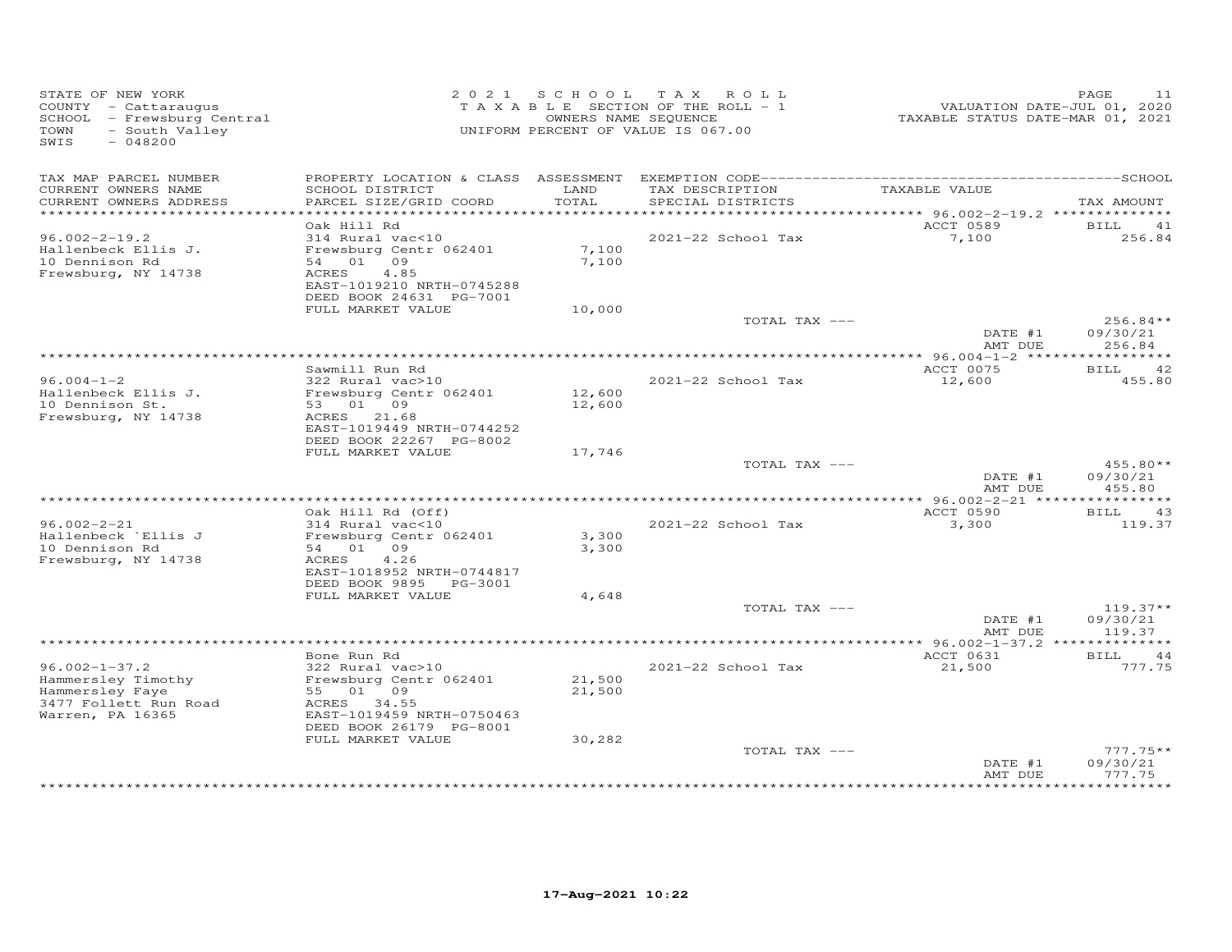| STATE OF NEW YORK<br>COUNTY - Cattaraugus<br>SCHOOL - Frewsburg Central<br>- South Valley<br>TOWN<br>SWIS<br>$-048200$ |                                                      |               | 2021 SCHOOL TAX ROLL<br>TAXABLE SECTION OF THE ROLL - 1<br>OWNERS NAME SEQUENCE<br>UNIFORM PERCENT OF VALUE IS 067.00 | VALUATION DATE-JUL 01, 2020<br>TAXABLE STATUS DATE-MAR 01, 2021 | PAGE<br>11             |
|------------------------------------------------------------------------------------------------------------------------|------------------------------------------------------|---------------|-----------------------------------------------------------------------------------------------------------------------|-----------------------------------------------------------------|------------------------|
| TAX MAP PARCEL NUMBER                                                                                                  |                                                      |               |                                                                                                                       |                                                                 |                        |
| CURRENT OWNERS NAME<br>CURRENT OWNERS ADDRESS                                                                          | SCHOOL DISTRICT<br>PARCEL SIZE/GRID COORD            | LAND<br>TOTAL | TAX DESCRIPTION<br>SPECIAL DISTRICTS                                                                                  | TAXABLE VALUE                                                   | TAX AMOUNT             |
|                                                                                                                        |                                                      |               |                                                                                                                       | ********** 96.002-2-19.2 **************                         |                        |
|                                                                                                                        | Oak Hill Rd                                          |               |                                                                                                                       | ACCT 0589                                                       | BILL<br>41             |
| $96.002 - 2 - 19.2$<br>Hallenbeck Ellis J.                                                                             | 314 Rural vac<10<br>Frewsburg Centr 062401           | 7,100         | 2021-22 School Tax                                                                                                    | 7,100                                                           | 256.84                 |
| 10 Dennison Rd                                                                                                         | 54 01 09                                             | 7,100         |                                                                                                                       |                                                                 |                        |
| Frewsburg, NY 14738                                                                                                    | 4.85<br>ACRES                                        |               |                                                                                                                       |                                                                 |                        |
|                                                                                                                        | EAST-1019210 NRTH-0745288                            |               |                                                                                                                       |                                                                 |                        |
|                                                                                                                        | DEED BOOK 24631 PG-7001<br>FULL MARKET VALUE         | 10,000        |                                                                                                                       |                                                                 |                        |
|                                                                                                                        |                                                      |               | TOTAL TAX ---                                                                                                         |                                                                 | $256.84**$             |
|                                                                                                                        |                                                      |               |                                                                                                                       | DATE #1<br>AMT DUE                                              | 09/30/21<br>256.84     |
|                                                                                                                        |                                                      |               |                                                                                                                       |                                                                 |                        |
| $96.004 - 1 - 2$                                                                                                       | Sawmill Run Rd<br>322 Rural vac>10                   |               | 2021-22 School Tax                                                                                                    | ACCT 0075<br>12,600                                             | BILL 42<br>455.80      |
| Hallenbeck Ellis J.                                                                                                    | Frewsburg Centr 062401                               | 12,600        |                                                                                                                       |                                                                 |                        |
| 10 Dennison St.                                                                                                        | 53 01 09                                             | 12,600        |                                                                                                                       |                                                                 |                        |
| Frewsburg, NY 14738                                                                                                    | ACRES 21.68                                          |               |                                                                                                                       |                                                                 |                        |
|                                                                                                                        | EAST-1019449 NRTH-0744252<br>DEED BOOK 22267 PG-8002 |               |                                                                                                                       |                                                                 |                        |
|                                                                                                                        | FULL MARKET VALUE                                    | 17,746        |                                                                                                                       |                                                                 |                        |
|                                                                                                                        |                                                      |               | TOTAL TAX ---                                                                                                         |                                                                 | $455.80**$             |
|                                                                                                                        |                                                      |               |                                                                                                                       | DATE #1                                                         | 09/30/21               |
|                                                                                                                        |                                                      |               |                                                                                                                       | AMT DUE                                                         | 455.80                 |
|                                                                                                                        | Oak Hill Rd (Off)                                    |               |                                                                                                                       | ACCT 0590                                                       | BILL<br>43             |
| $96.002 - 2 - 21$                                                                                                      | 314 Rural vac<10                                     |               | 2021-22 School Tax                                                                                                    | 3,300                                                           | 119.37                 |
| Hallenbeck `Ellis J                                                                                                    | Frewsburg Centr 062401                               | 3,300         |                                                                                                                       |                                                                 |                        |
| 10 Dennison Rd<br>Frewsburg, NY 14738                                                                                  | 54 01 09<br>ACRES<br>4.26                            | 3,300         |                                                                                                                       |                                                                 |                        |
|                                                                                                                        | EAST-1018952 NRTH-0744817                            |               |                                                                                                                       |                                                                 |                        |
|                                                                                                                        | DEED BOOK 9895 PG-3001                               |               |                                                                                                                       |                                                                 |                        |
|                                                                                                                        | FULL MARKET VALUE                                    | 4,648         |                                                                                                                       |                                                                 |                        |
|                                                                                                                        |                                                      |               | TOTAL TAX ---                                                                                                         | DATE #1                                                         | $119.37**$<br>09/30/21 |
|                                                                                                                        |                                                      |               |                                                                                                                       | AMT DUE                                                         | 119.37                 |
|                                                                                                                        |                                                      |               |                                                                                                                       |                                                                 |                        |
| $96.002 - 1 - 37.2$                                                                                                    | Bone Run Rd<br>322 Rural vac>10                      |               | 2021-22 School Tax                                                                                                    | ACCT 0631<br>21,500                                             | BILL<br>44<br>777.75   |
| Hammersley Timothy                                                                                                     | Frewsburg Centr 062401                               | 21,500        |                                                                                                                       |                                                                 |                        |
| Hammersley Faye                                                                                                        | 55 01 09                                             | 21,500        |                                                                                                                       |                                                                 |                        |
| 3477 Follett Run Road                                                                                                  | ACRES 34.55                                          |               |                                                                                                                       |                                                                 |                        |
| Warren, PA 16365                                                                                                       | EAST-1019459 NRTH-0750463<br>DEED BOOK 26179 PG-8001 |               |                                                                                                                       |                                                                 |                        |
|                                                                                                                        | FULL MARKET VALUE                                    | 30,282        |                                                                                                                       |                                                                 |                        |
|                                                                                                                        |                                                      |               | TOTAL TAX ---                                                                                                         |                                                                 | $777.75**$             |
|                                                                                                                        |                                                      |               |                                                                                                                       | DATE #1                                                         | 09/30/21               |
|                                                                                                                        |                                                      |               |                                                                                                                       | AMT DUE                                                         | 777.75<br>*********    |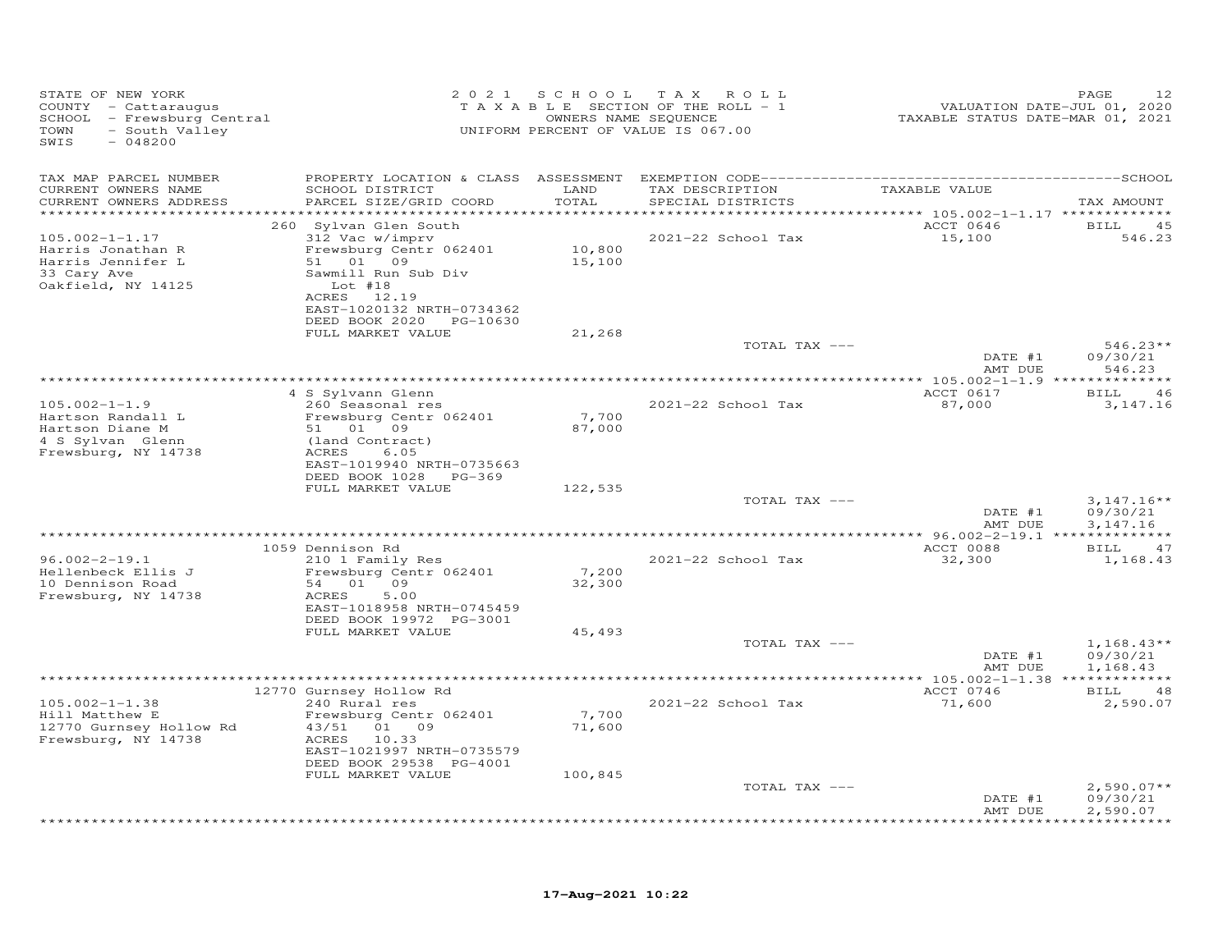| STATE OF NEW YORK<br>COUNTY - Cattaraugus<br>SCHOOL - Frewsburg Central<br>- South Valley<br>TOWN<br>SWIS<br>$-048200$ |                                                                                                                                                          | 2021 SCHOOL                  | T A X<br>ROLL<br>TAXABLE SECTION OF THE ROLL - 1<br>OWNERS NAME SEQUENCE<br>UNIFORM PERCENT OF VALUE IS 067.00 | VALUATION DATE-JUL 01, 2020<br>TAXABLE STATUS DATE-MAR 01, 2021 | 12<br>PAGE                    |
|------------------------------------------------------------------------------------------------------------------------|----------------------------------------------------------------------------------------------------------------------------------------------------------|------------------------------|----------------------------------------------------------------------------------------------------------------|-----------------------------------------------------------------|-------------------------------|
| TAX MAP PARCEL NUMBER                                                                                                  |                                                                                                                                                          |                              |                                                                                                                |                                                                 |                               |
| CURRENT OWNERS NAME<br>CURRENT OWNERS ADDRESS<br>*********************                                                 | SCHOOL DISTRICT<br>PARCEL SIZE/GRID COORD                                                                                                                | LAND<br>TOTAL<br>*********** | TAX DESCRIPTION<br>SPECIAL DISTRICTS                                                                           | TAXABLE VALUE                                                   | TAX AMOUNT                    |
| $105.002 - 1 - 1.17$<br>Harris Jonathan R<br>Harris Jennifer L<br>33 Cary Ave<br>Oakfield, NY 14125                    | 260 Sylvan Glen South<br>312 Vac w/imprv<br>Frewsburg Centr 062401<br>51 01 09<br>Sawmill Run Sub Div<br>Lot $#18$<br>ACRES 12.19                        | 10,800<br>15,100             | 2021-22 School Tax                                                                                             | ACCT 0646<br>15,100                                             | <b>BILL</b><br>45<br>546.23   |
|                                                                                                                        | EAST-1020132 NRTH-0734362<br>DEED BOOK 2020 PG-10630                                                                                                     |                              |                                                                                                                |                                                                 |                               |
|                                                                                                                        | FULL MARKET VALUE                                                                                                                                        | 21,268                       | TOTAL TAX ---                                                                                                  | DATE #1                                                         | $546.23**$<br>09/30/21        |
|                                                                                                                        |                                                                                                                                                          |                              |                                                                                                                | AMT DUE                                                         | 546.23                        |
| $105.002 - 1 - 1.9$<br>Hartson Randall L<br>Hartson Diane M<br>4 S Sylvan Glenn<br>Frewsburg, NY 14738                 | 4 S Sylvann Glenn<br>260 Seasonal res<br>Frewsburg Centr 062401<br>51 01 09<br>(land Contract)<br>ACRES<br>6.05                                          | 7,700<br>87,000              | 2021-22 School Tax                                                                                             | ACCT 0617<br>87,000                                             | BILL<br>46<br>3, 147. 16      |
|                                                                                                                        | EAST-1019940 NRTH-0735663<br>DEED BOOK 1028<br>PG-369<br>FULL MARKET VALUE                                                                               | 122,535                      | TOTAL TAX ---                                                                                                  |                                                                 | $3,147.16**$                  |
|                                                                                                                        |                                                                                                                                                          |                              |                                                                                                                | DATE #1<br>AMT DUE                                              | 09/30/21<br>3,147.16          |
|                                                                                                                        | 1059 Dennison Rd                                                                                                                                         |                              |                                                                                                                | ACCT 0088                                                       | BILL<br>47                    |
| $96.002 - 2 - 19.1$<br>Hellenbeck Ellis J<br>10 Dennison Road<br>Frewsburg, NY 14738                                   | 210 1 Family Res<br>Frewsburg Centr 062401<br>54 01 09<br>ACRES<br>5.00<br>EAST-1018958 NRTH-0745459<br>DEED BOOK 19972 PG-3001                          | 7,200<br>32,300              | 2021-22 School Tax                                                                                             | 32,300                                                          | 1,168.43                      |
|                                                                                                                        | FULL MARKET VALUE                                                                                                                                        | 45,493                       | TOTAL TAX ---                                                                                                  | DATE #1                                                         | $1,168.43**$<br>09/30/21      |
|                                                                                                                        |                                                                                                                                                          |                              |                                                                                                                | AMT DUE<br>******* 105.002-1-1.38 *************                 | 1,168.43                      |
|                                                                                                                        | 12770 Gurnsey Hollow Rd                                                                                                                                  |                              |                                                                                                                | ACCT 0746                                                       | <b>BILL</b><br>48             |
| $105.002 - 1 - 1.38$<br>Hill Matthew E<br>12770 Gurnsey Hollow Rd<br>Frewsburg, NY 14738                               | 240 Rural res<br>Frewsburg Centr 062401<br>43/51<br>01 09<br>ACRES<br>10.33<br>EAST-1021997 NRTH-0735579<br>DEED BOOK 29538 PG-4001<br>FULL MARKET VALUE | 7,700<br>71,600<br>100,845   | 2021-22 School Tax                                                                                             | 71,600                                                          | 2,590.07                      |
|                                                                                                                        |                                                                                                                                                          |                              | TOTAL TAX ---                                                                                                  | DATE #1                                                         | $2,590.07**$<br>09/30/21      |
|                                                                                                                        |                                                                                                                                                          |                              |                                                                                                                | AMT DUE                                                         | 2,590.07<br>* * * * * * * * * |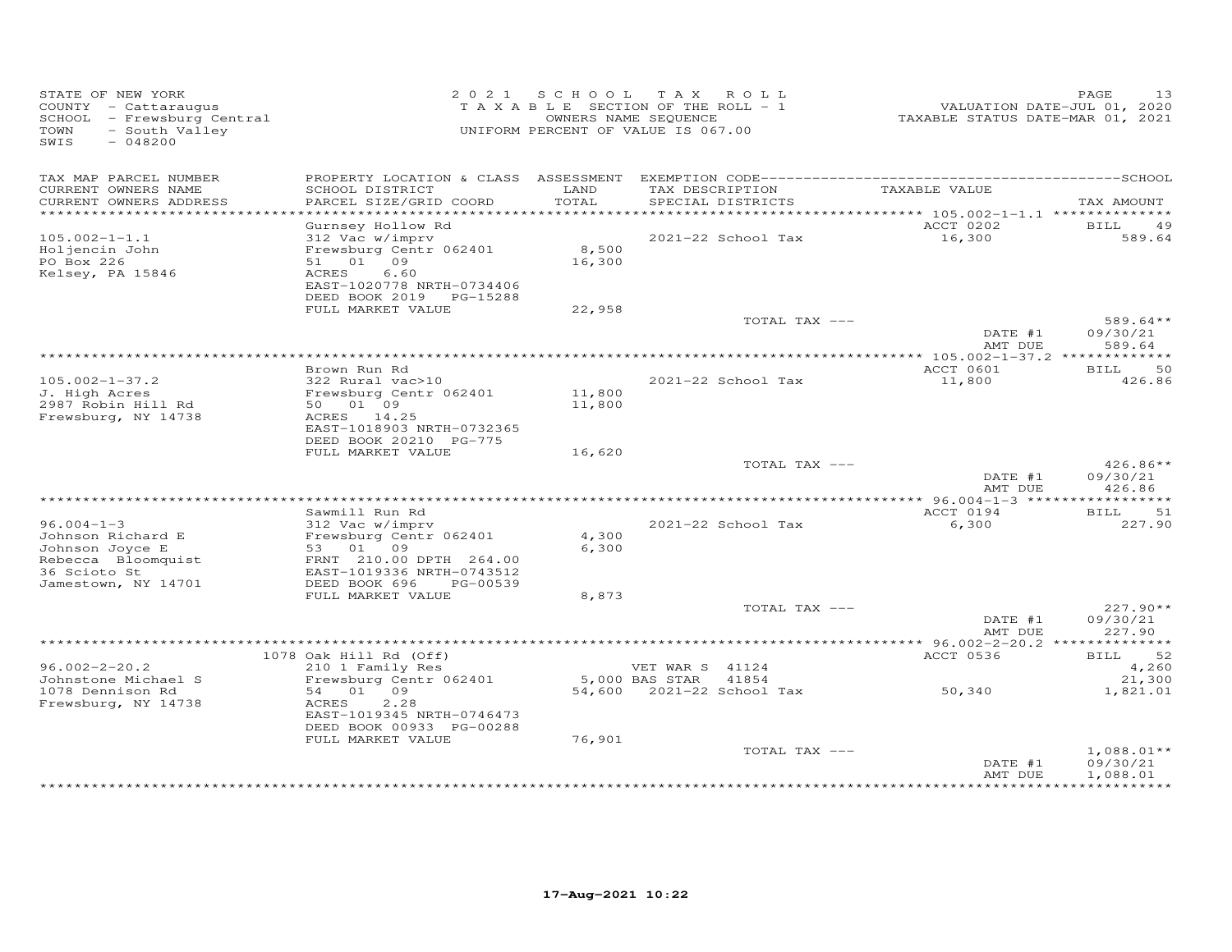| STATE OF NEW YORK<br>COUNTY - Cattaraugus<br>SCHOOL - Frewsburg Central<br>TOWN<br>- South Valley<br>$-048200$<br>SWIS |                                                      | 2021 SCHOOL TAX ROLL<br>TAXABLE SECTION OF THE ROLL - 1<br>UNIFORM PERCENT OF VALUE IS 067.00 | OWNERS NAME SEQUENCE      |                    | VALUATION DATE-JUL 01, 2020<br>TAXABLE STATUS DATE-MAR 01, 2021 | 13<br>PAGE         |
|------------------------------------------------------------------------------------------------------------------------|------------------------------------------------------|-----------------------------------------------------------------------------------------------|---------------------------|--------------------|-----------------------------------------------------------------|--------------------|
| TAX MAP PARCEL NUMBER<br>CURRENT OWNERS NAME                                                                           | SCHOOL DISTRICT                                      | LAND                                                                                          |                           | TAX DESCRIPTION    | TAXABLE VALUE                                                   |                    |
| CURRENT OWNERS ADDRESS<br>**********************                                                                       | PARCEL SIZE/GRID COORD                               | TOTAL                                                                                         | SPECIAL DISTRICTS         |                    |                                                                 | TAX AMOUNT         |
|                                                                                                                        | Gurnsey Hollow Rd                                    |                                                                                               |                           |                    | ACCT 0202                                                       | BILL<br>49         |
| $105.002 - 1 - 1.1$                                                                                                    | 312 Vac w/imprv                                      |                                                                                               |                           | 2021-22 School Tax | 16,300                                                          | 589.64             |
| Holjencin John                                                                                                         | Frewsburg Centr 062401                               | 8,500                                                                                         |                           |                    |                                                                 |                    |
| PO Box 226                                                                                                             | 51 01 09                                             | 16,300                                                                                        |                           |                    |                                                                 |                    |
| Kelsey, PA 15846                                                                                                       | ACRES<br>6.60<br>EAST-1020778 NRTH-0734406           |                                                                                               |                           |                    |                                                                 |                    |
|                                                                                                                        | DEED BOOK 2019 PG-15288                              |                                                                                               |                           |                    |                                                                 |                    |
|                                                                                                                        | FULL MARKET VALUE                                    | 22,958                                                                                        |                           |                    |                                                                 |                    |
|                                                                                                                        |                                                      |                                                                                               |                           | TOTAL TAX ---      |                                                                 | $589.64**$         |
|                                                                                                                        |                                                      |                                                                                               |                           |                    | DATE #1                                                         | 09/30/21           |
|                                                                                                                        |                                                      |                                                                                               |                           |                    | AMT DUE                                                         | 589.64             |
|                                                                                                                        | Brown Run Rd                                         |                                                                                               |                           |                    | ACCT 0601                                                       | 50<br><b>BILL</b>  |
| $105.002 - 1 - 37.2$                                                                                                   | 322 Rural vac>10                                     |                                                                                               |                           | 2021-22 School Tax | 11,800                                                          | 426.86             |
| J. High Acres                                                                                                          | Frewsburg Centr 062401                               | 11,800                                                                                        |                           |                    |                                                                 |                    |
| 2987 Robin Hill Rd                                                                                                     | 50 01 09                                             | 11,800                                                                                        |                           |                    |                                                                 |                    |
| Frewsburg, NY 14738                                                                                                    | ACRES 14.25<br>EAST-1018903 NRTH-0732365             |                                                                                               |                           |                    |                                                                 |                    |
|                                                                                                                        | DEED BOOK 20210 PG-775                               |                                                                                               |                           |                    |                                                                 |                    |
|                                                                                                                        | FULL MARKET VALUE                                    | 16,620                                                                                        |                           |                    |                                                                 |                    |
|                                                                                                                        |                                                      |                                                                                               |                           | TOTAL TAX ---      |                                                                 | 426.86**           |
|                                                                                                                        |                                                      |                                                                                               |                           |                    | DATE #1                                                         | 09/30/21           |
|                                                                                                                        |                                                      |                                                                                               |                           |                    | AMT DUE                                                         | 426.86             |
|                                                                                                                        | Sawmill Run Rd                                       |                                                                                               |                           |                    | ACCT 0194                                                       | 51<br><b>BILL</b>  |
| $96.004 - 1 - 3$                                                                                                       | 312 Vac w/imprv                                      |                                                                                               |                           | 2021-22 School Tax | 6,300                                                           | 227.90             |
| Johnson Richard E                                                                                                      | Frewsburg Centr 062401                               | 4,300                                                                                         |                           |                    |                                                                 |                    |
| Johnson Joyce E                                                                                                        | 53 01 09                                             | 6,300                                                                                         |                           |                    |                                                                 |                    |
| Rebecca Bloomquist<br>36 Scioto St                                                                                     | FRNT 210.00 DPTH 264.00<br>EAST-1019336 NRTH-0743512 |                                                                                               |                           |                    |                                                                 |                    |
| Jamestown, NY 14701                                                                                                    | DEED BOOK 696<br>PG-00539                            |                                                                                               |                           |                    |                                                                 |                    |
|                                                                                                                        | FULL MARKET VALUE                                    | 8,873                                                                                         |                           |                    |                                                                 |                    |
|                                                                                                                        |                                                      |                                                                                               |                           | TOTAL TAX ---      |                                                                 | 227.90**           |
|                                                                                                                        |                                                      |                                                                                               |                           |                    | DATE #1<br>AMT DUE                                              | 09/30/21<br>227.90 |
|                                                                                                                        |                                                      |                                                                                               |                           |                    |                                                                 |                    |
|                                                                                                                        | 1078 Oak Hill Rd (Off)                               |                                                                                               |                           |                    | ACCT 0536                                                       | 52<br><b>BILL</b>  |
| $96.002 - 2 - 20.2$                                                                                                    | 210 1 Family Res                                     |                                                                                               | VET WAR S 41124           |                    |                                                                 | 4,260              |
| Johnstone Michael S                                                                                                    | Frewsburg Centr 062401                               |                                                                                               | 5,000 BAS STAR            | 41854              |                                                                 | 21,300             |
| 1078 Dennison Rd<br>Frewsburg, NY 14738                                                                                | 54 01 09<br>ACRES<br>2,28                            |                                                                                               | 54,600 2021-22 School Tax |                    | 50,340                                                          | 1,821.01           |
|                                                                                                                        | EAST-1019345 NRTH-0746473                            |                                                                                               |                           |                    |                                                                 |                    |
|                                                                                                                        | DEED BOOK 00933 PG-00288                             |                                                                                               |                           |                    |                                                                 |                    |
|                                                                                                                        | FULL MARKET VALUE                                    | 76,901                                                                                        |                           |                    |                                                                 |                    |
|                                                                                                                        |                                                      |                                                                                               |                           | TOTAL TAX ---      |                                                                 | $1,088.01**$       |
|                                                                                                                        |                                                      |                                                                                               |                           |                    | DATE #1<br>AMT DUE                                              | 09/30/21           |
|                                                                                                                        |                                                      |                                                                                               |                           |                    |                                                                 | 1,088.01           |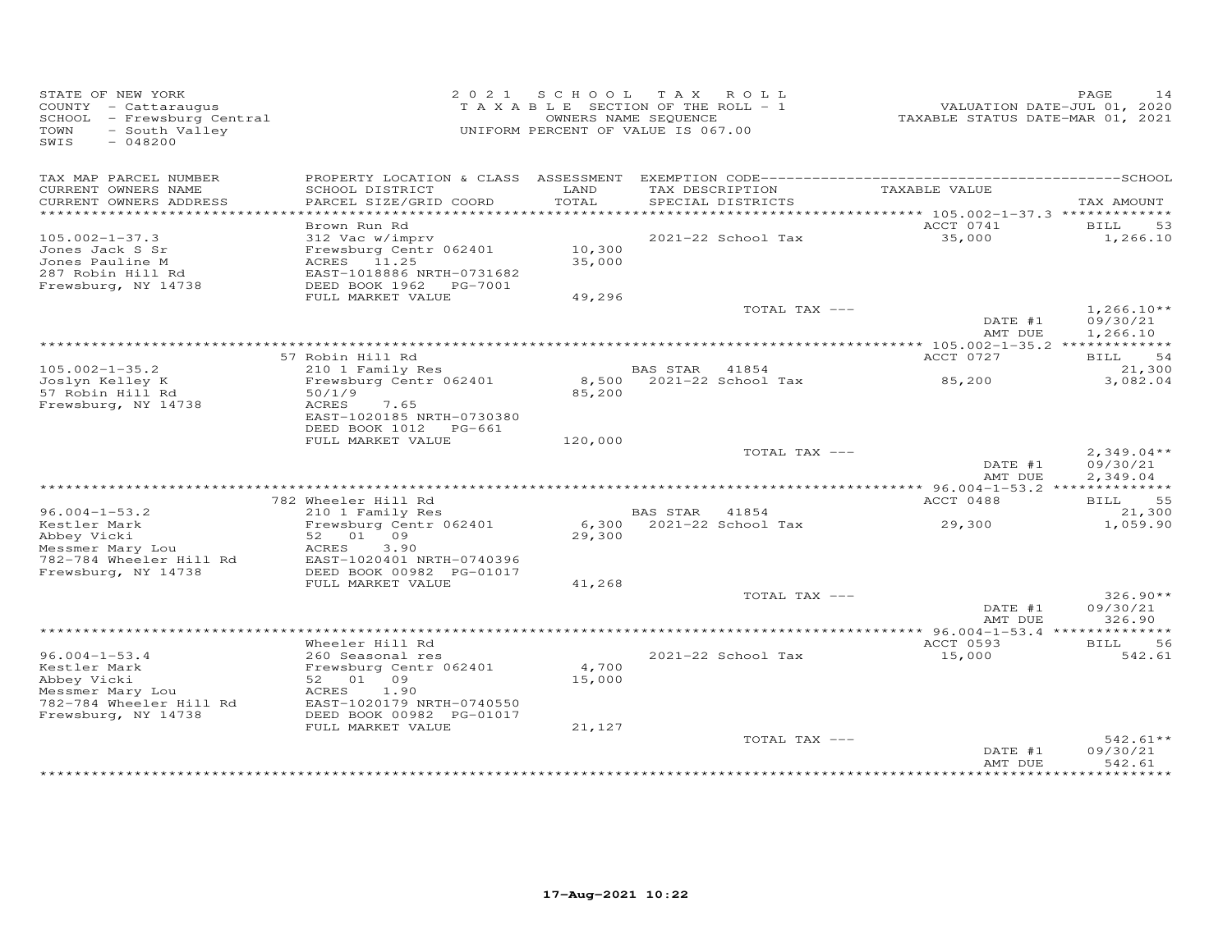| STATE OF NEW YORK<br>COUNTY - Cattaraugus<br>SCHOOL - Frewsburg Central<br>- South Valley<br>TOWN<br>$-048200$<br>SWIS |                                                                                                                    | 2021 SCHOOL<br>T A X A B L E SECTION OF THE ROLL - 1<br>OWNERS NAME SEQUENCE<br>UNIFORM PERCENT OF VALUE IS 067.00 | T A X           | ROLL                                 | VALUATION DATE-JUL 01, 2020<br>TAXABLE STATUS DATE-MAR 01, 2021 | PAGE<br>14                           |
|------------------------------------------------------------------------------------------------------------------------|--------------------------------------------------------------------------------------------------------------------|--------------------------------------------------------------------------------------------------------------------|-----------------|--------------------------------------|-----------------------------------------------------------------|--------------------------------------|
| TAX MAP PARCEL NUMBER<br>CURRENT OWNERS NAME<br>CURRENT OWNERS ADDRESS<br>**********************                       | PROPERTY LOCATION & CLASS ASSESSMENT<br>SCHOOL DISTRICT<br>PARCEL SIZE/GRID COORD                                  | LAND<br>TOTAL                                                                                                      |                 | TAX DESCRIPTION<br>SPECIAL DISTRICTS | TAXABLE VALUE                                                   | TAX AMOUNT                           |
|                                                                                                                        | Brown Run Rd                                                                                                       |                                                                                                                    |                 |                                      | ACCT 0741                                                       | BILL<br>53                           |
| $105.002 - 1 - 37.3$<br>Jones Jack S Sr<br>Jones Pauline M<br>287 Robin Hill Rd<br>Frewsburg, NY 14738                 | 312 Vac w/imprv<br>Frewsburg Centr 062401<br>ACRES 11.25<br>EAST-1018886 NRTH-0731682<br>DEED BOOK 1962<br>PG-7001 | 10,300<br>35,000                                                                                                   |                 | 2021-22 School Tax                   | 35,000                                                          | 1,266.10                             |
|                                                                                                                        | FULL MARKET VALUE                                                                                                  | 49,296                                                                                                             |                 |                                      |                                                                 |                                      |
|                                                                                                                        |                                                                                                                    |                                                                                                                    |                 | TOTAL TAX ---                        | DATE #1<br>AMT DUE                                              | $1,266.10**$<br>09/30/21<br>1,266.10 |
|                                                                                                                        |                                                                                                                    |                                                                                                                    |                 |                                      | *********** 105.002-1-35.2 **                                   | ***********                          |
| $105.002 - 1 - 35.2$                                                                                                   | 57 Robin Hill Rd<br>210 1 Family Res                                                                               |                                                                                                                    | <b>BAS STAR</b> | 41854                                | ACCT 0727                                                       | BILL<br>54<br>21,300                 |
| Joslyn Kelley K<br>57 Robin Hill Rd                                                                                    | Frewsburg Centr 062401<br>50/1/9                                                                                   | 85,200                                                                                                             |                 | 8,500 2021-22 School Tax             | 85,200                                                          | 3,082.04                             |
| Frewsburg, NY 14738                                                                                                    | ACRES<br>7.65<br>EAST-1020185 NRTH-0730380<br>DEED BOOK 1012<br>PG-661                                             |                                                                                                                    |                 |                                      |                                                                 |                                      |
|                                                                                                                        | FULL MARKET VALUE                                                                                                  | 120,000                                                                                                            |                 |                                      |                                                                 |                                      |
|                                                                                                                        |                                                                                                                    |                                                                                                                    |                 | TOTAL TAX ---                        | DATE #1<br>AMT DUE                                              | $2,349.04**$<br>09/30/21<br>2,349.04 |
|                                                                                                                        |                                                                                                                    |                                                                                                                    |                 |                                      |                                                                 |                                      |
|                                                                                                                        | 782 Wheeler Hill Rd                                                                                                |                                                                                                                    |                 |                                      | ACCT 0488                                                       | 55<br>BILL                           |
| $96.004 - 1 - 53.2$<br>Kestler Mark                                                                                    | 210 1 Family Res<br>Frewsburg Centr 062401                                                                         | 6,300                                                                                                              | <b>BAS STAR</b> | 41854<br>2021-22 School Tax          | 29,300                                                          | 21,300<br>1,059.90                   |
| Abbey Vicki<br>Messmer Mary Lou                                                                                        | 09<br>52<br>01<br>3.90<br>ACRES                                                                                    | 29,300                                                                                                             |                 |                                      |                                                                 |                                      |
| 782-784 Wheeler Hill Rd<br>Frewsburg, NY 14738                                                                         | EAST-1020401 NRTH-0740396<br>DEED BOOK 00982 PG-01017                                                              |                                                                                                                    |                 |                                      |                                                                 |                                      |
|                                                                                                                        | FULL MARKET VALUE                                                                                                  | 41,268                                                                                                             |                 |                                      |                                                                 |                                      |
|                                                                                                                        |                                                                                                                    |                                                                                                                    |                 | TOTAL TAX ---                        | DATE #1<br>AMT DUE                                              | $326.90**$<br>09/30/21<br>326.90     |
|                                                                                                                        |                                                                                                                    |                                                                                                                    |                 |                                      |                                                                 |                                      |
|                                                                                                                        | Wheeler Hill Rd                                                                                                    |                                                                                                                    |                 |                                      | ACCT 0593                                                       | 56<br>BILL                           |
| $96.004 - 1 - 53.4$<br>Kestler Mark<br>Abbey Vicki<br>Messmer Mary Lou<br>782-784 Wheeler Hill Rd                      | 260 Seasonal res<br>Frewsburg Centr 062401<br>52 01 09<br>ACRES<br>1.90<br>EAST-1020179 NRTH-0740550               | 4,700<br>15,000                                                                                                    |                 | 2021-22 School Tax                   | 15,000                                                          | 542.61                               |
| Frewsburg, NY 14738                                                                                                    | DEED BOOK 00982 PG-01017                                                                                           |                                                                                                                    |                 |                                      |                                                                 |                                      |
|                                                                                                                        | FULL MARKET VALUE                                                                                                  | 21,127                                                                                                             |                 | TOTAL TAX ---                        | DATE #1<br>AMT DUE                                              | 542.61**<br>09/30/21<br>542.61       |
|                                                                                                                        |                                                                                                                    |                                                                                                                    |                 |                                      |                                                                 |                                      |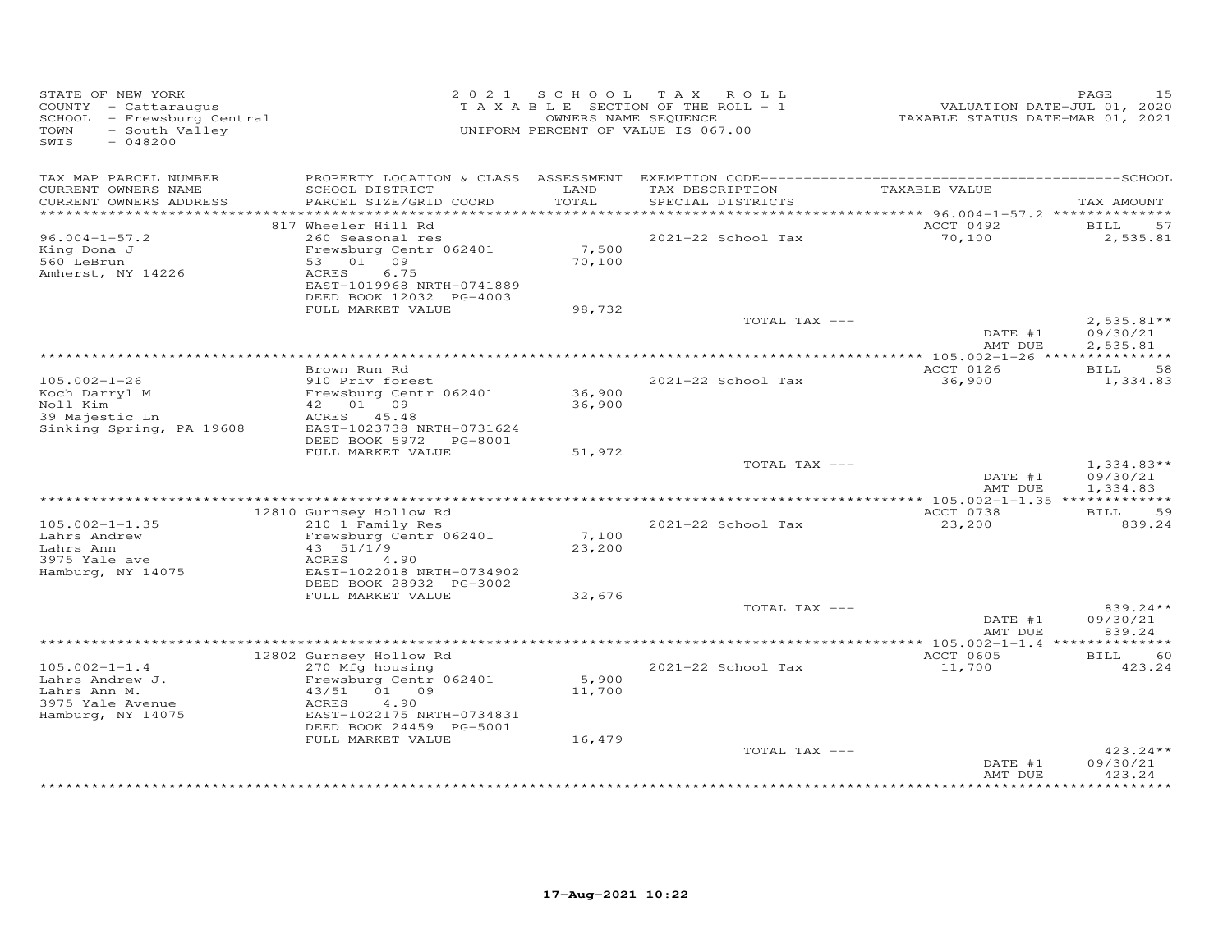| STATE OF NEW YORK<br>COUNTY - Cattaraugus<br>SCHOOL - Frewsburg Central<br>- South Valley<br>TOWN<br>SWIS<br>$-048200$ |                                                                                                                                     |                           | 2021 SCHOOL TAX ROLL<br>TAXABLE SECTION OF THE ROLL - 1<br>OWNERS NAME SEQUENCE<br>UNIFORM PERCENT OF VALUE IS 067.00 | VALUATION DATE-JUL 01, 2020<br>TAXABLE STATUS DATE-MAR 01, 2021 | PAGE<br>15                           |
|------------------------------------------------------------------------------------------------------------------------|-------------------------------------------------------------------------------------------------------------------------------------|---------------------------|-----------------------------------------------------------------------------------------------------------------------|-----------------------------------------------------------------|--------------------------------------|
| TAX MAP PARCEL NUMBER<br>CURRENT OWNERS NAME<br>CURRENT OWNERS ADDRESS                                                 | SCHOOL DISTRICT<br>PARCEL SIZE/GRID COORD                                                                                           | LAND<br>TOTAL             | TAX DESCRIPTION<br>SPECIAL DISTRICTS                                                                                  | TAXABLE VALUE                                                   | TAX AMOUNT                           |
|                                                                                                                        |                                                                                                                                     |                           |                                                                                                                       |                                                                 |                                      |
|                                                                                                                        | 817 Wheeler Hill Rd                                                                                                                 |                           |                                                                                                                       | ACCT 0492                                                       | BILL<br>57                           |
| $96.004 - 1 - 57.2$<br>King Dona J<br>560 LeBrun<br>Amherst, NY 14226                                                  | 260 Seasonal res<br>Frewsburg Centr 062401<br>53 01 09<br>6.75<br>ACRES<br>EAST-1019968 NRTH-0741889                                | 7,500<br>70,100           | 2021-22 School Tax                                                                                                    | 70,100                                                          | 2,535.81                             |
|                                                                                                                        | DEED BOOK 12032 PG-4003<br>FULL MARKET VALUE                                                                                        | 98,732                    |                                                                                                                       |                                                                 |                                      |
|                                                                                                                        |                                                                                                                                     |                           | TOTAL TAX ---                                                                                                         | DATE #1<br>AMT DUE                                              | $2,535.81**$<br>09/30/21<br>2,535.81 |
|                                                                                                                        |                                                                                                                                     |                           |                                                                                                                       |                                                                 |                                      |
|                                                                                                                        | Brown Run Rd                                                                                                                        |                           |                                                                                                                       | ACCT 0126                                                       | <b>BILL</b><br>58                    |
| $105.002 - 1 - 26$<br>Koch Darryl M<br>Noll Kim<br>39 Majestic Ln<br>Sinking Spring, PA 19608                          | 910 Priv forest<br>Frewsburg Centr 062401<br>42  01  09<br>ACRES 45.48<br>EAST-1023738 NRTH-0731624<br>DEED BOOK 5972 PG-8001       | 36,900<br>36,900          | 2021-22 School Tax                                                                                                    | 36,900                                                          | 1,334.83                             |
|                                                                                                                        | FULL MARKET VALUE                                                                                                                   | 51,972                    |                                                                                                                       |                                                                 |                                      |
|                                                                                                                        |                                                                                                                                     |                           | TOTAL TAX ---                                                                                                         | DATE #1<br>AMT DUE                                              | $1,334.83**$<br>09/30/21<br>1,334.83 |
|                                                                                                                        | 12810 Gurnsey Hollow Rd                                                                                                             |                           |                                                                                                                       | ACCT 0738                                                       | <b>BILL</b><br>59                    |
| $105.002 - 1 - 1.35$<br>Lahrs Andrew<br>Lahrs Ann<br>3975 Yale ave<br>Hamburg, NY 14075                                | 210 1 Family Res<br>Frewsburg Centr 062401<br>43 51/1/9<br>ACRES<br>4.90<br>EAST-1022018 NRTH-0734902<br>DEED BOOK 28932 PG-3002    | 7,100<br>23,200           | 2021-22 School Tax                                                                                                    | 23,200                                                          | 839.24                               |
|                                                                                                                        | FULL MARKET VALUE                                                                                                                   | 32,676                    |                                                                                                                       |                                                                 |                                      |
|                                                                                                                        |                                                                                                                                     |                           | TOTAL TAX ---                                                                                                         | DATE #1<br>AMT DUE                                              | 839.24**<br>09/30/21<br>839.24       |
|                                                                                                                        |                                                                                                                                     |                           |                                                                                                                       |                                                                 |                                      |
| $105.002 - 1 - 1.4$                                                                                                    | 12802 Gurnsey Hollow Rd<br>270 Mfg housing                                                                                          |                           | 2021-22 School Tax                                                                                                    | ACCT 0605<br>11,700                                             | BILL 60<br>423.24                    |
| Lahrs Andrew J.<br>Lahrs Ann M.<br>3975 Yale Avenue<br>Hamburg, NY 14075                                               | Frewsburg Centr 062401<br>43/51 01 09<br>ACRES<br>4,90<br>EAST-1022175 NRTH-0734831<br>DEED BOOK 24459 PG-5001<br>FULL MARKET VALUE | 5,900<br>11,700<br>16,479 |                                                                                                                       |                                                                 |                                      |
|                                                                                                                        |                                                                                                                                     |                           | TOTAL TAX ---                                                                                                         | DATE #1<br>AMT DUE                                              | $423.24**$<br>09/30/21<br>423.24     |
|                                                                                                                        |                                                                                                                                     |                           |                                                                                                                       |                                                                 | **********                           |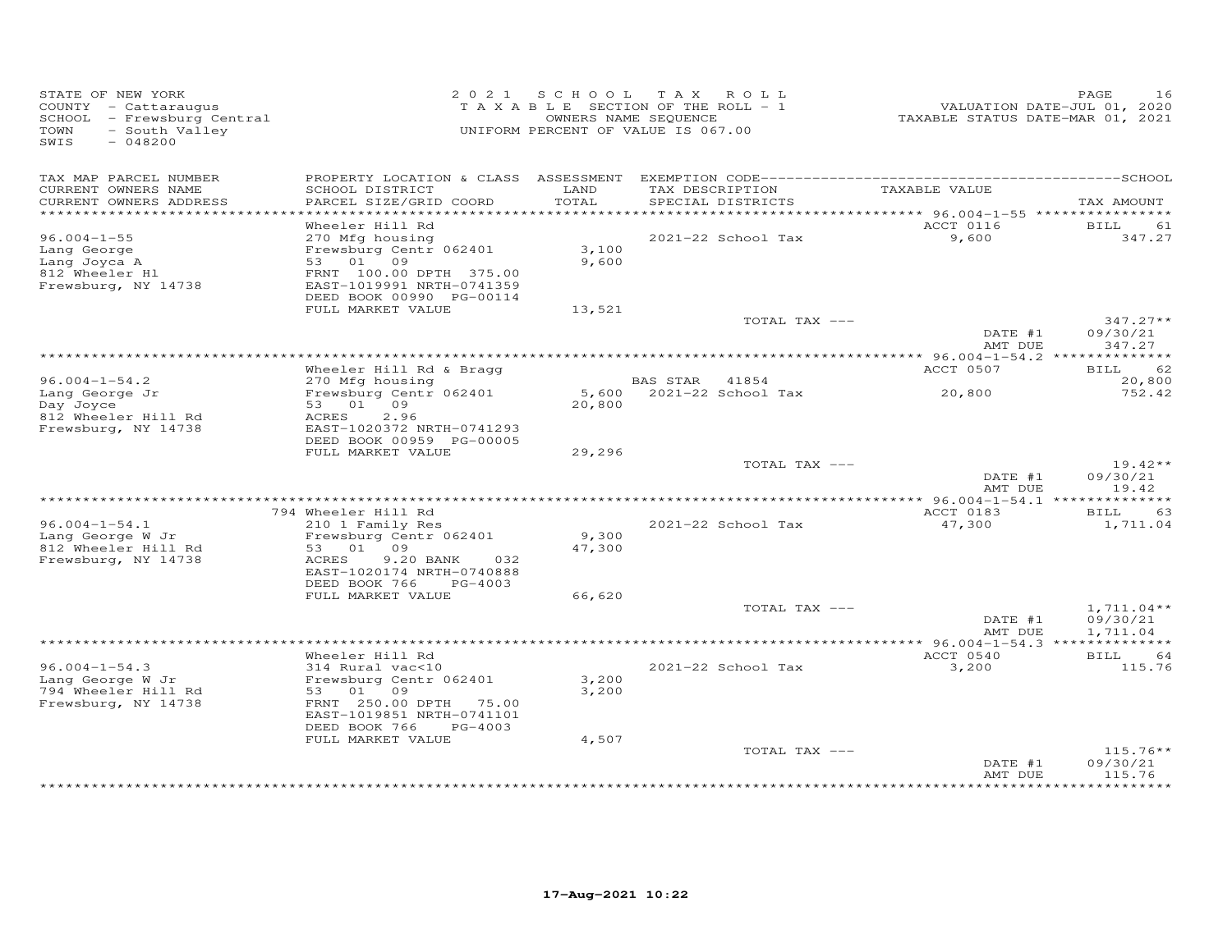| TAXABLE SECTION OF THE ROLL - 1 | 2021 SCHOOL TAX ROLL                                                                                                                                               | PAGE<br>16<br>VALUATION DATE-JUL 01, 2020                                                                                                                                                                                                                                                                                                                                                    |
|---------------------------------|--------------------------------------------------------------------------------------------------------------------------------------------------------------------|----------------------------------------------------------------------------------------------------------------------------------------------------------------------------------------------------------------------------------------------------------------------------------------------------------------------------------------------------------------------------------------------|
|                                 | TAXABLE VALUE                                                                                                                                                      | TAX AMOUNT                                                                                                                                                                                                                                                                                                                                                                                   |
|                                 |                                                                                                                                                                    |                                                                                                                                                                                                                                                                                                                                                                                              |
| 3,100<br>9,600                  | 9,600                                                                                                                                                              | BILL<br>61<br>347.27                                                                                                                                                                                                                                                                                                                                                                         |
|                                 |                                                                                                                                                                    |                                                                                                                                                                                                                                                                                                                                                                                              |
|                                 | DATE #1                                                                                                                                                            | $347.27**$<br>09/30/21<br>347.27                                                                                                                                                                                                                                                                                                                                                             |
|                                 |                                                                                                                                                                    |                                                                                                                                                                                                                                                                                                                                                                                              |
|                                 |                                                                                                                                                                    | BILL<br>62<br>20,800                                                                                                                                                                                                                                                                                                                                                                         |
|                                 | 20,800                                                                                                                                                             | 752.42                                                                                                                                                                                                                                                                                                                                                                                       |
|                                 |                                                                                                                                                                    |                                                                                                                                                                                                                                                                                                                                                                                              |
|                                 | DATE #1<br>AMT DUE                                                                                                                                                 | $19.42**$<br>09/30/21<br>19.42                                                                                                                                                                                                                                                                                                                                                               |
|                                 |                                                                                                                                                                    | BILL<br>63                                                                                                                                                                                                                                                                                                                                                                                   |
|                                 | 47,300                                                                                                                                                             | 1,711.04                                                                                                                                                                                                                                                                                                                                                                                     |
|                                 |                                                                                                                                                                    |                                                                                                                                                                                                                                                                                                                                                                                              |
|                                 | DATE #1                                                                                                                                                            | $1,711.04**$<br>09/30/21                                                                                                                                                                                                                                                                                                                                                                     |
|                                 |                                                                                                                                                                    | 1,711.04                                                                                                                                                                                                                                                                                                                                                                                     |
| 3,200<br>3,200                  | ACCT 0540<br>3,200                                                                                                                                                 | <b>BILL</b><br>64<br>115.76                                                                                                                                                                                                                                                                                                                                                                  |
| 4,507                           | DATE #1<br>AMT DUE                                                                                                                                                 | $115.76**$<br>09/30/21<br>115.76                                                                                                                                                                                                                                                                                                                                                             |
|                                 | OWNERS NAME SEQUENCE<br>UNIFORM PERCENT OF VALUE IS 067.00<br>LAND<br>TOTAL<br>13,521<br><b>BAS STAR</b><br>41854<br>20,800<br>29,296<br>9,300<br>47,300<br>66,620 | TAXABLE STATUS DATE-MAR 01, 2021<br>TAX DESCRIPTION<br>SPECIAL DISTRICTS<br>*************************************<br>********** 96.004-1-55 *****************<br>ACCT 0116<br>2021-22 School Tax<br>TOTAL TAX ---<br>AMT DUE<br>ACCT 0507<br>5,600 2021-22 School Tax<br>TOTAL TAX ---<br>ACCT 0183<br>2021-22 School Tax<br>TOTAL TAX ---<br>AMT DUE<br>2021-22 School Tax<br>TOTAL TAX --- |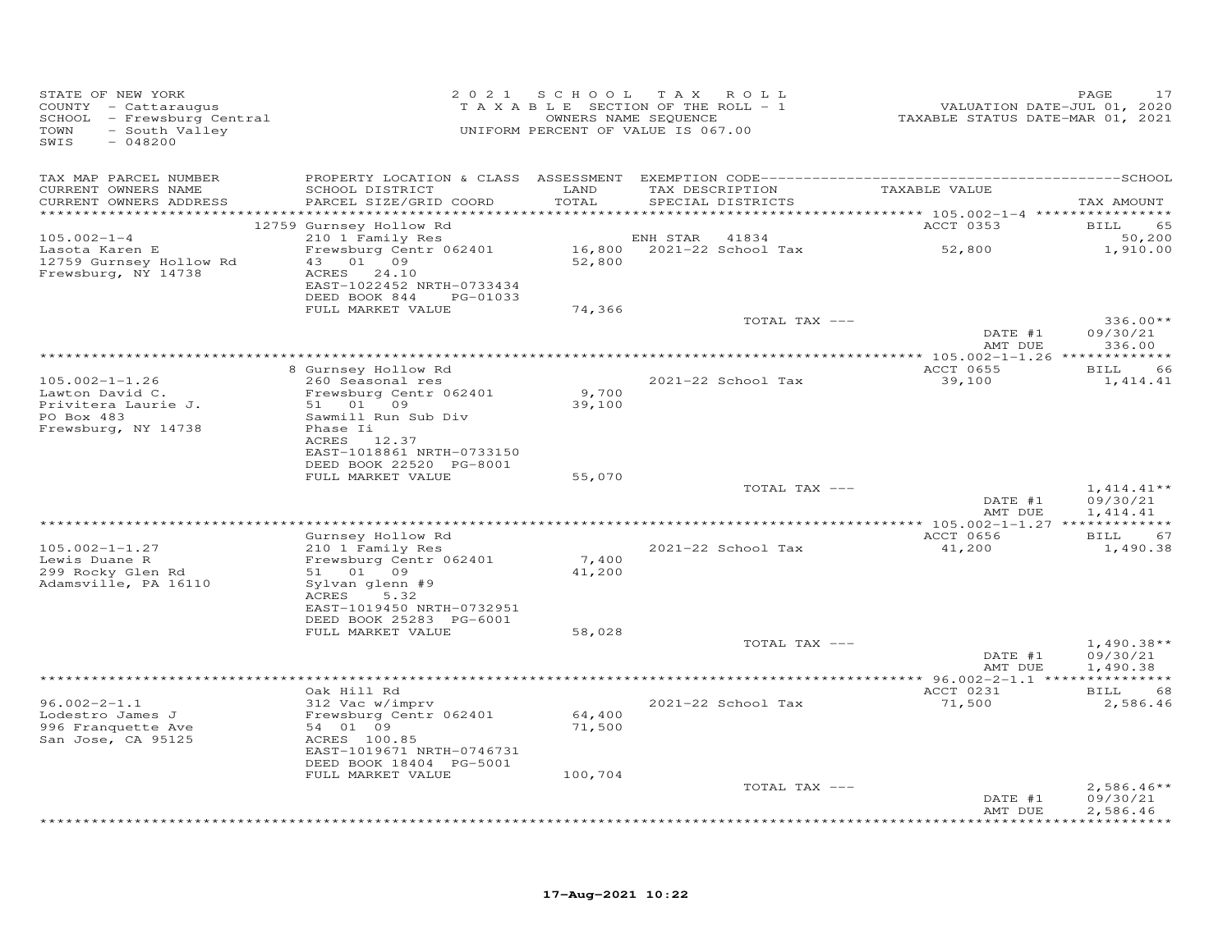| STATE OF NEW YORK<br>COUNTY - Cattaraugus<br>SCHOOL - Frewsburg Central<br>TOWN<br>- South Valley<br>SWIS<br>$-048200$ |                                                                                         | 2021 SCHOOL      | T A X<br>ROLL<br>TAXABLE SECTION OF THE ROLL - 1<br>OWNERS NAME SEQUENCE<br>UNIFORM PERCENT OF VALUE IS 067.00 | VALUATION DATE-JUL 01, 2020<br>TAXABLE STATUS DATE-MAR 01, 2021 | PAGE<br>17                           |
|------------------------------------------------------------------------------------------------------------------------|-----------------------------------------------------------------------------------------|------------------|----------------------------------------------------------------------------------------------------------------|-----------------------------------------------------------------|--------------------------------------|
| TAX MAP PARCEL NUMBER<br>CURRENT OWNERS NAME<br>CURRENT OWNERS ADDRESS                                                 | SCHOOL DISTRICT<br>PARCEL SIZE/GRID COORD                                               | LAND<br>TOTAL    | TAX DESCRIPTION<br>SPECIAL DISTRICTS                                                                           | TAXABLE VALUE                                                   |                                      |
| ************************                                                                                               |                                                                                         |                  |                                                                                                                |                                                                 | TAX AMOUNT                           |
|                                                                                                                        | 12759 Gurnsey Hollow Rd                                                                 |                  |                                                                                                                | ACCT 0353                                                       | 65<br>BILL                           |
| $105.002 - 1 - 4$<br>Lasota Karen E<br>12759 Gurnsey Hollow Rd<br>Frewsburg, NY 14738                                  | 210 1 Family Res<br>Frewsburg Centr 062401<br>43 01 09<br>ACRES 24.10                   | 52,800           | ENH STAR<br>41834<br>16,800 2021-22 School Tax                                                                 | 52,800                                                          | 50,200<br>1,910.00                   |
|                                                                                                                        | EAST-1022452 NRTH-0733434<br>DEED BOOK 844<br>PG-01033                                  |                  |                                                                                                                |                                                                 |                                      |
|                                                                                                                        | FULL MARKET VALUE                                                                       | 74,366           | TOTAL TAX ---                                                                                                  | DATE #1                                                         | $336.00**$<br>09/30/21               |
|                                                                                                                        |                                                                                         |                  |                                                                                                                | AMT DUE                                                         | 336.00                               |
|                                                                                                                        | 8 Gurnsey Hollow Rd                                                                     |                  |                                                                                                                | ACCT 0655                                                       | 66<br>BILL                           |
| $105.002 - 1 - 1.26$<br>Lawton David C.                                                                                | 260 Seasonal res<br>Frewsburg Centr 062401                                              | 9,700            | 2021-22 School Tax                                                                                             | 39,100                                                          | 1,414.41                             |
| Privitera Laurie J.<br>PO Box 483<br>Frewsburg, NY 14738                                                               | 51 01 09<br>Sawmill Run Sub Div<br>Phase Ii<br>ACRES 12.37<br>EAST-1018861 NRTH-0733150 | 39,100           |                                                                                                                |                                                                 |                                      |
|                                                                                                                        | DEED BOOK 22520 PG-8001<br>FULL MARKET VALUE                                            | 55,070           |                                                                                                                |                                                                 |                                      |
|                                                                                                                        |                                                                                         |                  | TOTAL TAX ---                                                                                                  | DATE #1                                                         | $1,414.41**$<br>09/30/21             |
|                                                                                                                        |                                                                                         |                  |                                                                                                                | AMT DUE                                                         | 1,414.41                             |
|                                                                                                                        | Gurnsey Hollow Rd                                                                       |                  |                                                                                                                | ACCT 0656                                                       | <b>BILL</b><br>67                    |
| $105.002 - 1 - 1.27$<br>Lewis Duane R                                                                                  | 210 1 Family Res<br>Frewsburg Centr 062401                                              | 7,400            | 2021-22 School Tax                                                                                             | 41,200                                                          | 1,490.38                             |
| 299 Rocky Glen Rd<br>Adamsville, PA 16110                                                                              | 51 01 09<br>Sylvan glenn #9                                                             | 41,200           |                                                                                                                |                                                                 |                                      |
|                                                                                                                        | 5.32<br>ACRES<br>EAST-1019450 NRTH-0732951<br>DEED BOOK 25283 PG-6001                   |                  |                                                                                                                |                                                                 |                                      |
|                                                                                                                        | FULL MARKET VALUE                                                                       | 58,028           |                                                                                                                |                                                                 |                                      |
|                                                                                                                        |                                                                                         |                  | TOTAL TAX ---                                                                                                  | DATE #1<br>AMT DUE                                              | $1,490.38**$<br>09/30/21<br>1,490.38 |
|                                                                                                                        |                                                                                         |                  |                                                                                                                |                                                                 |                                      |
| $96.002 - 2 - 1.1$                                                                                                     | Oak Hill Rd<br>312 Vac w/imprv                                                          |                  | 2021-22 School Tax                                                                                             | ACCT 0231<br>71,500                                             | BILL<br>68<br>2,586.46               |
| Lodestro James J<br>996 Franquette Ave<br>San Jose, CA 95125                                                           | Frewsburg Centr 062401<br>54 01 09<br>ACRES 100.85                                      | 64,400<br>71,500 |                                                                                                                |                                                                 |                                      |
|                                                                                                                        | EAST-1019671 NRTH-0746731<br>DEED BOOK 18404 PG-5001                                    |                  |                                                                                                                |                                                                 |                                      |
|                                                                                                                        | FULL MARKET VALUE                                                                       | 100,704          |                                                                                                                |                                                                 |                                      |
|                                                                                                                        |                                                                                         |                  | TOTAL TAX ---                                                                                                  | DATE #1<br>AMT DUE                                              | $2,586.46**$<br>09/30/21<br>2,586.46 |
|                                                                                                                        |                                                                                         |                  |                                                                                                                |                                                                 | + + + + + + + + +                    |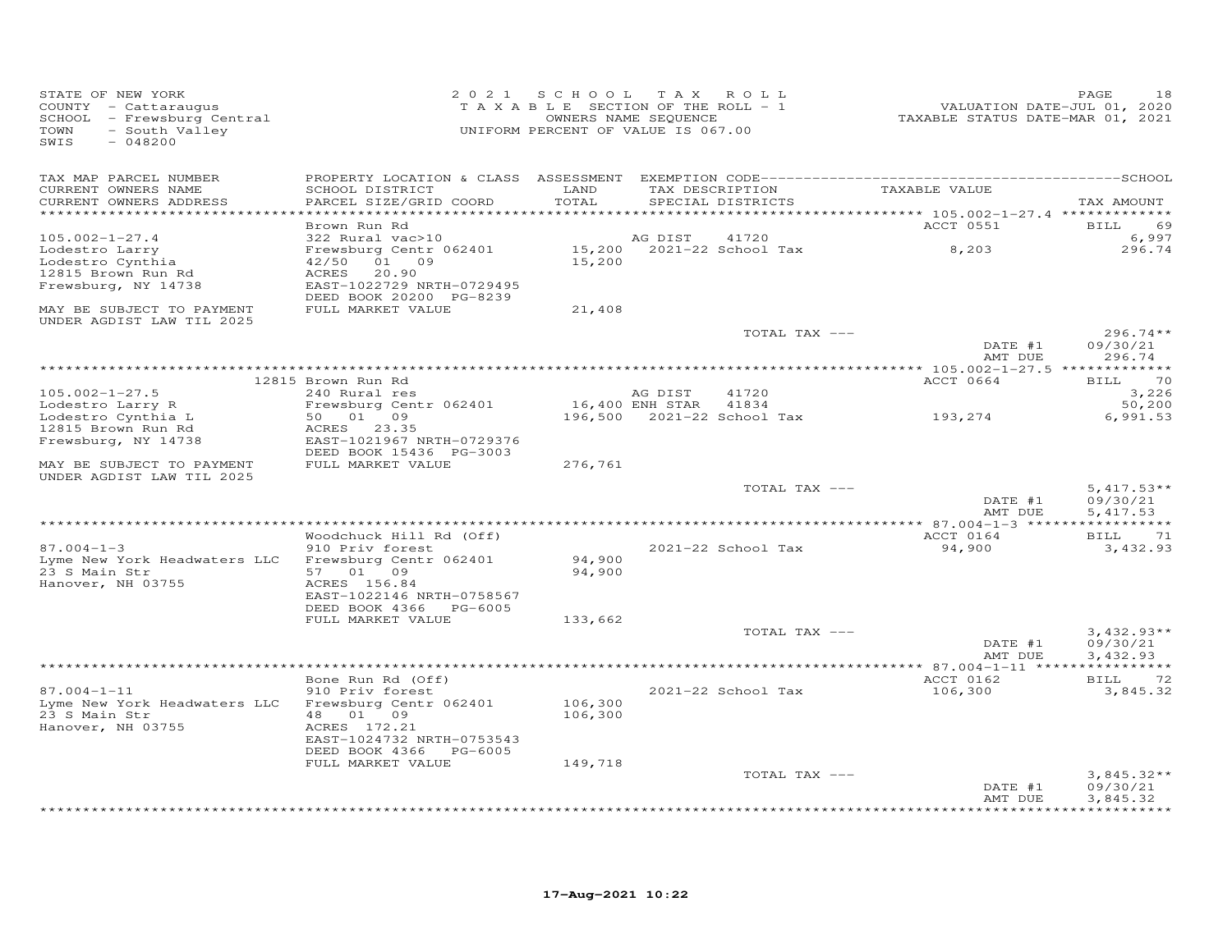| STATE OF NEW YORK<br>COUNTY - Cattaraugus<br>SCHOOL - Frewsburg Central<br>TOWN<br>- South Valley<br>SWIS<br>$-048200$ |                                                                                                                              | 2021 SCHOOL TAX ROLL<br>TAXABLE SECTION OF THE ROLL - 1<br>UNIFORM PERCENT OF VALUE IS 067.00 | OWNERS NAME SEQUENCE |                                      | TAXABLE STATUS DATE-MAR 01, 2021                                           | PAGE<br>18<br>VALUATION DATE-JUL 01, 2020 |
|------------------------------------------------------------------------------------------------------------------------|------------------------------------------------------------------------------------------------------------------------------|-----------------------------------------------------------------------------------------------|----------------------|--------------------------------------|----------------------------------------------------------------------------|-------------------------------------------|
| TAX MAP PARCEL NUMBER<br>CURRENT OWNERS NAME<br>CURRENT OWNERS ADDRESS                                                 | SCHOOL DISTRICT<br>PARCEL SIZE/GRID COORD                                                                                    | LAND<br>TOTAL<br>***********                                                                  |                      | TAX DESCRIPTION<br>SPECIAL DISTRICTS | TAXABLE VALUE<br>**************************** 105.002-1-27.4 ************* | TAX AMOUNT                                |
|                                                                                                                        | Brown Run Rd                                                                                                                 |                                                                                               |                      |                                      | ACCT 0551                                                                  | 69<br><b>BILL</b>                         |
| $105.002 - 1 - 27.4$<br>Lodestro Larry<br>Lodestro Cynthia                                                             | 322 Rural vac>10<br>Frewsburg Centr 062401<br>01 09<br>42/50                                                                 | 15,200                                                                                        | AG DIST              | 41720<br>15,200 2021-22 School Tax   | 8,203                                                                      | 6,997<br>296.74                           |
| 12815 Brown Run Rd<br>Frewsburg, NY 14738                                                                              | ACRES<br>20.90<br>EAST-1022729 NRTH-0729495<br>DEED BOOK 20200 PG-8239                                                       |                                                                                               |                      |                                      |                                                                            |                                           |
| MAY BE SUBJECT TO PAYMENT<br>UNDER AGDIST LAW TIL 2025                                                                 | FULL MARKET VALUE                                                                                                            | 21,408                                                                                        |                      |                                      |                                                                            |                                           |
|                                                                                                                        |                                                                                                                              |                                                                                               |                      | TOTAL TAX ---                        | DATE #1<br>AMT DUE                                                         | $296.74**$<br>09/30/21<br>296.74          |
|                                                                                                                        |                                                                                                                              |                                                                                               |                      |                                      |                                                                            |                                           |
| $105.002 - 1 - 27.5$                                                                                                   | 12815 Brown Run Rd<br>240 Rural res                                                                                          |                                                                                               | AG DIST              | 41720                                | ACCT 0664                                                                  | <b>BILL</b><br>70<br>3,226                |
| Lodestro Larry R<br>Lodestro Cynthia L<br>12815 Brown Run Rd<br>Frewsburg, NY 14738                                    | Frewsburg Centr 062401<br>50 01 09<br>ACRES 23.35<br>EAST-1021967 NRTH-0729376                                               |                                                                                               | 16,400 ENH STAR      | 41834<br>196,500 2021-22 School Tax  | 193,274                                                                    | 50,200<br>6,991.53                        |
| MAY BE SUBJECT TO PAYMENT<br>UNDER AGDIST LAW TIL 2025                                                                 | DEED BOOK 15436 PG-3003<br>FULL MARKET VALUE                                                                                 | 276,761                                                                                       |                      |                                      |                                                                            |                                           |
|                                                                                                                        |                                                                                                                              |                                                                                               |                      | TOTAL TAX ---                        | DATE #1<br>AMT DUE                                                         | $5,417.53**$<br>09/30/21<br>5,417.53      |
|                                                                                                                        |                                                                                                                              |                                                                                               |                      |                                      |                                                                            |                                           |
|                                                                                                                        | Woodchuck Hill Rd (Off)                                                                                                      |                                                                                               |                      |                                      | ACCT 0164                                                                  | <b>BILL</b><br>71                         |
| $87.004 - 1 - 3$<br>Lyme New York Headwaters LLC<br>23 S Main Str<br>Hanover, NH 03755                                 | 910 Priv forest<br>Frewsburg Centr 062401<br>57 01 09<br>ACRES 156.84<br>EAST-1022146 NRTH-0758567<br>DEED BOOK 4366 PG-6005 | 94,900<br>94,900                                                                              |                      | 2021-22 School Tax                   | 94,900                                                                     | 3,432.93                                  |
|                                                                                                                        | FULL MARKET VALUE                                                                                                            | 133,662                                                                                       |                      |                                      |                                                                            |                                           |
|                                                                                                                        |                                                                                                                              |                                                                                               |                      | TOTAL TAX ---                        | DATE #1<br>AMT DUE                                                         | $3,432.93**$<br>09/30/21<br>3,432.93      |
|                                                                                                                        |                                                                                                                              |                                                                                               |                      |                                      |                                                                            |                                           |
| $87.004 - 1 - 11$                                                                                                      | Bone Run Rd (Off)<br>910 Priv forest                                                                                         |                                                                                               |                      | 2021-22 School Tax                   | ACCT 0162<br>106,300                                                       | 72<br>BILL<br>3,845.32                    |
| Lyme New York Headwaters LLC<br>23 S Main Str<br>Hanover, NH 03755                                                     | Frewsburg Centr 062401<br>48  01  09<br>ACRES 172.21<br>EAST-1024732 NRTH-0753543                                            | 106,300<br>106,300                                                                            |                      |                                      |                                                                            |                                           |
|                                                                                                                        | DEED BOOK 4366 PG-6005<br>FULL MARKET VALUE                                                                                  | 149,718                                                                                       |                      |                                      |                                                                            |                                           |
|                                                                                                                        |                                                                                                                              |                                                                                               |                      | TOTAL TAX ---                        | DATE #1<br>AMT DUE                                                         | $3,845.32**$<br>09/30/21<br>3,845.32      |
|                                                                                                                        |                                                                                                                              |                                                                                               |                      |                                      |                                                                            |                                           |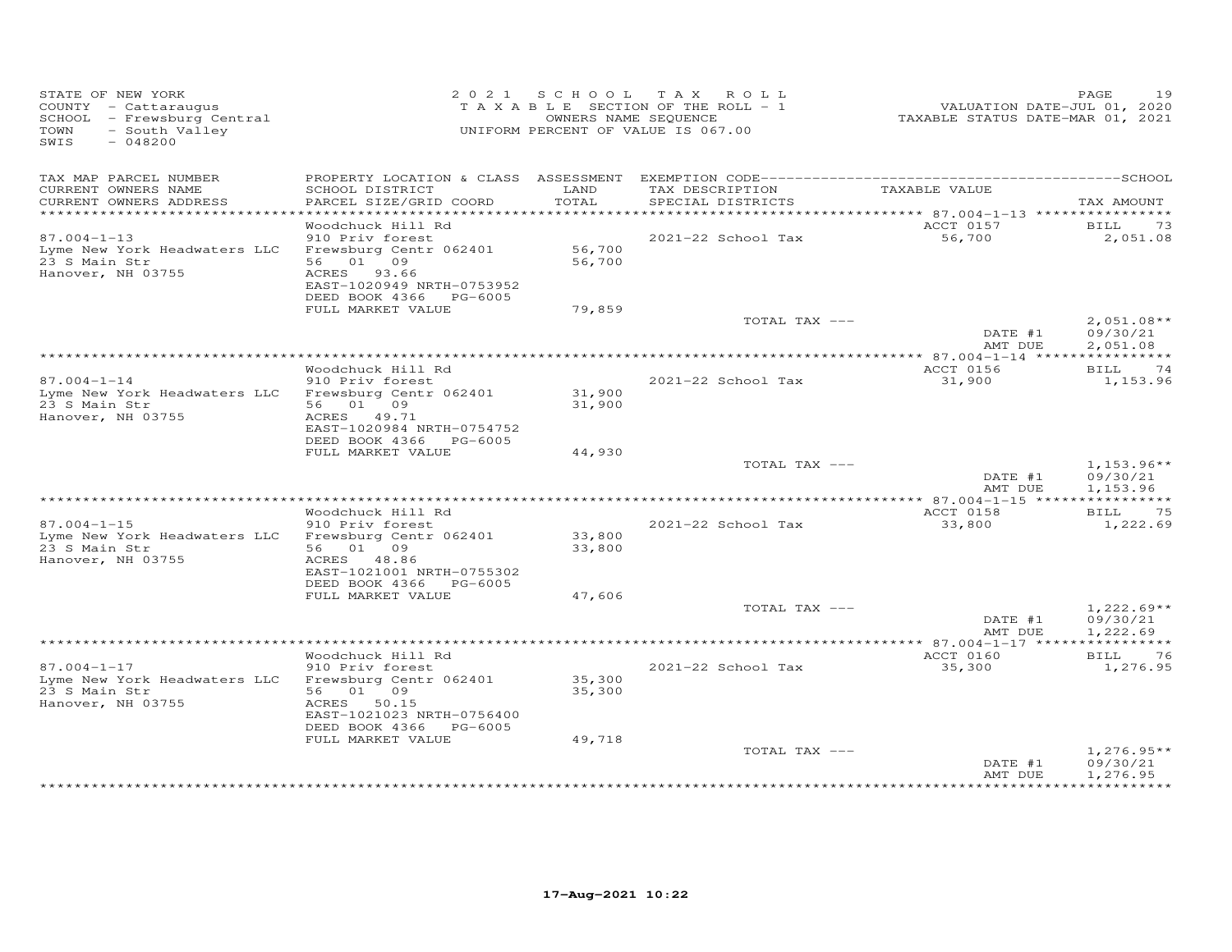| STATE OF NEW YORK<br>COUNTY - Cattaraugus<br>SCHOOL - Frewsburg Central<br>- South Valley<br>TOWN<br>SWIS<br>$-048200$ |                                                                                                                             |                  | 2021 SCHOOL TAX ROLL<br>TAXABLE SECTION OF THE ROLL - 1<br>OWNERS NAME SEQUENCE<br>UNIFORM PERCENT OF VALUE IS 067.00 | VALUATION DATE-JUL 01, 2020<br>TAXABLE STATUS DATE-MAR 01, 2021 | 19<br>PAGE                           |
|------------------------------------------------------------------------------------------------------------------------|-----------------------------------------------------------------------------------------------------------------------------|------------------|-----------------------------------------------------------------------------------------------------------------------|-----------------------------------------------------------------|--------------------------------------|
| TAX MAP PARCEL NUMBER<br>CURRENT OWNERS NAME                                                                           | SCHOOL DISTRICT                                                                                                             | LAND             | TAX DESCRIPTION                                                                                                       | TAXABLE VALUE                                                   |                                      |
| CURRENT OWNERS ADDRESS<br>*************************                                                                    | PARCEL SIZE/GRID COORD                                                                                                      | TOTAL            | SPECIAL DISTRICTS                                                                                                     |                                                                 | TAX AMOUNT                           |
|                                                                                                                        | Woodchuck Hill Rd                                                                                                           |                  |                                                                                                                       | ACCT 0157                                                       | BILL<br>73                           |
| $87.004 - 1 - 13$<br>Lyme New York Headwaters LLC<br>23 S Main Str<br>Hanover, NH 03755                                | 910 Priv forest<br>Frewsburg Centr 062401<br>56 01 09<br>ACRES 93.66<br>EAST-1020949 NRTH-0753952<br>DEED BOOK 4366 PG-6005 | 56,700<br>56,700 | 2021-22 School Tax                                                                                                    | 56,700                                                          | 2,051.08                             |
|                                                                                                                        | FULL MARKET VALUE                                                                                                           | 79,859           |                                                                                                                       |                                                                 |                                      |
|                                                                                                                        |                                                                                                                             |                  | TOTAL TAX ---                                                                                                         | DATE #1<br>AMT DUE                                              | $2,051.08**$<br>09/30/21<br>2,051.08 |
|                                                                                                                        |                                                                                                                             |                  |                                                                                                                       |                                                                 |                                      |
| $87.004 - 1 - 14$                                                                                                      | Woodchuck Hill Rd<br>910 Priv forest                                                                                        |                  | 2021-22 School Tax                                                                                                    | ACCT 0156<br>31,900                                             | BILL 74<br>1,153.96                  |
| Lyme New York Headwaters LLC<br>23 S Main Str<br>Hanover, NH 03755                                                     | Frewsburg Centr 062401<br>56 01 09<br>ACRES 49.71<br>EAST-1020984 NRTH-0754752<br>DEED BOOK 4366 PG-6005                    | 31,900<br>31,900 |                                                                                                                       |                                                                 |                                      |
|                                                                                                                        | FULL MARKET VALUE                                                                                                           | 44,930           |                                                                                                                       |                                                                 |                                      |
|                                                                                                                        |                                                                                                                             |                  | TOTAL TAX ---                                                                                                         | DATE #1<br>AMT DUE                                              | $1,153.96**$<br>09/30/21<br>1,153.96 |
|                                                                                                                        |                                                                                                                             |                  |                                                                                                                       |                                                                 |                                      |
| $87.004 - 1 - 15$<br>Lyme New York Headwaters LLC                                                                      | Woodchuck Hill Rd<br>910 Priv forest<br>Frewsburg Centr 062401                                                              | 33,800           | 2021-22 School Tax                                                                                                    | ACCT 0158<br>33,800                                             | BILL<br>75<br>1,222.69               |
| 23 S Main Str<br>Hanover, NH 03755                                                                                     | 56 01 09<br>ACRES 48.86<br>EAST-1021001 NRTH-0755302<br>DEED BOOK 4366 PG-6005                                              | 33,800           |                                                                                                                       |                                                                 |                                      |
|                                                                                                                        | FULL MARKET VALUE                                                                                                           | 47,606           |                                                                                                                       |                                                                 |                                      |
|                                                                                                                        |                                                                                                                             |                  | TOTAL TAX ---                                                                                                         | DATE #1<br>AMT DUE                                              | $1,222.69**$<br>09/30/21<br>1,222.69 |
|                                                                                                                        |                                                                                                                             |                  |                                                                                                                       |                                                                 |                                      |
| $87.004 - 1 - 17$<br>Lyme New York Headwaters LLC                                                                      | Woodchuck Hill Rd<br>910 Priv forest<br>Frewsburg Centr 062401                                                              | 35,300           | 2021-22 School Tax                                                                                                    | ACCT 0160<br>35,300                                             | 76<br>BILL<br>1,276.95               |
| 23 S Main Str<br>Hanover, NH 03755                                                                                     | 56 01 09<br>ACRES 50.15<br>EAST-1021023 NRTH-0756400<br>DEED BOOK 4366 PG-6005<br>FULL MARKET VALUE                         | 35,300<br>49,718 |                                                                                                                       |                                                                 |                                      |
|                                                                                                                        |                                                                                                                             |                  | TOTAL TAX ---                                                                                                         | DATE #1<br>AMT DUE                                              | $1,276.95**$<br>09/30/21<br>1,276.95 |
|                                                                                                                        |                                                                                                                             |                  |                                                                                                                       |                                                                 |                                      |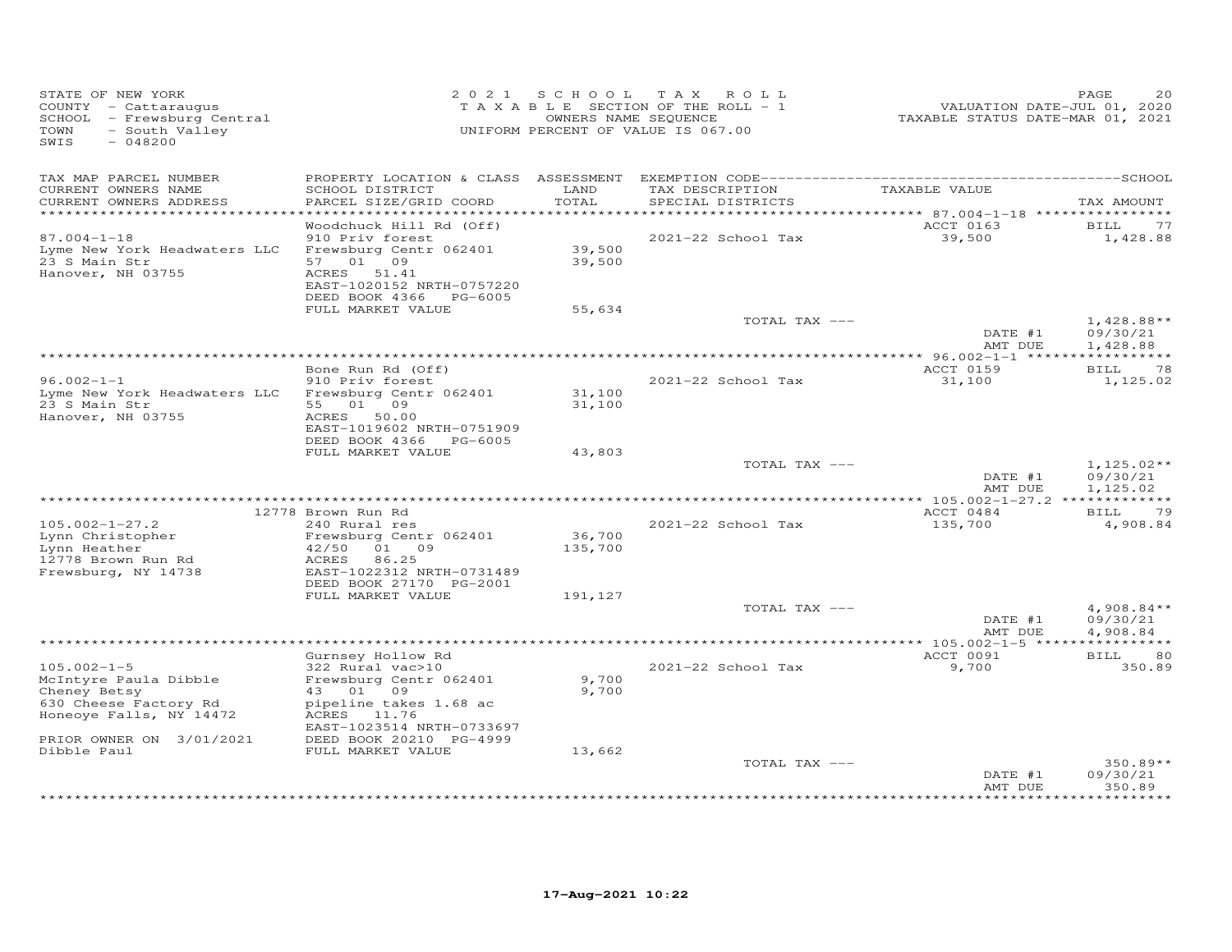| STATE OF NEW YORK<br>COUNTY - Cattaraugus<br>SCHOOL - Frewsburg Central<br>- South Valley<br>TOWN<br>SWIS<br>$-048200$ |                                                      |                  | 2021 SCHOOL TAX ROLL<br>TAXABLE SECTION OF THE ROLL - 1<br>OWNERS NAME SEQUENCE<br>UNIFORM PERCENT OF VALUE IS 067.00 | VALUATION DATE-JUL 01, 2020<br>TAXABLE STATUS DATE-MAR 01, 2021 | PAGE<br>20               |
|------------------------------------------------------------------------------------------------------------------------|------------------------------------------------------|------------------|-----------------------------------------------------------------------------------------------------------------------|-----------------------------------------------------------------|--------------------------|
|                                                                                                                        |                                                      |                  |                                                                                                                       |                                                                 |                          |
| TAX MAP PARCEL NUMBER<br>CURRENT OWNERS NAME                                                                           | SCHOOL DISTRICT                                      | LAND             | TAX DESCRIPTION                                                                                                       | TAXABLE VALUE                                                   |                          |
| CURRENT OWNERS ADDRESS                                                                                                 | PARCEL SIZE/GRID COORD                               | TOTAL            | SPECIAL DISTRICTS                                                                                                     |                                                                 | TAX AMOUNT               |
| ************************                                                                                               | Woodchuck Hill Rd (Off)                              |                  |                                                                                                                       | ACCT 0163                                                       | BILL<br>77               |
| $87.004 - 1 - 18$                                                                                                      | 910 Priv forest                                      |                  | 2021-22 School Tax                                                                                                    | 39,500                                                          | 1,428.88                 |
| Lyme New York Headwaters LLC                                                                                           | Frewsburg Centr 062401                               | 39,500<br>39,500 |                                                                                                                       |                                                                 |                          |
| 23 S Main Str                                                                                                          | 57 01 09                                             |                  |                                                                                                                       |                                                                 |                          |
| Hanover, NH 03755                                                                                                      | ACRES 51.41<br>EAST-1020152 NRTH-0757220             |                  |                                                                                                                       |                                                                 |                          |
|                                                                                                                        | DEED BOOK 4366 PG-6005                               |                  |                                                                                                                       |                                                                 |                          |
|                                                                                                                        | FULL MARKET VALUE                                    | 55,634           |                                                                                                                       |                                                                 |                          |
|                                                                                                                        |                                                      |                  | TOTAL TAX ---                                                                                                         | DATE #1                                                         | $1,428.88**$             |
|                                                                                                                        |                                                      |                  |                                                                                                                       | AMT DUE                                                         | 09/30/21<br>1,428.88     |
|                                                                                                                        |                                                      |                  |                                                                                                                       |                                                                 |                          |
|                                                                                                                        | Bone Run Rd (Off)                                    |                  |                                                                                                                       | ACCT 0159                                                       | <b>BILL</b><br>78        |
| $96.002 - 1 - 1$<br>Lyme New York Headwaters LLC Frewsburg Centr 062401                                                | 910 Priv forest                                      | 31,100           | 2021-22 School Tax                                                                                                    | 31,100                                                          | 1,125.02                 |
| 23 S Main Str                                                                                                          | 55 01 09                                             | 31,100           |                                                                                                                       |                                                                 |                          |
| Hanover, NH 03755                                                                                                      | ACRES 50.00                                          |                  |                                                                                                                       |                                                                 |                          |
|                                                                                                                        | EAST-1019602 NRTH-0751909                            |                  |                                                                                                                       |                                                                 |                          |
|                                                                                                                        | DEED BOOK 4366 PG-6005<br>FULL MARKET VALUE          | 43,803           |                                                                                                                       |                                                                 |                          |
|                                                                                                                        |                                                      |                  | TOTAL TAX ---                                                                                                         |                                                                 | $1,125.02**$             |
|                                                                                                                        |                                                      |                  |                                                                                                                       | DATE #1                                                         | 09/30/21                 |
|                                                                                                                        |                                                      |                  |                                                                                                                       | AMT DUE                                                         | 1,125.02                 |
|                                                                                                                        | 12778 Brown Run Rd                                   |                  |                                                                                                                       | ACCT 0484                                                       | BILL<br>79               |
| $105.002 - 1 - 27.2$                                                                                                   | 240 Rural res                                        |                  | 2021-22 School Tax                                                                                                    | 135,700                                                         | 4,908.84                 |
| Lynn Christopher                                                                                                       | Frewsburg Centr 062401                               | 36,700           |                                                                                                                       |                                                                 |                          |
| Lynn Heather<br>12778 Brown Run Rd                                                                                     | 42/50<br>01 09<br>86.25<br>ACRES                     | 135,700          |                                                                                                                       |                                                                 |                          |
| Frewsburg, NY 14738                                                                                                    | EAST-1022312 NRTH-0731489                            |                  |                                                                                                                       |                                                                 |                          |
|                                                                                                                        | DEED BOOK 27170 PG-2001                              |                  |                                                                                                                       |                                                                 |                          |
|                                                                                                                        | FULL MARKET VALUE                                    | 191,127          |                                                                                                                       |                                                                 |                          |
|                                                                                                                        |                                                      |                  | TOTAL TAX ---                                                                                                         | DATE #1                                                         | $4,908.84**$<br>09/30/21 |
|                                                                                                                        |                                                      |                  |                                                                                                                       | AMT DUE                                                         | 4,908.84                 |
|                                                                                                                        | ***************                                      |                  |                                                                                                                       |                                                                 |                          |
|                                                                                                                        | Gurnsey Hollow Rd                                    |                  |                                                                                                                       | ACCT 0091                                                       | <b>BILL</b><br>80        |
| $105.002 - 1 - 5$<br>McIntyre Paula Dibble                                                                             | 322 Rural vac>10<br>Frewsburg Centr 062401           | 9,700            | 2021-22 School Tax                                                                                                    | 9,700                                                           | 350.89                   |
| Cheney Betsy                                                                                                           | 43 01 09                                             | 9,700            |                                                                                                                       |                                                                 |                          |
| 630 Cheese Factory Rd                                                                                                  | pipeline takes 1.68 ac                               |                  |                                                                                                                       |                                                                 |                          |
| Honeoye Falls, NY 14472                                                                                                | ACRES 11.76                                          |                  |                                                                                                                       |                                                                 |                          |
| PRIOR OWNER ON 3/01/2021                                                                                               | EAST-1023514 NRTH-0733697<br>DEED BOOK 20210 PG-4999 |                  |                                                                                                                       |                                                                 |                          |
| Dibble Paul                                                                                                            | FULL MARKET VALUE                                    | 13,662           |                                                                                                                       |                                                                 |                          |
|                                                                                                                        |                                                      |                  | TOTAL TAX ---                                                                                                         |                                                                 | $350.89**$               |
|                                                                                                                        |                                                      |                  |                                                                                                                       | DATE #1<br>AMT DUE                                              | 09/30/21<br>350.89       |
|                                                                                                                        |                                                      |                  |                                                                                                                       |                                                                 |                          |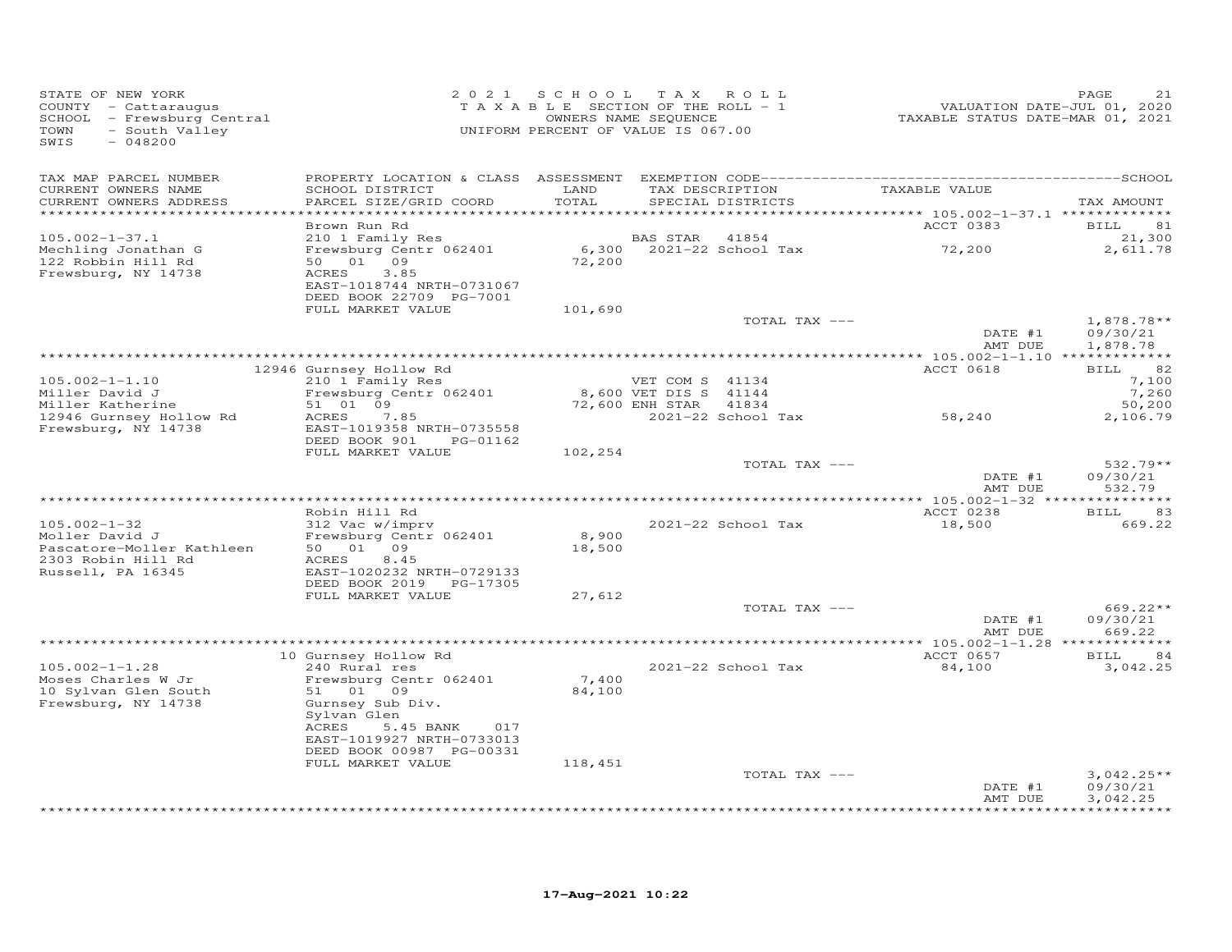| STATE OF NEW YORK<br>COUNTY - Cattaraugus<br>- Frewsburg Central<br>SCHOOL<br>TOWN<br>- South Valley<br>SWIS<br>$-048200$ | 2 0 2 1                                                | SCHOOL<br>TAXABLE SECTION OF THE ROLL - 1<br>OWNERS NAME SEQUENCE<br>UNIFORM PERCENT OF VALUE IS 067.00 | T A X                 | ROLL                        | VALUATION DATE-JUL 01, 2020<br>TAXABLE STATUS DATE-MAR 01, 2021 | PAGE<br>21           |
|---------------------------------------------------------------------------------------------------------------------------|--------------------------------------------------------|---------------------------------------------------------------------------------------------------------|-----------------------|-----------------------------|-----------------------------------------------------------------|----------------------|
| TAX MAP PARCEL NUMBER<br>CURRENT OWNERS NAME                                                                              | SCHOOL DISTRICT                                        | LAND                                                                                                    |                       | TAX DESCRIPTION             | TAXABLE VALUE                                                   |                      |
| CURRENT OWNERS ADDRESS<br>**********************                                                                          | PARCEL SIZE/GRID COORD                                 | TOTAL<br>* * * * * * * * * * * *                                                                        |                       | SPECIAL DISTRICTS           |                                                                 | TAX AMOUNT           |
|                                                                                                                           | Brown Run Rd                                           |                                                                                                         |                       |                             | ACCT 0383                                                       | BILL<br>81           |
| $105.002 - 1 - 37.1$                                                                                                      | 210 1 Family Res                                       |                                                                                                         | BAS STAR              | 41854                       |                                                                 | 21,300               |
| Mechling Jonathan G                                                                                                       | Frewsburg Centr 062401                                 | 6,300                                                                                                   |                       | 2021-22 School Tax          | 72,200                                                          | 2,611.78             |
| 122 Robbin Hill Rd                                                                                                        | 09<br>50 01                                            | 72,200                                                                                                  |                       |                             |                                                                 |                      |
| Frewsburg, NY 14738                                                                                                       | 3.85<br>ACRES<br>EAST-1018744 NRTH-0731067             |                                                                                                         |                       |                             |                                                                 |                      |
|                                                                                                                           | DEED BOOK 22709 PG-7001                                |                                                                                                         |                       |                             |                                                                 |                      |
|                                                                                                                           | FULL MARKET VALUE                                      | 101,690                                                                                                 |                       |                             |                                                                 |                      |
|                                                                                                                           |                                                        |                                                                                                         |                       | TOTAL TAX ---               |                                                                 | $1,878.78**$         |
|                                                                                                                           |                                                        |                                                                                                         |                       |                             | DATE #1<br>AMT DUE                                              | 09/30/21             |
|                                                                                                                           |                                                        |                                                                                                         |                       |                             |                                                                 | 1,878.78             |
|                                                                                                                           | 12946 Gurnsey Hollow Rd                                |                                                                                                         |                       |                             | ACCT 0618                                                       | 82<br>BILL           |
| $105.002 - 1 - 1.10$                                                                                                      | 210 1 Family Res                                       |                                                                                                         | VET COM S 41134       |                             |                                                                 | 7,100                |
| Miller David J                                                                                                            | Frewsburg Centr 062401                                 |                                                                                                         | 8,600 VET DIS S 41144 |                             |                                                                 | 7,260                |
| Miller Katherine<br>12946 Gurnsey Hollow Rd                                                                               | 51 01 09<br>ACRES<br>7.85                              |                                                                                                         | 72,600 ENH STAR       | 41834<br>2021-22 School Tax | 58,240                                                          | 50,200<br>2,106.79   |
| Frewsburg, NY 14738                                                                                                       | EAST-1019358 NRTH-0735558                              |                                                                                                         |                       |                             |                                                                 |                      |
|                                                                                                                           | DEED BOOK 901<br>PG-01162                              |                                                                                                         |                       |                             |                                                                 |                      |
|                                                                                                                           | FULL MARKET VALUE                                      | 102,254                                                                                                 |                       |                             |                                                                 |                      |
|                                                                                                                           |                                                        |                                                                                                         |                       | TOTAL TAX ---               |                                                                 | $532.79**$           |
|                                                                                                                           |                                                        |                                                                                                         |                       |                             | DATE #1<br>AMT DUE                                              | 09/30/21<br>532.79   |
|                                                                                                                           |                                                        |                                                                                                         |                       |                             |                                                                 |                      |
|                                                                                                                           | Robin Hill Rd                                          |                                                                                                         |                       |                             | ACCT 0238                                                       | BILL<br>83           |
| $105.002 - 1 - 32$                                                                                                        | 312 Vac w/imprv                                        |                                                                                                         |                       | 2021-22 School Tax          | 18,500                                                          | 669.22               |
| Moller David J<br>Pascatore-Moller Kathleen                                                                               | Frewsburg Centr 062401<br>50 01 09                     | 8,900<br>18,500                                                                                         |                       |                             |                                                                 |                      |
| 2303 Robin Hill Rd                                                                                                        | 8.45<br>ACRES                                          |                                                                                                         |                       |                             |                                                                 |                      |
| Russell, PA 16345                                                                                                         | EAST-1020232 NRTH-0729133                              |                                                                                                         |                       |                             |                                                                 |                      |
|                                                                                                                           | DEED BOOK 2019<br>PG-17305                             |                                                                                                         |                       |                             |                                                                 |                      |
|                                                                                                                           | FULL MARKET VALUE                                      | 27,612                                                                                                  |                       |                             |                                                                 |                      |
|                                                                                                                           |                                                        |                                                                                                         |                       | TOTAL TAX ---               | DATE #1                                                         | 669.22**<br>09/30/21 |
|                                                                                                                           |                                                        |                                                                                                         |                       |                             | AMT DUE                                                         | 669.22               |
|                                                                                                                           |                                                        |                                                                                                         |                       |                             |                                                                 |                      |
|                                                                                                                           | 10 Gurnsey Hollow Rd                                   |                                                                                                         |                       |                             | ACCT 0657                                                       | 84<br>BILL           |
| $105.002 - 1 - 1.28$<br>Moses Charles W Jr                                                                                | 240 Rural res<br>Frewsburg Centr 062401                | 7,400                                                                                                   |                       | 2021-22 School Tax          | 84,100                                                          | 3,042.25             |
| 10 Sylvan Glen South                                                                                                      | 51 01 09                                               | 84,100                                                                                                  |                       |                             |                                                                 |                      |
| Frewsburg, NY 14738                                                                                                       | Gurnsey Sub Div.                                       |                                                                                                         |                       |                             |                                                                 |                      |
|                                                                                                                           | Sylvan Glen                                            |                                                                                                         |                       |                             |                                                                 |                      |
|                                                                                                                           | ACRES<br>5.45 BANK<br>017<br>EAST-1019927 NRTH-0733013 |                                                                                                         |                       |                             |                                                                 |                      |
|                                                                                                                           | DEED BOOK 00987 PG-00331                               |                                                                                                         |                       |                             |                                                                 |                      |
|                                                                                                                           | FULL MARKET VALUE                                      | 118,451                                                                                                 |                       |                             |                                                                 |                      |
|                                                                                                                           |                                                        |                                                                                                         |                       | TOTAL TAX ---               |                                                                 | $3,042.25**$         |
|                                                                                                                           |                                                        |                                                                                                         |                       |                             | DATE #1                                                         | 09/30/21             |
|                                                                                                                           |                                                        |                                                                                                         |                       |                             | AMT DUE                                                         | 3,042.25             |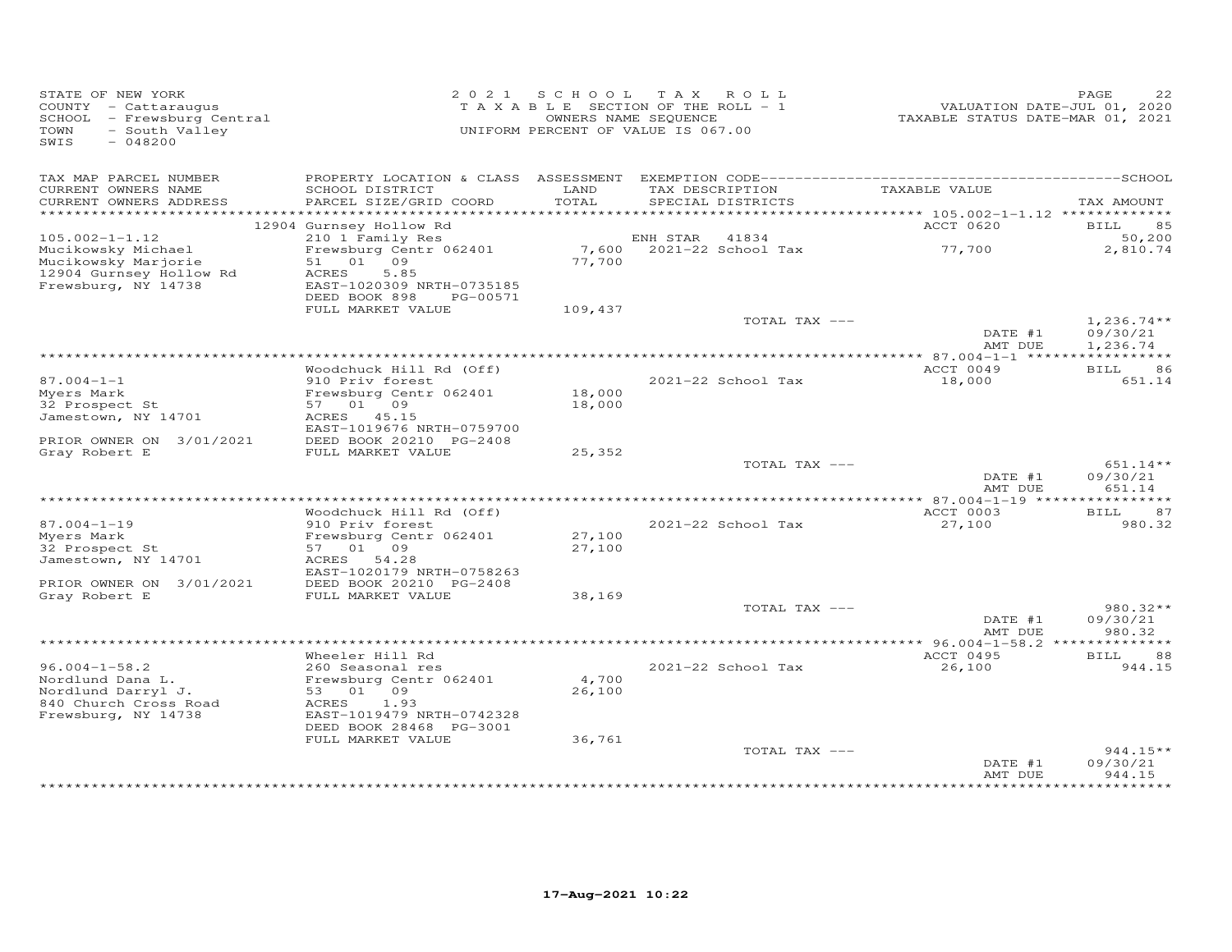| STATE OF NEW YORK<br>COUNTY - Cattaraugus<br>SCHOOL - Frewsburg Central<br>- South Valley<br>TOWN<br>SWIS<br>$-048200$ |                                                | 2021 SCHOOL   | TAX ROLL<br>TAXABLE SECTION OF THE ROLL - 1<br>OWNERS NAME SEQUENCE<br>UNIFORM PERCENT OF VALUE IS 067.00 | TAXABLE STATUS DATE-MAR 01, 2021          | PAGE<br>22<br>VALUATION DATE-JUL 01, 2020 |
|------------------------------------------------------------------------------------------------------------------------|------------------------------------------------|---------------|-----------------------------------------------------------------------------------------------------------|-------------------------------------------|-------------------------------------------|
| TAX MAP PARCEL NUMBER<br>CURRENT OWNERS NAME<br>CURRENT OWNERS ADDRESS                                                 | SCHOOL DISTRICT<br>PARCEL SIZE/GRID COORD      | LAND<br>TOTAL | TAX DESCRIPTION<br>SPECIAL DISTRICTS                                                                      | TAXABLE VALUE                             | TAX AMOUNT                                |
|                                                                                                                        |                                                |               |                                                                                                           | *********** 105.002-1-1.12 ************** |                                           |
| $105.002 - 1 - 1.12$                                                                                                   | 12904 Gurnsey Hollow Rd<br>210 1 Family Res    |               | ENH STAR<br>41834                                                                                         | ACCT 0620                                 | 85<br>BILL<br>50,200                      |
| Mucikowsky Michael                                                                                                     | Frewsburg Centr 062401                         |               | 7,600 2021-22 School Tax                                                                                  | 77,700                                    | 2,810.74                                  |
| Mucikowsky Marjorie                                                                                                    | 51 01 09                                       | 77,700        |                                                                                                           |                                           |                                           |
| 12904 Gurnsey Hollow Rd                                                                                                | 5.85<br>ACRES                                  |               |                                                                                                           |                                           |                                           |
| Frewsburg, NY 14738                                                                                                    | EAST-1020309 NRTH-0735185                      |               |                                                                                                           |                                           |                                           |
|                                                                                                                        | DEED BOOK 898<br>PG-00571<br>FULL MARKET VALUE | 109,437       |                                                                                                           |                                           |                                           |
|                                                                                                                        |                                                |               | TOTAL TAX ---                                                                                             |                                           | $1,236.74**$                              |
|                                                                                                                        |                                                |               |                                                                                                           | DATE #1                                   | 09/30/21                                  |
|                                                                                                                        |                                                |               |                                                                                                           | AMT DUE                                   | 1,236.74                                  |
|                                                                                                                        |                                                |               |                                                                                                           | ACCT 0049                                 |                                           |
| $87.004 - 1 - 1$                                                                                                       | Woodchuck Hill Rd (Off)<br>910 Priv forest     |               | 2021-22 School Tax                                                                                        | 18,000                                    | <b>BILL</b><br>86<br>651.14               |
| Myers Mark                                                                                                             | Frewsburg Centr 062401                         | 18,000        |                                                                                                           |                                           |                                           |
| 32 Prospect St                                                                                                         | 57 01 09                                       | 18,000        |                                                                                                           |                                           |                                           |
| Jamestown, NY 14701                                                                                                    | ACRES 45.15                                    |               |                                                                                                           |                                           |                                           |
|                                                                                                                        | EAST-1019676 NRTH-0759700                      |               |                                                                                                           |                                           |                                           |
| PRIOR OWNER ON 3/01/2021<br>Gray Robert E                                                                              | DEED BOOK 20210 PG-2408<br>FULL MARKET VALUE   | 25,352        |                                                                                                           |                                           |                                           |
|                                                                                                                        |                                                |               | TOTAL TAX ---                                                                                             |                                           | $651.14**$                                |
|                                                                                                                        |                                                |               |                                                                                                           | DATE #1<br>AMT DUE                        | 09/30/21<br>651.14                        |
|                                                                                                                        |                                                |               |                                                                                                           |                                           |                                           |
|                                                                                                                        | Woodchuck Hill Rd (Off)                        |               |                                                                                                           | ACCT 0003                                 | 87<br><b>BILL</b>                         |
| $87.004 - 1 - 19$<br>Myers Mark                                                                                        | 910 Priv forest<br>Frewsburg Centr 062401      | 27,100        | 2021-22 School Tax                                                                                        | 27,100                                    | 980.32                                    |
| 32 Prospect St                                                                                                         | 57 01 09                                       | 27,100        |                                                                                                           |                                           |                                           |
| Jamestown, NY 14701                                                                                                    | 54.28<br>ACRES                                 |               |                                                                                                           |                                           |                                           |
|                                                                                                                        | EAST-1020179 NRTH-0758263                      |               |                                                                                                           |                                           |                                           |
| PRIOR OWNER ON 3/01/2021                                                                                               | DEED BOOK 20210 PG-2408                        |               |                                                                                                           |                                           |                                           |
| Gray Robert E                                                                                                          | FULL MARKET VALUE                              | 38,169        | TOTAL TAX ---                                                                                             |                                           | 980.32**                                  |
|                                                                                                                        |                                                |               |                                                                                                           | DATE #1                                   | 09/30/21                                  |
|                                                                                                                        |                                                |               |                                                                                                           | AMT DUE                                   | 980.32                                    |
|                                                                                                                        |                                                |               |                                                                                                           |                                           |                                           |
|                                                                                                                        | Wheeler Hill Rd                                |               |                                                                                                           | ACCT 0495                                 | <b>BILL</b><br>88                         |
| $96.004 - 1 - 58.2$<br>Nordlund Dana L.                                                                                | 260 Seasonal res<br>Frewsburg Centr 062401     | 4,700         | 2021-22 School Tax                                                                                        | 26,100                                    | 944.15                                    |
| Nordlund Darryl J.                                                                                                     | 53 01 09                                       | 26,100        |                                                                                                           |                                           |                                           |
| 840 Church Cross Road                                                                                                  | 1.93<br>ACRES                                  |               |                                                                                                           |                                           |                                           |
| Frewsburg, NY 14738                                                                                                    | EAST-1019479 NRTH-0742328                      |               |                                                                                                           |                                           |                                           |
|                                                                                                                        | DEED BOOK 28468 PG-3001                        |               |                                                                                                           |                                           |                                           |
|                                                                                                                        | FULL MARKET VALUE                              | 36,761        | TOTAL TAX ---                                                                                             |                                           | 944.15**                                  |
|                                                                                                                        |                                                |               |                                                                                                           | DATE #1                                   | 09/30/21                                  |
|                                                                                                                        |                                                |               |                                                                                                           | AMT DUE                                   | 944.15                                    |
|                                                                                                                        |                                                |               |                                                                                                           |                                           | **********                                |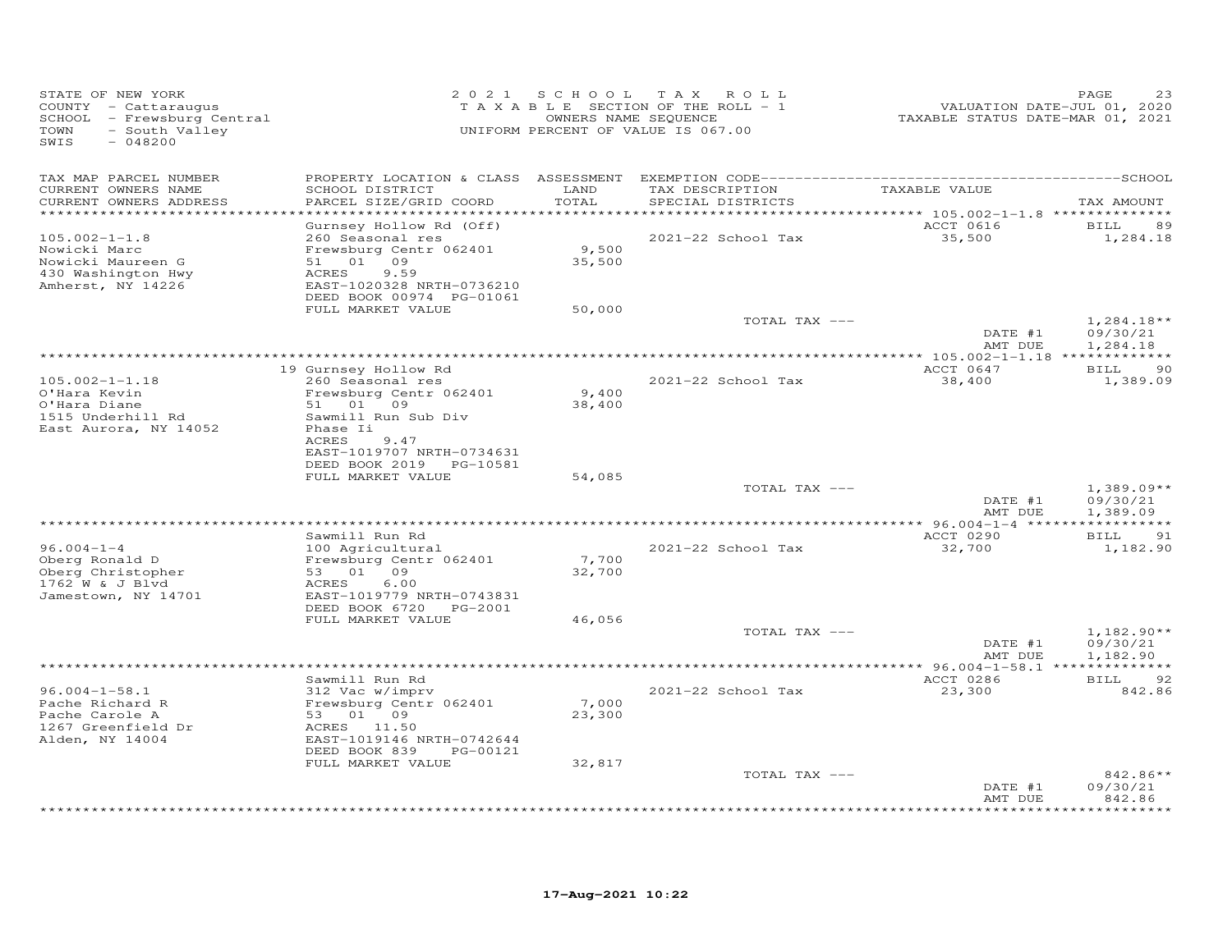| STATE OF NEW YORK<br>COUNTY - Cattaraugus<br>SCHOOL - Frewsburg Central<br>TOWN<br>- South Valley<br>SWIS<br>$-048200$ | 2 0 2 1                                                | S C H O O L        | T A X<br>ROLL<br>TAXABLE SECTION OF THE ROLL - 1<br>OWNERS NAME SEQUENCE<br>UNIFORM PERCENT OF VALUE IS 067.00 | VALUATION DATE-JUL 01, 2020<br>TAXABLE STATUS DATE-MAR 01, 2021 | PAGE<br>23           |
|------------------------------------------------------------------------------------------------------------------------|--------------------------------------------------------|--------------------|----------------------------------------------------------------------------------------------------------------|-----------------------------------------------------------------|----------------------|
| TAX MAP PARCEL NUMBER<br>CURRENT OWNERS NAME                                                                           | SCHOOL DISTRICT                                        | LAND               | TAX DESCRIPTION                                                                                                | TAXABLE VALUE                                                   |                      |
| CURRENT OWNERS ADDRESS<br>*********************                                                                        | PARCEL SIZE/GRID COORD                                 | TOTAL<br>********* | SPECIAL DISTRICTS                                                                                              |                                                                 | TAX AMOUNT           |
|                                                                                                                        | Gurnsey Hollow Rd (Off)                                |                    |                                                                                                                | ACCT 0616                                                       | <b>BILL</b><br>89    |
| $105.002 - 1 - 1.8$                                                                                                    | 260 Seasonal res                                       |                    | 2021-22 School Tax                                                                                             | 35,500                                                          | 1,284.18             |
| Nowicki Marc                                                                                                           | Frewsburg Centr 062401                                 | 9,500              |                                                                                                                |                                                                 |                      |
| Nowicki Maureen G<br>430 Washington Hwy                                                                                | 09<br>51 01<br>ACRES<br>9.59                           | 35,500             |                                                                                                                |                                                                 |                      |
| Amherst, NY 14226                                                                                                      | EAST-1020328 NRTH-0736210                              |                    |                                                                                                                |                                                                 |                      |
|                                                                                                                        | DEED BOOK 00974 PG-01061                               |                    |                                                                                                                |                                                                 |                      |
|                                                                                                                        | FULL MARKET VALUE                                      | 50,000             |                                                                                                                |                                                                 |                      |
|                                                                                                                        |                                                        |                    | TOTAL TAX ---                                                                                                  |                                                                 | $1,284.18**$         |
|                                                                                                                        |                                                        |                    |                                                                                                                | DATE #1                                                         | 09/30/21             |
|                                                                                                                        |                                                        |                    |                                                                                                                | AMT DUE                                                         | 1,284.18             |
|                                                                                                                        | 19 Gurnsey Hollow Rd                                   |                    |                                                                                                                | ACCT 0647                                                       | BILL<br>90           |
| $105.002 - 1 - 1.18$                                                                                                   | 260 Seasonal res                                       |                    | 2021-22 School Tax                                                                                             | 38,400                                                          | 1,389.09             |
| O'Hara Kevin                                                                                                           | Frewsburg Centr 062401                                 | 9,400              |                                                                                                                |                                                                 |                      |
| O'Hara Diane                                                                                                           | 51 01<br>09                                            | 38,400             |                                                                                                                |                                                                 |                      |
| 1515 Underhill Rd                                                                                                      | Sawmill Run Sub Div<br>Phase Ii                        |                    |                                                                                                                |                                                                 |                      |
| East Aurora, NY 14052                                                                                                  | ACRES<br>9.47                                          |                    |                                                                                                                |                                                                 |                      |
|                                                                                                                        | EAST-1019707 NRTH-0734631                              |                    |                                                                                                                |                                                                 |                      |
|                                                                                                                        | DEED BOOK 2019<br>PG-10581                             |                    |                                                                                                                |                                                                 |                      |
|                                                                                                                        | FULL MARKET VALUE                                      | 54,085             |                                                                                                                |                                                                 |                      |
|                                                                                                                        |                                                        |                    | TOTAL TAX ---                                                                                                  |                                                                 | $1,389.09**$         |
|                                                                                                                        |                                                        |                    |                                                                                                                | DATE #1<br>AMT DUE                                              | 09/30/21<br>1,389.09 |
|                                                                                                                        |                                                        |                    |                                                                                                                | *********** 96.004-1-4 ******************                       |                      |
|                                                                                                                        | Sawmill Run Rd                                         |                    |                                                                                                                | ACCT 0290                                                       | <b>BILL</b><br>91    |
| $96.004 - 1 - 4$                                                                                                       | 100 Agricultural                                       |                    | 2021-22 School Tax                                                                                             | 32,700                                                          | 1,182.90             |
| Oberg Ronald D                                                                                                         | Frewsburg Centr 062401                                 | 7,700              |                                                                                                                |                                                                 |                      |
| Oberg Christopher<br>1762 W & J Blvd                                                                                   | 53 01 09                                               | 32,700             |                                                                                                                |                                                                 |                      |
| Jamestown, NY 14701                                                                                                    | ACRES<br>6.00<br>EAST-1019779 NRTH-0743831             |                    |                                                                                                                |                                                                 |                      |
|                                                                                                                        | DEED BOOK 6720<br>PG-2001                              |                    |                                                                                                                |                                                                 |                      |
|                                                                                                                        | FULL MARKET VALUE                                      | 46,056             |                                                                                                                |                                                                 |                      |
|                                                                                                                        |                                                        |                    | TOTAL TAX ---                                                                                                  |                                                                 | $1,182.90**$         |
|                                                                                                                        |                                                        |                    |                                                                                                                | DATE #1                                                         | 09/30/21             |
|                                                                                                                        |                                                        |                    |                                                                                                                | AMT DUE                                                         | 1,182.90             |
|                                                                                                                        | Sawmill Run Rd                                         |                    |                                                                                                                | ACCT 0286                                                       | BILL<br>92           |
| $96.004 - 1 - 58.1$                                                                                                    | 312 Vac w/imprv                                        |                    | 2021-22 School Tax                                                                                             | 23,300                                                          | 842.86               |
| Pache Richard R                                                                                                        | Frewsburg Centr 062401                                 | 7,000              |                                                                                                                |                                                                 |                      |
| Pache Carole A                                                                                                         | 53 01 09                                               | 23,300             |                                                                                                                |                                                                 |                      |
| 1267 Greenfield Dr                                                                                                     | ACRES 11.50                                            |                    |                                                                                                                |                                                                 |                      |
| Alden, NY 14004                                                                                                        | EAST-1019146 NRTH-0742644<br>DEED BOOK 839<br>PG-00121 |                    |                                                                                                                |                                                                 |                      |
|                                                                                                                        | FULL MARKET VALUE                                      | 32,817             |                                                                                                                |                                                                 |                      |
|                                                                                                                        |                                                        |                    | TOTAL TAX ---                                                                                                  |                                                                 | 842.86**             |
|                                                                                                                        |                                                        |                    |                                                                                                                | DATE #1                                                         | 09/30/21             |
|                                                                                                                        |                                                        |                    | **********************************                                                                             | AMT DUE                                                         | 842.86               |
|                                                                                                                        |                                                        |                    |                                                                                                                |                                                                 |                      |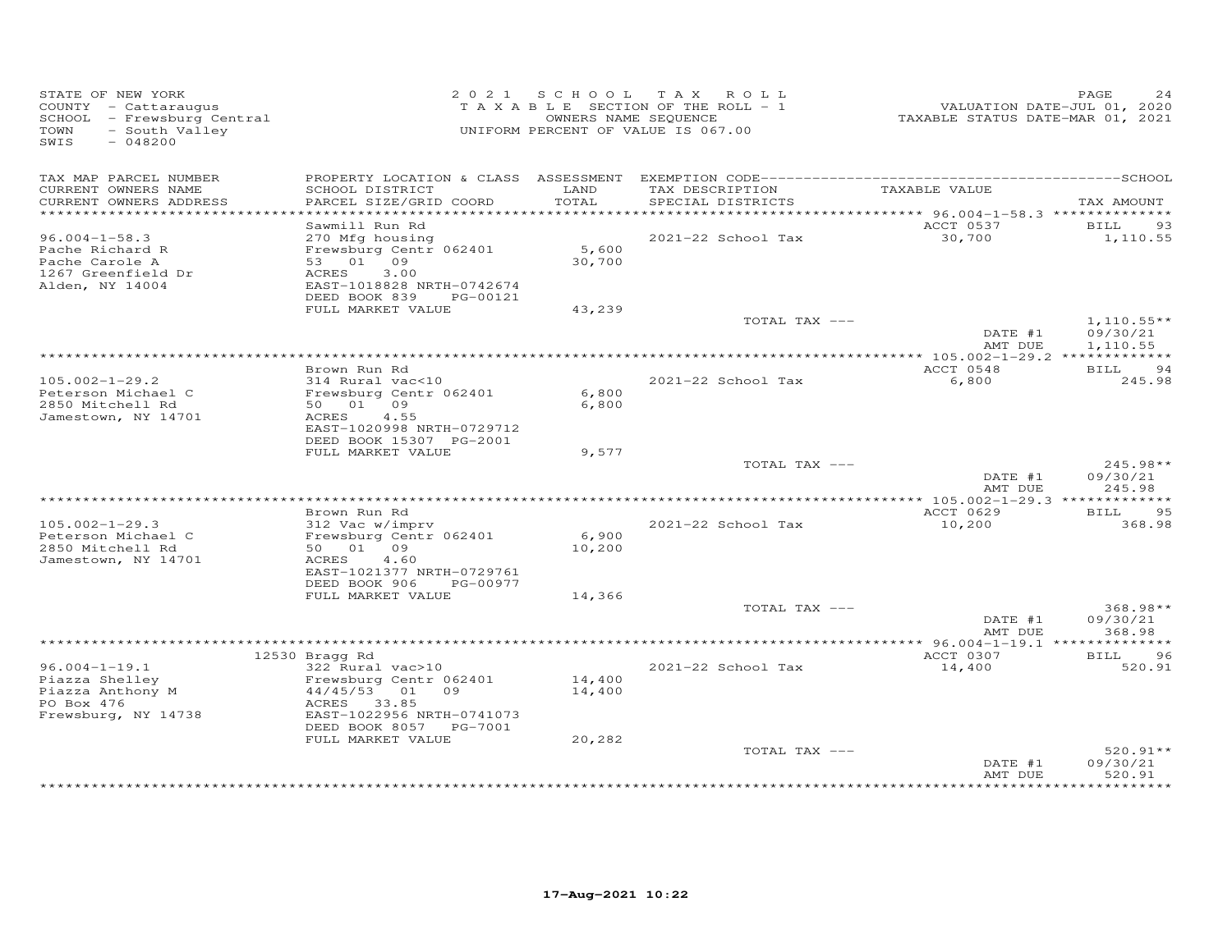| TAX MAP PARCEL NUMBER<br>TAX DESCRIPTION<br>TAXABLE VALUE<br>CURRENT OWNERS NAME<br>SCHOOL DISTRICT<br>LAND<br>PARCEL SIZE/GRID COORD<br>TOTAL<br>CURRENT OWNERS ADDRESS<br>SPECIAL DISTRICTS<br>TAX AMOUNT<br>*********** 96.004-1-58.3 ***************<br>ACCT 0537<br>Sawmill Run Rd<br>BILL<br>93<br>2021-22 School Tax<br>30,700<br>1,110.55<br>$96.004 - 1 - 58.3$<br>270 Mfg housing<br>5,600<br>Frewsburg Centr 062401<br>Pache Richard R<br>53 01 09<br>30,700<br>Pache Carole A<br>3.00<br>1267 Greenfield Dr<br>ACRES<br>Alden, NY 14004<br>EAST-1018828 NRTH-0742674<br>DEED BOOK 839<br>PG-00121<br>FULL MARKET VALUE<br>43,239<br>$1,110.55**$<br>TOTAL TAX ---<br>DATE #1<br>09/30/21<br>AMT DUE<br>1,110.55<br>ACCT 0548<br>Brown Run Rd<br><b>BILL</b><br>94<br>$105.002 - 1 - 29.2$<br>314 Rural vac<10<br>2021-22 School Tax<br>6,800<br>245.98<br>Peterson Michael C<br>Frewsburg Centr 062401<br>6,800<br>2850 Mitchell Rd<br>50 01 09<br>6,800<br>4.55<br>Jamestown, NY 14701<br>ACRES<br>EAST-1020998 NRTH-0729712<br>DEED BOOK 15307 PG-2001<br>FULL MARKET VALUE<br>9,577<br>TOTAL TAX ---<br>$245.98**$<br>DATE #1<br>09/30/21<br>245.98<br>AMT DUE<br>Brown Run Rd<br>ACCT 0629<br><b>BILL</b><br>95<br>312 Vac w/imprv<br>$105.002 - 1 - 29.3$<br>2021-22 School Tax<br>10,200<br>368.98<br>Frewsburg Centr 062401<br>6,900<br>Peterson Michael C<br>2850 Mitchell Rd<br>50 01 09<br>10,200<br>Jamestown, NY 14701<br>4.60<br>ACRES<br>EAST-1021377 NRTH-0729761<br>DEED BOOK 906<br>PG-00977<br>FULL MARKET VALUE<br>14,366<br>368.98**<br>TOTAL TAX ---<br>DATE #1<br>09/30/21<br>AMT DUE<br>368.98<br>ACCT 0307<br>12530 Bragg Rd<br><b>BILL</b><br>96<br>$96.004 - 1 - 19.1$<br>2021-22 School Tax<br>14,400<br>322 Rural vac>10<br>520.91<br>Piazza Shelley<br>Frewsburg Centr 062401<br>14,400<br>$44/45/53$ 01 09<br>Piazza Anthony M<br>14,400<br>PO Box 476<br>ACRES 33.85<br>Frewsburg, NY 14738<br>EAST-1022956 NRTH-0741073<br>DEED BOOK 8057 PG-7001<br>20,282<br>FULL MARKET VALUE<br>TOTAL TAX ---<br>$520.91**$<br>09/30/21<br>DATE #1<br>520.91<br>AMT DUE<br>*********** | STATE OF NEW YORK<br>COUNTY - Cattaraugus<br>SCHOOL - Frewsburg Central<br>TOWN<br>- South Valley<br>SWIS<br>$-048200$ |  | 2021 SCHOOL TAX ROLL<br>TAXABLE SECTION OF THE ROLL - 1<br>OWNERS NAME SEQUENCE<br>UNIFORM PERCENT OF VALUE IS 067.00 | VALUATION DATE-JUL 01, 2020<br>TAXABLE STATUS DATE-MAR 01, 2021 | PAGE<br>24 |
|------------------------------------------------------------------------------------------------------------------------------------------------------------------------------------------------------------------------------------------------------------------------------------------------------------------------------------------------------------------------------------------------------------------------------------------------------------------------------------------------------------------------------------------------------------------------------------------------------------------------------------------------------------------------------------------------------------------------------------------------------------------------------------------------------------------------------------------------------------------------------------------------------------------------------------------------------------------------------------------------------------------------------------------------------------------------------------------------------------------------------------------------------------------------------------------------------------------------------------------------------------------------------------------------------------------------------------------------------------------------------------------------------------------------------------------------------------------------------------------------------------------------------------------------------------------------------------------------------------------------------------------------------------------------------------------------------------------------------------------------------------------------------------------------------------------------------------------------------------------------------------------------------------------------------------------------------------------------------------------------------------------------------------------------------------------------------------------------------------------------|------------------------------------------------------------------------------------------------------------------------|--|-----------------------------------------------------------------------------------------------------------------------|-----------------------------------------------------------------|------------|
|                                                                                                                                                                                                                                                                                                                                                                                                                                                                                                                                                                                                                                                                                                                                                                                                                                                                                                                                                                                                                                                                                                                                                                                                                                                                                                                                                                                                                                                                                                                                                                                                                                                                                                                                                                                                                                                                                                                                                                                                                                                                                                                        |                                                                                                                        |  |                                                                                                                       |                                                                 |            |
|                                                                                                                                                                                                                                                                                                                                                                                                                                                                                                                                                                                                                                                                                                                                                                                                                                                                                                                                                                                                                                                                                                                                                                                                                                                                                                                                                                                                                                                                                                                                                                                                                                                                                                                                                                                                                                                                                                                                                                                                                                                                                                                        |                                                                                                                        |  |                                                                                                                       |                                                                 |            |
|                                                                                                                                                                                                                                                                                                                                                                                                                                                                                                                                                                                                                                                                                                                                                                                                                                                                                                                                                                                                                                                                                                                                                                                                                                                                                                                                                                                                                                                                                                                                                                                                                                                                                                                                                                                                                                                                                                                                                                                                                                                                                                                        |                                                                                                                        |  |                                                                                                                       |                                                                 |            |
|                                                                                                                                                                                                                                                                                                                                                                                                                                                                                                                                                                                                                                                                                                                                                                                                                                                                                                                                                                                                                                                                                                                                                                                                                                                                                                                                                                                                                                                                                                                                                                                                                                                                                                                                                                                                                                                                                                                                                                                                                                                                                                                        |                                                                                                                        |  |                                                                                                                       |                                                                 |            |
|                                                                                                                                                                                                                                                                                                                                                                                                                                                                                                                                                                                                                                                                                                                                                                                                                                                                                                                                                                                                                                                                                                                                                                                                                                                                                                                                                                                                                                                                                                                                                                                                                                                                                                                                                                                                                                                                                                                                                                                                                                                                                                                        |                                                                                                                        |  |                                                                                                                       |                                                                 |            |
|                                                                                                                                                                                                                                                                                                                                                                                                                                                                                                                                                                                                                                                                                                                                                                                                                                                                                                                                                                                                                                                                                                                                                                                                                                                                                                                                                                                                                                                                                                                                                                                                                                                                                                                                                                                                                                                                                                                                                                                                                                                                                                                        |                                                                                                                        |  |                                                                                                                       |                                                                 |            |
|                                                                                                                                                                                                                                                                                                                                                                                                                                                                                                                                                                                                                                                                                                                                                                                                                                                                                                                                                                                                                                                                                                                                                                                                                                                                                                                                                                                                                                                                                                                                                                                                                                                                                                                                                                                                                                                                                                                                                                                                                                                                                                                        |                                                                                                                        |  |                                                                                                                       |                                                                 |            |
|                                                                                                                                                                                                                                                                                                                                                                                                                                                                                                                                                                                                                                                                                                                                                                                                                                                                                                                                                                                                                                                                                                                                                                                                                                                                                                                                                                                                                                                                                                                                                                                                                                                                                                                                                                                                                                                                                                                                                                                                                                                                                                                        |                                                                                                                        |  |                                                                                                                       |                                                                 |            |
|                                                                                                                                                                                                                                                                                                                                                                                                                                                                                                                                                                                                                                                                                                                                                                                                                                                                                                                                                                                                                                                                                                                                                                                                                                                                                                                                                                                                                                                                                                                                                                                                                                                                                                                                                                                                                                                                                                                                                                                                                                                                                                                        |                                                                                                                        |  |                                                                                                                       |                                                                 |            |
|                                                                                                                                                                                                                                                                                                                                                                                                                                                                                                                                                                                                                                                                                                                                                                                                                                                                                                                                                                                                                                                                                                                                                                                                                                                                                                                                                                                                                                                                                                                                                                                                                                                                                                                                                                                                                                                                                                                                                                                                                                                                                                                        |                                                                                                                        |  |                                                                                                                       |                                                                 |            |
|                                                                                                                                                                                                                                                                                                                                                                                                                                                                                                                                                                                                                                                                                                                                                                                                                                                                                                                                                                                                                                                                                                                                                                                                                                                                                                                                                                                                                                                                                                                                                                                                                                                                                                                                                                                                                                                                                                                                                                                                                                                                                                                        |                                                                                                                        |  |                                                                                                                       |                                                                 |            |
|                                                                                                                                                                                                                                                                                                                                                                                                                                                                                                                                                                                                                                                                                                                                                                                                                                                                                                                                                                                                                                                                                                                                                                                                                                                                                                                                                                                                                                                                                                                                                                                                                                                                                                                                                                                                                                                                                                                                                                                                                                                                                                                        |                                                                                                                        |  |                                                                                                                       |                                                                 |            |
|                                                                                                                                                                                                                                                                                                                                                                                                                                                                                                                                                                                                                                                                                                                                                                                                                                                                                                                                                                                                                                                                                                                                                                                                                                                                                                                                                                                                                                                                                                                                                                                                                                                                                                                                                                                                                                                                                                                                                                                                                                                                                                                        |                                                                                                                        |  |                                                                                                                       |                                                                 |            |
|                                                                                                                                                                                                                                                                                                                                                                                                                                                                                                                                                                                                                                                                                                                                                                                                                                                                                                                                                                                                                                                                                                                                                                                                                                                                                                                                                                                                                                                                                                                                                                                                                                                                                                                                                                                                                                                                                                                                                                                                                                                                                                                        |                                                                                                                        |  |                                                                                                                       |                                                                 |            |
|                                                                                                                                                                                                                                                                                                                                                                                                                                                                                                                                                                                                                                                                                                                                                                                                                                                                                                                                                                                                                                                                                                                                                                                                                                                                                                                                                                                                                                                                                                                                                                                                                                                                                                                                                                                                                                                                                                                                                                                                                                                                                                                        |                                                                                                                        |  |                                                                                                                       |                                                                 |            |
|                                                                                                                                                                                                                                                                                                                                                                                                                                                                                                                                                                                                                                                                                                                                                                                                                                                                                                                                                                                                                                                                                                                                                                                                                                                                                                                                                                                                                                                                                                                                                                                                                                                                                                                                                                                                                                                                                                                                                                                                                                                                                                                        |                                                                                                                        |  |                                                                                                                       |                                                                 |            |
|                                                                                                                                                                                                                                                                                                                                                                                                                                                                                                                                                                                                                                                                                                                                                                                                                                                                                                                                                                                                                                                                                                                                                                                                                                                                                                                                                                                                                                                                                                                                                                                                                                                                                                                                                                                                                                                                                                                                                                                                                                                                                                                        |                                                                                                                        |  |                                                                                                                       |                                                                 |            |
|                                                                                                                                                                                                                                                                                                                                                                                                                                                                                                                                                                                                                                                                                                                                                                                                                                                                                                                                                                                                                                                                                                                                                                                                                                                                                                                                                                                                                                                                                                                                                                                                                                                                                                                                                                                                                                                                                                                                                                                                                                                                                                                        |                                                                                                                        |  |                                                                                                                       |                                                                 |            |
|                                                                                                                                                                                                                                                                                                                                                                                                                                                                                                                                                                                                                                                                                                                                                                                                                                                                                                                                                                                                                                                                                                                                                                                                                                                                                                                                                                                                                                                                                                                                                                                                                                                                                                                                                                                                                                                                                                                                                                                                                                                                                                                        |                                                                                                                        |  |                                                                                                                       |                                                                 |            |
|                                                                                                                                                                                                                                                                                                                                                                                                                                                                                                                                                                                                                                                                                                                                                                                                                                                                                                                                                                                                                                                                                                                                                                                                                                                                                                                                                                                                                                                                                                                                                                                                                                                                                                                                                                                                                                                                                                                                                                                                                                                                                                                        |                                                                                                                        |  |                                                                                                                       |                                                                 |            |
|                                                                                                                                                                                                                                                                                                                                                                                                                                                                                                                                                                                                                                                                                                                                                                                                                                                                                                                                                                                                                                                                                                                                                                                                                                                                                                                                                                                                                                                                                                                                                                                                                                                                                                                                                                                                                                                                                                                                                                                                                                                                                                                        |                                                                                                                        |  |                                                                                                                       |                                                                 |            |
|                                                                                                                                                                                                                                                                                                                                                                                                                                                                                                                                                                                                                                                                                                                                                                                                                                                                                                                                                                                                                                                                                                                                                                                                                                                                                                                                                                                                                                                                                                                                                                                                                                                                                                                                                                                                                                                                                                                                                                                                                                                                                                                        |                                                                                                                        |  |                                                                                                                       |                                                                 |            |
|                                                                                                                                                                                                                                                                                                                                                                                                                                                                                                                                                                                                                                                                                                                                                                                                                                                                                                                                                                                                                                                                                                                                                                                                                                                                                                                                                                                                                                                                                                                                                                                                                                                                                                                                                                                                                                                                                                                                                                                                                                                                                                                        |                                                                                                                        |  |                                                                                                                       |                                                                 |            |
|                                                                                                                                                                                                                                                                                                                                                                                                                                                                                                                                                                                                                                                                                                                                                                                                                                                                                                                                                                                                                                                                                                                                                                                                                                                                                                                                                                                                                                                                                                                                                                                                                                                                                                                                                                                                                                                                                                                                                                                                                                                                                                                        |                                                                                                                        |  |                                                                                                                       |                                                                 |            |
|                                                                                                                                                                                                                                                                                                                                                                                                                                                                                                                                                                                                                                                                                                                                                                                                                                                                                                                                                                                                                                                                                                                                                                                                                                                                                                                                                                                                                                                                                                                                                                                                                                                                                                                                                                                                                                                                                                                                                                                                                                                                                                                        |                                                                                                                        |  |                                                                                                                       |                                                                 |            |
|                                                                                                                                                                                                                                                                                                                                                                                                                                                                                                                                                                                                                                                                                                                                                                                                                                                                                                                                                                                                                                                                                                                                                                                                                                                                                                                                                                                                                                                                                                                                                                                                                                                                                                                                                                                                                                                                                                                                                                                                                                                                                                                        |                                                                                                                        |  |                                                                                                                       |                                                                 |            |
|                                                                                                                                                                                                                                                                                                                                                                                                                                                                                                                                                                                                                                                                                                                                                                                                                                                                                                                                                                                                                                                                                                                                                                                                                                                                                                                                                                                                                                                                                                                                                                                                                                                                                                                                                                                                                                                                                                                                                                                                                                                                                                                        |                                                                                                                        |  |                                                                                                                       |                                                                 |            |
|                                                                                                                                                                                                                                                                                                                                                                                                                                                                                                                                                                                                                                                                                                                                                                                                                                                                                                                                                                                                                                                                                                                                                                                                                                                                                                                                                                                                                                                                                                                                                                                                                                                                                                                                                                                                                                                                                                                                                                                                                                                                                                                        |                                                                                                                        |  |                                                                                                                       |                                                                 |            |
|                                                                                                                                                                                                                                                                                                                                                                                                                                                                                                                                                                                                                                                                                                                                                                                                                                                                                                                                                                                                                                                                                                                                                                                                                                                                                                                                                                                                                                                                                                                                                                                                                                                                                                                                                                                                                                                                                                                                                                                                                                                                                                                        |                                                                                                                        |  |                                                                                                                       |                                                                 |            |
|                                                                                                                                                                                                                                                                                                                                                                                                                                                                                                                                                                                                                                                                                                                                                                                                                                                                                                                                                                                                                                                                                                                                                                                                                                                                                                                                                                                                                                                                                                                                                                                                                                                                                                                                                                                                                                                                                                                                                                                                                                                                                                                        |                                                                                                                        |  |                                                                                                                       |                                                                 |            |
|                                                                                                                                                                                                                                                                                                                                                                                                                                                                                                                                                                                                                                                                                                                                                                                                                                                                                                                                                                                                                                                                                                                                                                                                                                                                                                                                                                                                                                                                                                                                                                                                                                                                                                                                                                                                                                                                                                                                                                                                                                                                                                                        |                                                                                                                        |  |                                                                                                                       |                                                                 |            |
|                                                                                                                                                                                                                                                                                                                                                                                                                                                                                                                                                                                                                                                                                                                                                                                                                                                                                                                                                                                                                                                                                                                                                                                                                                                                                                                                                                                                                                                                                                                                                                                                                                                                                                                                                                                                                                                                                                                                                                                                                                                                                                                        |                                                                                                                        |  |                                                                                                                       |                                                                 |            |
|                                                                                                                                                                                                                                                                                                                                                                                                                                                                                                                                                                                                                                                                                                                                                                                                                                                                                                                                                                                                                                                                                                                                                                                                                                                                                                                                                                                                                                                                                                                                                                                                                                                                                                                                                                                                                                                                                                                                                                                                                                                                                                                        |                                                                                                                        |  |                                                                                                                       |                                                                 |            |
|                                                                                                                                                                                                                                                                                                                                                                                                                                                                                                                                                                                                                                                                                                                                                                                                                                                                                                                                                                                                                                                                                                                                                                                                                                                                                                                                                                                                                                                                                                                                                                                                                                                                                                                                                                                                                                                                                                                                                                                                                                                                                                                        |                                                                                                                        |  |                                                                                                                       |                                                                 |            |
|                                                                                                                                                                                                                                                                                                                                                                                                                                                                                                                                                                                                                                                                                                                                                                                                                                                                                                                                                                                                                                                                                                                                                                                                                                                                                                                                                                                                                                                                                                                                                                                                                                                                                                                                                                                                                                                                                                                                                                                                                                                                                                                        |                                                                                                                        |  |                                                                                                                       |                                                                 |            |
|                                                                                                                                                                                                                                                                                                                                                                                                                                                                                                                                                                                                                                                                                                                                                                                                                                                                                                                                                                                                                                                                                                                                                                                                                                                                                                                                                                                                                                                                                                                                                                                                                                                                                                                                                                                                                                                                                                                                                                                                                                                                                                                        |                                                                                                                        |  |                                                                                                                       |                                                                 |            |
|                                                                                                                                                                                                                                                                                                                                                                                                                                                                                                                                                                                                                                                                                                                                                                                                                                                                                                                                                                                                                                                                                                                                                                                                                                                                                                                                                                                                                                                                                                                                                                                                                                                                                                                                                                                                                                                                                                                                                                                                                                                                                                                        |                                                                                                                        |  |                                                                                                                       |                                                                 |            |
|                                                                                                                                                                                                                                                                                                                                                                                                                                                                                                                                                                                                                                                                                                                                                                                                                                                                                                                                                                                                                                                                                                                                                                                                                                                                                                                                                                                                                                                                                                                                                                                                                                                                                                                                                                                                                                                                                                                                                                                                                                                                                                                        |                                                                                                                        |  |                                                                                                                       |                                                                 |            |
|                                                                                                                                                                                                                                                                                                                                                                                                                                                                                                                                                                                                                                                                                                                                                                                                                                                                                                                                                                                                                                                                                                                                                                                                                                                                                                                                                                                                                                                                                                                                                                                                                                                                                                                                                                                                                                                                                                                                                                                                                                                                                                                        |                                                                                                                        |  |                                                                                                                       |                                                                 |            |
|                                                                                                                                                                                                                                                                                                                                                                                                                                                                                                                                                                                                                                                                                                                                                                                                                                                                                                                                                                                                                                                                                                                                                                                                                                                                                                                                                                                                                                                                                                                                                                                                                                                                                                                                                                                                                                                                                                                                                                                                                                                                                                                        |                                                                                                                        |  |                                                                                                                       |                                                                 |            |
|                                                                                                                                                                                                                                                                                                                                                                                                                                                                                                                                                                                                                                                                                                                                                                                                                                                                                                                                                                                                                                                                                                                                                                                                                                                                                                                                                                                                                                                                                                                                                                                                                                                                                                                                                                                                                                                                                                                                                                                                                                                                                                                        |                                                                                                                        |  |                                                                                                                       |                                                                 |            |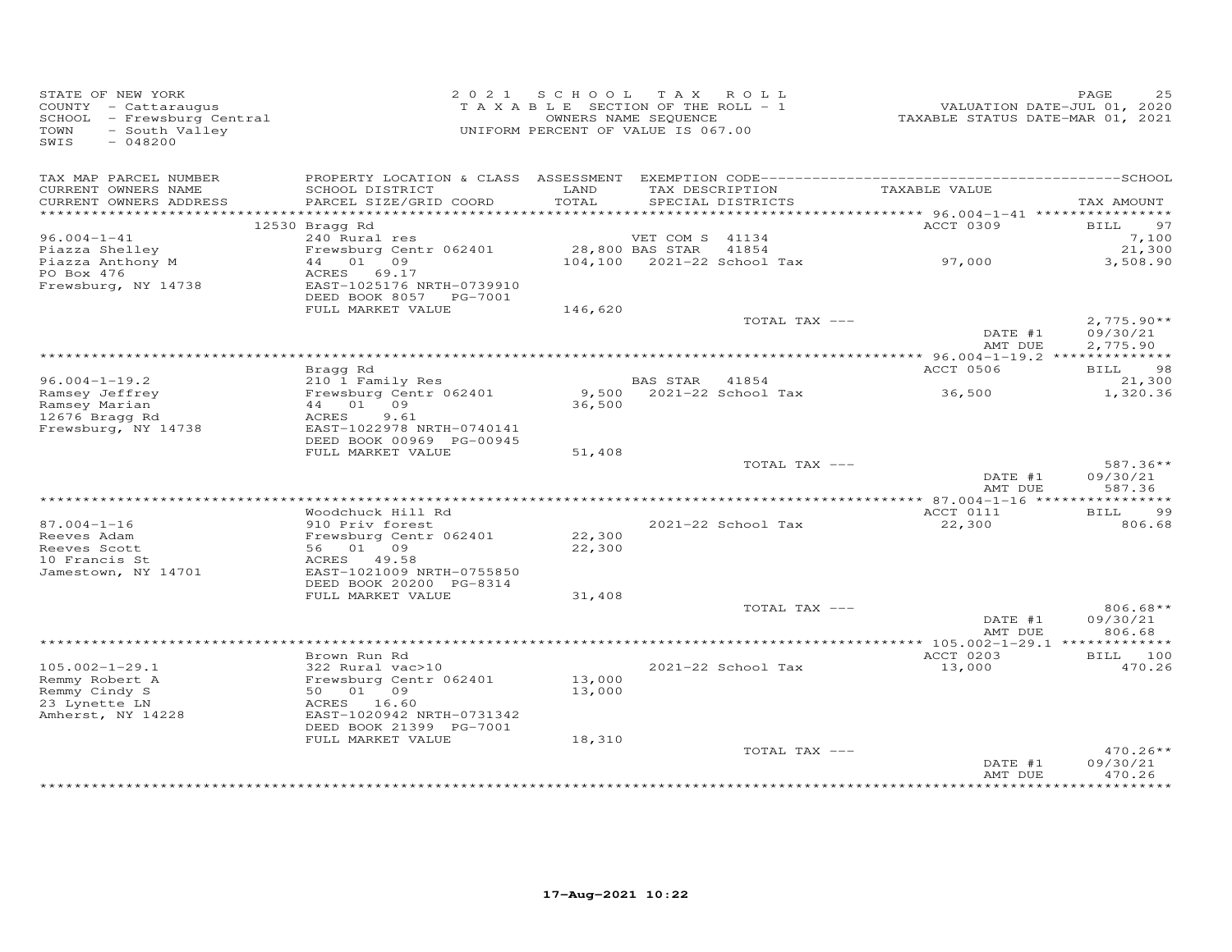| STATE OF NEW YORK<br>COUNTY - Cattaraugus<br>SCHOOL - Frewsburg Central<br>TOWN<br>- South Valley<br>SWIS<br>$-048200$ |                                                     | 2021 SCHOOL TAX ROLL<br>TAXABLE SECTION OF THE ROLL - 1<br>UNIFORM PERCENT OF VALUE IS 067.00 | OWNERS NAME SEQUENCE |                          | VALUATION DATE-JUL 01, 2020<br>TAXABLE STATUS DATE-MAR 01, 2021 | PAGE<br>25                    |
|------------------------------------------------------------------------------------------------------------------------|-----------------------------------------------------|-----------------------------------------------------------------------------------------------|----------------------|--------------------------|-----------------------------------------------------------------|-------------------------------|
| TAX MAP PARCEL NUMBER<br>CURRENT OWNERS NAME                                                                           | SCHOOL DISTRICT                                     | LAND                                                                                          |                      | TAX DESCRIPTION          | TAXABLE VALUE                                                   |                               |
| CURRENT OWNERS ADDRESS                                                                                                 | PARCEL SIZE/GRID COORD                              | TOTAL                                                                                         |                      | SPECIAL DISTRICTS        |                                                                 | TAX AMOUNT                    |
|                                                                                                                        |                                                     |                                                                                               |                      |                          | ACCT 0309                                                       | 97                            |
| $96.004 - 1 - 41$                                                                                                      | 12530 Bragg Rd<br>240 Rural res                     |                                                                                               | VET COM S 41134      |                          |                                                                 | <b>BILL</b><br>7,100          |
| Piazza Shelley                                                                                                         | Frewsburg Centr 062401                              | 28,800 BAS STAR 41854                                                                         |                      |                          |                                                                 | 21,300                        |
| Piazza Anthony M                                                                                                       | 44 01 09                                            |                                                                                               |                      |                          | $104,100$ 2021-22 School Tax 97,000                             | 3,508.90                      |
| PO Box 476                                                                                                             | ACRES<br>69.17                                      |                                                                                               |                      |                          |                                                                 |                               |
| Frewsburg, NY 14738                                                                                                    | EAST-1025176 NRTH-0739910<br>DEED BOOK 8057 PG-7001 |                                                                                               |                      |                          |                                                                 |                               |
|                                                                                                                        | FULL MARKET VALUE                                   | 146,620                                                                                       |                      |                          |                                                                 |                               |
|                                                                                                                        |                                                     |                                                                                               |                      | TOTAL TAX ---            |                                                                 | $2,775.90**$                  |
|                                                                                                                        |                                                     |                                                                                               |                      |                          | DATE #1<br>AMT DUE                                              | 09/30/21<br>2,775.90          |
|                                                                                                                        |                                                     |                                                                                               |                      |                          |                                                                 |                               |
| $96.004 - 1 - 19.2$                                                                                                    | Bragg Rd                                            |                                                                                               | BAS STAR 41854       |                          | ACCT 0506                                                       | BILL 98<br>21,300             |
| Ramsey Jeffrey                                                                                                         | 210 1 Family Res<br>Frewsburg Centr 062401          |                                                                                               |                      | 9,500 2021-22 School Tax | 36,500                                                          | 1,320.36                      |
| Ramsey Marian                                                                                                          | 44 01 09                                            | 36,500                                                                                        |                      |                          |                                                                 |                               |
| 12676 Bragg Rd                                                                                                         | ACRES<br>9.61                                       |                                                                                               |                      |                          |                                                                 |                               |
| Frewsburg, NY 14738                                                                                                    | EAST-1022978 NRTH-0740141                           |                                                                                               |                      |                          |                                                                 |                               |
|                                                                                                                        | DEED BOOK 00969 PG-00945<br>FULL MARKET VALUE       | 51,408                                                                                        |                      |                          |                                                                 |                               |
|                                                                                                                        |                                                     |                                                                                               |                      | TOTAL TAX ---            |                                                                 | 587.36**                      |
|                                                                                                                        |                                                     |                                                                                               |                      |                          | DATE #1                                                         | 09/30/21                      |
|                                                                                                                        |                                                     |                                                                                               |                      |                          | AMT DUE                                                         | 587.36                        |
|                                                                                                                        |                                                     |                                                                                               |                      |                          |                                                                 | 99                            |
| $87.004 - 1 - 16$                                                                                                      | Woodchuck Hill Rd<br>910 Priv forest                |                                                                                               |                      | 2021-22 School Tax       | ACCT 0111<br>22,300                                             | <b>BILL</b><br>806.68         |
| Reeves Adam                                                                                                            | Frewsburg Centr 062401                              | 22,300                                                                                        |                      |                          |                                                                 |                               |
| Reeves Scott                                                                                                           | 56 01 09                                            | 22,300                                                                                        |                      |                          |                                                                 |                               |
| 10 Francis St                                                                                                          | ACRES 49.58                                         |                                                                                               |                      |                          |                                                                 |                               |
| Jamestown, NY 14701                                                                                                    | EAST-1021009 NRTH-0755850                           |                                                                                               |                      |                          |                                                                 |                               |
|                                                                                                                        | DEED BOOK 20200 PG-8314<br>FULL MARKET VALUE        | 31,408                                                                                        |                      |                          |                                                                 |                               |
|                                                                                                                        |                                                     |                                                                                               |                      | TOTAL TAX ---            |                                                                 | $806.68**$                    |
|                                                                                                                        |                                                     |                                                                                               |                      |                          | DATE #1                                                         | 09/30/21                      |
|                                                                                                                        |                                                     |                                                                                               |                      |                          | AMT DUE                                                         | 806.68                        |
|                                                                                                                        | Brown Run Rd                                        |                                                                                               |                      |                          | ACCT 0203                                                       | BILL 100                      |
| $105.002 - 1 - 29.1$                                                                                                   | 322 Rural vac>10                                    |                                                                                               |                      | 2021-22 School Tax       | 13,000                                                          | 470.26                        |
| Remmy Robert A                                                                                                         | Frewsburg Centr 062401                              | 13,000                                                                                        |                      |                          |                                                                 |                               |
| Remmy Cindy S                                                                                                          | 50 01 09                                            | 13,000                                                                                        |                      |                          |                                                                 |                               |
| 23 Lynette LN                                                                                                          | ACRES 16.60                                         |                                                                                               |                      |                          |                                                                 |                               |
| Amherst, NY 14228                                                                                                      | EAST-1020942 NRTH-0731342                           |                                                                                               |                      |                          |                                                                 |                               |
|                                                                                                                        | DEED BOOK 21399 PG-7001<br>FULL MARKET VALUE        | 18,310                                                                                        |                      |                          |                                                                 |                               |
|                                                                                                                        |                                                     |                                                                                               |                      | TOTAL TAX ---            |                                                                 | $470.26**$                    |
|                                                                                                                        |                                                     |                                                                                               |                      |                          | DATE #1                                                         | 09/30/21                      |
|                                                                                                                        |                                                     |                                                                                               |                      |                          | AMT DUE                                                         | 470.26<br>* * * * * * * * * * |
|                                                                                                                        |                                                     |                                                                                               |                      |                          |                                                                 |                               |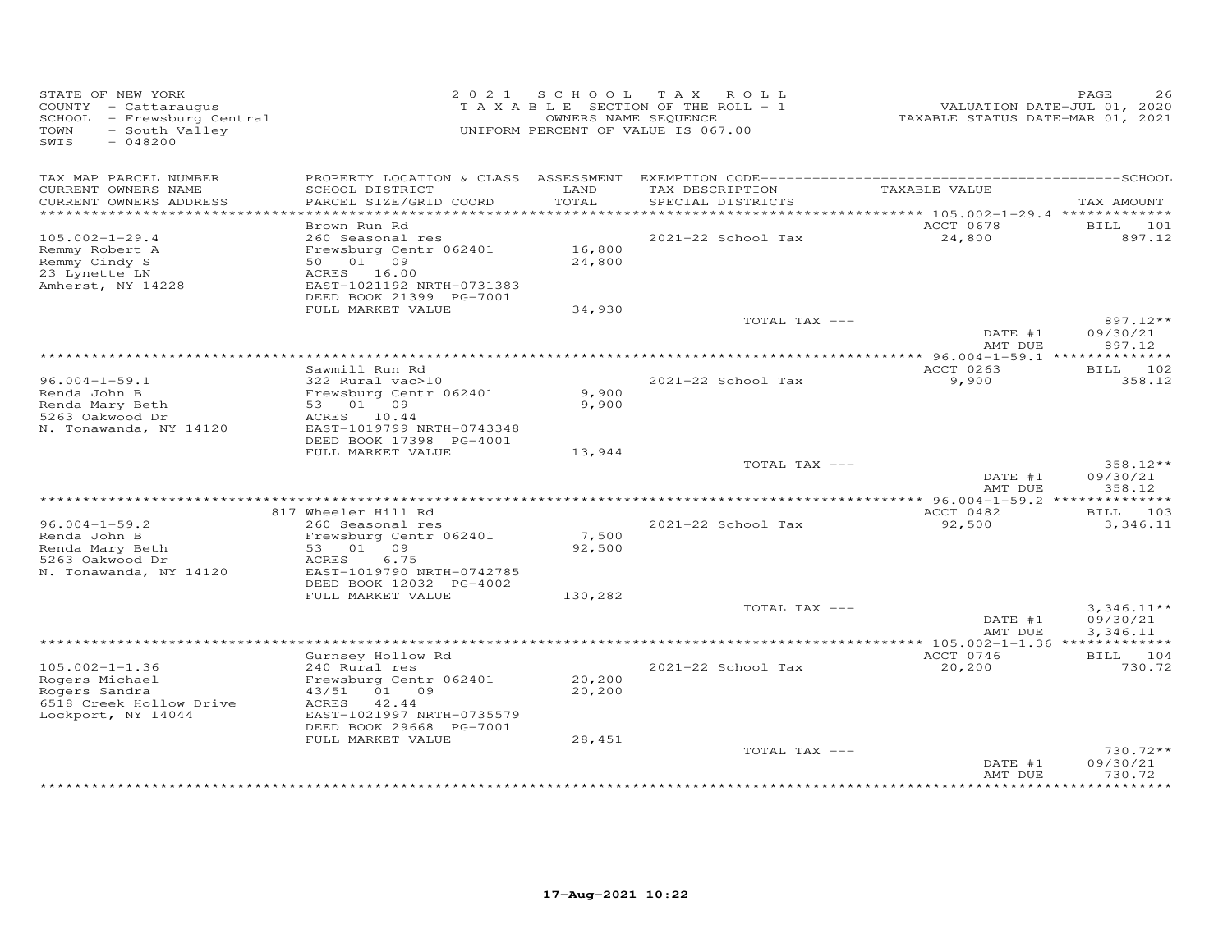| STATE OF NEW YORK<br>COUNTY - Cattaraugus<br>SCHOOL - Frewsburg Central<br>- South Valley<br>TOWN<br>SWIS<br>$-048200$ |                                                                     | OWNERS NAME SEQUENCE | 2021 SCHOOL TAX ROLL<br>TAXABLE SECTION OF THE ROLL - 1<br>UNIFORM PERCENT OF VALUE IS 067.00 | VALUATION DATE-JUL 01, 2020<br>TAXABLE STATUS DATE-MAR 01, 2021 | PAGE<br>26                       |
|------------------------------------------------------------------------------------------------------------------------|---------------------------------------------------------------------|----------------------|-----------------------------------------------------------------------------------------------|-----------------------------------------------------------------|----------------------------------|
| TAX MAP PARCEL NUMBER<br>CURRENT OWNERS NAME                                                                           | SCHOOL DISTRICT                                                     | LAND                 | TAX DESCRIPTION                                                                               | TAXABLE VALUE                                                   |                                  |
| CURRENT OWNERS ADDRESS                                                                                                 | PARCEL SIZE/GRID COORD                                              | TOTAL                | SPECIAL DISTRICTS                                                                             |                                                                 | TAX AMOUNT                       |
|                                                                                                                        |                                                                     |                      |                                                                                               |                                                                 |                                  |
| $105.002 - 1 - 29.4$                                                                                                   | Brown Run Rd<br>260 Seasonal res                                    |                      | 2021-22 School Tax                                                                            | ACCT 0678<br>24,800                                             | BILL 101<br>897.12               |
| Remmy Robert A<br>Remmy Cindy S                                                                                        | Frewsburg Centr 062401<br>50 01 09                                  | 16,800<br>24,800     |                                                                                               |                                                                 |                                  |
| 23 Lynette LN<br>Amherst, NY 14228                                                                                     | ACRES 16.00<br>EAST-1021192 NRTH-0731383<br>DEED BOOK 21399 PG-7001 |                      |                                                                                               |                                                                 |                                  |
|                                                                                                                        | FULL MARKET VALUE                                                   | 34,930               |                                                                                               |                                                                 |                                  |
|                                                                                                                        |                                                                     |                      | TOTAL TAX ---                                                                                 | DATE #1<br>AMT DUE                                              | $897.12**$<br>09/30/21<br>897.12 |
|                                                                                                                        |                                                                     |                      |                                                                                               |                                                                 |                                  |
|                                                                                                                        | Sawmill Run Rd                                                      |                      |                                                                                               | ACCT 0263                                                       | BILL 102                         |
| $96.004 - 1 - 59.1$<br>Renda John B                                                                                    | 322 Rural vac>10<br>Frewsburg Centr 062401                          | 9,900                | 2021-22 School Tax                                                                            | 9,900                                                           | 358.12                           |
| Renda Mary Beth                                                                                                        | 53 01 09                                                            | 9,900                |                                                                                               |                                                                 |                                  |
| 5263 Oakwood Dr                                                                                                        | ACRES 10.44                                                         |                      |                                                                                               |                                                                 |                                  |
| N. Tonawanda, NY 14120                                                                                                 | EAST-1019799 NRTH-0743348<br>DEED BOOK 17398 PG-4001                |                      |                                                                                               |                                                                 |                                  |
|                                                                                                                        | FULL MARKET VALUE                                                   | 13,944               |                                                                                               |                                                                 |                                  |
|                                                                                                                        |                                                                     |                      | TOTAL TAX ---                                                                                 |                                                                 | 358.12**                         |
|                                                                                                                        |                                                                     |                      |                                                                                               | DATE #1<br>AMT DUE                                              | 09/30/21<br>358.12               |
|                                                                                                                        |                                                                     |                      |                                                                                               |                                                                 |                                  |
|                                                                                                                        | 817 Wheeler Hill Rd                                                 |                      |                                                                                               | ACCT 0482                                                       | BILL 103                         |
| $96.004 - 1 - 59.2$                                                                                                    | 260 Seasonal res                                                    |                      | 2021-22 School Tax                                                                            | 92,500                                                          | 3,346.11                         |
| Renda John B<br>Renda Mary Beth                                                                                        | Frewsburg Centr 062401<br>53 01 09                                  | 7,500<br>92,500      |                                                                                               |                                                                 |                                  |
| 5263 Oakwood Dr                                                                                                        | 6.75<br>ACRES                                                       |                      |                                                                                               |                                                                 |                                  |
| N. Tonawanda, NY 14120                                                                                                 | EAST-1019790 NRTH-0742785                                           |                      |                                                                                               |                                                                 |                                  |
|                                                                                                                        | DEED BOOK 12032 PG-4002<br>FULL MARKET VALUE                        | 130,282              |                                                                                               |                                                                 |                                  |
|                                                                                                                        |                                                                     |                      | TOTAL TAX ---                                                                                 |                                                                 | $3,346.11**$                     |
|                                                                                                                        |                                                                     |                      |                                                                                               | DATE #1                                                         | 09/30/21                         |
|                                                                                                                        |                                                                     |                      |                                                                                               | AMT DUE                                                         | 3,346.11                         |
|                                                                                                                        | Gurnsey Hollow Rd                                                   |                      |                                                                                               | ACCT 0746                                                       | BILL 104                         |
| $105.002 - 1 - 1.36$                                                                                                   | 240 Rural res                                                       |                      | 2021-22 School Tax                                                                            | 20,200                                                          | 730.72                           |
| Rogers Michael                                                                                                         | Frewsburg Centr 062401                                              | 20,200               |                                                                                               |                                                                 |                                  |
| Rogers Sandra<br>6518 Creek Hollow Drive                                                                               | 43/51<br>01 09<br>42.44<br>ACRES                                    | 20,200               |                                                                                               |                                                                 |                                  |
| Lockport, NY 14044                                                                                                     | EAST-1021997 NRTH-0735579<br>DEED BOOK 29668 PG-7001                |                      |                                                                                               |                                                                 |                                  |
|                                                                                                                        | FULL MARKET VALUE                                                   | 28,451               |                                                                                               |                                                                 |                                  |
|                                                                                                                        |                                                                     |                      | TOTAL TAX ---                                                                                 |                                                                 | 730.72**                         |
|                                                                                                                        |                                                                     |                      |                                                                                               | DATE #1<br>AMT DUE                                              | 09/30/21<br>730.72               |
|                                                                                                                        |                                                                     |                      | ***********************************                                                           |                                                                 | *********                        |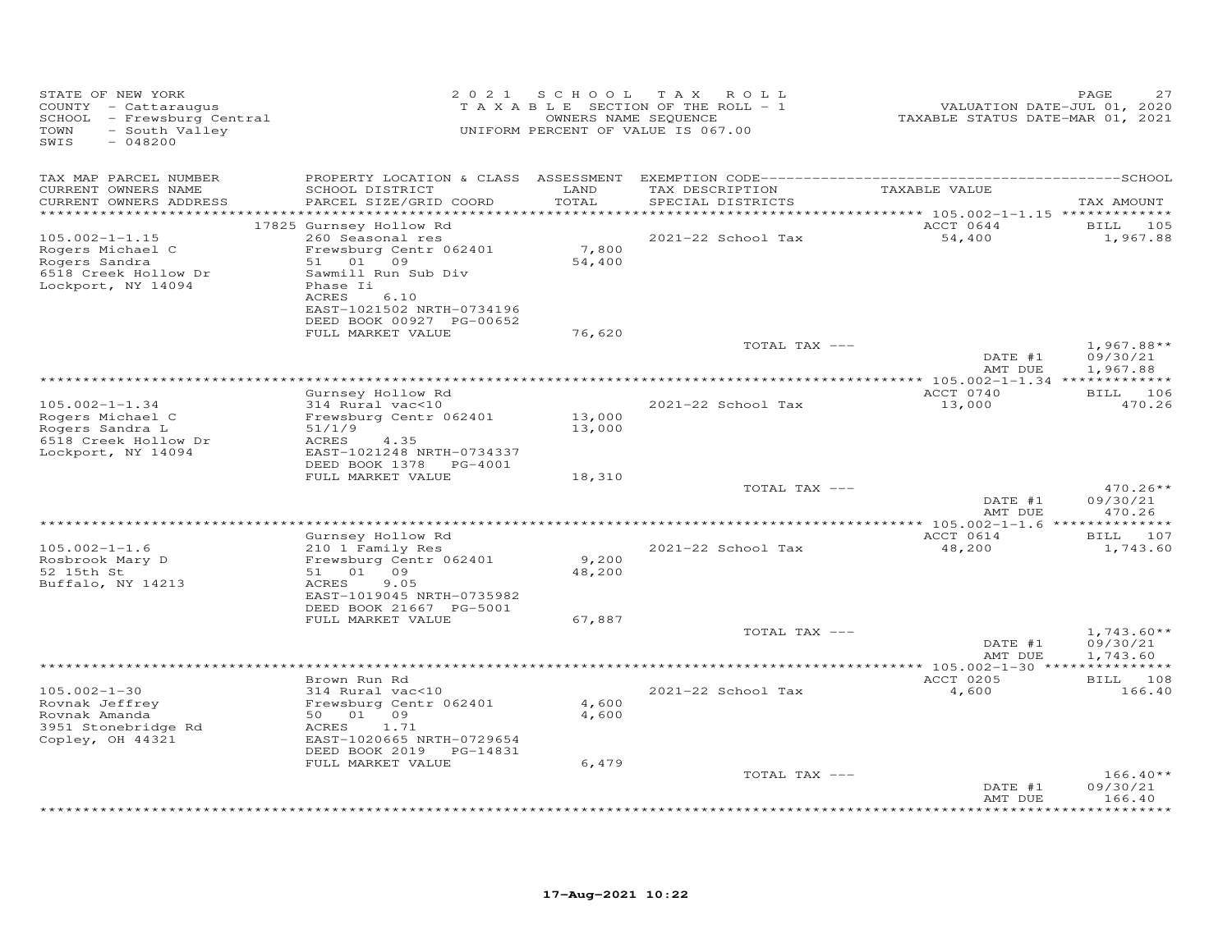| STATE OF NEW YORK<br>COUNTY - Cattaraugus<br>SCHOOL - Frewsburg Central<br>TOWN<br>- South Valley<br>SWIS<br>$-048200$ |                                                                               | 2021 SCHOOL TAX | ROLL<br>TAXABLE SECTION OF THE ROLL - 1<br>OWNERS NAME SEQUENCE<br>UNIFORM PERCENT OF VALUE IS 067.00 | VALUATION DATE-JUL 01, 2020<br>TAXABLE STATUS DATE-MAR 01, 2021 | PAGE<br>27                           |
|------------------------------------------------------------------------------------------------------------------------|-------------------------------------------------------------------------------|-----------------|-------------------------------------------------------------------------------------------------------|-----------------------------------------------------------------|--------------------------------------|
| TAX MAP PARCEL NUMBER                                                                                                  |                                                                               |                 |                                                                                                       |                                                                 |                                      |
| CURRENT OWNERS NAME<br>CURRENT OWNERS ADDRESS<br>***********************                                               | SCHOOL DISTRICT<br>PARCEL SIZE/GRID COORD                                     | LAND<br>TOTAL   | TAX DESCRIPTION<br>SPECIAL DISTRICTS                                                                  | TAXABLE VALUE                                                   | TAX AMOUNT                           |
|                                                                                                                        | 17825 Gurnsey Hollow Rd                                                       |                 |                                                                                                       | ACCT 0644                                                       | BILL 105                             |
| $105.002 - 1 - 1.15$                                                                                                   | 260 Seasonal res                                                              |                 | 2021-22 School Tax                                                                                    | 54,400                                                          | 1,967.88                             |
| Rogers Michael C                                                                                                       | Frewsburg Centr 062401                                                        | 7,800           |                                                                                                       |                                                                 |                                      |
| Rogers Sandra                                                                                                          | 51 01 09                                                                      | 54,400          |                                                                                                       |                                                                 |                                      |
| 6518 Creek Hollow Dr<br>Lockport, NY 14094                                                                             | Sawmill Run Sub Div<br>Phase Ii<br>ACRES<br>6.10<br>EAST-1021502 NRTH-0734196 |                 |                                                                                                       |                                                                 |                                      |
|                                                                                                                        | DEED BOOK 00927 PG-00652                                                      |                 |                                                                                                       |                                                                 |                                      |
|                                                                                                                        | FULL MARKET VALUE                                                             | 76,620          |                                                                                                       |                                                                 |                                      |
|                                                                                                                        |                                                                               |                 | TOTAL TAX ---                                                                                         | DATE #1<br>AMT DUE                                              | $1,967.88**$<br>09/30/21<br>1,967.88 |
|                                                                                                                        |                                                                               |                 |                                                                                                       |                                                                 |                                      |
|                                                                                                                        | Gurnsey Hollow Rd                                                             |                 |                                                                                                       | ACCT 0740                                                       | BILL 106                             |
| $105.002 - 1 - 1.34$<br>Rogers Michael C                                                                               | 314 Rural vac<10<br>Frewsburg Centr 062401                                    | 13,000          | 2021-22 School Tax                                                                                    | 13,000                                                          | 470.26                               |
| Rogers Sandra L                                                                                                        | 51/1/9                                                                        | 13,000          |                                                                                                       |                                                                 |                                      |
| 6518 Creek Hollow Dr                                                                                                   | ACRES<br>4.35                                                                 |                 |                                                                                                       |                                                                 |                                      |
| Lockport, NY 14094                                                                                                     | EAST-1021248 NRTH-0734337                                                     |                 |                                                                                                       |                                                                 |                                      |
|                                                                                                                        | DEED BOOK 1378 PG-4001                                                        |                 |                                                                                                       |                                                                 |                                      |
|                                                                                                                        | FULL MARKET VALUE                                                             | 18,310          | TOTAL TAX ---                                                                                         |                                                                 | $470.26**$                           |
|                                                                                                                        |                                                                               |                 |                                                                                                       | DATE #1                                                         | 09/30/21                             |
|                                                                                                                        |                                                                               |                 |                                                                                                       | AMT DUE                                                         | 470.26                               |
|                                                                                                                        |                                                                               |                 |                                                                                                       | *************** 105.002-1-1.6 ***                               | * * * * * * * * * *                  |
| $105.002 - 1 - 1.6$                                                                                                    | Gurnsey Hollow Rd<br>210 1 Family Res                                         |                 | 2021-22 School Tax                                                                                    | ACCT 0614<br>48,200                                             | BILL 107<br>1,743.60                 |
| Rosbrook Mary D                                                                                                        | Frewsburg Centr 062401                                                        | 9,200           |                                                                                                       |                                                                 |                                      |
| 52 15th St                                                                                                             | 51 01 09                                                                      | 48,200          |                                                                                                       |                                                                 |                                      |
| Buffalo, NY 14213                                                                                                      | 9.05<br>ACRES                                                                 |                 |                                                                                                       |                                                                 |                                      |
|                                                                                                                        | EAST-1019045 NRTH-0735982<br>DEED BOOK 21667 PG-5001                          |                 |                                                                                                       |                                                                 |                                      |
|                                                                                                                        | FULL MARKET VALUE                                                             | 67,887          |                                                                                                       |                                                                 |                                      |
|                                                                                                                        |                                                                               |                 | TOTAL TAX ---                                                                                         | DATE #1                                                         | $1,743.60**$<br>09/30/21             |
|                                                                                                                        |                                                                               |                 |                                                                                                       | AMT DUE                                                         | 1,743.60                             |
|                                                                                                                        | Brown Run Rd                                                                  |                 |                                                                                                       | ACCT 0205                                                       | BILL 108                             |
| $105.002 - 1 - 30$                                                                                                     | 314 Rural vac<10                                                              |                 | 2021-22 School Tax                                                                                    | 4,600                                                           | 166.40                               |
| Rovnak Jeffrey                                                                                                         | Frewsburg Centr 062401                                                        | 4,600           |                                                                                                       |                                                                 |                                      |
| Rovnak Amanda                                                                                                          | 50 01 09                                                                      | 4,600           |                                                                                                       |                                                                 |                                      |
| 3951 Stonebridge Rd<br>Copley, OH 44321                                                                                | ACRES<br>1.71<br>EAST-1020665 NRTH-0729654                                    |                 |                                                                                                       |                                                                 |                                      |
|                                                                                                                        | DEED BOOK 2019 PG-14831                                                       |                 |                                                                                                       |                                                                 |                                      |
|                                                                                                                        | FULL MARKET VALUE                                                             | 6,479           |                                                                                                       |                                                                 |                                      |
|                                                                                                                        |                                                                               |                 | TOTAL TAX ---                                                                                         |                                                                 | $166.40**$                           |
|                                                                                                                        |                                                                               |                 |                                                                                                       | DATE #1<br>AMT DUE                                              | 09/30/21<br>166.40                   |
|                                                                                                                        |                                                                               |                 |                                                                                                       |                                                                 |                                      |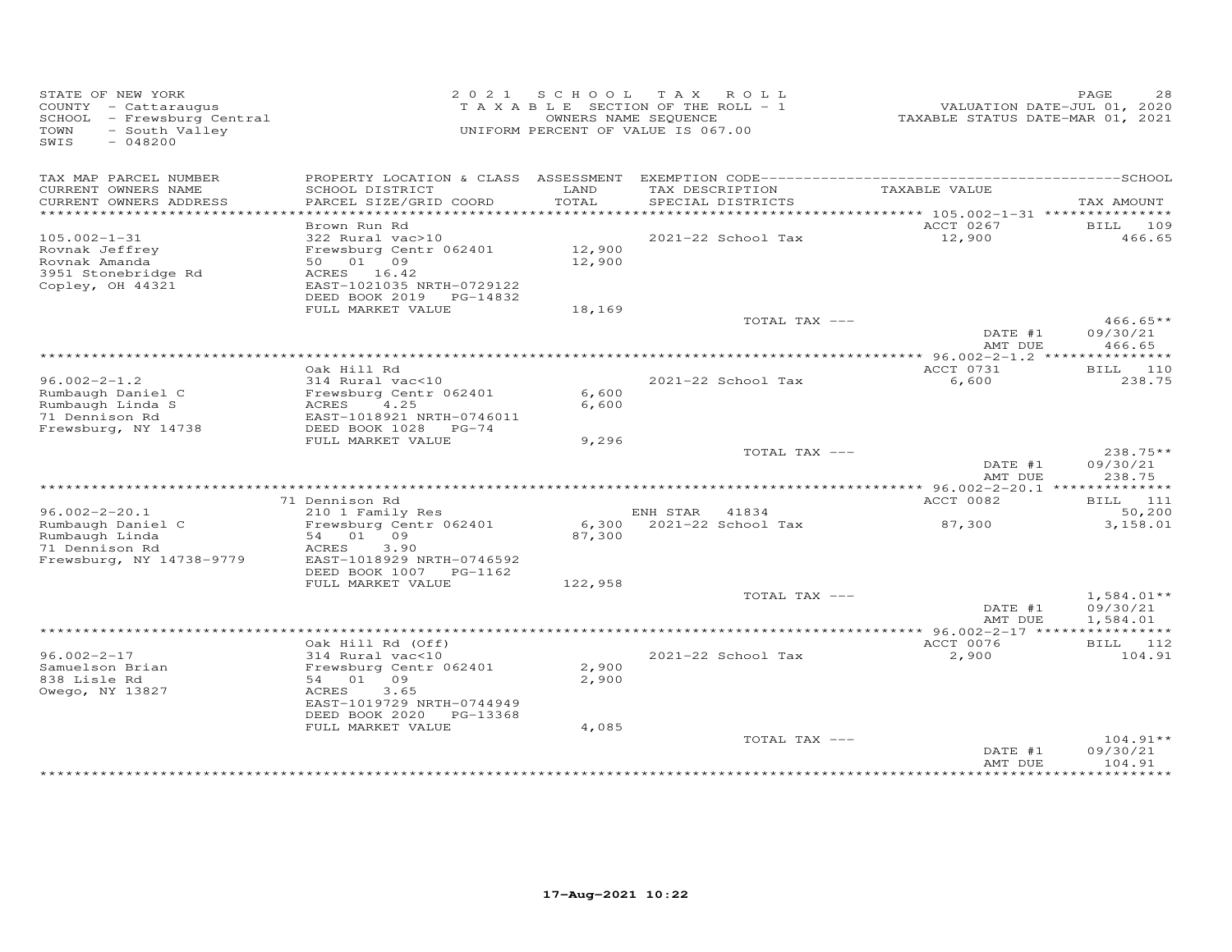| STATE OF NEW YORK<br>COUNTY - Cattaraugus<br>SCHOOL - Frewsburg Central<br>- South Valley<br>TOWN<br>SWIS<br>$-048200$ |                                            |         | 2021 SCHOOL TAX ROLL<br>TAXABLE SECTION OF THE ROLL - 1<br>OWNERS NAME SEQUENCE<br>UNIFORM PERCENT OF VALUE IS 067.00 | VALUATION DATE-JUL 01, 2020<br>TAXABLE STATUS DATE-MAR 01, 2021 | PAGE<br>28                |
|------------------------------------------------------------------------------------------------------------------------|--------------------------------------------|---------|-----------------------------------------------------------------------------------------------------------------------|-----------------------------------------------------------------|---------------------------|
| TAX MAP PARCEL NUMBER<br>CURRENT OWNERS NAME                                                                           | SCHOOL DISTRICT                            | LAND    | TAX DESCRIPTION                                                                                                       | TAXABLE VALUE                                                   |                           |
| CURRENT OWNERS ADDRESS                                                                                                 | PARCEL SIZE/GRID COORD                     | TOTAL   | SPECIAL DISTRICTS                                                                                                     |                                                                 | TAX AMOUNT                |
| **********************                                                                                                 | Brown Run Rd                               |         |                                                                                                                       | ACCT 0267                                                       | BILL 109                  |
| $105.002 - 1 - 31$                                                                                                     | 322 Rural vac>10                           |         | 2021-22 School Tax                                                                                                    | 12,900                                                          | 466.65                    |
| Rovnak Jeffrey                                                                                                         | Frewsburg Centr 062401                     | 12,900  |                                                                                                                       |                                                                 |                           |
| Rovnak Amanda<br>3951 Stonebridge Rd                                                                                   | 50  01  09<br>ACRES 16.42                  | 12,900  |                                                                                                                       |                                                                 |                           |
| Copley, OH 44321                                                                                                       | EAST-1021035 NRTH-0729122                  |         |                                                                                                                       |                                                                 |                           |
|                                                                                                                        | DEED BOOK 2019 PG-14832                    |         |                                                                                                                       |                                                                 |                           |
|                                                                                                                        | FULL MARKET VALUE                          | 18,169  | TOTAL TAX ---                                                                                                         |                                                                 | $466.65**$                |
|                                                                                                                        |                                            |         |                                                                                                                       | DATE #1                                                         | 09/30/21                  |
|                                                                                                                        |                                            |         |                                                                                                                       | AMT DUE                                                         | 466.65                    |
|                                                                                                                        | Oak Hill Rd                                |         |                                                                                                                       | ACCT 0731                                                       | BILL 110                  |
| $96.002 - 2 - 1.2$                                                                                                     | 314 Rural vac<10                           |         | 2021-22 School Tax                                                                                                    | 6,600                                                           | 238.75                    |
| Rumbaugh Daniel C                                                                                                      | Frewsburg Centr 062401                     | 6,600   |                                                                                                                       |                                                                 |                           |
| Rumbaugh Linda S<br>71 Dennison Rd                                                                                     | 4.25<br>ACRES<br>EAST-1018921 NRTH-0746011 | 6,600   |                                                                                                                       |                                                                 |                           |
| Frewsburg, NY 14738                                                                                                    | DEED BOOK 1028 PG-74                       |         |                                                                                                                       |                                                                 |                           |
|                                                                                                                        | FULL MARKET VALUE                          | 9,296   |                                                                                                                       |                                                                 |                           |
|                                                                                                                        |                                            |         | TOTAL TAX ---                                                                                                         | DATE #1                                                         | $238.75**$<br>09/30/21    |
|                                                                                                                        |                                            |         |                                                                                                                       | AMT DUE                                                         | 238.75                    |
|                                                                                                                        |                                            |         |                                                                                                                       |                                                                 |                           |
| $96.002 - 2 - 20.1$                                                                                                    | 71 Dennison Rd<br>210 1 Family Res         |         | ENH STAR 41834                                                                                                        | ACCT 0082                                                       | <b>BILL</b> 111<br>50,200 |
| Rumbaugh Daniel C                                                                                                      | Frewsburg Centr 062401                     |         | 6,300 2021-22 School Tax                                                                                              | 87,300                                                          | 3,158.01                  |
| Rumbaugh Linda<br>71 Dennison Rd                                                                                       | 54 01 09<br>3.90                           | 87,300  |                                                                                                                       |                                                                 |                           |
| Frewsburg, NY 14738-9779                                                                                               | ACRES<br>EAST-1018929 NRTH-0746592         |         |                                                                                                                       |                                                                 |                           |
|                                                                                                                        | DEED BOOK 1007 PG-1162                     |         |                                                                                                                       |                                                                 |                           |
|                                                                                                                        | FULL MARKET VALUE                          | 122,958 | TOTAL TAX ---                                                                                                         |                                                                 | $1,584.01**$              |
|                                                                                                                        |                                            |         |                                                                                                                       | DATE #1                                                         | 09/30/21                  |
|                                                                                                                        |                                            |         |                                                                                                                       | AMT DUE                                                         | 1,584.01                  |
|                                                                                                                        | Oak Hill Rd (Off)                          |         |                                                                                                                       | ACCT 0076                                                       | BILL 112                  |
| $96.002 - 2 - 17$                                                                                                      | 314 Rural vac<10                           |         | 2021-22 School Tax                                                                                                    | 2,900                                                           | 104.91                    |
| Samuelson Brian                                                                                                        | Frewsburg Centr 062401                     | 2,900   |                                                                                                                       |                                                                 |                           |
| 838 Lisle Rd<br>Owego, NY 13827                                                                                        | 54 01 09<br>3.65<br>ACRES                  | 2,900   |                                                                                                                       |                                                                 |                           |
|                                                                                                                        | EAST-1019729 NRTH-0744949                  |         |                                                                                                                       |                                                                 |                           |
|                                                                                                                        | DEED BOOK 2020 PG-13368                    |         |                                                                                                                       |                                                                 |                           |
|                                                                                                                        | FULL MARKET VALUE                          | 4,085   | TOTAL TAX ---                                                                                                         |                                                                 | $104.91**$                |
|                                                                                                                        |                                            |         |                                                                                                                       | DATE #1                                                         | 09/30/21                  |
|                                                                                                                        |                                            |         |                                                                                                                       | AMT DUE                                                         | 104.91                    |
|                                                                                                                        |                                            |         |                                                                                                                       |                                                                 |                           |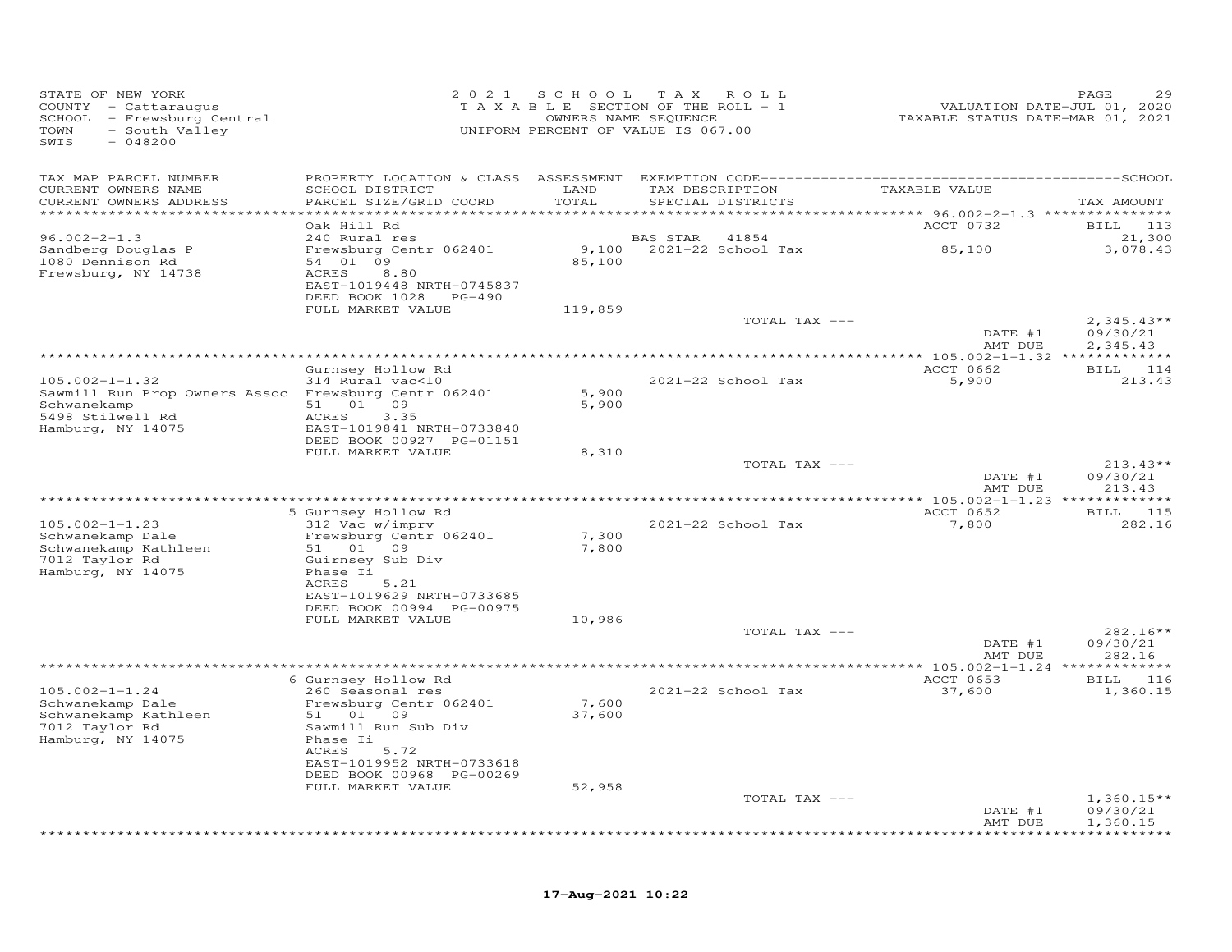| STATE OF NEW YORK<br>COUNTY - Cattaraugus<br>SCHOOL - Frewsburg Central<br>- South Valley<br>TOWN<br>$-048200$<br>SWIS |                                            |         | 2021 SCHOOL TAX ROLL<br>T A X A B L E SECTION OF THE ROLL - 1<br>OWNERS NAME SEQUENCE<br>UNIFORM PERCENT OF VALUE IS 067.00 | VALUATION DATE-JUL 01, 2020<br>TAXABLE STATUS DATE-MAR 01, 2021 | PAGE<br>29             |
|------------------------------------------------------------------------------------------------------------------------|--------------------------------------------|---------|-----------------------------------------------------------------------------------------------------------------------------|-----------------------------------------------------------------|------------------------|
| TAX MAP PARCEL NUMBER                                                                                                  |                                            |         |                                                                                                                             |                                                                 |                        |
| CURRENT OWNERS NAME                                                                                                    | SCHOOL DISTRICT                            | LAND    | TAX DESCRIPTION                                                                                                             | TAXABLE VALUE                                                   |                        |
| CURRENT OWNERS ADDRESS<br>**********************                                                                       | PARCEL SIZE/GRID COORD                     | TOTAL   | SPECIAL DISTRICTS                                                                                                           |                                                                 | TAX AMOUNT             |
|                                                                                                                        | Oak Hill Rd                                |         |                                                                                                                             | ACCT 0732                                                       | BILL 113               |
| $96.002 - 2 - 1.3$                                                                                                     | 240 Rural res                              |         | BAS STAR<br>41854                                                                                                           |                                                                 | 21,300                 |
| Sandberg Douglas P                                                                                                     | Frewsburg Centr 062401<br>54 01 09         | 9,100   | 2021-22 School Tax                                                                                                          | 85,100                                                          | 3,078.43               |
| 1080 Dennison Rd<br>Frewsburg, NY 14738                                                                                | ACRES<br>8.80                              | 85,100  |                                                                                                                             |                                                                 |                        |
|                                                                                                                        | EAST-1019448 NRTH-0745837                  |         |                                                                                                                             |                                                                 |                        |
|                                                                                                                        | DEED BOOK 1028 PG-490                      |         |                                                                                                                             |                                                                 |                        |
|                                                                                                                        | FULL MARKET VALUE                          | 119,859 | TOTAL TAX ---                                                                                                               |                                                                 | $2,345.43**$           |
|                                                                                                                        |                                            |         |                                                                                                                             | DATE #1                                                         | 09/30/21               |
|                                                                                                                        |                                            |         |                                                                                                                             | AMT DUE                                                         | 2,345.43               |
|                                                                                                                        |                                            |         |                                                                                                                             | ACCT 0662                                                       | BILL 114               |
| $105.002 - 1 - 1.32$                                                                                                   | Gurnsey Hollow Rd<br>314 Rural vac<10      |         | 2021-22 School Tax                                                                                                          | 5,900                                                           | 213.43                 |
| Sawmill Run Prop Owners Assoc Frewsburg Centr 062401                                                                   |                                            | 5,900   |                                                                                                                             |                                                                 |                        |
| Schwanekamp                                                                                                            | 51 01 09                                   | 5,900   |                                                                                                                             |                                                                 |                        |
| 5498 Stilwell Rd<br>Hamburg, NY 14075                                                                                  | ACRES<br>3.35<br>EAST-1019841 NRTH-0733840 |         |                                                                                                                             |                                                                 |                        |
|                                                                                                                        | DEED BOOK 00927 PG-01151                   |         |                                                                                                                             |                                                                 |                        |
|                                                                                                                        | FULL MARKET VALUE                          | 8,310   |                                                                                                                             |                                                                 |                        |
|                                                                                                                        |                                            |         | TOTAL TAX ---                                                                                                               |                                                                 | $213.43**$             |
|                                                                                                                        |                                            |         |                                                                                                                             | DATE #1<br>AMT DUE                                              | 09/30/21<br>213.43     |
|                                                                                                                        |                                            |         |                                                                                                                             |                                                                 |                        |
|                                                                                                                        | 5 Gurnsey Hollow Rd                        |         |                                                                                                                             | ACCT 0652                                                       | BILL 115               |
| $105.002 - 1 - 1.23$<br>Schwanekamp Dale                                                                               | 312 Vac w/imprv<br>Frewsburg Centr 062401  | 7,300   | 2021-22 School Tax                                                                                                          | 7,800                                                           | 282.16                 |
| Schwanekamp Kathleen                                                                                                   | 51 01 09                                   | 7,800   |                                                                                                                             |                                                                 |                        |
| 7012 Taylor Rd                                                                                                         | Guirnsey Sub Div                           |         |                                                                                                                             |                                                                 |                        |
| Hamburg, NY 14075                                                                                                      | Phase Ii<br>ACRES<br>5.21                  |         |                                                                                                                             |                                                                 |                        |
|                                                                                                                        | EAST-1019629 NRTH-0733685                  |         |                                                                                                                             |                                                                 |                        |
|                                                                                                                        | DEED BOOK 00994 PG-00975                   |         |                                                                                                                             |                                                                 |                        |
|                                                                                                                        | FULL MARKET VALUE                          | 10,986  |                                                                                                                             |                                                                 |                        |
|                                                                                                                        |                                            |         | TOTAL TAX ---                                                                                                               | DATE #1                                                         | $282.16**$<br>09/30/21 |
|                                                                                                                        |                                            |         |                                                                                                                             | AMT DUE                                                         | 282.16                 |
|                                                                                                                        |                                            |         |                                                                                                                             |                                                                 |                        |
| $105.002 - 1 - 1.24$                                                                                                   | 6 Gurnsey Hollow Rd<br>260 Seasonal res    |         | 2021-22 School Tax                                                                                                          | ACCT 0653<br>37,600                                             | BILL 116<br>1,360.15   |
| Schwanekamp Dale                                                                                                       | Frewsburg Centr 062401                     | 7,600   |                                                                                                                             |                                                                 |                        |
| Schwanekamp Kathleen                                                                                                   | 51 01 09                                   | 37,600  |                                                                                                                             |                                                                 |                        |
| 7012 Taylor Rd                                                                                                         | Sawmill Run Sub Div                        |         |                                                                                                                             |                                                                 |                        |
| Hamburg, NY 14075                                                                                                      | Phase Ii<br>ACRES<br>5.72                  |         |                                                                                                                             |                                                                 |                        |
|                                                                                                                        | EAST-1019952 NRTH-0733618                  |         |                                                                                                                             |                                                                 |                        |
|                                                                                                                        | DEED BOOK 00968 PG-00269                   |         |                                                                                                                             |                                                                 |                        |
|                                                                                                                        | FULL MARKET VALUE                          | 52,958  | TOTAL TAX ---                                                                                                               |                                                                 | $1,360.15**$           |
|                                                                                                                        |                                            |         |                                                                                                                             | DATE #1                                                         | 09/30/21               |
|                                                                                                                        |                                            |         |                                                                                                                             | AMT DUE                                                         | 1,360.15               |
|                                                                                                                        |                                            |         |                                                                                                                             |                                                                 |                        |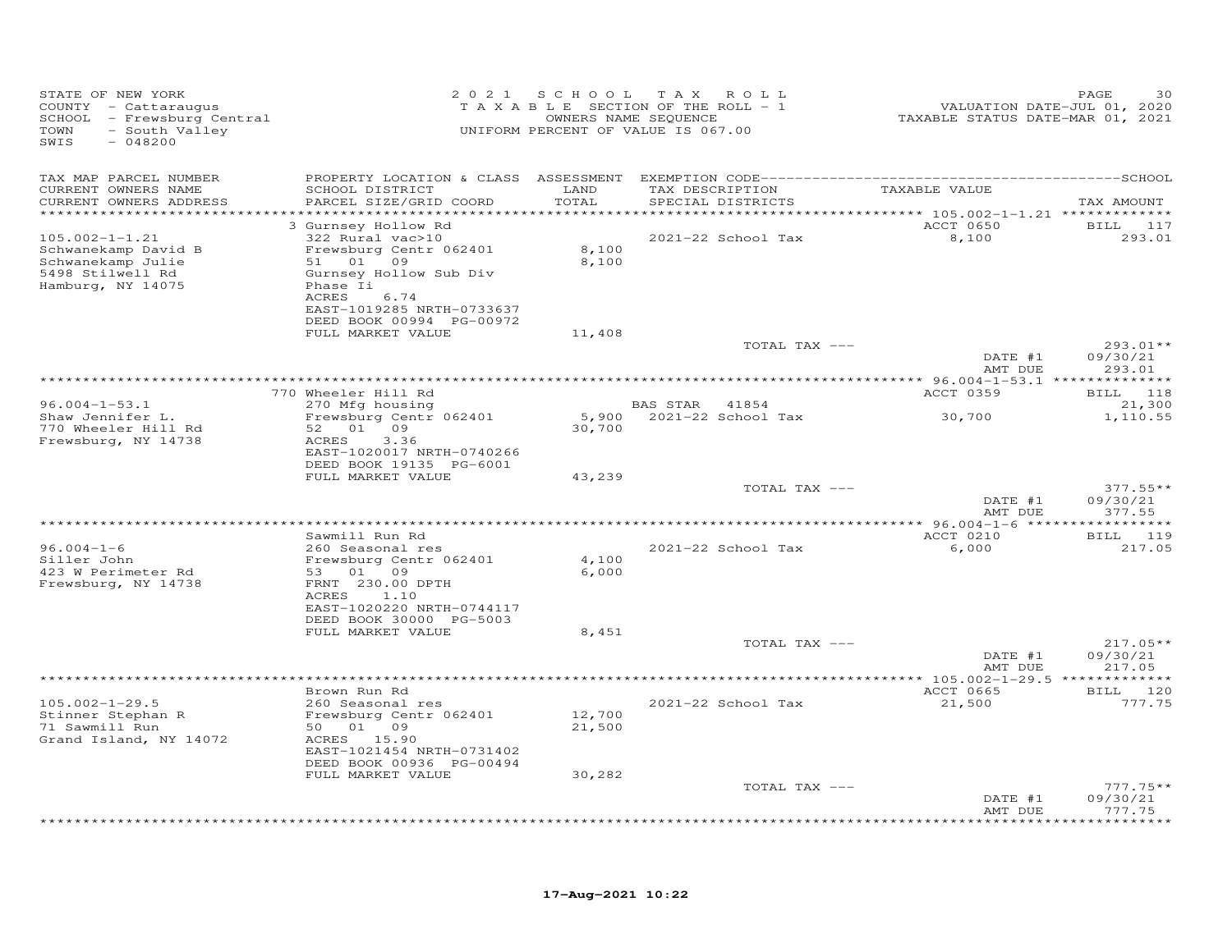| STATE OF NEW YORK<br>COUNTY - Cattaraugus<br>SCHOOL - Frewsburg Central<br>- South Valley<br>TOWN<br>SWIS<br>$-048200$ |                                                                                                                                                                                               | 2021 SCHOOL      | T A X<br>ROLL<br>TAXABLE SECTION OF THE ROLL - 1<br>OWNERS NAME SEQUENCE<br>UNIFORM PERCENT OF VALUE IS 067.00 | VALUATION DATE-JUL 01, 2020<br>TAXABLE STATUS DATE-MAR 01, 2021 | PAGE<br>30                       |
|------------------------------------------------------------------------------------------------------------------------|-----------------------------------------------------------------------------------------------------------------------------------------------------------------------------------------------|------------------|----------------------------------------------------------------------------------------------------------------|-----------------------------------------------------------------|----------------------------------|
| TAX MAP PARCEL NUMBER                                                                                                  | PROPERTY LOCATION & CLASS ASSESSMENT                                                                                                                                                          |                  |                                                                                                                |                                                                 |                                  |
| CURRENT OWNERS NAME<br>CURRENT OWNERS ADDRESS                                                                          | SCHOOL DISTRICT<br>PARCEL SIZE/GRID COORD                                                                                                                                                     | LAND<br>TOTAL    | TAX DESCRIPTION<br>SPECIAL DISTRICTS                                                                           | TAXABLE VALUE                                                   | TAX AMOUNT                       |
| ********************                                                                                                   |                                                                                                                                                                                               | **********       |                                                                                                                | *********** 105.002-1-1.21 **************                       |                                  |
| $105.002 - 1 - 1.21$<br>Schwanekamp David B<br>Schwanekamp Julie<br>5498 Stilwell Rd<br>Hamburg, NY 14075              | 3 Gurnsey Hollow Rd<br>322 Rural vac>10<br>Frewsburg Centr 062401<br>51 01 09<br>Gurnsey Hollow Sub Div<br>Phase Ii<br>ACRES<br>6.74<br>EAST-1019285 NRTH-0733637<br>DEED BOOK 00994 PG-00972 | 8,100<br>8,100   | 2021-22 School Tax                                                                                             | ACCT 0650<br>8,100                                              | BILL 117<br>293.01               |
|                                                                                                                        | FULL MARKET VALUE                                                                                                                                                                             | 11,408           | TOTAL TAX ---                                                                                                  |                                                                 | 293.01**                         |
|                                                                                                                        |                                                                                                                                                                                               |                  |                                                                                                                | DATE #1<br>AMT DUE                                              | 09/30/21<br>293.01               |
|                                                                                                                        |                                                                                                                                                                                               |                  |                                                                                                                |                                                                 |                                  |
|                                                                                                                        | 770 Wheeler Hill Rd                                                                                                                                                                           |                  |                                                                                                                | ACCT 0359                                                       | BILL 118                         |
| $96.004 - 1 - 53.1$<br>Shaw Jennifer L.<br>770 Wheeler Hill Rd                                                         | 270 Mfg housing<br>Frewsburg Centr 062401<br>52 01 09                                                                                                                                         | 30,700           | BAS STAR 41854<br>5,900 2021-22 School Tax                                                                     | 30,700                                                          | 21,300<br>1,110.55               |
| Frewsburg, NY 14738                                                                                                    | 3.36<br>ACRES<br>EAST-1020017 NRTH-0740266<br>DEED BOOK 19135 PG-6001<br>FULL MARKET VALUE                                                                                                    | 43,239           |                                                                                                                |                                                                 |                                  |
|                                                                                                                        |                                                                                                                                                                                               |                  | TOTAL TAX ---                                                                                                  | DATE #1                                                         | $377.55**$<br>09/30/21           |
|                                                                                                                        |                                                                                                                                                                                               |                  |                                                                                                                | AMT DUE                                                         | 377.55                           |
|                                                                                                                        | Sawmill Run Rd                                                                                                                                                                                |                  | *************************************                                                                          | *** 96.004-1-6 ******<br>ACCT 0210                              | ***********<br>BILL 119          |
| $96.004 - 1 - 6$<br>Siller John<br>423 W Perimeter Rd<br>Frewsburg, NY 14738                                           | 260 Seasonal res<br>Frewsburg Centr 062401<br>53 01 09<br>FRNT 230.00 DPTH                                                                                                                    | 4,100<br>6,000   | 2021-22 School Tax                                                                                             | 6,000                                                           | 217.05                           |
|                                                                                                                        | ACRES<br>1.10<br>EAST-1020220 NRTH-0744117<br>DEED BOOK 30000 PG-5003<br>FULL MARKET VALUE                                                                                                    | 8,451            |                                                                                                                |                                                                 |                                  |
|                                                                                                                        |                                                                                                                                                                                               |                  | TOTAL TAX ---                                                                                                  | DATE #1<br>AMT DUE                                              | $217.05**$<br>09/30/21<br>217.05 |
|                                                                                                                        |                                                                                                                                                                                               |                  | ***************                                                                                                | ** $105.002 - 1 - 29.5$ *************                           |                                  |
| $105.002 - 1 - 29.5$                                                                                                   | Brown Run Rd<br>260 Seasonal res                                                                                                                                                              |                  | 2021-22 School Tax                                                                                             | ACCT 0665<br>21,500                                             | BILL 120<br>777.75               |
| Stinner Stephan R<br>71 Sawmill Run<br>Grand Island, NY 14072                                                          | Frewsburg Centr 062401<br>50 01 09<br>ACRES 15.90<br>EAST-1021454 NRTH-0731402<br>DEED BOOK 00936 PG-00494                                                                                    | 12,700<br>21,500 |                                                                                                                |                                                                 |                                  |
|                                                                                                                        | FULL MARKET VALUE                                                                                                                                                                             | 30,282           |                                                                                                                |                                                                 |                                  |
|                                                                                                                        |                                                                                                                                                                                               |                  | TOTAL TAX ---                                                                                                  | DATE #1<br>AMT DUE                                              | $777.75**$<br>09/30/21<br>777.75 |
|                                                                                                                        |                                                                                                                                                                                               |                  |                                                                                                                |                                                                 | ********                         |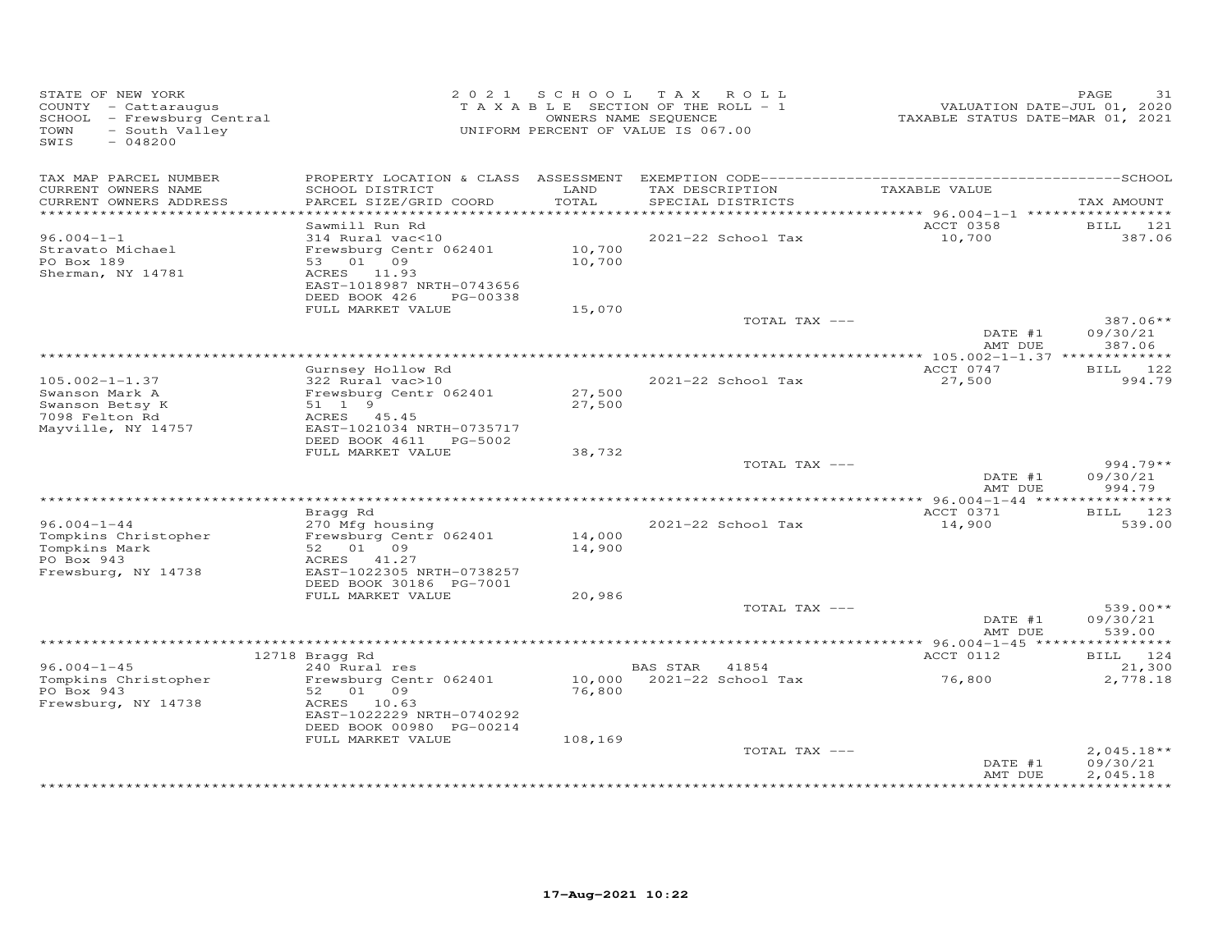| STATE OF NEW YORK<br>COUNTY - Cattaraugus<br>SCHOOL - Frewsburg Central<br>TOWN<br>- South Valley<br>SWIS<br>$-048200$ |                                                        |               | 2021 SCHOOL TAX ROLL<br>TAXABLE SECTION OF THE ROLL - 1<br>OWNERS NAME SEQUENCE<br>UNIFORM PERCENT OF VALUE IS 067.00 | VALUATION DATE-JUL 01, 2020<br>TAXABLE STATUS DATE-MAR 01, 2021 | PAGE<br>31           |
|------------------------------------------------------------------------------------------------------------------------|--------------------------------------------------------|---------------|-----------------------------------------------------------------------------------------------------------------------|-----------------------------------------------------------------|----------------------|
| TAX MAP PARCEL NUMBER                                                                                                  |                                                        |               |                                                                                                                       |                                                                 |                      |
| CURRENT OWNERS NAME<br>CURRENT OWNERS ADDRESS                                                                          | SCHOOL DISTRICT<br>PARCEL SIZE/GRID COORD              | LAND<br>TOTAL | TAX DESCRIPTION<br>SPECIAL DISTRICTS                                                                                  | TAXABLE VALUE                                                   | TAX AMOUNT           |
|                                                                                                                        |                                                        |               |                                                                                                                       |                                                                 |                      |
| $96.004 - 1 - 1$                                                                                                       | Sawmill Run Rd<br>314 Rural vac<10                     |               | 2021-22 School Tax                                                                                                    | ACCT 0358<br>10,700                                             | BILL 121<br>387.06   |
| Stravato Michael                                                                                                       | Frewsburg Centr 062401                                 | 10,700        |                                                                                                                       |                                                                 |                      |
| PO Box 189                                                                                                             | 53 01 09                                               | 10,700        |                                                                                                                       |                                                                 |                      |
| Sherman, NY 14781                                                                                                      | ACRES 11.93                                            |               |                                                                                                                       |                                                                 |                      |
|                                                                                                                        | EAST-1018987 NRTH-0743656<br>DEED BOOK 426<br>PG-00338 |               |                                                                                                                       |                                                                 |                      |
|                                                                                                                        | FULL MARKET VALUE                                      | 15,070        |                                                                                                                       |                                                                 |                      |
|                                                                                                                        |                                                        |               | TOTAL TAX ---                                                                                                         |                                                                 | $387.06**$           |
|                                                                                                                        |                                                        |               |                                                                                                                       | DATE #1<br>AMT DUE                                              | 09/30/21<br>387.06   |
|                                                                                                                        |                                                        |               |                                                                                                                       |                                                                 |                      |
| $105.002 - 1 - 1.37$                                                                                                   | Gurnsey Hollow Rd<br>322 Rural vac>10                  |               | 2021-22 School Tax                                                                                                    | ACCT 0747<br>27,500                                             | BILL 122<br>994.79   |
| Swanson Mark A                                                                                                         | Frewsburg Centr 062401                                 | 27,500        |                                                                                                                       |                                                                 |                      |
| Swanson Betsy K                                                                                                        | 51 1 9                                                 | 27,500        |                                                                                                                       |                                                                 |                      |
| 7098 Felton Rd                                                                                                         | ACRES 45.45                                            |               |                                                                                                                       |                                                                 |                      |
| Mayville, NY 14757                                                                                                     | EAST-1021034 NRTH-0735717                              |               |                                                                                                                       |                                                                 |                      |
|                                                                                                                        | DEED BOOK 4611 PG-5002<br>FULL MARKET VALUE            | 38,732        |                                                                                                                       |                                                                 |                      |
|                                                                                                                        |                                                        |               | TOTAL TAX ---                                                                                                         |                                                                 | 994.79**             |
|                                                                                                                        |                                                        |               |                                                                                                                       | DATE #1                                                         | 09/30/21             |
|                                                                                                                        |                                                        |               |                                                                                                                       | AMT DUE                                                         | 994.79               |
|                                                                                                                        | Bragg Rd                                               |               |                                                                                                                       | ACCT 0371                                                       | BILL 123             |
| $96.004 - 1 - 44$                                                                                                      | 270 Mfg housing                                        |               | 2021-22 School Tax                                                                                                    | 14,900                                                          | 539.00               |
| Tompkins Christopher                                                                                                   | Frewsburg Centr 062401                                 | 14,000        |                                                                                                                       |                                                                 |                      |
| Tompkins Mark                                                                                                          | 52 01 09                                               | 14,900        |                                                                                                                       |                                                                 |                      |
| PO Box 943                                                                                                             | ACRES 41.27                                            |               |                                                                                                                       |                                                                 |                      |
| Frewsburg, NY 14738                                                                                                    | EAST-1022305 NRTH-0738257<br>DEED BOOK 30186 PG-7001   |               |                                                                                                                       |                                                                 |                      |
|                                                                                                                        | FULL MARKET VALUE                                      | 20,986        |                                                                                                                       |                                                                 |                      |
|                                                                                                                        |                                                        |               | TOTAL TAX ---                                                                                                         |                                                                 | $539.00**$           |
|                                                                                                                        |                                                        |               |                                                                                                                       | DATE #1                                                         | 09/30/21             |
|                                                                                                                        |                                                        |               |                                                                                                                       | AMT DUE                                                         | 539.00<br>********** |
|                                                                                                                        | 12718 Bragg Rd                                         |               |                                                                                                                       | ACCT 0112                                                       | BILL 124             |
| $96.004 - 1 - 45$                                                                                                      | 240 Rural res                                          |               | BAS STAR<br>41854                                                                                                     |                                                                 | 21,300               |
| Tompkins Christopher                                                                                                   | Frewsburg Centr 062401                                 | 10,000        | 2021-22 School Tax                                                                                                    | 76,800                                                          | 2,778.18             |
| PO Box 943                                                                                                             | 52 01 09                                               | 76,800        |                                                                                                                       |                                                                 |                      |
| Frewsburg, NY 14738                                                                                                    | ACRES<br>10.63<br>EAST-1022229 NRTH-0740292            |               |                                                                                                                       |                                                                 |                      |
|                                                                                                                        | DEED BOOK 00980 PG-00214                               |               |                                                                                                                       |                                                                 |                      |
|                                                                                                                        | FULL MARKET VALUE                                      | 108,169       |                                                                                                                       |                                                                 |                      |
|                                                                                                                        |                                                        |               | TOTAL TAX ---                                                                                                         |                                                                 | $2,045.18**$         |
|                                                                                                                        |                                                        |               |                                                                                                                       | DATE #1                                                         | 09/30/21             |
|                                                                                                                        |                                                        |               |                                                                                                                       | AMT DUE                                                         | 2,045.18             |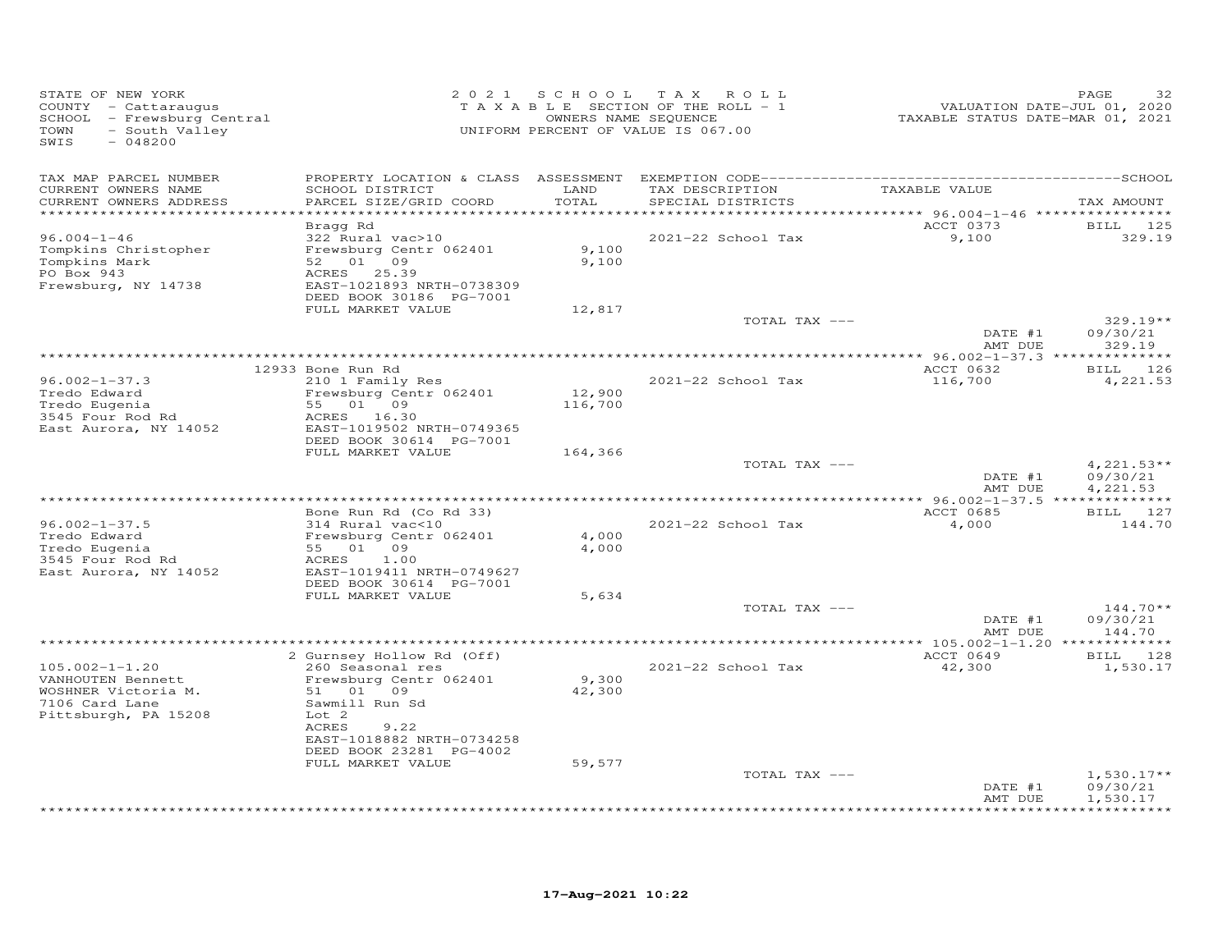| TAX MAP PARCEL NUMBER<br>SCHOOL DISTRICT<br>LAND<br>TAXABLE VALUE<br>CURRENT OWNERS NAME<br>TAX DESCRIPTION<br>CURRENT OWNERS ADDRESS<br>TOTAL<br>SPECIAL DISTRICTS<br>PARCEL SIZE/GRID COORD<br>TAX AMOUNT<br>********<br>*********** 96.004-1-46 *****************<br>*******************<br>ACCT 0373<br>Bragg Rd<br><b>BILL</b><br>125<br>$96.004 - 1 - 46$<br>322 Rural vac>10<br>2021-22 School Tax<br>9,100<br>329.19<br>Tompkins Christopher<br>Frewsburg Centr 062401<br>9,100<br>09<br>Tompkins Mark<br>52 01<br>9,100<br>PO Box 943<br>ACRES 25.39<br>Frewsburg, NY 14738<br>EAST-1021893 NRTH-0738309<br>DEED BOOK 30186 PG-7001<br>FULL MARKET VALUE<br>12,817<br>TOTAL TAX ---<br>$329.19**$<br>DATE #1<br>09/30/21<br>AMT DUE<br>329.19<br>ACCT 0632<br>12933 Bone Run Rd<br>BILL 126<br>$96.002 - 1 - 37.3$<br>2021-22 School Tax<br>116,700<br>210 1 Family Res<br>4,221.53<br>Tredo Edward<br>Frewsburg Centr 062401<br>12,900<br>55 01 09<br>Tredo Eugenia<br>116,700<br>3545 Four Rod Rd<br>ACRES 16.30<br>EAST-1019502 NRTH-0749365<br>East Aurora, NY 14052<br>DEED BOOK 30614 PG-7001<br>FULL MARKET VALUE<br>164,366<br>$4,221.53**$<br>TOTAL TAX ---<br>09/30/21<br>DATE #1<br>AMT DUE<br>4,221.53<br>Bone Run Rd (Co Rd 33)<br>ACCT 0685<br>BILL 127<br>$96.002 - 1 - 37.5$<br>314 Rural vac<10<br>2021-22 School Tax<br>4,000<br>144.70<br>Tredo Edward<br>Frewsburg Centr 062401<br>4,000<br>Tredo Eugenia<br>55 01 09<br>4,000<br>3545 Four Rod Rd<br>1.00<br>ACRES<br>EAST-1019411 NRTH-0749627<br>East Aurora, NY 14052<br>DEED BOOK 30614 PG-7001<br>FULL MARKET VALUE<br>5,634<br>TOTAL TAX ---<br>$144.70**$<br>09/30/21<br>DATE #1<br>AMT DUE<br>144.70<br>ACCT 0649<br>BILL 128<br>2 Gurnsey Hollow Rd (Off)<br>$105.002 - 1 - 1.20$<br>260 Seasonal res<br>2021-22 School Tax<br>42,300<br>1,530.17<br>VANHOUTEN Bennett<br>Frewsburg Centr 062401<br>9,300<br>WOSHNER Victoria M.<br>51 01 09<br>42,300<br>7106 Card Lane<br>Sawmill Run Sd<br>Pittsburgh, PA 15208<br>Lot <sub>2</sub><br>ACRES<br>9.22<br>EAST-1018882 NRTH-0734258<br>DEED BOOK 23281 PG-4002<br>FULL MARKET VALUE<br>59,577<br>TOTAL TAX ---<br>$1,530.17**$<br>09/30/21<br>DATE #1<br>1,530.17<br>AMT DUE | STATE OF NEW YORK<br>COUNTY - Cattaraugus<br>SCHOOL - Frewsburg Central<br>- South Valley<br>TOWN<br>SWIS<br>$-048200$ | 2 0 2 1 | SCHOOL | T A X<br>ROLL<br>T A X A B L E SECTION OF THE ROLL - 1<br>OWNERS NAME SEQUENCE<br>UNIFORM PERCENT OF VALUE IS 067.00 | VALUATION DATE-JUL 01, 2020<br>TAXABLE STATUS DATE-MAR 01, 2021 | PAGE<br>32 |
|----------------------------------------------------------------------------------------------------------------------------------------------------------------------------------------------------------------------------------------------------------------------------------------------------------------------------------------------------------------------------------------------------------------------------------------------------------------------------------------------------------------------------------------------------------------------------------------------------------------------------------------------------------------------------------------------------------------------------------------------------------------------------------------------------------------------------------------------------------------------------------------------------------------------------------------------------------------------------------------------------------------------------------------------------------------------------------------------------------------------------------------------------------------------------------------------------------------------------------------------------------------------------------------------------------------------------------------------------------------------------------------------------------------------------------------------------------------------------------------------------------------------------------------------------------------------------------------------------------------------------------------------------------------------------------------------------------------------------------------------------------------------------------------------------------------------------------------------------------------------------------------------------------------------------------------------------------------------------------------------------------------------------------------------------------------------------------------------------------------------------------------------------------------------------------------------------------------------|------------------------------------------------------------------------------------------------------------------------|---------|--------|----------------------------------------------------------------------------------------------------------------------|-----------------------------------------------------------------|------------|
|                                                                                                                                                                                                                                                                                                                                                                                                                                                                                                                                                                                                                                                                                                                                                                                                                                                                                                                                                                                                                                                                                                                                                                                                                                                                                                                                                                                                                                                                                                                                                                                                                                                                                                                                                                                                                                                                                                                                                                                                                                                                                                                                                                                                                      |                                                                                                                        |         |        |                                                                                                                      |                                                                 |            |
|                                                                                                                                                                                                                                                                                                                                                                                                                                                                                                                                                                                                                                                                                                                                                                                                                                                                                                                                                                                                                                                                                                                                                                                                                                                                                                                                                                                                                                                                                                                                                                                                                                                                                                                                                                                                                                                                                                                                                                                                                                                                                                                                                                                                                      |                                                                                                                        |         |        |                                                                                                                      |                                                                 |            |
|                                                                                                                                                                                                                                                                                                                                                                                                                                                                                                                                                                                                                                                                                                                                                                                                                                                                                                                                                                                                                                                                                                                                                                                                                                                                                                                                                                                                                                                                                                                                                                                                                                                                                                                                                                                                                                                                                                                                                                                                                                                                                                                                                                                                                      |                                                                                                                        |         |        |                                                                                                                      |                                                                 |            |
|                                                                                                                                                                                                                                                                                                                                                                                                                                                                                                                                                                                                                                                                                                                                                                                                                                                                                                                                                                                                                                                                                                                                                                                                                                                                                                                                                                                                                                                                                                                                                                                                                                                                                                                                                                                                                                                                                                                                                                                                                                                                                                                                                                                                                      |                                                                                                                        |         |        |                                                                                                                      |                                                                 |            |
|                                                                                                                                                                                                                                                                                                                                                                                                                                                                                                                                                                                                                                                                                                                                                                                                                                                                                                                                                                                                                                                                                                                                                                                                                                                                                                                                                                                                                                                                                                                                                                                                                                                                                                                                                                                                                                                                                                                                                                                                                                                                                                                                                                                                                      |                                                                                                                        |         |        |                                                                                                                      |                                                                 |            |
|                                                                                                                                                                                                                                                                                                                                                                                                                                                                                                                                                                                                                                                                                                                                                                                                                                                                                                                                                                                                                                                                                                                                                                                                                                                                                                                                                                                                                                                                                                                                                                                                                                                                                                                                                                                                                                                                                                                                                                                                                                                                                                                                                                                                                      |                                                                                                                        |         |        |                                                                                                                      |                                                                 |            |
|                                                                                                                                                                                                                                                                                                                                                                                                                                                                                                                                                                                                                                                                                                                                                                                                                                                                                                                                                                                                                                                                                                                                                                                                                                                                                                                                                                                                                                                                                                                                                                                                                                                                                                                                                                                                                                                                                                                                                                                                                                                                                                                                                                                                                      |                                                                                                                        |         |        |                                                                                                                      |                                                                 |            |
|                                                                                                                                                                                                                                                                                                                                                                                                                                                                                                                                                                                                                                                                                                                                                                                                                                                                                                                                                                                                                                                                                                                                                                                                                                                                                                                                                                                                                                                                                                                                                                                                                                                                                                                                                                                                                                                                                                                                                                                                                                                                                                                                                                                                                      |                                                                                                                        |         |        |                                                                                                                      |                                                                 |            |
|                                                                                                                                                                                                                                                                                                                                                                                                                                                                                                                                                                                                                                                                                                                                                                                                                                                                                                                                                                                                                                                                                                                                                                                                                                                                                                                                                                                                                                                                                                                                                                                                                                                                                                                                                                                                                                                                                                                                                                                                                                                                                                                                                                                                                      |                                                                                                                        |         |        |                                                                                                                      |                                                                 |            |
|                                                                                                                                                                                                                                                                                                                                                                                                                                                                                                                                                                                                                                                                                                                                                                                                                                                                                                                                                                                                                                                                                                                                                                                                                                                                                                                                                                                                                                                                                                                                                                                                                                                                                                                                                                                                                                                                                                                                                                                                                                                                                                                                                                                                                      |                                                                                                                        |         |        |                                                                                                                      |                                                                 |            |
| <b>نه به به به به</b> ب                                                                                                                                                                                                                                                                                                                                                                                                                                                                                                                                                                                                                                                                                                                                                                                                                                                                                                                                                                                                                                                                                                                                                                                                                                                                                                                                                                                                                                                                                                                                                                                                                                                                                                                                                                                                                                                                                                                                                                                                                                                                                                                                                                                              |                                                                                                                        |         |        |                                                                                                                      |                                                                 |            |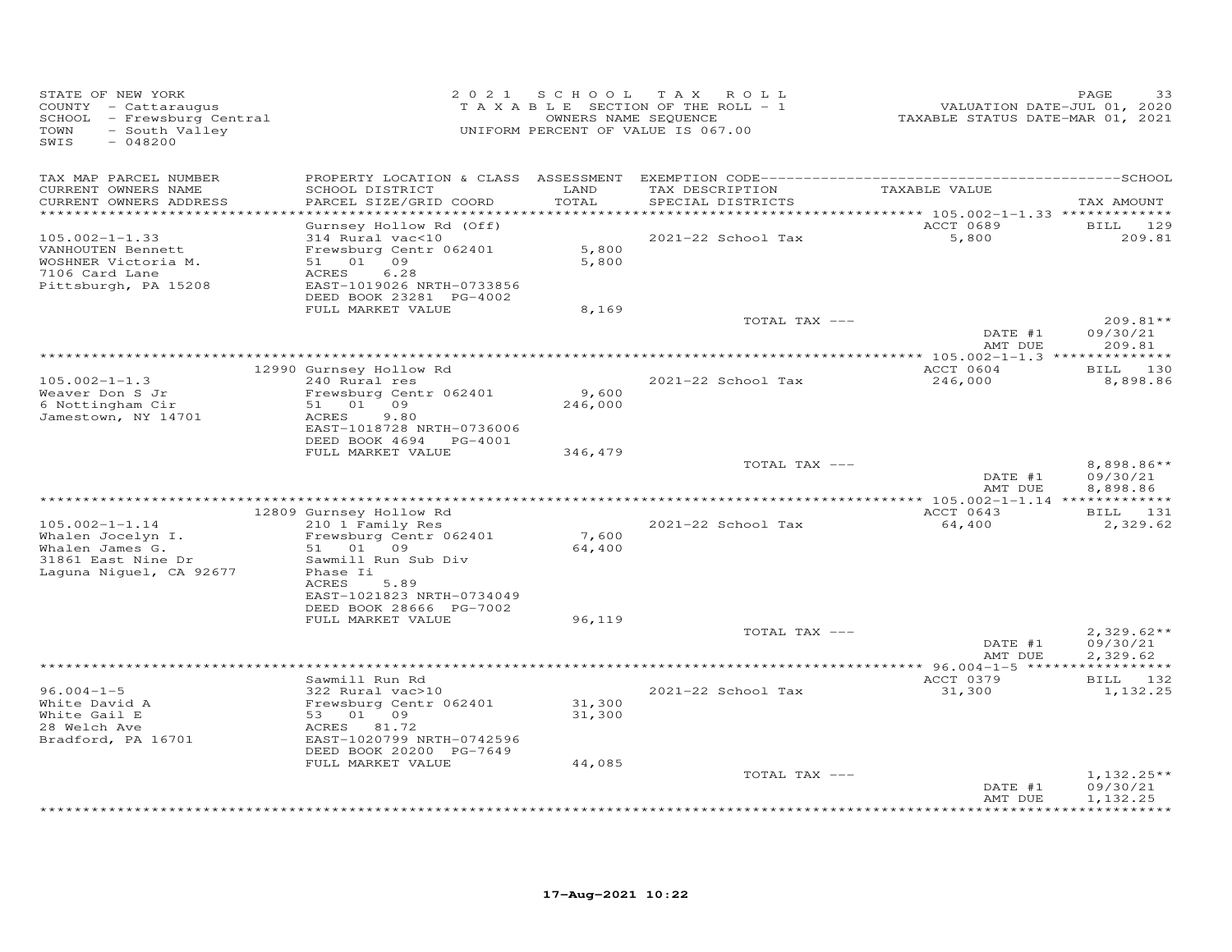| STATE OF NEW YORK<br>COUNTY - Cattaraugus<br>SCHOOL - Frewsburg Central<br>TOWN<br>- South Valley<br>SWIS<br>$-048200$ | 2 0 2 1                                                                                                                                                                         |                         | SCHOOL TAX ROLL<br>TAXABLE SECTION OF THE ROLL - 1<br>OWNERS NAME SEQUENCE<br>UNIFORM PERCENT OF VALUE IS 067.00 | VALUATION DATE-JUL 01, 2020<br>TAXABLE STATUS DATE-MAR 01, 2021 | PAGE<br>33                           |
|------------------------------------------------------------------------------------------------------------------------|---------------------------------------------------------------------------------------------------------------------------------------------------------------------------------|-------------------------|------------------------------------------------------------------------------------------------------------------|-----------------------------------------------------------------|--------------------------------------|
| TAX MAP PARCEL NUMBER<br>CURRENT OWNERS NAME<br>CURRENT OWNERS ADDRESS<br>***********************                      | SCHOOL DISTRICT<br>PARCEL SIZE/GRID COORD<br>*************************                                                                                                          | LAND<br>TOTAL           | TAX DESCRIPTION<br>SPECIAL DISTRICTS                                                                             | TAXABLE VALUE                                                   | TAX AMOUNT                           |
| $105.002 - 1 - 1.33$<br>VANHOUTEN Bennett<br>WOSHNER Victoria M.<br>7106 Card Lane<br>Pittsburgh, PA 15208             | Gurnsey Hollow Rd (Off)<br>314 Rural vac<10<br>Frewsburg Centr 062401<br>51 01 09<br>6.28<br>ACRES<br>EAST-1019026 NRTH-0733856<br>DEED BOOK 23281 PG-4002<br>FULL MARKET VALUE | 5,800<br>5,800<br>8,169 | 2021-22 School Tax                                                                                               | ACCT 0689<br>5,800                                              | BILL 129<br>209.81                   |
|                                                                                                                        |                                                                                                                                                                                 |                         | TOTAL TAX ---                                                                                                    | DATE #1                                                         | $209.81**$<br>09/30/21               |
|                                                                                                                        |                                                                                                                                                                                 |                         |                                                                                                                  | AMT DUE                                                         | 209.81                               |
| $105.002 - 1 - 1.3$<br>Weaver Don S Jr<br>6 Nottingham Cir<br>Jamestown, NY 14701                                      | 12990 Gurnsey Hollow Rd<br>240 Rural res<br>Frewsburg Centr 062401<br>51 01 09<br>9.80<br>ACRES                                                                                 | 9,600<br>246,000        | 2021-22 School Tax                                                                                               | ACCT 0604<br>246,000                                            | BILL 130<br>8,898.86                 |
|                                                                                                                        | EAST-1018728 NRTH-0736006<br>DEED BOOK 4694 PG-4001<br>FULL MARKET VALUE                                                                                                        | 346,479                 | TOTAL TAX ---                                                                                                    | DATE #1<br>AMT DUE                                              | 8,898.86**<br>09/30/21<br>8,898.86   |
|                                                                                                                        | 12809 Gurnsey Hollow Rd                                                                                                                                                         |                         |                                                                                                                  | ACCT 0643                                                       | BILL 131                             |
| $105.002 - 1 - 1.14$<br>Whalen Jocelyn I.<br>Whalen James G.<br>31861 East Nine Dr<br>Laquna Niquel, CA 92677          | 210 1 Family Res<br>Frewsburg Centr 062401<br>51 01 09<br>Sawmill Run Sub Div<br>Phase Ii<br>ACRES<br>5.89<br>EAST-1021823 NRTH-0734049                                         | 7,600<br>64,400         | 2021-22 School Tax                                                                                               | 64,400                                                          | 2,329.62                             |
|                                                                                                                        | DEED BOOK 28666 PG-7002<br>FULL MARKET VALUE                                                                                                                                    | 96,119                  | TOTAL TAX ---                                                                                                    | DATE #1<br>AMT DUE                                              | $2,329.62**$<br>09/30/21<br>2,329.62 |
|                                                                                                                        |                                                                                                                                                                                 |                         |                                                                                                                  |                                                                 |                                      |
| $96.004 - 1 - 5$<br>White David A<br>White Gail E<br>28 Welch Ave<br>Bradford, PA 16701                                | Sawmill Run Rd<br>322 Rural vac>10<br>Frewsburg Centr 062401<br>53 01 09<br>ACRES 81.72<br>EAST-1020799 NRTH-0742596<br>DEED BOOK 20200 PG-7649                                 | 31,300<br>31,300        | 2021-22 School Tax                                                                                               | ACCT 0379<br>31,300                                             | BILL 132<br>1,132.25                 |
|                                                                                                                        | FULL MARKET VALUE                                                                                                                                                               | 44,085                  | TOTAL TAX ---                                                                                                    | DATE #1                                                         | $1,132.25**$<br>09/30/21             |
|                                                                                                                        |                                                                                                                                                                                 |                         |                                                                                                                  | AMT DUE                                                         | 1,132.25<br>*********                |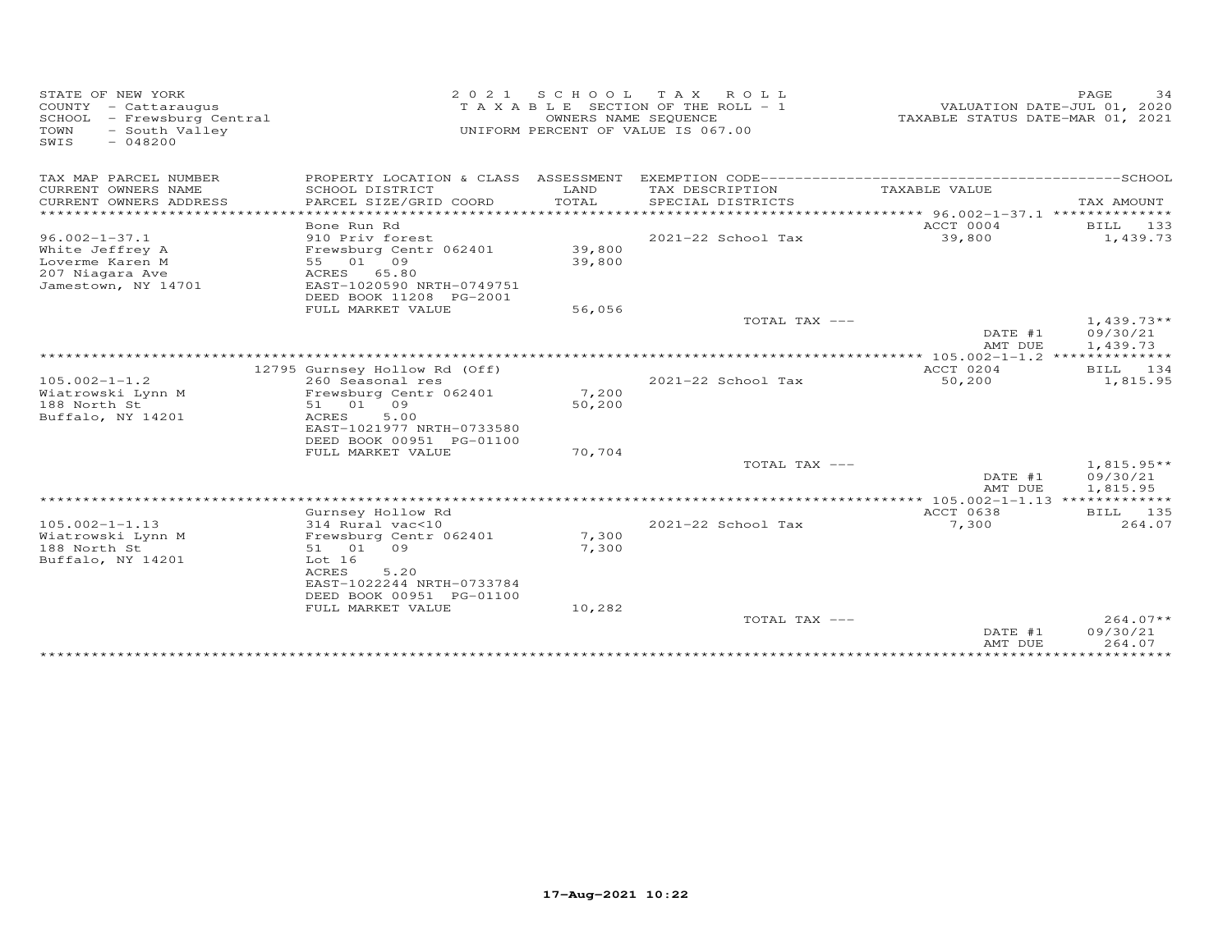| STATE OF NEW YORK<br>COUNTY - Cattaraugus<br>- Frewsburg Central<br>SCHOOL<br>- South Valley<br>TOWN<br>SWIS<br>$-048200$ | 2021<br>TAXABLE                                                        | S C H O O L<br>OWNERS NAME SEQUENCE | T A X<br>ROLL ROLL<br>SECTION OF THE ROLL - 1<br>UNIFORM PERCENT OF VALUE IS 067.00 | VALUATION DATE-JUL 01, 2020<br>TAXABLE STATUS DATE-MAR 01, 2021   | PAGE<br>34                           |
|---------------------------------------------------------------------------------------------------------------------------|------------------------------------------------------------------------|-------------------------------------|-------------------------------------------------------------------------------------|-------------------------------------------------------------------|--------------------------------------|
| TAX MAP PARCEL NUMBER                                                                                                     | PROPERTY LOCATION & CLASS ASSESSMENT                                   |                                     |                                                                                     |                                                                   |                                      |
| CURRENT OWNERS NAME<br>CURRENT OWNERS ADDRESS                                                                             | SCHOOL DISTRICT<br>PARCEL SIZE/GRID COORD<br>******************        | LAND<br>TOTAL<br>************       | TAX DESCRIPTION<br>SPECIAL DISTRICTS                                                | TAXABLE VALUE<br>****************** 96.002-1-37.1 *************** | TAX AMOUNT                           |
|                                                                                                                           | Bone Run Rd                                                            |                                     |                                                                                     | ACCT 0004                                                         | BILL<br>133                          |
| $96.002 - 1 - 37.1$<br>White Jeffrey A<br>Loverme Karen M                                                                 | 910 Priv forest<br>Frewsburg Centr 062401<br>55 01 09                  | 39,800<br>39,800                    | 2021-22 School Tax                                                                  | 39,800                                                            | 1,439.73                             |
| 207 Niagara Ave<br>Jamestown, NY 14701                                                                                    | ACRES<br>65.80<br>EAST-1020590 NRTH-0749751<br>DEED BOOK 11208 PG-2001 |                                     |                                                                                     |                                                                   |                                      |
|                                                                                                                           | FULL MARKET VALUE                                                      | 56,056                              |                                                                                     |                                                                   |                                      |
|                                                                                                                           |                                                                        |                                     | TOTAL TAX ---                                                                       | DATE #1<br>AMT DUE                                                | $1,439.73**$<br>09/30/21<br>1,439.73 |
|                                                                                                                           |                                                                        |                                     |                                                                                     | ** $105.002 - 1 - 1.2$ ******                                     | ********                             |
|                                                                                                                           | 12795 Gurnsey Hollow Rd (Off)                                          |                                     | 2021-22 School Tax                                                                  | ACCT 0204<br>50,200                                               | 134<br>BILL<br>1,815.95              |
| $105.002 - 1 - 1.2$<br>Wiatrowski Lynn M                                                                                  | 260 Seasonal res<br>Frewsburg Centr 062401                             | 7,200                               |                                                                                     |                                                                   |                                      |
| 188 North St                                                                                                              | 51 01 09                                                               | 50,200                              |                                                                                     |                                                                   |                                      |
| Buffalo, NY 14201                                                                                                         | <b>ACRES</b><br>5.00                                                   |                                     |                                                                                     |                                                                   |                                      |
|                                                                                                                           | EAST-1021977 NRTH-0733580                                              |                                     |                                                                                     |                                                                   |                                      |
|                                                                                                                           | DEED BOOK 00951 PG-01100                                               |                                     |                                                                                     |                                                                   |                                      |
|                                                                                                                           | FULL MARKET VALUE                                                      | 70,704                              | TOTAL TAX ---                                                                       |                                                                   | $1,815.95**$                         |
|                                                                                                                           |                                                                        |                                     |                                                                                     | DATE #1                                                           | 09/30/21                             |
|                                                                                                                           |                                                                        |                                     |                                                                                     | AMT DUE                                                           | 1,815.95                             |
|                                                                                                                           |                                                                        |                                     | ***********************************                                                 | *** 105.002-1-1.13 *************                                  |                                      |
|                                                                                                                           | Gurnsey Hollow Rd                                                      |                                     |                                                                                     | <b>ACCT 0638</b>                                                  | BILL 135                             |
| $105.002 - 1 - 1.13$<br>Wiatrowski Lynn M                                                                                 | 314 Rural vac<10<br>Frewsburg Centr 062401                             | 7,300                               | 2021-22 School Tax                                                                  | 7,300                                                             | 264.07                               |
| 188 North St                                                                                                              | 51 01<br>09                                                            | 7,300                               |                                                                                     |                                                                   |                                      |
| Buffalo, NY 14201                                                                                                         | Lot 16                                                                 |                                     |                                                                                     |                                                                   |                                      |
|                                                                                                                           | <b>ACRES</b><br>5.20<br>EAST-1022244 NRTH-0733784                      |                                     |                                                                                     |                                                                   |                                      |
|                                                                                                                           | DEED BOOK 00951 PG-01100<br>FULL MARKET VALUE                          | 10,282                              |                                                                                     |                                                                   |                                      |
|                                                                                                                           |                                                                        |                                     | TOTAL TAX ---                                                                       |                                                                   | $264.07**$                           |
|                                                                                                                           |                                                                        |                                     |                                                                                     | DATE #1<br>AMT DUE                                                | 09/30/21<br>264.07                   |
|                                                                                                                           |                                                                        |                                     |                                                                                     |                                                                   |                                      |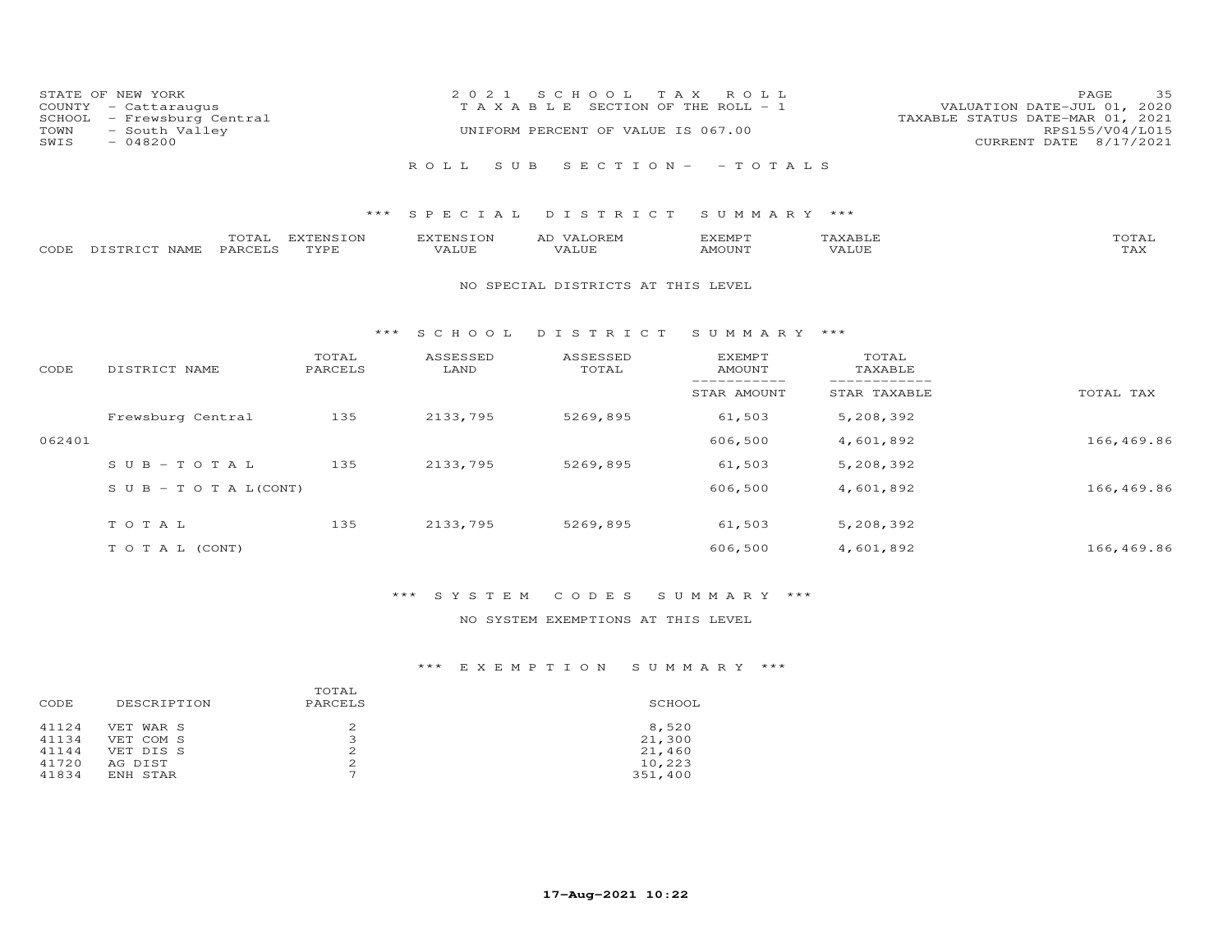| STATE OF NEW YORK<br>COUNTY - Cattaraugus<br>SCHOOL - Frewsburg Central | 2021 SCHOOL TAX ROLL<br>T A X A B L E SECTION OF THE ROLL - 1 | PAGE<br>VALUATION DATE-JUL 01, 2020<br>TAXABLE STATUS DATE-MAR 01, 2021 | - 35 |
|-------------------------------------------------------------------------|---------------------------------------------------------------|-------------------------------------------------------------------------|------|
| TOWN - South Valley<br>SWIS<br>- 048200                                 | UNIFORM PERCENT OF VALUE IS 067.00                            | RPS155/V04/L015<br>CURRENT DATE 8/17/2021                               |      |
|                                                                         | ROLL SUB SECTION- - TOTALS                                    |                                                                         |      |

|      |                  | $m \wedge m \wedge n$<br>'OTAL | <b>EXTENSION</b> | <b>EXTENSION</b> | AD<br>$\mathcal{M}$ $\Delta$ $\mathcal{N}$ $\mathcal{N}$ | EXEMP <sup>T</sup> | `AXABLE | $T$ $\cap$ $T$ $\geq$ $T$ $\geq$ $T$ $\geq$ $T$ $\geq$ $T$ $\geq$ $T$ $\geq$ $T$ $\geq$ $T$ $\geq$ $T$ $\geq$ $T$ $\geq$ $T$ $\geq$ $T$ $\geq$ $T$ $\geq$ $T$ $\geq$ $T$ $\geq$ $T$ $\geq$ $T$ $\geq$ $T$ $\geq$ $T$ $\geq$ $T$ $\geq$ $T$ $\geq$ $T$<br>'OTAL |
|------|------------------|--------------------------------|------------------|------------------|----------------------------------------------------------|--------------------|---------|----------------------------------------------------------------------------------------------------------------------------------------------------------------------------------------------------------------------------------------------------------------|
| CODE | DISTRICT<br>NAME | PARCELS                        | <b>TYPE</b>      | <b>JALUE</b>     | VALUE                                                    | MOUNT              | 'Alul   | $m \times r$<br>IAA                                                                                                                                                                                                                                            |

#### NO SPECIAL DISTRICTS AT THIS LEVEL

#### \*\*\* S C H O O L D I S T R I C T S U M M A R Y \*\*\*

| CODE   | DISTRICT NAME                    | TOTAL<br>PARCELS | ASSESSED<br>LAND | ASSESSED<br>TOTAL | <b>EXEMPT</b><br>AMOUNT | TOTAL<br>TAXABLE |            |
|--------|----------------------------------|------------------|------------------|-------------------|-------------------------|------------------|------------|
|        |                                  |                  |                  |                   | STAR AMOUNT             | STAR TAXABLE     | TOTAL TAX  |
|        | Frewsburg Central                | 135              | 2133,795         | 5269,895          | 61,503                  | 5,208,392        |            |
| 062401 |                                  |                  |                  |                   | 606,500                 | 4,601,892        | 166,469.86 |
|        | $SUB - TO T AL$                  | 135              | 2133,795         | 5269,895          | 61,503                  | 5,208,392        |            |
|        | $S \cup B - T \cup T A L (CONT)$ |                  |                  |                   | 606,500                 | 4,601,892        | 166,469.86 |
|        | TOTAL                            | 135              | 2133,795         | 5269,895          | 61,503                  | 5,208,392        |            |
|        | T O T A L (CONT)                 |                  |                  |                   | 606,500                 | 4,601,892        | 166,469.86 |

# \*\*\* S Y S T E M C O D E S S U M M A R Y \*\*\*

### NO SYSTEM EXEMPTIONS AT THIS LEVEL

| CODE  | DESCRIPTION | TOTAL<br>PARCELS | SCHOOL  |  |  |
|-------|-------------|------------------|---------|--|--|
| 41124 | VET WAR S   |                  | 8,520   |  |  |
| 41134 | VET COM S   | ∍                | 21,300  |  |  |
| 41144 | VET DIS S   |                  | 21,460  |  |  |
| 41720 | AG DIST     | 2                | 10,223  |  |  |
| 41834 | ENH STAR    | ⇁                | 351,400 |  |  |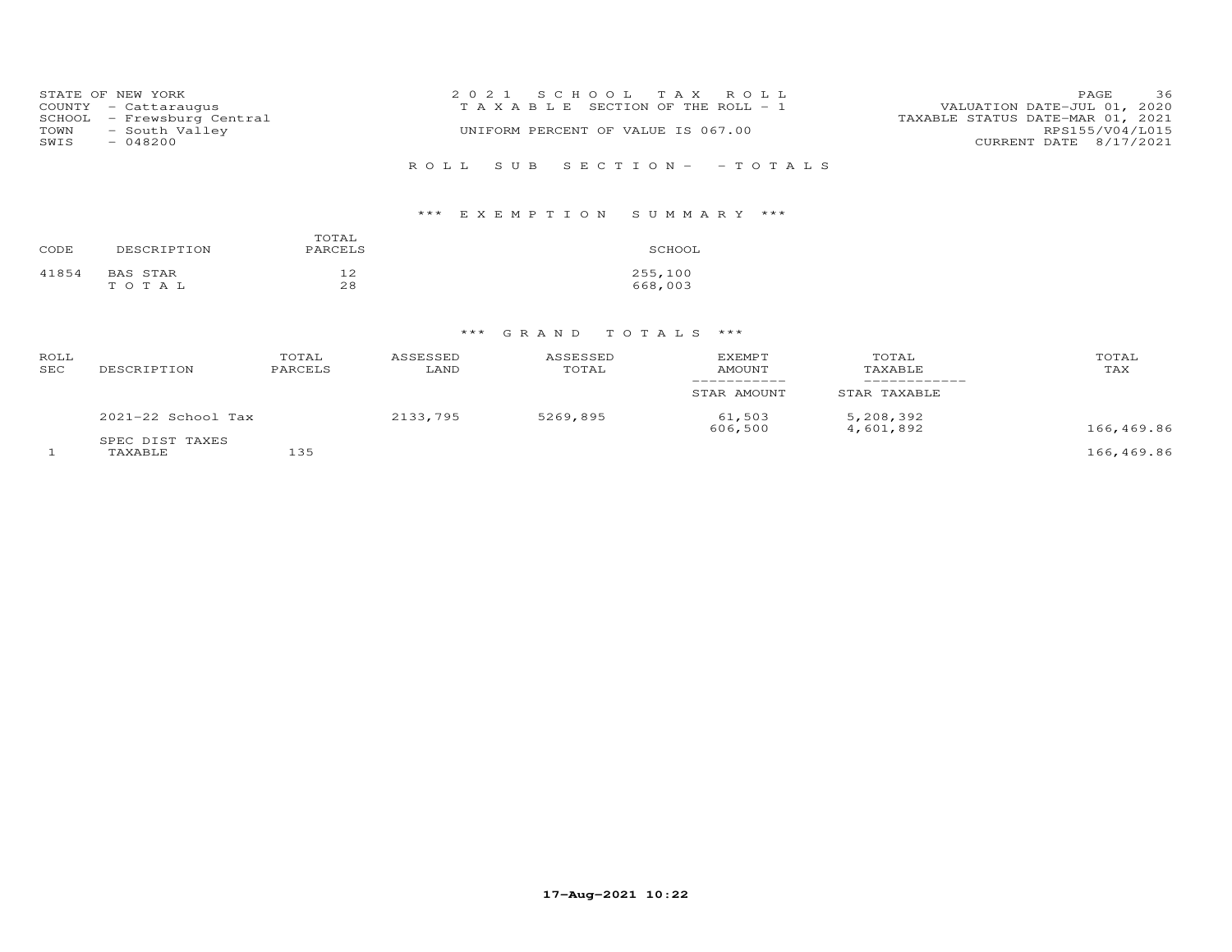|      | STATE OF NEW YORK          | 2021 SCHOOL TAX ROLL                  | 36<br>PAGE                       |
|------|----------------------------|---------------------------------------|----------------------------------|
|      | COUNTY - Cattaraugus       | T A X A B L E SECTION OF THE ROLL - 1 | VALUATION DATE-JUL 01, 2020      |
|      | SCHOOL - Frewsburg Central |                                       | TAXABLE STATUS DATE-MAR 01, 2021 |
| TOWN | - South Valley             | UNIFORM PERCENT OF VALUE IS 067.00    | RPS155/V04/L015                  |
| SWIS | $-048200$                  |                                       | CURRENT DATE 8/17/2021           |
|      |                            |                                       |                                  |
|      |                            | ROLL SUB SECTION- - TOTALS            |                                  |

# \*\*\* E X E M P T I O N S U M M A R Y \*\*\*

| CODE  | DESCRIPTION | TOTAL<br>PARCELS | SCHOOL  |
|-------|-------------|------------------|---------|
| 41854 | BAS STAR    | 12               | 255,100 |
|       | TOTAL       | 28               | 668,003 |

| ROLL<br>SEC | DESCRIPTION                | TOTAL<br>PARCELS | ASSESSED<br>LAND | ASSESSED<br>TOTAL | <b>EXEMPT</b><br>AMOUNT | TOTAL<br>TAXABLE       | TOTAL<br>TAX |
|-------------|----------------------------|------------------|------------------|-------------------|-------------------------|------------------------|--------------|
|             |                            |                  |                  |                   | STAR AMOUNT             | STAR TAXABLE           |              |
|             | $2021-22$ School Tax       |                  | 2133,795         | 5269,895          | 61,503<br>606,500       | 5,208,392<br>4,601,892 | 166,469.86   |
|             | SPEC DIST TAXES<br>TAXABLE | 135              |                  |                   |                         |                        | 166,469.86   |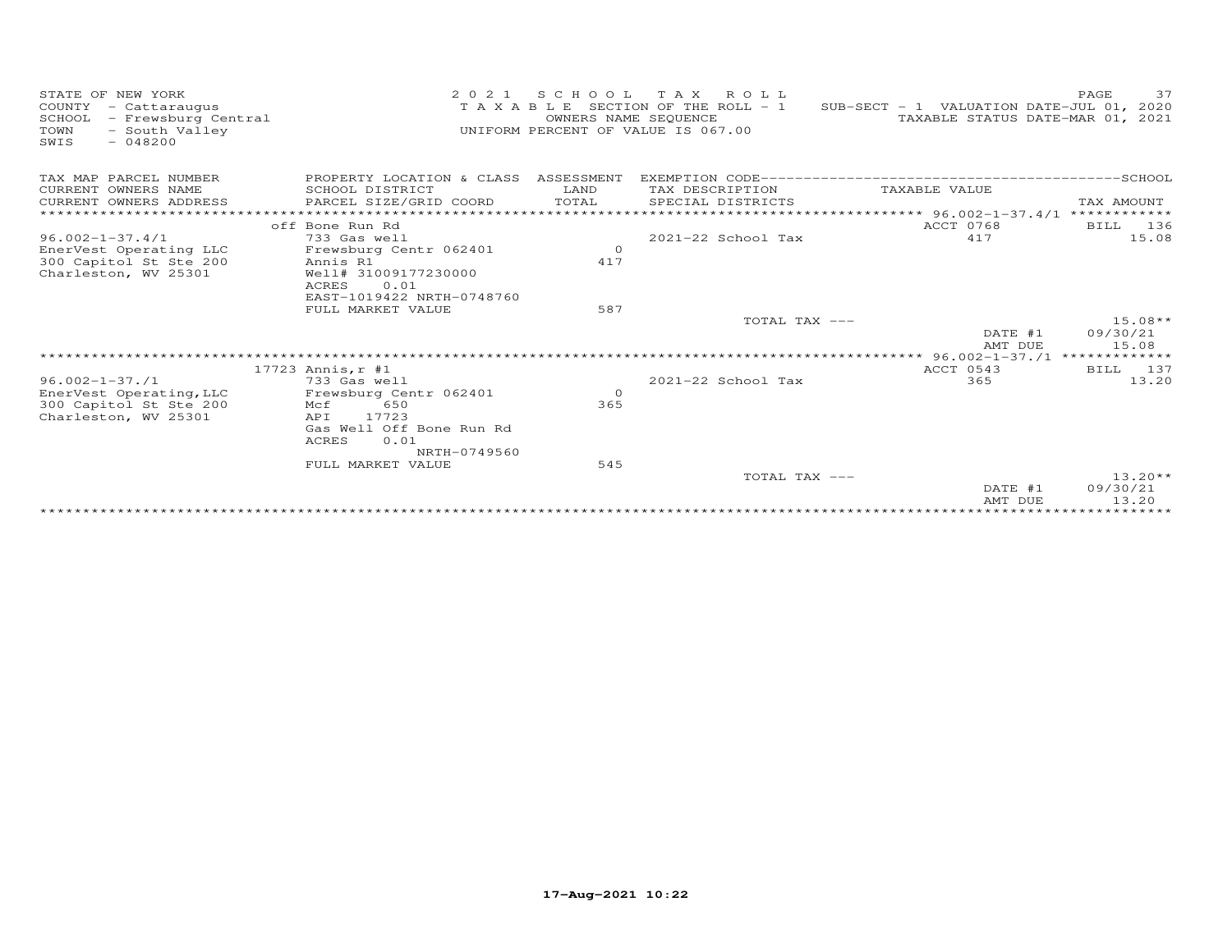| STATE OF NEW YORK<br>COUNTY - Cattaraugus<br>SCHOOL<br>- Frewsburg Central<br>TOWN<br>- South Valley<br>$-048200$<br>SWIS | 2 0 2 1                                                                   | SCHOOL<br>OWNERS NAME SEQUENCE | TAX ROLL<br>T A X A B L E SECTION OF THE ROLL - 1<br>UNIFORM PERCENT OF VALUE IS 067.00 | SUB-SECT - 1 VALUATION DATE-JUL 01, 2020<br>TAXABLE STATUS DATE-MAR 01, 2021 | 37<br>PAGE                     |
|---------------------------------------------------------------------------------------------------------------------------|---------------------------------------------------------------------------|--------------------------------|-----------------------------------------------------------------------------------------|------------------------------------------------------------------------------|--------------------------------|
| TAX MAP PARCEL NUMBER<br>CURRENT OWNERS NAME                                                                              | PROPERTY LOCATION & CLASS ASSESSMENT<br>SCHOOL DISTRICT                   | LAND                           | TAX DESCRIPTION                                                                         | TAXABLE VALUE                                                                |                                |
| CURRENT OWNERS ADDRESS                                                                                                    | PARCEL SIZE/GRID COORD                                                    | TOTAL                          | SPECIAL DISTRICTS                                                                       |                                                                              | TAX AMOUNT                     |
|                                                                                                                           |                                                                           |                                |                                                                                         |                                                                              |                                |
| $96.002 - 1 - 37.4/1$                                                                                                     | off Bone Run Rd<br>733 Gas well                                           |                                | 2021-22 School Tax                                                                      | ACCT 0768<br>417                                                             | 136<br><b>BILL</b><br>15.08    |
| EnerVest Operating LLC<br>300 Capitol St Ste 200                                                                          | Frewsburg Centr 062401<br>Annis R1                                        | $\circ$<br>417                 |                                                                                         |                                                                              |                                |
| Charleston, WV 25301                                                                                                      | Well# 31009177230000<br><b>ACRES</b><br>0.01<br>EAST-1019422 NRTH-0748760 |                                |                                                                                         |                                                                              |                                |
|                                                                                                                           | FULL MARKET VALUE                                                         | 587                            |                                                                                         |                                                                              |                                |
|                                                                                                                           |                                                                           |                                | TOTAL TAX ---                                                                           | DATE #1<br>AMT DUE                                                           | $15.08**$<br>09/30/21<br>15.08 |
|                                                                                                                           |                                                                           |                                |                                                                                         |                                                                              |                                |
|                                                                                                                           | 17723 Annis, r #1                                                         |                                |                                                                                         | ACCT 0543                                                                    | 137<br>BILL                    |
| $96.002 - 1 - 37.1$<br>EnerVest Operating, LLC                                                                            | 733 Gas well<br>Frewsburg Centr 062401                                    | $\Omega$                       | 2021-22 School Tax                                                                      | 365                                                                          | 13.20                          |
| 300 Capitol St Ste 200<br>Charleston, WV 25301                                                                            | 650<br>Mcf<br>17723<br>API                                                | 365                            |                                                                                         |                                                                              |                                |
|                                                                                                                           | Gas Well Off Bone Run Rd<br><b>ACRES</b><br>0.01                          |                                |                                                                                         |                                                                              |                                |
|                                                                                                                           | NRTH-0749560<br>FULL MARKET VALUE                                         | 545                            |                                                                                         |                                                                              |                                |
|                                                                                                                           |                                                                           |                                | TOTAL TAX ---                                                                           |                                                                              | $13.20**$                      |
|                                                                                                                           |                                                                           |                                |                                                                                         | DATE #1<br>AMT DUE                                                           | 09/30/21<br>13.20              |
|                                                                                                                           |                                                                           |                                |                                                                                         |                                                                              |                                |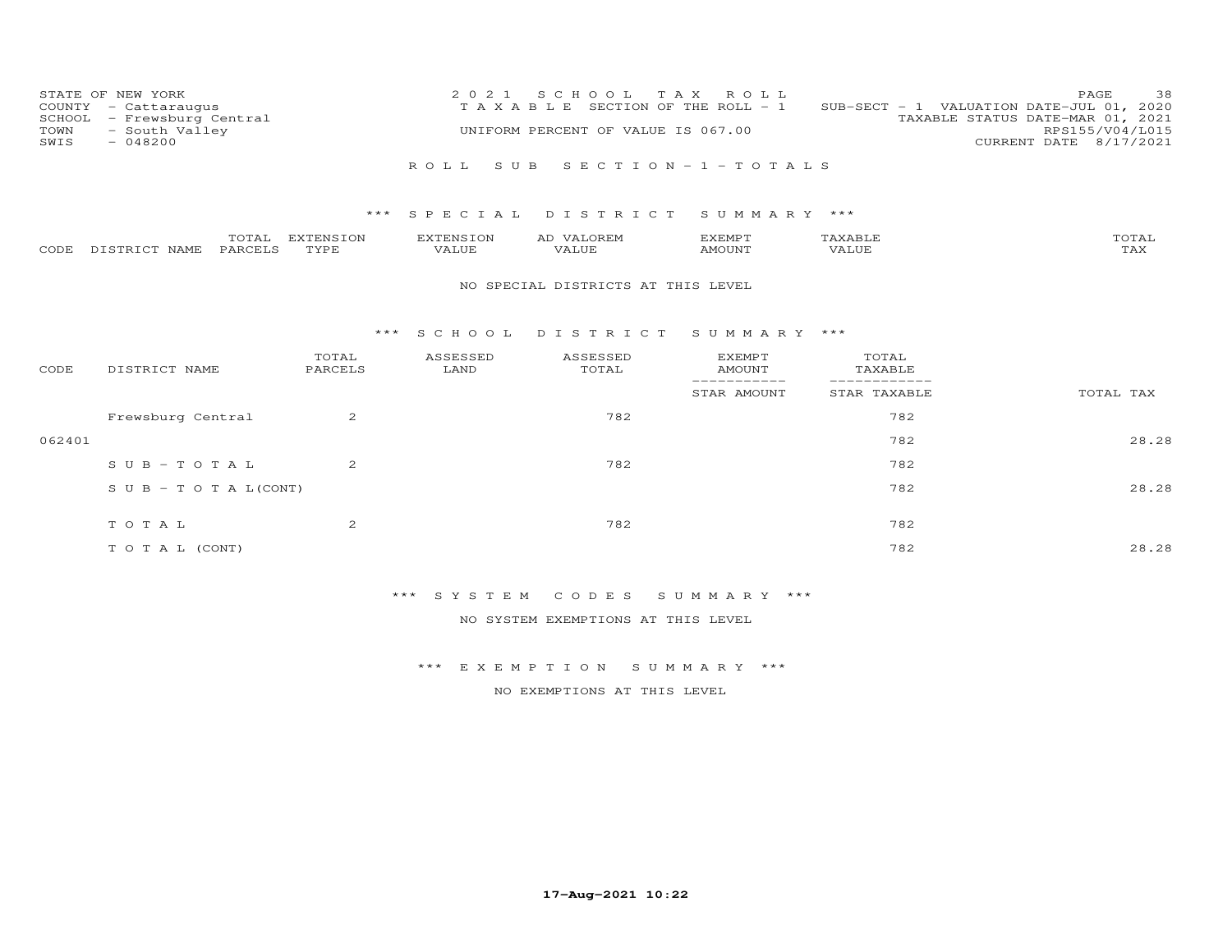| STATE OF NEW YORK<br>COUNTY - Cattaraugus            | 2021 SCHOOL TAX ROLL<br>T A X A B L E SECTION OF THE ROLL - 1 | 38<br>PAGE<br>SUB-SECT - 1 VALUATION DATE-JUL 01, 2020 |
|------------------------------------------------------|---------------------------------------------------------------|--------------------------------------------------------|
| SCHOOL - Frewsburg Central<br>TOWN<br>- South Valley | UNIFORM PERCENT OF VALUE IS 067.00                            | TAXABLE STATUS DATE-MAR 01, 2021<br>RPS155/V04/L015    |
| SWIS<br>- 048200                                     |                                                               | CURRENT DATE 8/17/2021                                 |
|                                                      | ROLL SUB SECTION-1-TOTALS                                     |                                                        |

|      |                  | $m \wedge m \wedge \tau$<br>. UTAL: | EXTENSION   | <b>EXTENSION</b> | VALOREM<br>AD | EXEMPT |       | TOTAL                    |
|------|------------------|-------------------------------------|-------------|------------------|---------------|--------|-------|--------------------------|
| CODE | DISTRICT<br>NAME | PARCELS                             | <b>TYPE</b> | VALUE            | YALUE.        | MOUNT  | VALUE | <b>TT 7 3 7</b><br>1 A A |

### NO SPECIAL DISTRICTS AT THIS LEVEL

#### \*\*\* S C H O O L D I S T R I C T S U M M A R Y \*\*\*

| CODE   | DISTRICT NAME                    | TOTAL<br>PARCELS | ASSESSED<br>LAND | ASSESSED<br>TOTAL | <b>EXEMPT</b><br>AMOUNT<br>---------- | TOTAL<br>TAXABLE |           |
|--------|----------------------------------|------------------|------------------|-------------------|---------------------------------------|------------------|-----------|
|        |                                  |                  |                  |                   | STAR AMOUNT                           | STAR TAXABLE     | TOTAL TAX |
|        | Frewsburg Central                | $\overline{2}$   |                  | 782               |                                       | 782              |           |
| 062401 |                                  |                  |                  |                   |                                       | 782              | 28.28     |
|        | $SUB - TO T AL$                  | $\overline{2}$   |                  | 782               |                                       | 782              |           |
|        | $S \cup B - T \cup T A L (CONT)$ |                  |                  |                   |                                       | 782              | 28.28     |
|        |                                  |                  |                  |                   |                                       |                  |           |
|        | TOTAL                            | $\overline{2}$   |                  | 782               |                                       | 782              |           |
|        | T O T A L (CONT)                 |                  |                  |                   |                                       | 782              | 28.28     |

# \*\*\* S Y S T E M C O D E S S U M M A R Y \*\*\*

NO SYSTEM EXEMPTIONS AT THIS LEVEL

### \*\*\* E X E M P T I O N S U M M A R Y \*\*\*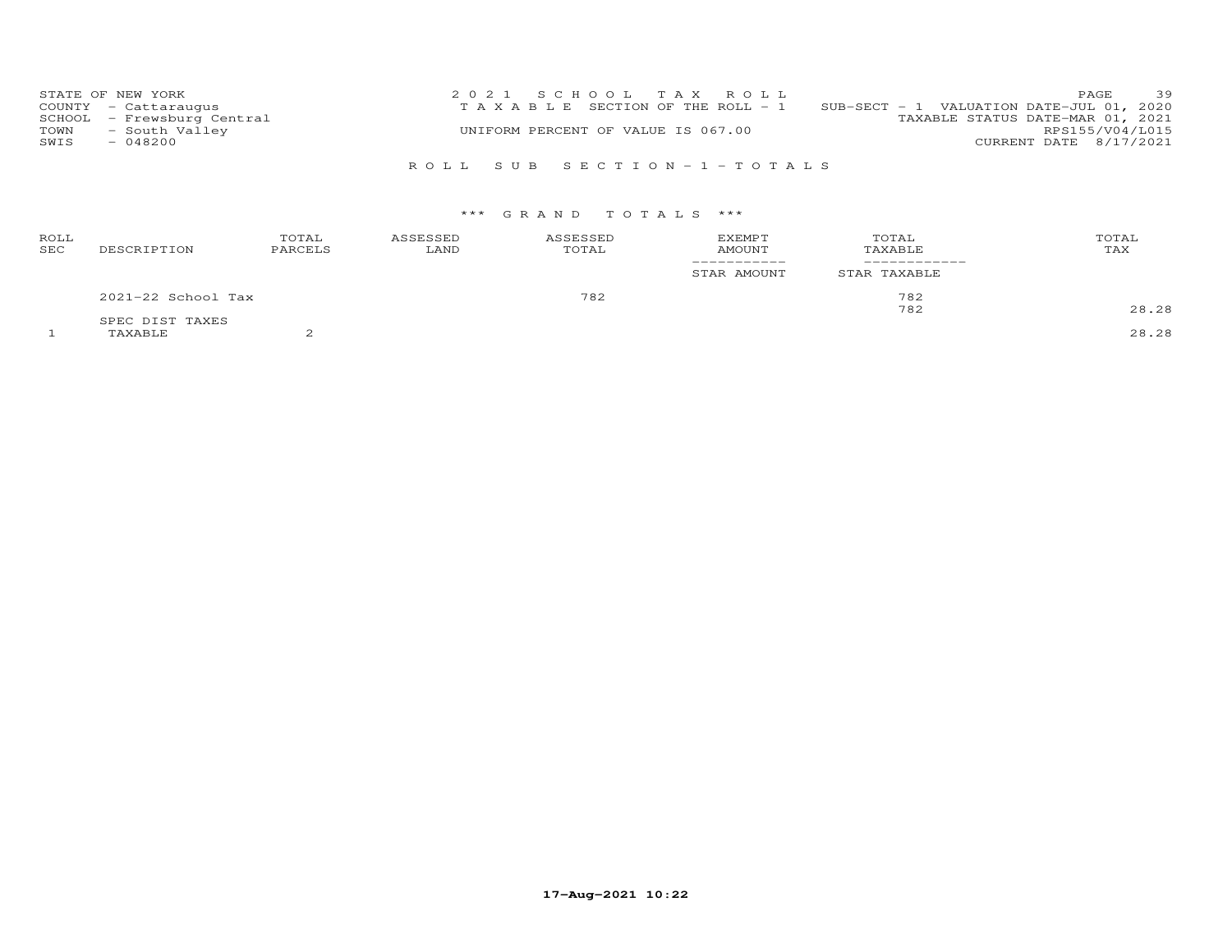| STATE OF NEW YORK          | 2021 SCHOOL TAX ROLL                  | 39<br><b>PAGE</b>                             |
|----------------------------|---------------------------------------|-----------------------------------------------|
| COUNTY - Cattaraugus       | T A X A B L E SECTION OF THE ROLL - 1 | $SUB-SECTION - 1$ VALUATION DATE-JUL 01, 2020 |
| SCHOOL - Frewsburg Central |                                       | TAXABLE STATUS DATE-MAR 01, 2021              |
| - South Valley<br>TOWN     | UNIFORM PERCENT OF VALUE IS 067.00    | RPS155/V04/L015                               |
| $-048200$<br>SWIS          |                                       | CURRENT DATE 8/17/2021                        |
|                            |                                       |                                               |

# R O L L S U B S E C T I O N - 1 - T O T A L S

### \*\*\* G R A N D T O T A L S \*\*\*

| ROLL<br>SEC | DESCRIPTION        | TOTAL<br>PARCELS | ASSESSED<br>LAND | ASSESSED<br>TOTAL | <b>EXEMPT</b><br><b>AMOUNT</b> | TOTAL<br>TAXABLE | TOTAL<br>TAX |
|-------------|--------------------|------------------|------------------|-------------------|--------------------------------|------------------|--------------|
|             |                    |                  |                  |                   | STAR AMOUNT                    | STAR TAXABLE     |              |
|             | 2021-22 School Tax |                  |                  | 782               |                                | 782              |              |
|             | SPEC DIST TAXES    |                  |                  |                   |                                | 782              | 28.28        |
|             | TAXABLE            |                  |                  |                   |                                |                  | 28.28        |

**17-Aug-2021 10:22**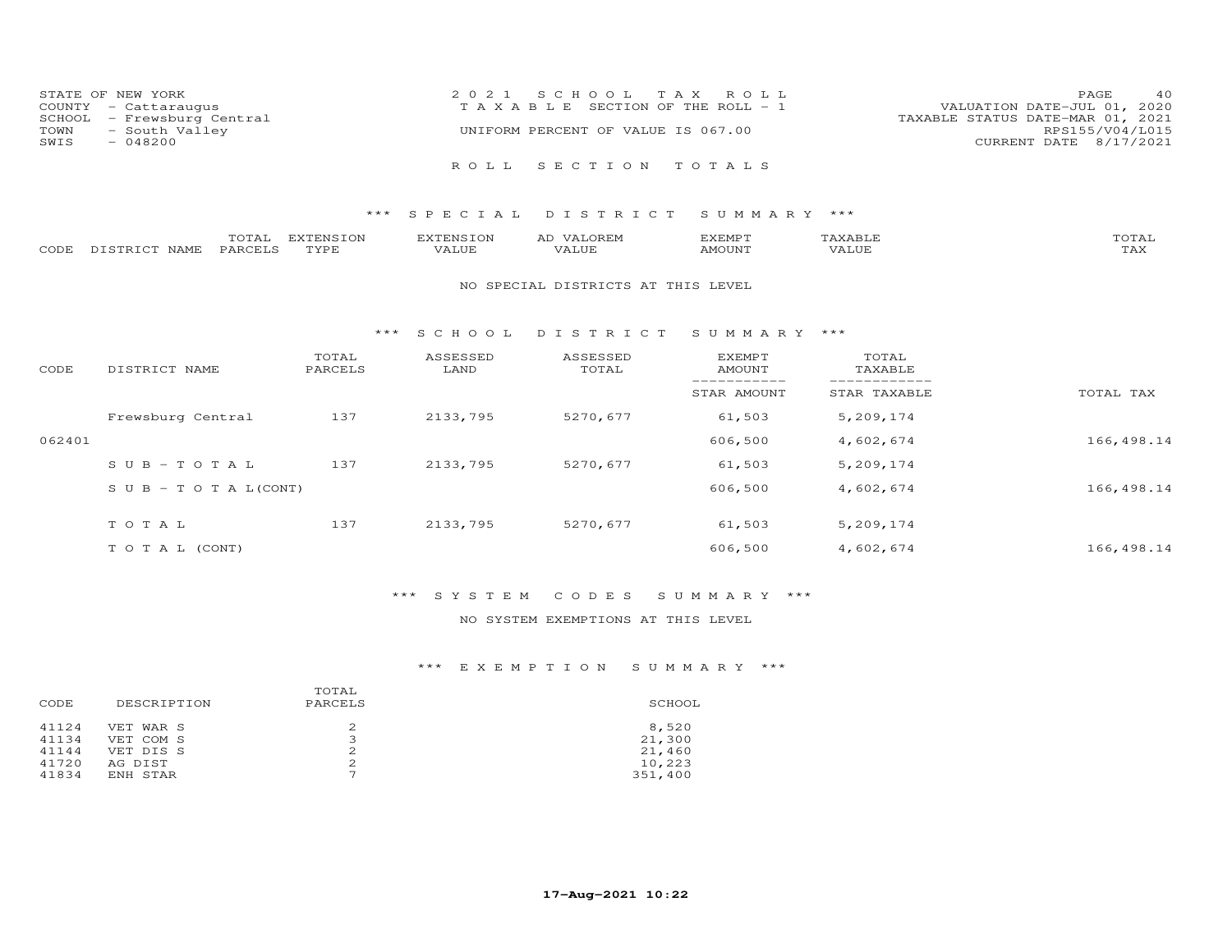|      | STATE OF NEW YORK          | 2021 SCHOOL TAX ROLL                  | 40<br>PAGE                       |
|------|----------------------------|---------------------------------------|----------------------------------|
|      | COUNTY - Cattaraugus       | T A X A B L E SECTION OF THE ROLL - 1 | VALUATION DATE-JUL 01, 2020      |
|      | SCHOOL - Frewsburg Central |                                       | TAXABLE STATUS DATE-MAR 01, 2021 |
| TOWN | - South Valley             | UNIFORM PERCENT OF VALUE IS 067.00    | RPS155/V04/L015                  |
| SWIS | $-048200$                  |                                       | CURRENT DATE 8/17/2021           |
|      |                            | ROLL SECTION TOTALS                   |                                  |

|      |                  | $- - - -$<br>. U I A L | m<br><b>PIN</b> | EXTENSION | AL | EXEMPT | $\pi$ train $\tau$ $\tau$<br>AAABLE | momm.<br>- OTAL-    |
|------|------------------|------------------------|-----------------|-----------|----|--------|-------------------------------------|---------------------|
| CODE | DISTRICT<br>NAME | PARCELS                | TVDF            | VALUE     |    | MOUNT  | .<br>'ALUL                          | $m \times r$<br>⊥冖◠ |

#### NO SPECIAL DISTRICTS AT THIS LEVEL

#### \*\*\* S C H O O L D I S T R I C T S U M M A R Y \*\*\*

| CODE   | DISTRICT NAME                    | TOTAL<br>PARCELS | ASSESSED<br>LAND | ASSESSED<br>TOTAL | EXEMPT<br>AMOUNT | TOTAL<br>TAXABLE |            |
|--------|----------------------------------|------------------|------------------|-------------------|------------------|------------------|------------|
|        |                                  |                  |                  |                   | STAR AMOUNT      | STAR TAXABLE     | TOTAL TAX  |
|        | Frewsburg Central                | 137              | 2133,795         | 5270,677          | 61,503           | 5,209,174        |            |
| 062401 |                                  |                  |                  |                   | 606,500          | 4,602,674        | 166,498.14 |
|        | $SUB - TO TAL$                   | 137              | 2133,795         | 5270,677          | 61,503           | 5,209,174        |            |
|        | $S \cup B - T \cup T A L (CONT)$ |                  |                  |                   | 606,500          | 4,602,674        | 166,498.14 |
|        | TOTAL                            | 137              | 2133,795         | 5270,677          | 61,503           | 5,209,174        |            |
|        | T O T A L (CONT)                 |                  |                  |                   | 606,500          | 4,602,674        | 166,498.14 |

### \*\*\* S Y S T E M C O D E S S U M M A R Y \*\*\*

### NO SYSTEM EXEMPTIONS AT THIS LEVEL

| DESCRIPTION | TOTAL<br>PARCELS | SCHOOL  |
|-------------|------------------|---------|
| VET WAR S   |                  | 8,520   |
| VET COM S   | 3                | 21,300  |
| VET DIS S   |                  | 21,460  |
| AG DIST     | 2                | 10,223  |
| ENH STAR    | ⇁                | 351,400 |
|             |                  |         |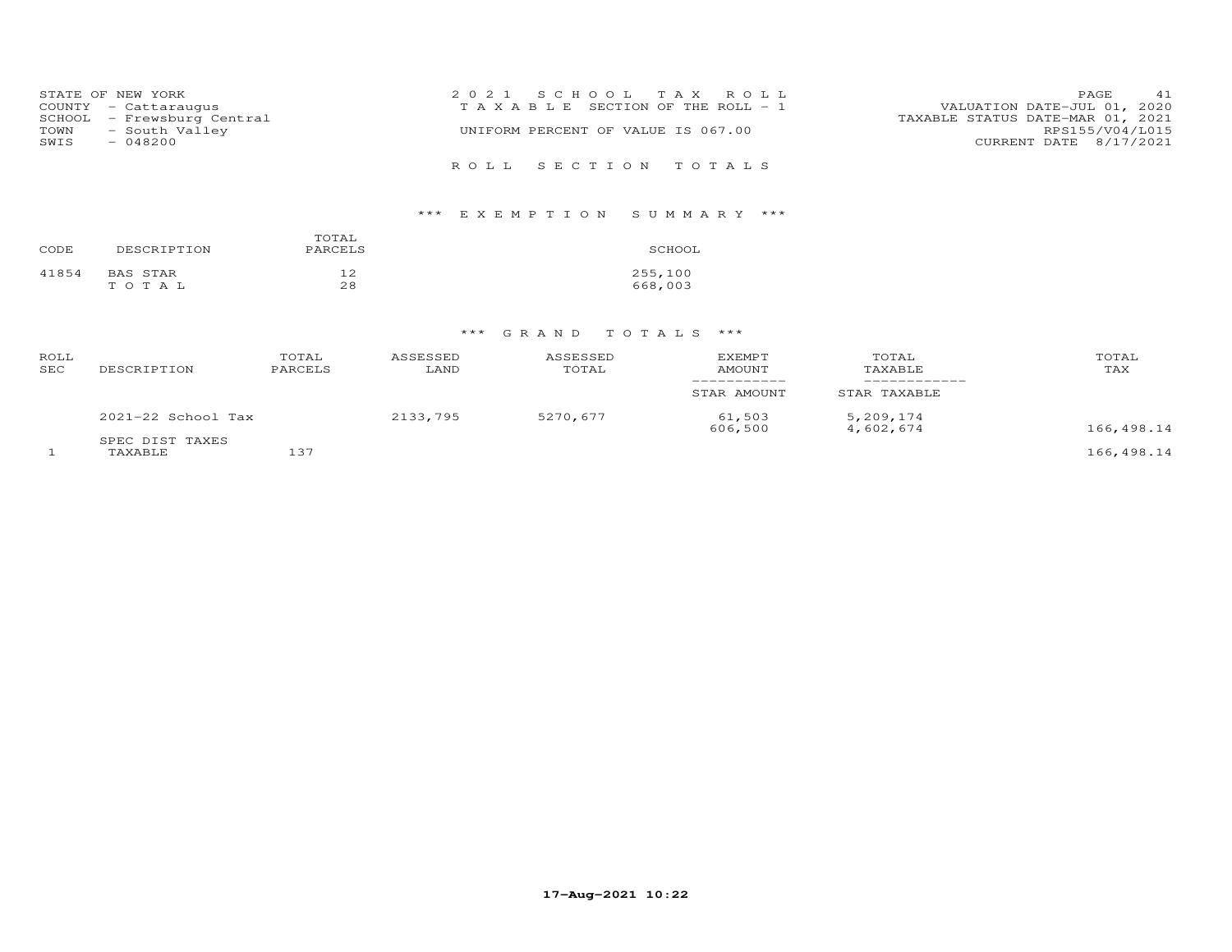|      | STATE OF NEW YORK          | 2021 SCHOOL TAX ROLL                  | PAGE                             | 41 |
|------|----------------------------|---------------------------------------|----------------------------------|----|
|      | COUNTY - Cattaraugus       | T A X A B L E SECTION OF THE ROLL - 1 | VALUATION DATE-JUL 01, 2020      |    |
|      | SCHOOL - Frewsburg Central |                                       | TAXABLE STATUS DATE-MAR 01, 2021 |    |
| TOWN | - South Valley             | UNIFORM PERCENT OF VALUE IS 067.00    | RPS155/V04/L015                  |    |
| SWIS | - 048200                   |                                       | CURRENT DATE 8/17/2021           |    |
|      |                            |                                       |                                  |    |
|      |                            | ROLL SECTION TOTALS                   |                                  |    |

# \*\*\* E X E M P T I O N S U M M A R Y \*\*\*

| CODE  | DESCRIPTION | TOTAL<br>PARCELS | SCHOOL  |
|-------|-------------|------------------|---------|
| 41854 | BAS STAR    | 12               | 255,100 |
|       | тотаь       | 28               | 668,003 |

| ROLL<br>SEC | DESCRIPTION                | TOTAL<br>PARCELS | ASSESSED<br>LAND | <b>ASSESSED</b><br>TOTAL | <b>EXEMPT</b><br>AMOUNT | TOTAL<br>TAXABLE       | TOTAL<br>TAX |
|-------------|----------------------------|------------------|------------------|--------------------------|-------------------------|------------------------|--------------|
|             |                            |                  |                  |                          | STAR AMOUNT             | STAR TAXABLE           |              |
|             | $2021-22$ School Tax       |                  | 2133,795         | 5270,677                 | 61,503<br>606,500       | 5,209,174<br>4,602,674 | 166,498.14   |
|             | SPEC DIST TAXES<br>TAXABLE | 137              |                  |                          |                         |                        | 166,498.14   |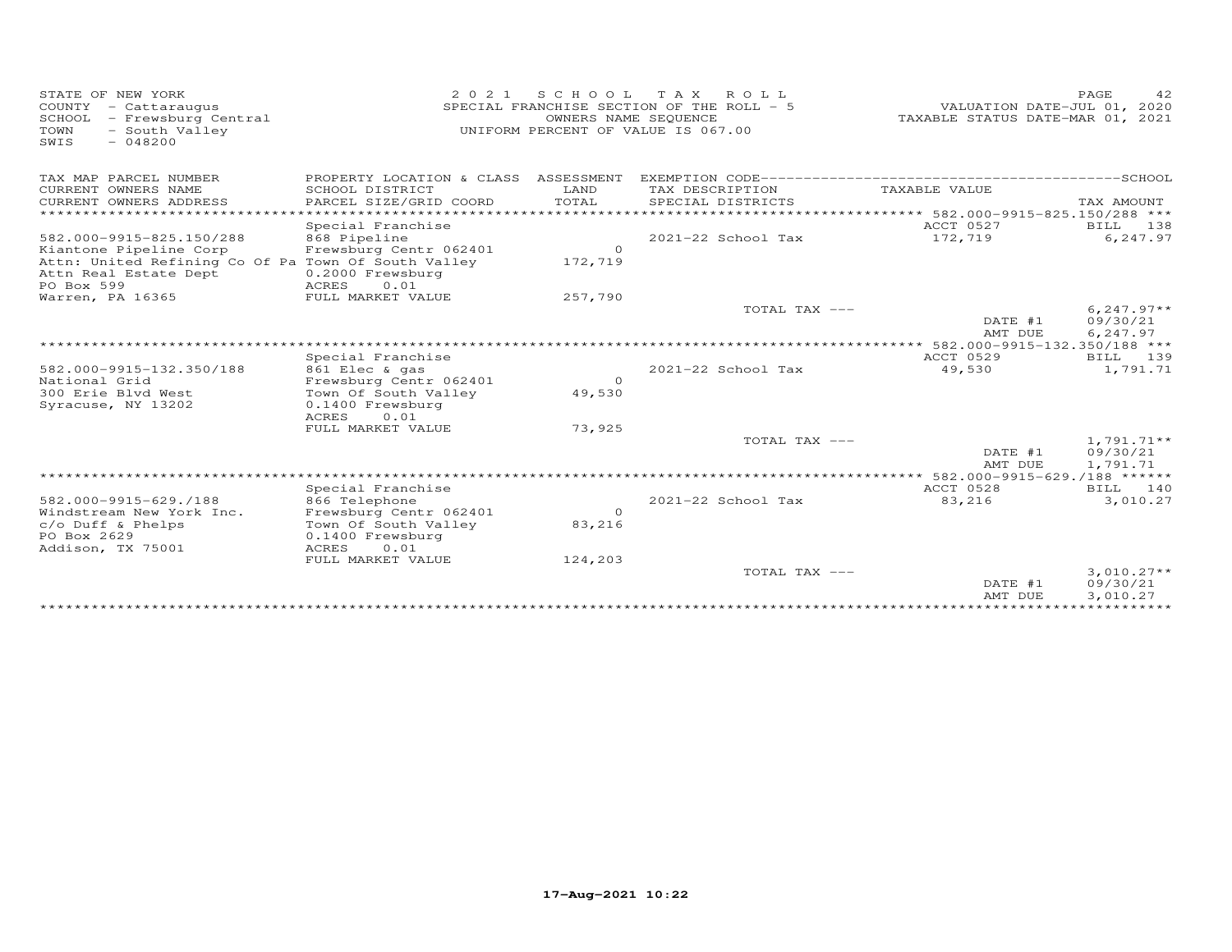| STATE OF NEW YORK<br>COUNTY - Cattaraugus<br>SCHOOL<br>- Frewsburg Central<br>TOWN<br>- South Valley<br>$-048200$<br>SWIS | 2 0 2 1                                                              | S C H O O L<br>OWNERS NAME SEQUENCE | TAX ROLL<br>SPECIAL FRANCHISE SECTION OF THE ROLL - 5<br>UNIFORM PERCENT OF VALUE IS 067.00 | VALUATION DATE-JUL 01, 2020<br>TAXABLE STATUS DATE-MAR 01, 2021 | PAGE<br>42           |
|---------------------------------------------------------------------------------------------------------------------------|----------------------------------------------------------------------|-------------------------------------|---------------------------------------------------------------------------------------------|-----------------------------------------------------------------|----------------------|
| TAX MAP PARCEL NUMBER                                                                                                     | PROPERTY LOCATION & CLASS ASSESSMENT                                 |                                     |                                                                                             |                                                                 |                      |
| CURRENT OWNERS NAME<br>CURRENT OWNERS ADDRESS<br>****************                                                         | SCHOOL DISTRICT<br>PARCEL SIZE/GRID COORD<br>*********************** | LAND<br>TOTAL<br>***************    | TAX DESCRIPTION<br>SPECIAL DISTRICTS                                                        | TAXABLE VALUE                                                   | TAX AMOUNT           |
|                                                                                                                           | Special Franchise                                                    |                                     |                                                                                             | **************** 582.000-9915-825.150/288 ***<br>ACCT 0527      | BILL<br>138          |
| 582.000-9915-825.150/288<br>Kiantone Pipeline Corp                                                                        | 868 Pipeline<br>Frewsburg Centr 062401                               | $\circ$                             | 2021-22 School Tax                                                                          | 172,719                                                         | 6,247.97             |
| Attn: United Refining Co Of Pa Town Of South Valley<br>Attn Real Estate Dept                                              | 0.2000 Frewsburg                                                     | 172,719                             |                                                                                             |                                                                 |                      |
| PO Box 599<br>Warren, PA 16365                                                                                            | <b>ACRES</b><br>0.01<br>FULL MARKET VALUE                            | 257,790                             |                                                                                             |                                                                 |                      |
|                                                                                                                           |                                                                      |                                     | TOTAL TAX ---                                                                               |                                                                 | $6, 247.97**$        |
|                                                                                                                           |                                                                      |                                     |                                                                                             | DATE #1                                                         | 09/30/21             |
|                                                                                                                           |                                                                      |                                     |                                                                                             | AMT DUE<br>***************** 582.000-9915-132.350/188 ***       | 6,247.97             |
|                                                                                                                           | Special Franchise                                                    |                                     |                                                                                             | ACCT 0529                                                       | 139<br>BTLL          |
| 582.000-9915-132.350/188                                                                                                  | 861 Elec & gas                                                       |                                     | 2021-22 School Tax                                                                          | 49,530                                                          | 1,791.71             |
| National Grid                                                                                                             | Frewsburg Centr 062401                                               | $\circ$                             |                                                                                             |                                                                 |                      |
| 300 Erie Blvd West                                                                                                        | Town Of South Valley                                                 | 49,530                              |                                                                                             |                                                                 |                      |
| Syracuse, NY 13202                                                                                                        | 0.1400 Frewsburg<br>ACRES<br>0.01                                    |                                     |                                                                                             |                                                                 |                      |
|                                                                                                                           | FULL MARKET VALUE                                                    | 73,925                              |                                                                                             |                                                                 |                      |
|                                                                                                                           |                                                                      |                                     | TOTAL TAX ---                                                                               |                                                                 | $1,791.71**$         |
|                                                                                                                           |                                                                      |                                     |                                                                                             | DATE #1                                                         | 09/30/21             |
|                                                                                                                           |                                                                      |                                     |                                                                                             | AMT DUE                                                         | 1,791.71             |
|                                                                                                                           | Special Franchise                                                    |                                     |                                                                                             | ** 582.000-9915-629./188 ******<br>ACCT 0528                    | BILL 140             |
| 582.000-9915-629./188                                                                                                     | 866 Telephone                                                        |                                     | 2021-22 School Tax                                                                          | 83,216                                                          | 3,010.27             |
| Windstream New York Inc.                                                                                                  | Frewsburg Centr 062401                                               | $\Omega$                            |                                                                                             |                                                                 |                      |
| c/o Duff & Phelps                                                                                                         | Town Of South Valley                                                 | 83,216                              |                                                                                             |                                                                 |                      |
| PO Box 2629                                                                                                               | 0.1400 Frewsburg                                                     |                                     |                                                                                             |                                                                 |                      |
| Addison, TX 75001                                                                                                         | <b>ACRES</b><br>0.01                                                 |                                     |                                                                                             |                                                                 |                      |
|                                                                                                                           | FULL MARKET VALUE                                                    | 124,203                             | TOTAL TAX ---                                                                               |                                                                 | $3,010.27**$         |
|                                                                                                                           |                                                                      |                                     |                                                                                             | DATE #1<br>AMT DUE                                              | 09/30/21<br>3,010.27 |
|                                                                                                                           |                                                                      |                                     |                                                                                             | *******************************                                 |                      |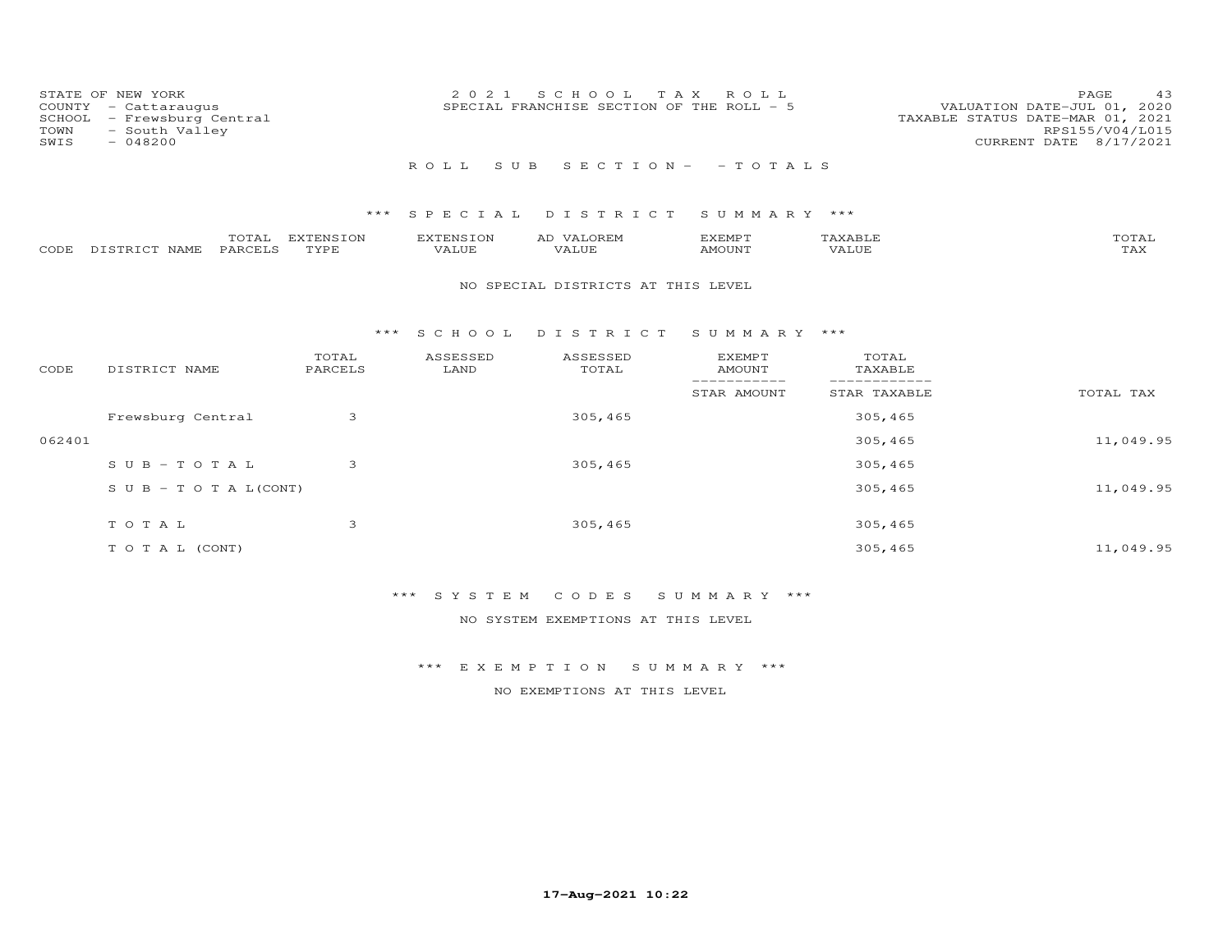| COUNTY<br>SCHOOL<br>TOWN<br>SWIS | STATE OF NEW YORK<br>- Cattaraugus<br>- Frewsburg Central<br>- South Valley<br>$-048200$ |                   | 2021               | S C H O O L<br>SPECIAL FRANCHISE SECTION OF THE ROLL - 5 | T A X<br>ROLL                   |                  | PAGE<br>43<br>VALUATION DATE-JUL 01, 2020<br>TAXABLE STATUS DATE-MAR 01, 2021<br>RPS155/V04/L015<br>CURRENT DATE 8/17/2021 |
|----------------------------------|------------------------------------------------------------------------------------------|-------------------|--------------------|----------------------------------------------------------|---------------------------------|------------------|----------------------------------------------------------------------------------------------------------------------------|
|                                  |                                                                                          |                   | ROLL.<br>S U B     |                                                          | $S E C T I O N - - T O T A L S$ |                  |                                                                                                                            |
|                                  |                                                                                          | $***$             |                    | SPECIAL DISTRICT                                         | SUMMARY ***                     |                  |                                                                                                                            |
| CODE                             | TOTAL<br>PARCELS<br>DISTRICT NAME                                                        | EXTENSION<br>TYPE | EXTENSION<br>VALUE | AD VALOREM<br>VALUE                                      | <b>EXEMPT</b><br><b>AMOUNT</b>  | TAXABLE<br>VALUE | TOTAL<br>TAX                                                                                                               |
|                                  |                                                                                          |                   |                    | NO SPECIAL DISTRICTS AT THIS LEVEL                       |                                 |                  |                                                                                                                            |
|                                  |                                                                                          | $***$             | S C H O O L        |                                                          | DISTRICT SUMMARY ***            |                  |                                                                                                                            |
| CODE                             | DISTRICT NAME                                                                            | TOTAL<br>PARCELS  | ASSESSED<br>LAND   | ASSESSED<br>TOTAL                                        | EXEMPT<br><b>AMOUNT</b>         | TOTAL<br>TAXABLE |                                                                                                                            |
|                                  |                                                                                          |                   |                    |                                                          | STAR AMOUNT                     | STAR TAXABLE     | TOTAL TAX                                                                                                                  |
|                                  | Frewsburg Central                                                                        | 3                 |                    | 305,465                                                  |                                 | 305,465          |                                                                                                                            |
| 062401                           |                                                                                          |                   |                    |                                                          |                                 | 305,465          | 11,049.95                                                                                                                  |
|                                  | $S \cup B - T \cup T A L$                                                                | 3                 |                    | 305,465                                                  |                                 | 305,465          |                                                                                                                            |
|                                  | $S \cup B - T \cup T A L (CONT)$                                                         |                   |                    |                                                          |                                 | 305,465          | 11,049.95                                                                                                                  |
|                                  | TOTAL                                                                                    | 3                 |                    | 305,465                                                  |                                 | 305,465          |                                                                                                                            |
|                                  | T O T A L (CONT)                                                                         |                   |                    |                                                          |                                 | 305,465          | 11,049.95                                                                                                                  |

# \*\*\* S Y S T E M C O D E S S U M M A R Y \*\*\*

NO SYSTEM EXEMPTIONS AT THIS LEVEL

\*\*\* E X E M P T I O N S U M M A R Y \*\*\*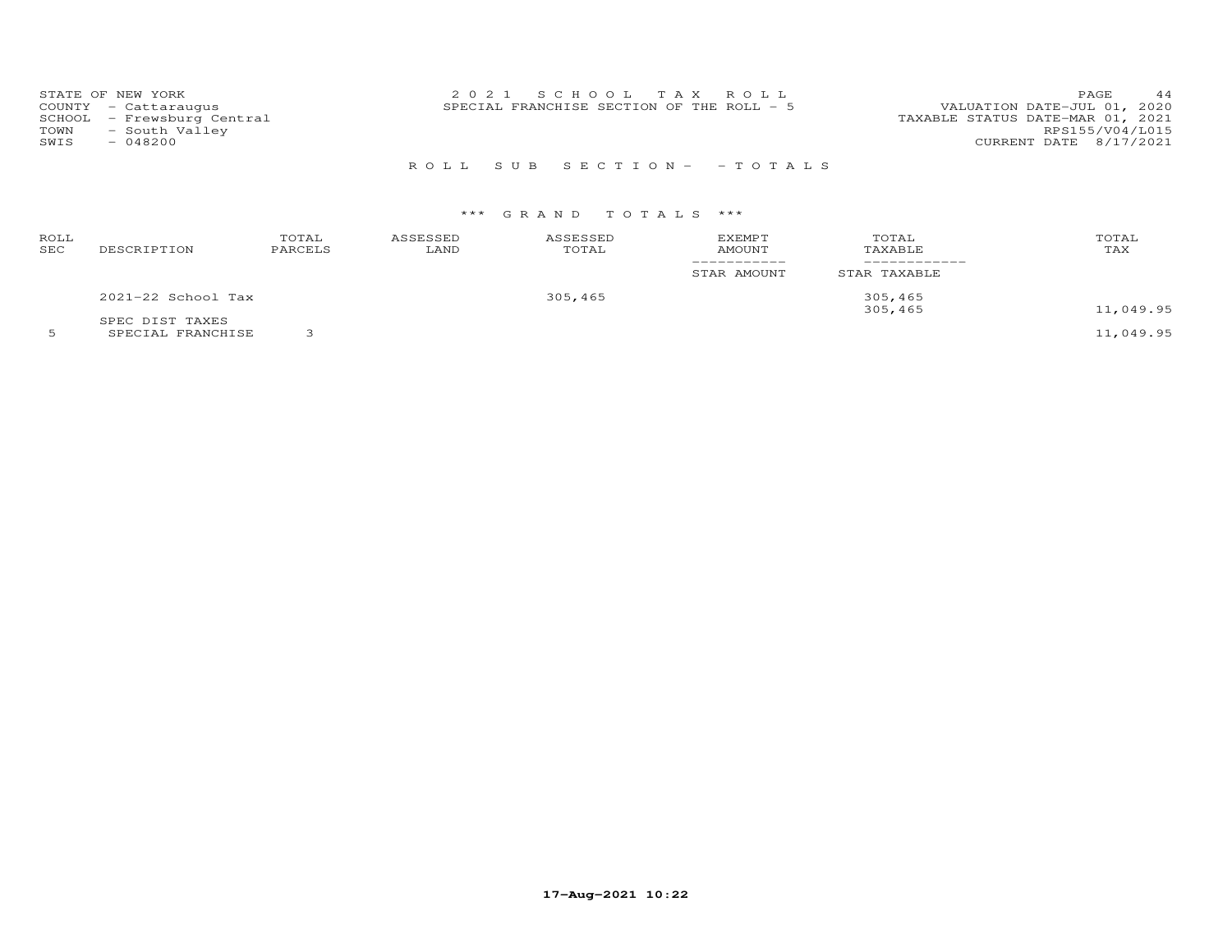| TOWN | STATE OF NEW YORK<br>COUNTY - Cattaraugus<br>SCHOOL - Frewsburg Central<br>- South Valley | 2021 SCHOOL TAX ROLL<br>SPECIAL FRANCHISE SECTION OF THE ROLL - 5 | 44<br><b>PAGE</b><br>VALUATION DATE-JUL 01, 2020<br>TAXABLE STATUS DATE-MAR 01, 2021<br>RPS155/V04/L015 |
|------|-------------------------------------------------------------------------------------------|-------------------------------------------------------------------|---------------------------------------------------------------------------------------------------------|
| SWIS | $-048200$                                                                                 | ROLL SUB SECTION- - TOTALS                                        | CURRENT DATE 8/17/2021                                                                                  |

| ROLL<br>SEC | DESCRIPTION        | TOTAL<br>PARCELS | ASSESSED<br>LAND | ASSESSED<br>TOTAL | <b>EXEMPT</b><br>AMOUNT<br>__________<br>STAR AMOUNT | TOTAL<br>TAXABLE<br>STAR TAXABLE | TOTAL<br>TAX |
|-------------|--------------------|------------------|------------------|-------------------|------------------------------------------------------|----------------------------------|--------------|
|             | 2021-22 School Tax |                  |                  | 305,465           |                                                      | 305,465<br>305,465               | 11,049.95    |
|             | SPEC DIST TAXES    |                  |                  |                   |                                                      |                                  |              |

5 SPECIAL FRANCHISE 3 11,049.95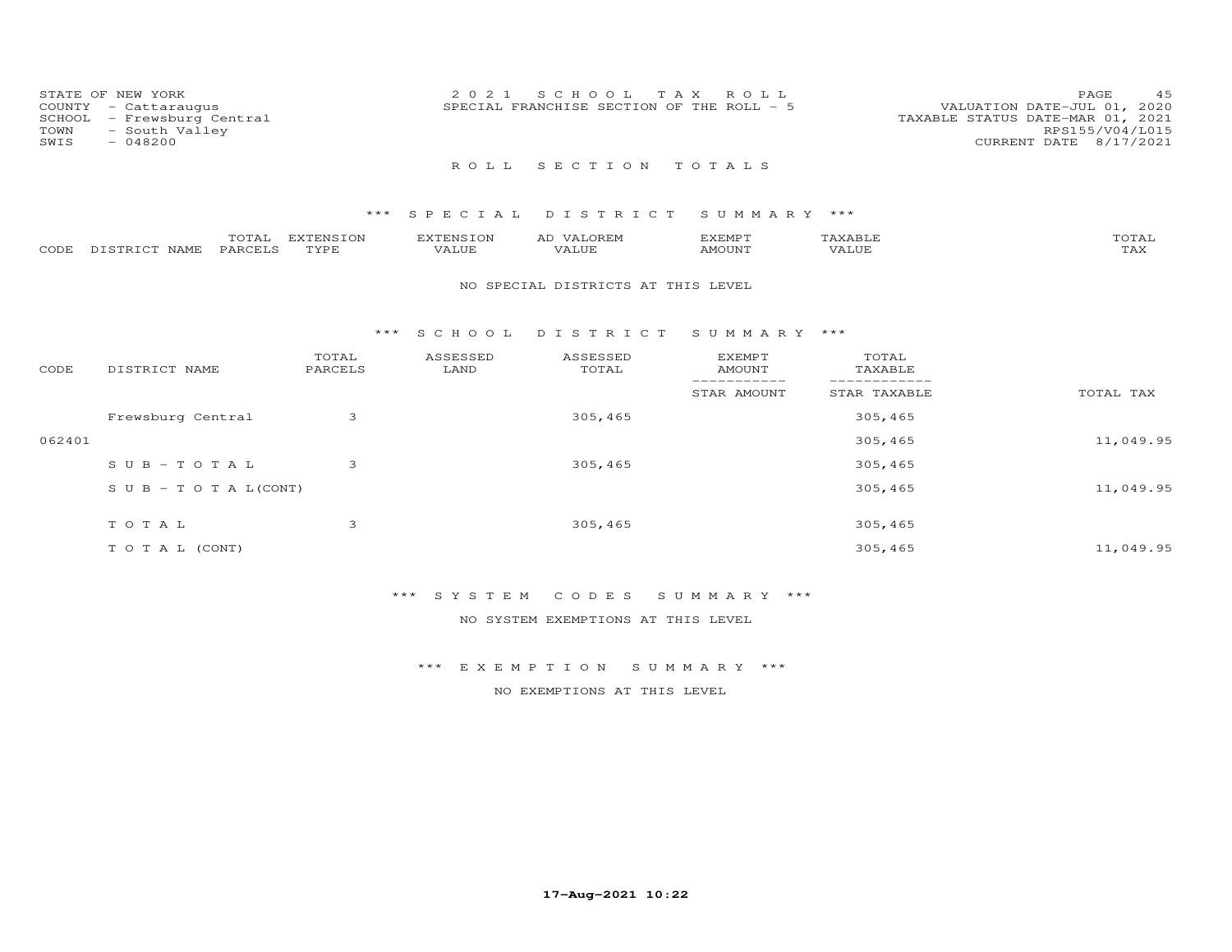| COUNTY<br>SCHOOL<br>TOWN<br>SWIS | STATE OF NEW YORK<br>- Cattaraugus<br>- Frewsburg Central<br>- South Valley<br>$-048200$ |                   | 2 0 2 1            | T A X<br>S C H O O L<br>SPECIAL FRANCHISE SECTION OF THE ROLL - 5 | ROLL                           |                              | 45<br>PAGE<br>VALUATION DATE-JUL 01, 2020<br>TAXABLE STATUS DATE-MAR 01, 2021<br>RPS155/V04/L015<br>CURRENT DATE 8/17/2021 |
|----------------------------------|------------------------------------------------------------------------------------------|-------------------|--------------------|-------------------------------------------------------------------|--------------------------------|------------------------------|----------------------------------------------------------------------------------------------------------------------------|
|                                  |                                                                                          |                   | ROLL.              | SECTION TOTALS                                                    |                                |                              |                                                                                                                            |
|                                  |                                                                                          | $***$             |                    | SPECIAL DISTRICT                                                  | SUMMARY ***                    |                              |                                                                                                                            |
| CODE                             | TOTAL<br>PARCELS<br>DISTRICT NAME                                                        | EXTENSION<br>TYPE | EXTENSION<br>VALUE | AD VALOREM<br>VALUE                                               | <b>EXEMPT</b><br><b>AMOUNT</b> | TAXABLE<br>VALUE             | TOTAL<br>TAX                                                                                                               |
|                                  |                                                                                          |                   |                    | NO SPECIAL DISTRICTS AT THIS LEVEL                                |                                |                              |                                                                                                                            |
|                                  |                                                                                          | * * *             | S C H O O L        | DISTRICT                                                          | SUMMARY ***                    |                              |                                                                                                                            |
| CODE                             | DISTRICT NAME                                                                            | TOTAL<br>PARCELS  | ASSESSED<br>LAND   | ASSESSED<br>TOTAL                                                 | <b>EXEMPT</b><br><b>AMOUNT</b> | TOTAL<br>TAXABLE             |                                                                                                                            |
|                                  |                                                                                          |                   |                    |                                                                   | -----------<br>STAR AMOUNT     | ------------<br>STAR TAXABLE | TOTAL TAX                                                                                                                  |
|                                  | Frewsburg Central                                                                        | 3                 |                    | 305,465                                                           |                                | 305,465                      |                                                                                                                            |
| 062401                           |                                                                                          |                   |                    |                                                                   |                                | 305,465                      | 11,049.95                                                                                                                  |
|                                  | $S \cup B - T \cup T A L$                                                                | 3                 |                    | 305,465                                                           |                                | 305,465                      |                                                                                                                            |
|                                  | $S \cup B - T \cup T A L (CONT)$                                                         |                   |                    |                                                                   |                                | 305,465                      | 11,049.95                                                                                                                  |
|                                  | TOTAL                                                                                    | 3                 |                    | 305,465                                                           |                                | 305,465                      |                                                                                                                            |

T O T A L (CONT) 305,465 11,049.95

\*\*\* S Y S T E M C O D E S S U M M A R Y \*\*\*

NO SYSTEM EXEMPTIONS AT THIS LEVEL

\*\*\* E X E M P T I O N S U M M A R Y \*\*\*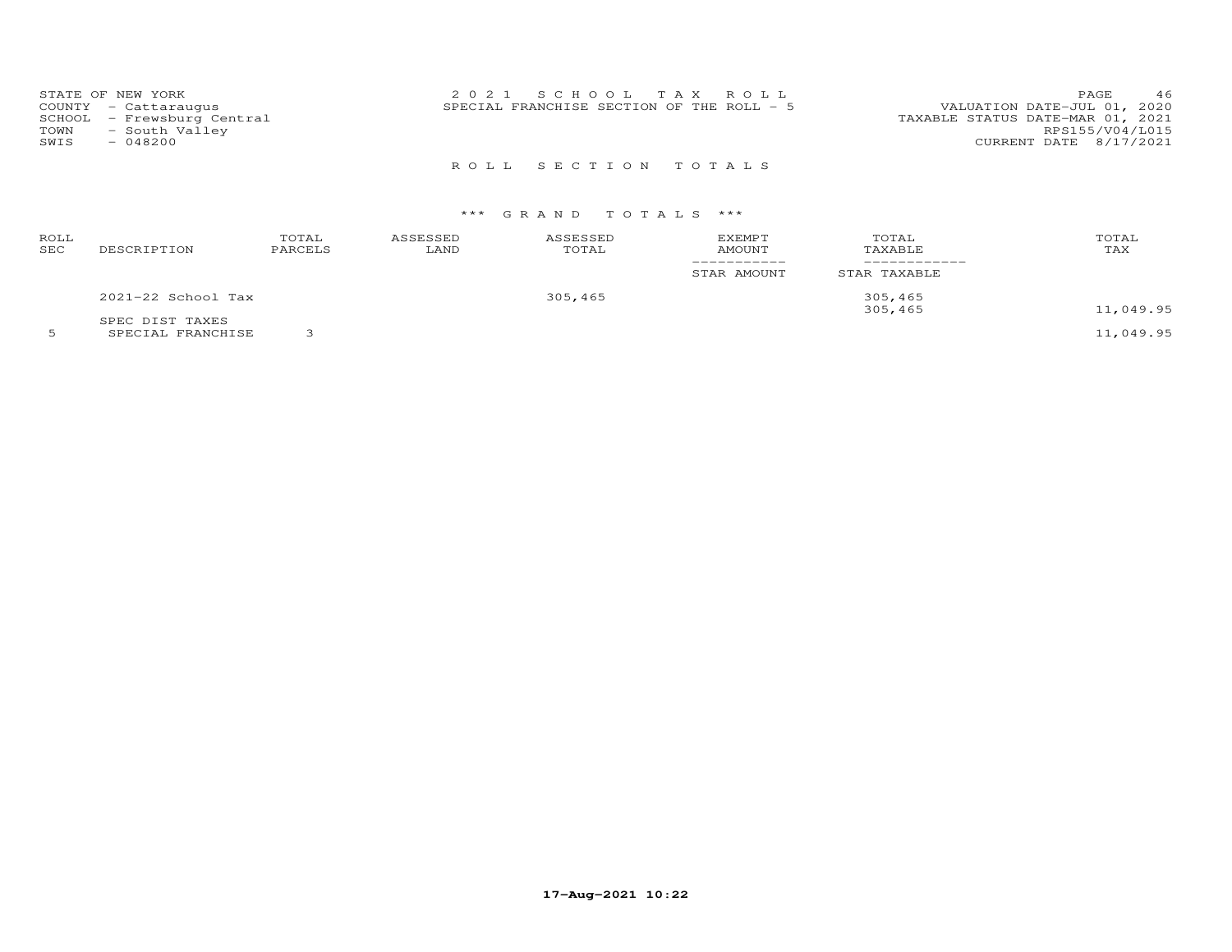| STATE OF NEW YORK<br>COUNTY - Cattaraugus<br>SCHOOL - Frewsburg Central<br>- South Valley<br>TOWN<br>$-048200$<br>SWIS | 2021 SCHOOL TAX ROLL<br>SPECIAL FRANCHISE SECTION OF THE ROLL - 5 | 46<br>PAGE<br>VALUATION DATE-JUL 01, 2020<br>TAXABLE STATUS DATE-MAR 01, 2021<br>RPS155/V04/L015<br>CURRENT DATE 8/17/2021 |
|------------------------------------------------------------------------------------------------------------------------|-------------------------------------------------------------------|----------------------------------------------------------------------------------------------------------------------------|
|                                                                                                                        | ROLL SECTION TOTALS                                               |                                                                                                                            |

| ROLL<br>SEC | DESCRIPTION            | TOTAL<br>PARCELS | ASSESSED<br>LAND | ASSESSED<br>TOTAL | <b>EXEMPT</b><br>AMOUNT | TOTAL<br>TAXABLE | TOTAL<br>TAX |
|-------------|------------------------|------------------|------------------|-------------------|-------------------------|------------------|--------------|
|             |                        |                  |                  |                   | STAR AMOUNT             | STAR TAXABLE     |              |
|             | $2021 - 22$ School Tax |                  |                  | 305,465           |                         | 305,465          |              |
|             | SPEC DIST TAXES        |                  |                  |                   |                         | 305,465          | 11,049.95    |
|             | ------------------     | $\sim$           |                  |                   |                         |                  | .            |

5 SPECIAL FRANCHISE 3 11,049.95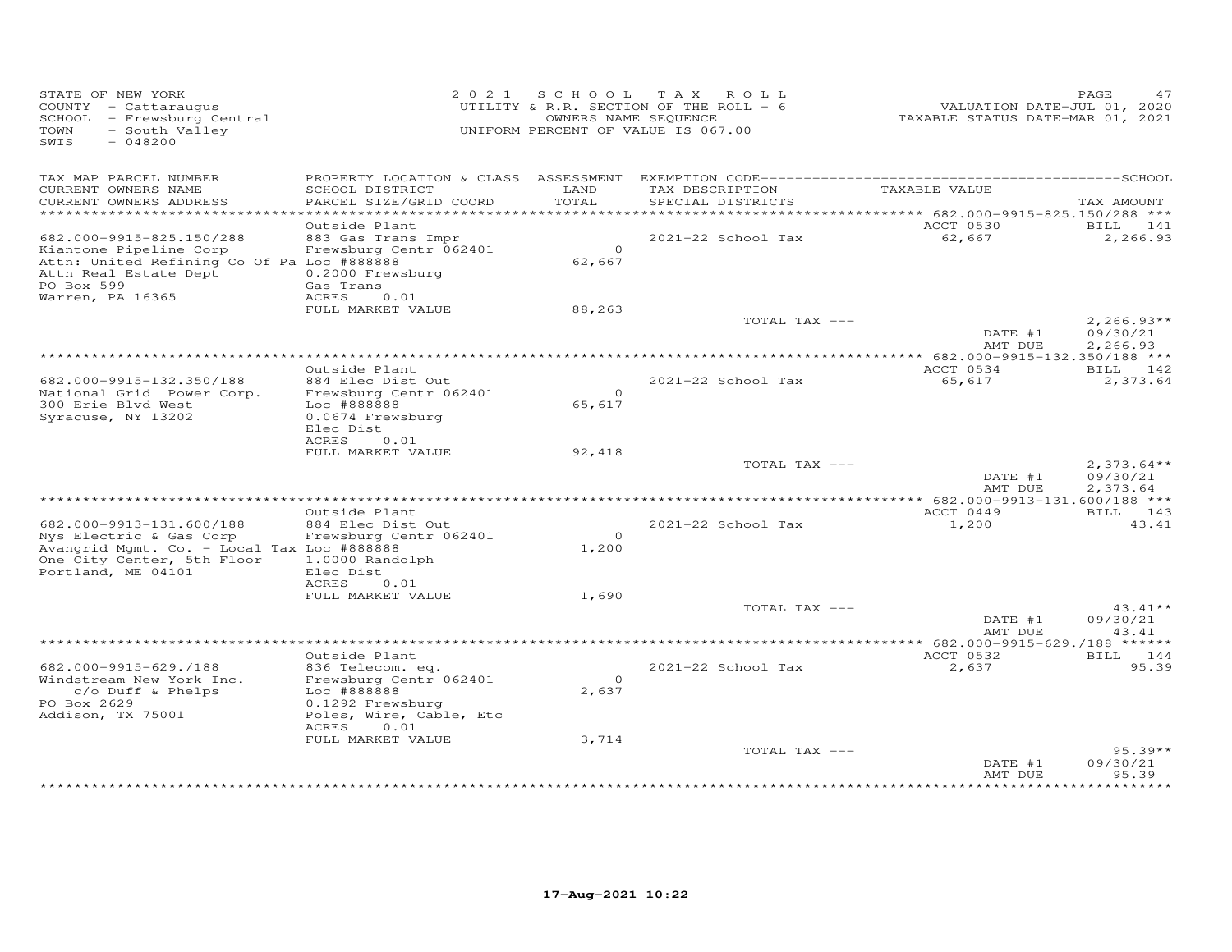| STATE OF NEW YORK<br>COUNTY - Cattaraugus<br>SCHOOL - Frewsburg Central<br>- South Valley<br>TOWN<br>$-048200$<br>SWIS                                      |                                                                                                                 |                    | 2021 SCHOOL TAX ROLL<br>UTILITY & R.R. SECTION OF THE ROLL - 6<br>OWNERS NAME SEQUENCE<br>UNIFORM PERCENT OF VALUE IS 067.00 | VALUATION DATE-JUL 01, 2020<br>TAXABLE STATUS DATE-MAR 01, 2021 | PAGE<br>47                           |
|-------------------------------------------------------------------------------------------------------------------------------------------------------------|-----------------------------------------------------------------------------------------------------------------|--------------------|------------------------------------------------------------------------------------------------------------------------------|-----------------------------------------------------------------|--------------------------------------|
| TAX MAP PARCEL NUMBER<br>CURRENT OWNERS NAME<br>CURRENT OWNERS ADDRESS                                                                                      | SCHOOL DISTRICT<br>PARCEL SIZE/GRID COORD                                                                       | LAND<br>TOTAL      | TAX DESCRIPTION<br>SPECIAL DISTRICTS                                                                                         | TAXABLE VALUE                                                   | TAX AMOUNT                           |
| ************************                                                                                                                                    |                                                                                                                 |                    |                                                                                                                              |                                                                 |                                      |
| 682.000-9915-825.150/288<br>Kiantone Pipeline Corp<br>Attn: United Refining Co Of Pa Loc #888888<br>Attn Real Estate Dept<br>PO Box 599<br>Warren, PA 16365 | Outside Plant<br>883 Gas Trans Impr<br>Frewsburg Centr 062401<br>0.2000 Frewsburg<br>Gas Trans<br>ACRES<br>0.01 | $\Omega$<br>62,667 | 2021-22 School Tax                                                                                                           | ACCT 0530<br>62,667                                             | BILL 141<br>2,266.93                 |
|                                                                                                                                                             | FULL MARKET VALUE                                                                                               | 88,263             | TOTAL TAX ---                                                                                                                |                                                                 | $2,266.93**$                         |
|                                                                                                                                                             |                                                                                                                 |                    |                                                                                                                              | DATE #1<br>AMT DUE                                              | 09/30/21<br>2,266.93                 |
|                                                                                                                                                             |                                                                                                                 |                    |                                                                                                                              |                                                                 |                                      |
| 682.000-9915-132.350/188<br>National Grid Power Corp.<br>300 Erie Blvd West<br>Syracuse, NY 13202                                                           | Outside Plant<br>884 Elec Dist Out<br>Frewsburg Centr 062401<br>Loc #888888<br>0.0674 Frewsburg<br>Elec Dist    | $\circ$<br>65,617  | 2021-22 School Tax                                                                                                           | ACCT 0534<br>65,617                                             | BILL 142<br>2,373.64                 |
|                                                                                                                                                             | ACRES<br>0.01<br>FULL MARKET VALUE                                                                              |                    |                                                                                                                              |                                                                 |                                      |
|                                                                                                                                                             |                                                                                                                 | 92,418             | TOTAL TAX ---                                                                                                                | DATE #1<br>AMT DUE                                              | $2,373.64**$<br>09/30/21<br>2,373.64 |
|                                                                                                                                                             | Outside Plant                                                                                                   |                    | ****************************                                                                                                 | ** 682.000-9913-131.600/188 ***<br>ACCT 0449                    | BILL 143                             |
| 682.000-9913-131.600/188<br>Nys Electric & Gas Corp<br>Avangrid Mgmt. Co. - Local Tax Loc #888888<br>One City Center, 5th Floor<br>Portland, ME 04101       | 884 Elec Dist Out<br>Frewsburg Centr 062401<br>1.0000 Randolph<br>Elec Dist                                     | $\Omega$<br>1,200  | 2021-22 School Tax                                                                                                           | 1,200                                                           | 43.41                                |
|                                                                                                                                                             | <b>ACRES</b><br>0.01                                                                                            |                    |                                                                                                                              |                                                                 |                                      |
|                                                                                                                                                             | FULL MARKET VALUE                                                                                               | 1,690              | TOTAL TAX ---                                                                                                                | DATE #1                                                         | $43.41**$<br>09/30/21                |
|                                                                                                                                                             |                                                                                                                 |                    |                                                                                                                              | AMT DUE                                                         | 43.41                                |
|                                                                                                                                                             | Outside Plant                                                                                                   |                    |                                                                                                                              | ACCT 0532                                                       | BILL 144                             |
| 682.000-9915-629./188<br>Windstream New York Inc.<br>c/o Duff & Phelps<br>PO Box 2629<br>Addison, TX 75001                                                  | 836 Telecom. eq.<br>Frewsburg Centr 062401<br>Loc #888888<br>0.1292 Frewsburg<br>Poles, Wire, Cable, Etc        | $\circ$<br>2,637   | 2021-22 School Tax                                                                                                           | 2,637                                                           | 95.39                                |
|                                                                                                                                                             | 0.01<br>ACRES                                                                                                   |                    |                                                                                                                              |                                                                 |                                      |
|                                                                                                                                                             | FULL MARKET VALUE                                                                                               | 3,714              | TOTAL TAX ---                                                                                                                |                                                                 | $95.39**$                            |
|                                                                                                                                                             |                                                                                                                 |                    |                                                                                                                              | DATE #1<br>AMT DUE                                              | 09/30/21<br>95.39<br>******          |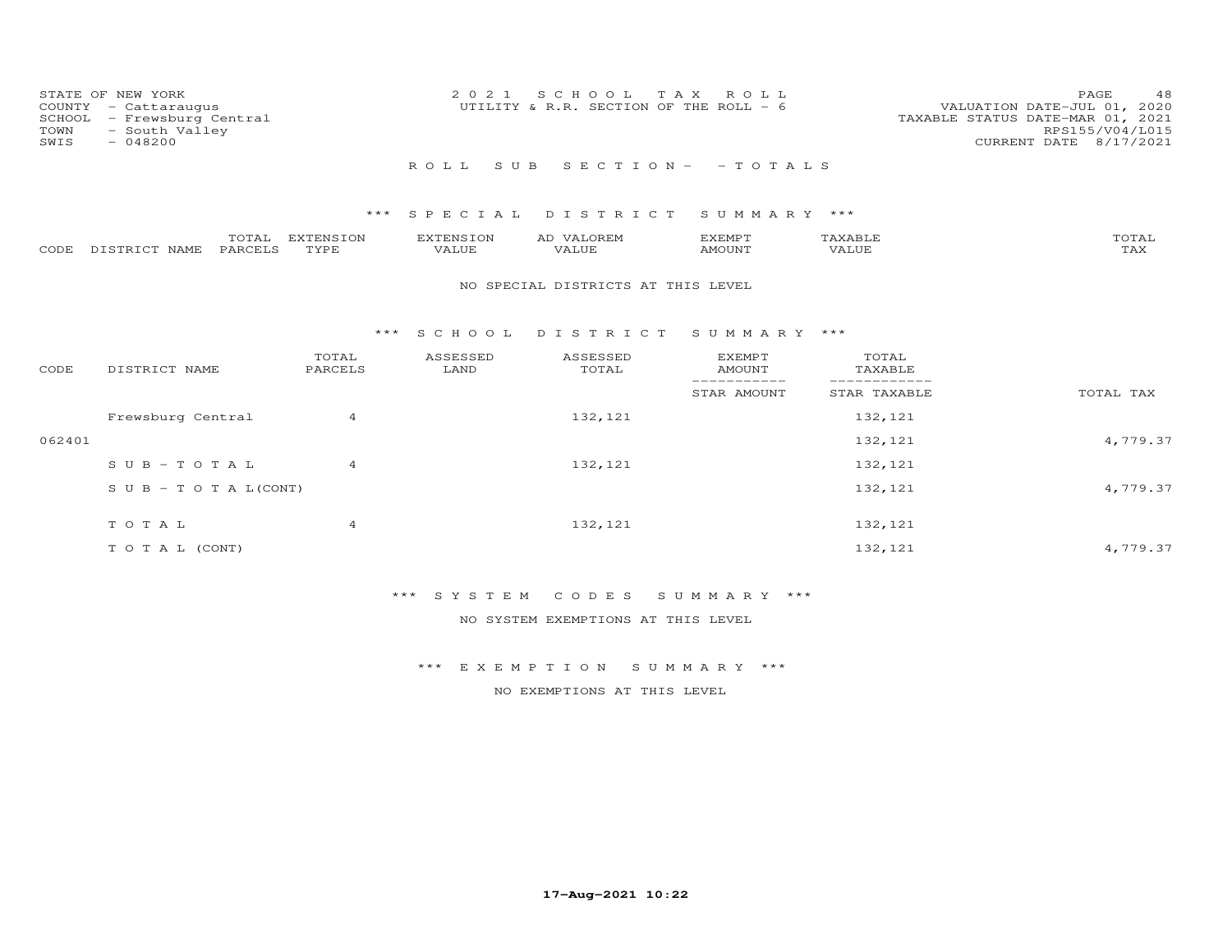| STATE OF NEW YORK<br>COUNTY - Cattaraugus<br>SCHOOL - Frewsburg Central<br>- South Valley<br>TOWN<br>SWIS<br>- 048200 | 2021 SCHOOL TAX ROLL<br>UTILITY & R.R. SECTION OF THE ROLL - 6 | 48<br>PAGE.<br>VALUATION DATE-JUL 01, 2020<br>TAXABLE STATUS DATE-MAR 01, 2021<br>RPS155/V04/L015<br>CURRENT DATE 8/17/2021 |
|-----------------------------------------------------------------------------------------------------------------------|----------------------------------------------------------------|-----------------------------------------------------------------------------------------------------------------------------|
|                                                                                                                       | ROLL SUB SECTION- - TOTALS                                     |                                                                                                                             |

|      |                  | $- - -$<br>UTAL | ENSION:<br>$\overline{1}$ | $\blacksquare$ | A1.                              | <b>YEMP1</b> |               | $T0$ $T1$ $T2$<br>UIAL |
|------|------------------|-----------------|---------------------------|----------------|----------------------------------|--------------|---------------|------------------------|
| CODE | רפד¤דרי<br>NAME. | PARCELS         | <b>TVDE</b>               | ALUE           | $\overline{\phantom{a}}$<br>ALUE | <b>MOUNT</b> | <i>J</i> ALUE | $m \times r$<br>L A A  |

### NO SPECIAL DISTRICTS AT THIS LEVEL

#### \*\*\* S C H O O L D I S T R I C T S U M M A R Y \*\*\*

| CODE   | DISTRICT NAME                    | TOTAL<br>PARCELS | ASSESSED<br>LAND | ASSESSED<br>TOTAL | <b>EXEMPT</b><br>AMOUNT | TOTAL<br>TAXABLE |           |
|--------|----------------------------------|------------------|------------------|-------------------|-------------------------|------------------|-----------|
|        |                                  |                  |                  |                   | STAR AMOUNT             | STAR TAXABLE     | TOTAL TAX |
|        | Frewsburg Central                | 4                |                  | 132,121           |                         | 132,121          |           |
| 062401 |                                  |                  |                  |                   |                         | 132,121          | 4,779.37  |
|        | $SUB - TO TAL$                   | $\overline{4}$   |                  | 132, 121          |                         | 132,121          |           |
|        | $S \cup B - T \cup T A L (CONT)$ |                  |                  |                   |                         | 132,121          | 4,779.37  |
|        | TOTAL                            |                  |                  | 132, 121          |                         | 132,121          |           |
|        |                                  | 4                |                  |                   |                         |                  |           |
|        | T O T A L (CONT)                 |                  |                  |                   |                         | 132,121          | 4,779.37  |

# \*\*\* S Y S T E M C O D E S S U M M A R Y \*\*\*

NO SYSTEM EXEMPTIONS AT THIS LEVEL

### \*\*\* E X E M P T I O N S U M M A R Y \*\*\*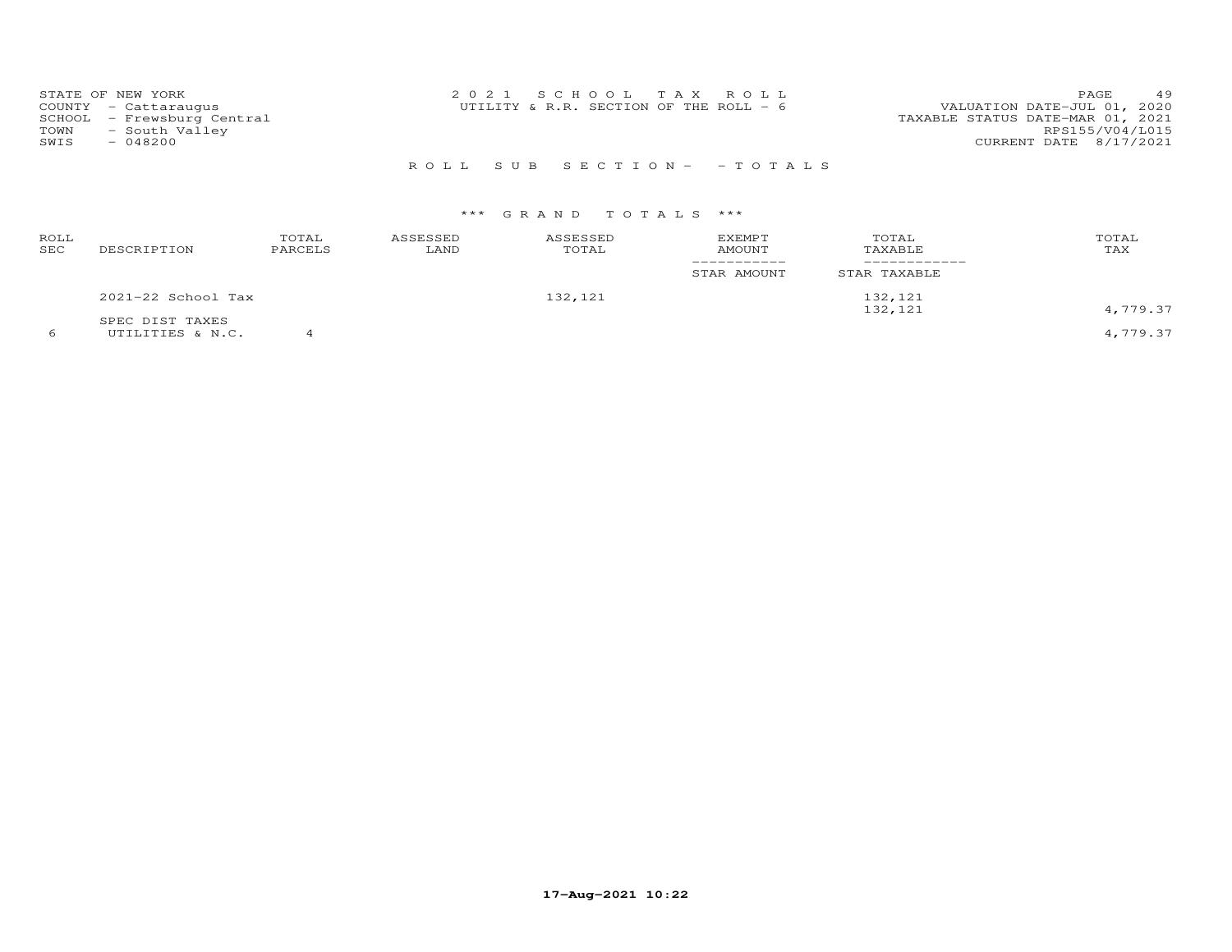| STATE OF NEW YORK          | 2021 SCHOOL TAX ROLL                     | 49<br><b>PAGE</b>                |
|----------------------------|------------------------------------------|----------------------------------|
| COUNTY - Cattaraugus       | UTILITY & R.R. SECTION OF THE ROLL - $6$ | VALUATION DATE-JUL 01, 2020      |
| SCHOOL - Frewsburg Central |                                          | TAXABLE STATUS DATE-MAR 01, 2021 |
| - South Valley<br>TOWN     |                                          | RPS155/V04/L015                  |
| $-048200$<br>SWIS          |                                          | CURRENT DATE 8/17/2021           |
|                            |                                          |                                  |

# R O L L S U B S E C T I O N - - T O T A L S

# \*\*\* G R A N D T O T A L S \*\*\*

| ROLL<br>SEC | DESCRIPTION          | TOTAL<br>PARCELS | ASSESSED<br>LAND | ASSESSED<br>TOTAL | <b>EXEMPT</b><br><b>AMOUNT</b> | TOTAL<br>TAXABLE | TOTAL<br>TAX |
|-------------|----------------------|------------------|------------------|-------------------|--------------------------------|------------------|--------------|
|             |                      |                  |                  |                   | STAR AMOUNT                    | STAR TAXABLE     |              |
|             | $2021-22$ School Tax |                  |                  | 132,121           |                                | 132,121          |              |
|             | SPEC DIST TAXES      |                  |                  |                   |                                | 132,121          | 4,779.37     |

6 UTILITIES & N.C.  $4$  4,779.37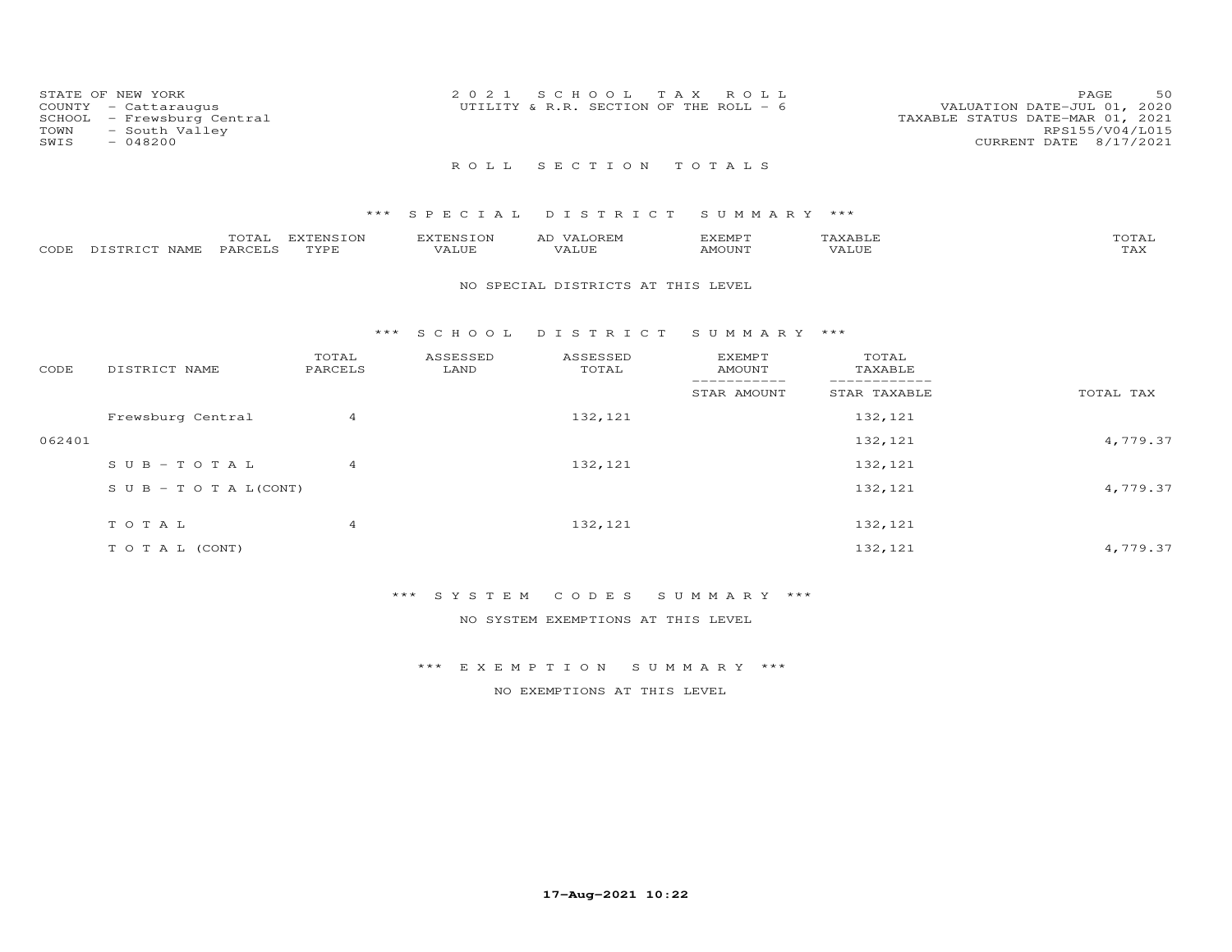| STATE OF NEW YORK<br>COUNTY - Cattaraugus<br>SCHOOL - Frewsburg Central<br>TOWN<br>- South Valley<br>SWIS<br>- 048200 | 2021 SCHOOL TAX ROLL<br>UTILITY & R.R. SECTION OF THE ROLL - 6 | 50<br>PAGE<br>VALUATION DATE-JUL 01, 2020<br>TAXABLE STATUS DATE-MAR 01, 2021<br>RPS155/V04/L015<br>CURRENT DATE 8/17/2021 |
|-----------------------------------------------------------------------------------------------------------------------|----------------------------------------------------------------|----------------------------------------------------------------------------------------------------------------------------|
|                                                                                                                       | ROLL SECTION TOTALS                                            |                                                                                                                            |

|      |                   | ----<br>$\overline{\phantom{a}}$ | <b>EXTENSION</b> | T <sub>1</sub> |       | <b>********</b><br>∟™ات ∩ |       |                        |
|------|-------------------|----------------------------------|------------------|----------------|-------|---------------------------|-------|------------------------|
| CODE | $- - - -$<br>JAMF | <b>PARCELS</b>                   | TVDE             |                | T T T | <b>AMOUNT</b>             | VALUF | <b>TT 75 37</b><br>ŦΨV |

#### NO SPECIAL DISTRICTS AT THIS LEVEL

#### \*\*\* S C H O O L D I S T R I C T S U M M A R Y \*\*\*

| CODE   | DISTRICT NAME                    | TOTAL<br>PARCELS | ASSESSED<br>LAND | ASSESSED<br>TOTAL | <b>EXEMPT</b><br>AMOUNT | TOTAL<br>TAXABLE |           |
|--------|----------------------------------|------------------|------------------|-------------------|-------------------------|------------------|-----------|
|        |                                  |                  |                  |                   | STAR AMOUNT             | STAR TAXABLE     | TOTAL TAX |
|        | Frewsburg Central                | 4                |                  | 132,121           |                         | 132,121          |           |
| 062401 |                                  |                  |                  |                   |                         | 132, 121         | 4,779.37  |
|        | $SUB - TO T AL$                  | $\overline{4}$   |                  | 132, 121          |                         | 132, 121         |           |
|        | $S \cup B - T \cup T A L (CONT)$ |                  |                  |                   |                         | 132,121          | 4,779.37  |
|        |                                  |                  |                  |                   |                         |                  |           |
|        | TOTAL                            | 4                |                  | 132, 121          |                         | 132,121          |           |
|        | T O T A L (CONT)                 |                  |                  |                   |                         | 132,121          | 4,779.37  |

#### \*\*\* S Y S T E M C O D E S S U M M A R Y \*\*\*

NO SYSTEM EXEMPTIONS AT THIS LEVEL

### \*\*\* E X E M P T I O N S U M M A R Y \*\*\*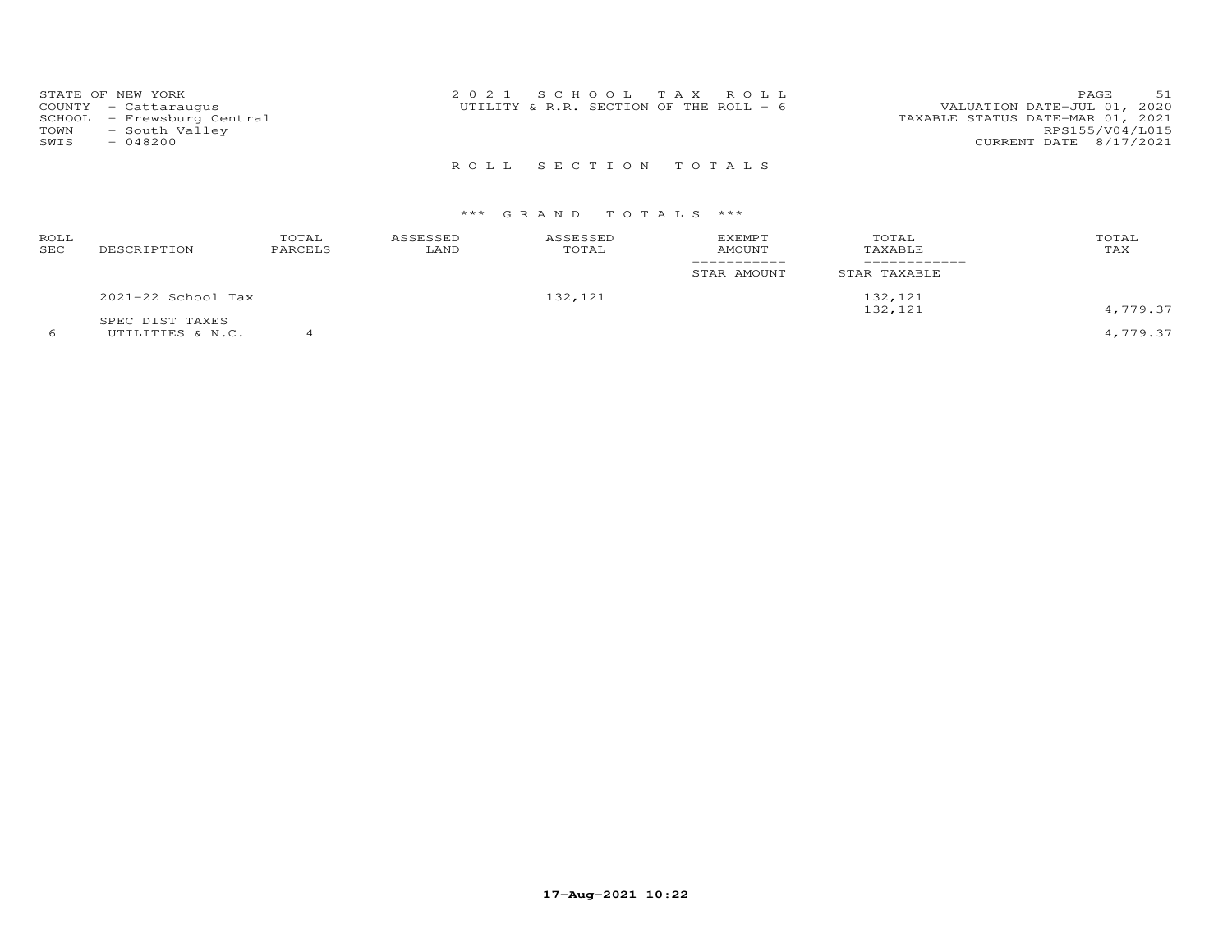| STATE OF NEW YORK<br>COUNTY - Cattaraugus<br>SCHOOL - Frewsburg Central<br>- South Valley<br>TOWN<br>SWIS<br>$-048200$ | 2021 SCHOOL TAX ROLL<br>UTILITY & R.R. SECTION OF THE ROLL $-6$ | PAGE.<br>51<br>VALUATION DATE-JUL 01, 2020<br>TAXABLE STATUS DATE-MAR 01, 2021<br>RPS155/V04/L015<br>CURRENT DATE 8/17/2021 |
|------------------------------------------------------------------------------------------------------------------------|-----------------------------------------------------------------|-----------------------------------------------------------------------------------------------------------------------------|
|                                                                                                                        | ROLL SECTION TOTALS                                             |                                                                                                                             |

| ROLL<br>SEC | DESCRIPTION                         | TOTAL<br>PARCELS | ASSESSED<br>LAND | ASSESSED<br>TOTAL | <b>EXEMPT</b><br>AMOUNT | TOTAL<br>TAXABLE   | TOTAL<br>TAX |
|-------------|-------------------------------------|------------------|------------------|-------------------|-------------------------|--------------------|--------------|
|             |                                     |                  |                  |                   | STAR AMOUNT             | STAR TAXABLE       |              |
|             | 2021-22 School Tax                  |                  |                  | 132,121           |                         | 132,121<br>132,121 | 4,779.37     |
|             | SPEC DIST TAXES<br>UTILITIES & N.C. |                  |                  |                   |                         |                    | 4,779.37     |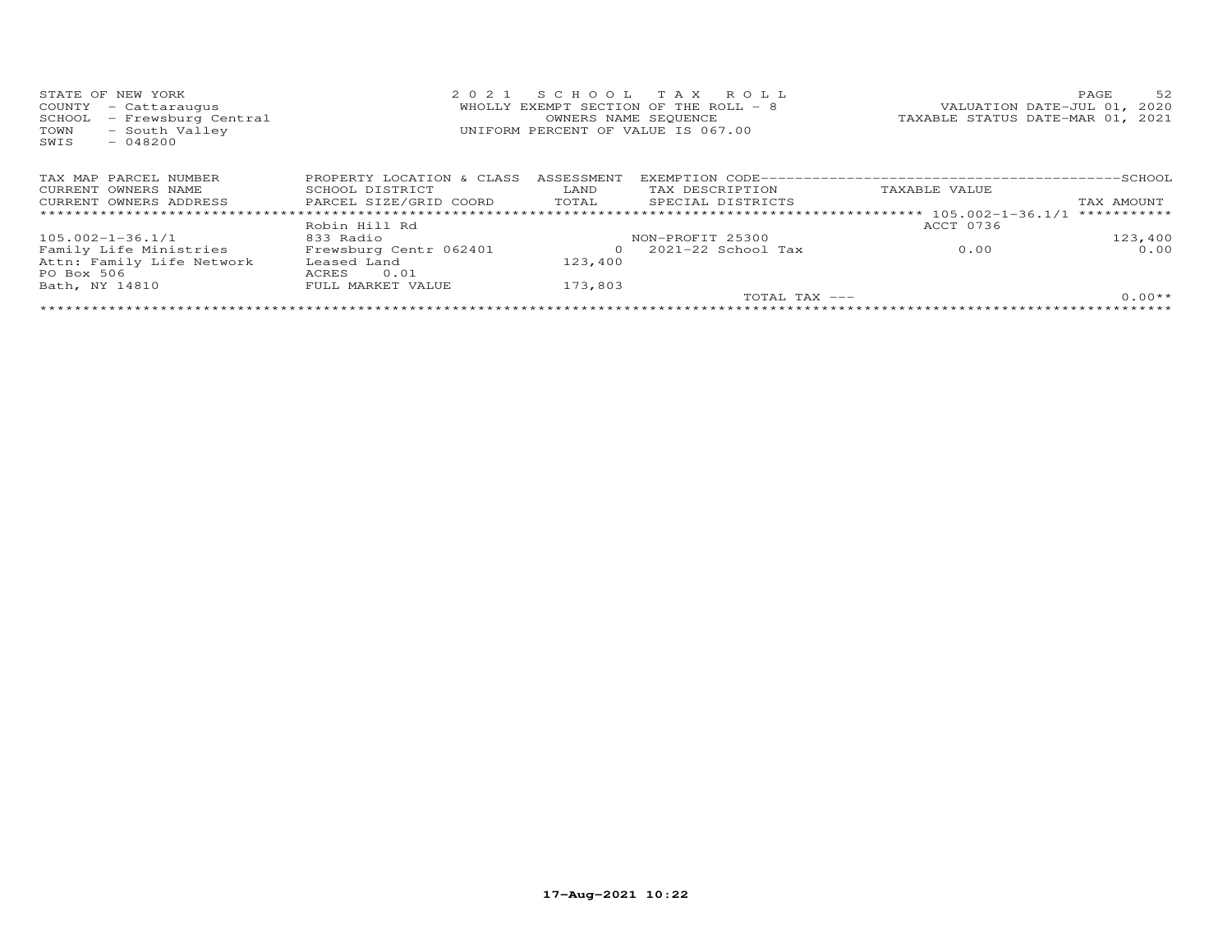| STATE OF NEW YORK             |                           |            | 2021 SCHOOL TAX ROLL                  |                                  | PAGE       | 52         |
|-------------------------------|---------------------------|------------|---------------------------------------|----------------------------------|------------|------------|
| COUNTY - Cattaraugus          |                           |            | WHOLLY EXEMPT SECTION OF THE ROLL - 8 | VALUATION DATE-JUL 01, 2020      |            |            |
| - Frewsburg Central<br>SCHOOL |                           |            | OWNERS NAME SEQUENCE                  | TAXABLE STATUS DATE-MAR 01, 2021 |            |            |
| - South Valley<br>TOWN        |                           |            | UNIFORM PERCENT OF VALUE IS 067.00    |                                  |            |            |
| SWIS<br>- 048200              |                           |            |                                       |                                  |            |            |
|                               |                           |            |                                       |                                  |            |            |
|                               |                           |            |                                       |                                  |            |            |
| TAX MAP PARCEL NUMBER         | PROPERTY LOCATION & CLASS | ASSESSMENT |                                       |                                  |            | $-$ SCHOOL |
| CURRENT OWNERS NAME           | SCHOOL DISTRICT           | LAND       | TAX DESCRIPTION                       | TAXABLE VALUE                    |            |            |
| CURRENT OWNERS ADDRESS        | PARCEL SIZE/GRID COORD    | TOTAL      | SPECIAL DISTRICTS                     |                                  | TAX AMOUNT |            |
|                               |                           |            |                                       |                                  |            |            |
|                               | Robin Hill Rd             |            |                                       | ACCT 0736                        |            |            |
|                               |                           |            |                                       |                                  |            |            |

| $105.002 - 1 - 36.1/1$    | 833 Radio              |         | NON-PROFIT 25300     |      | 123,400  |
|---------------------------|------------------------|---------|----------------------|------|----------|
| Family Life Ministries    | Frewsburg Centr 062401 |         | $2021-22$ School Tax | 0.00 | 0.00     |
| Attn: Family Life Network | Leased Land            | 123.400 |                      |      |          |
| PO Box 506                | 0.01<br>ACRES          |         |                      |      |          |
| Bath, NY 14810            | FULL MARKET VALUE      | 173,803 |                      |      |          |
|                           |                        |         | TOTAL TAX ---        |      | $0.00**$ |
|                           |                        |         |                      |      |          |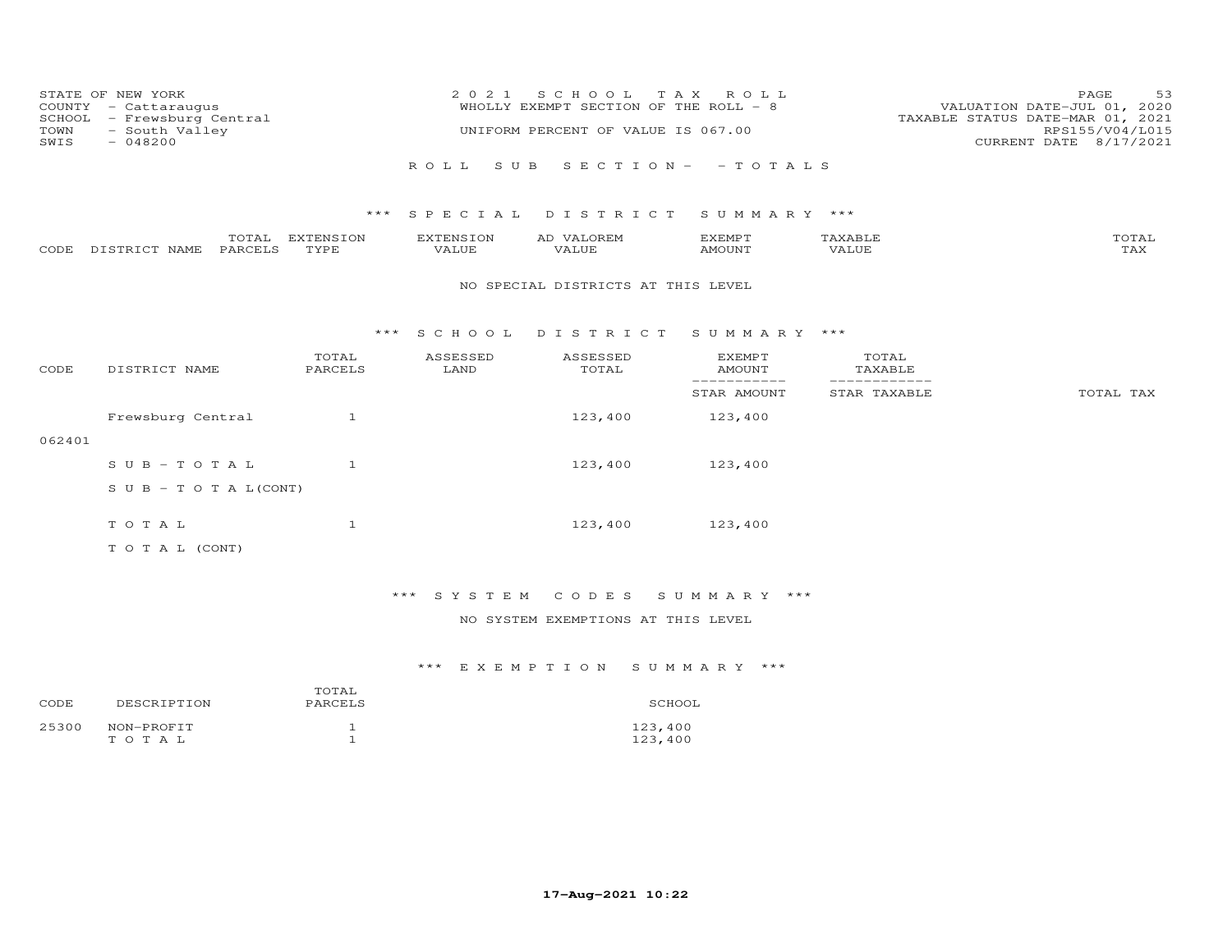| COUNTY<br>SCHOOL<br>TOWN<br>SWIS | STATE OF NEW YORK<br>- Cattaraugus<br>- Frewsburg Central<br>- South Valley<br>$-048200$ |                   | 2 0 2 1            | S C H O O L<br>WHOLLY EXEMPT SECTION OF THE ROLL - 8<br>UNIFORM PERCENT OF VALUE IS 067.00 | T A X<br>ROLL                   |                               | 53<br>PAGE<br>VALUATION DATE-JUL 01, 2020<br>TAXABLE STATUS DATE-MAR 01, 2021<br>RPS155/V04/L015<br>CURRENT DATE 8/17/2021 |
|----------------------------------|------------------------------------------------------------------------------------------|-------------------|--------------------|--------------------------------------------------------------------------------------------|---------------------------------|-------------------------------|----------------------------------------------------------------------------------------------------------------------------|
|                                  |                                                                                          |                   | ROLL               | S U B                                                                                      | $S E C T I O N - - T O T A L S$ |                               |                                                                                                                            |
|                                  |                                                                                          | ***               | S P E C I A L      | DISTRICT                                                                                   | SUMMARY ***                     |                               |                                                                                                                            |
| CODE                             | TOTAL<br>DISTRICT NAME<br>PARCELS                                                        | EXTENSION<br>TYPE | EXTENSION<br>VALUE | AD VALOREM<br><b>VALUE</b>                                                                 | EXEMPT<br>AMOUNT                | TAXABLE<br><b>VALUE</b>       | TOTAL<br><b>TAX</b>                                                                                                        |
|                                  |                                                                                          |                   |                    | NO SPECIAL DISTRICTS AT THIS LEVEL                                                         |                                 |                               |                                                                                                                            |
|                                  |                                                                                          | $***$             | S C H O O L        | DISTRICT                                                                                   | SUMMARY ***                     |                               |                                                                                                                            |
| CODE                             | DISTRICT NAME                                                                            | TOTAL<br>PARCELS  | ASSESSED<br>LAND   | ASSESSED<br>TOTAL                                                                          | <b>EXEMPT</b><br><b>AMOUNT</b>  | TOTAL<br>TAXABLE              |                                                                                                                            |
|                                  |                                                                                          |                   |                    |                                                                                            | -----------<br>STAR AMOUNT      | -------------<br>STAR TAXABLE | TOTAL TAX                                                                                                                  |
|                                  | Frewsburg Central                                                                        | 1                 |                    | 123,400                                                                                    | 123,400                         |                               |                                                                                                                            |
| 062401                           |                                                                                          |                   |                    |                                                                                            |                                 |                               |                                                                                                                            |
|                                  | $SUB - TO T AL$                                                                          | $\mathbf{1}$      |                    | 123,400                                                                                    | 123,400                         |                               |                                                                                                                            |
|                                  | $S \cup B - T \cup T A L (CONT)$                                                         |                   |                    |                                                                                            |                                 |                               |                                                                                                                            |
|                                  | TOTAL                                                                                    | $\mathbf{1}$      |                    | 123,400                                                                                    | 123,400                         |                               |                                                                                                                            |
|                                  | T O T A L (CONT)                                                                         |                   |                    |                                                                                            |                                 |                               |                                                                                                                            |

# \*\*\* S Y S T E M C O D E S S U M M A R Y \*\*\*

### NO SYSTEM EXEMPTIONS AT THIS LEVEL

| CODE. | DESCRIPTION         | TOTAL<br>PARCELS | SCHOOL             |
|-------|---------------------|------------------|--------------------|
| 25300 | NON-PROFIT<br>TOTAL |                  | 123,400<br>123,400 |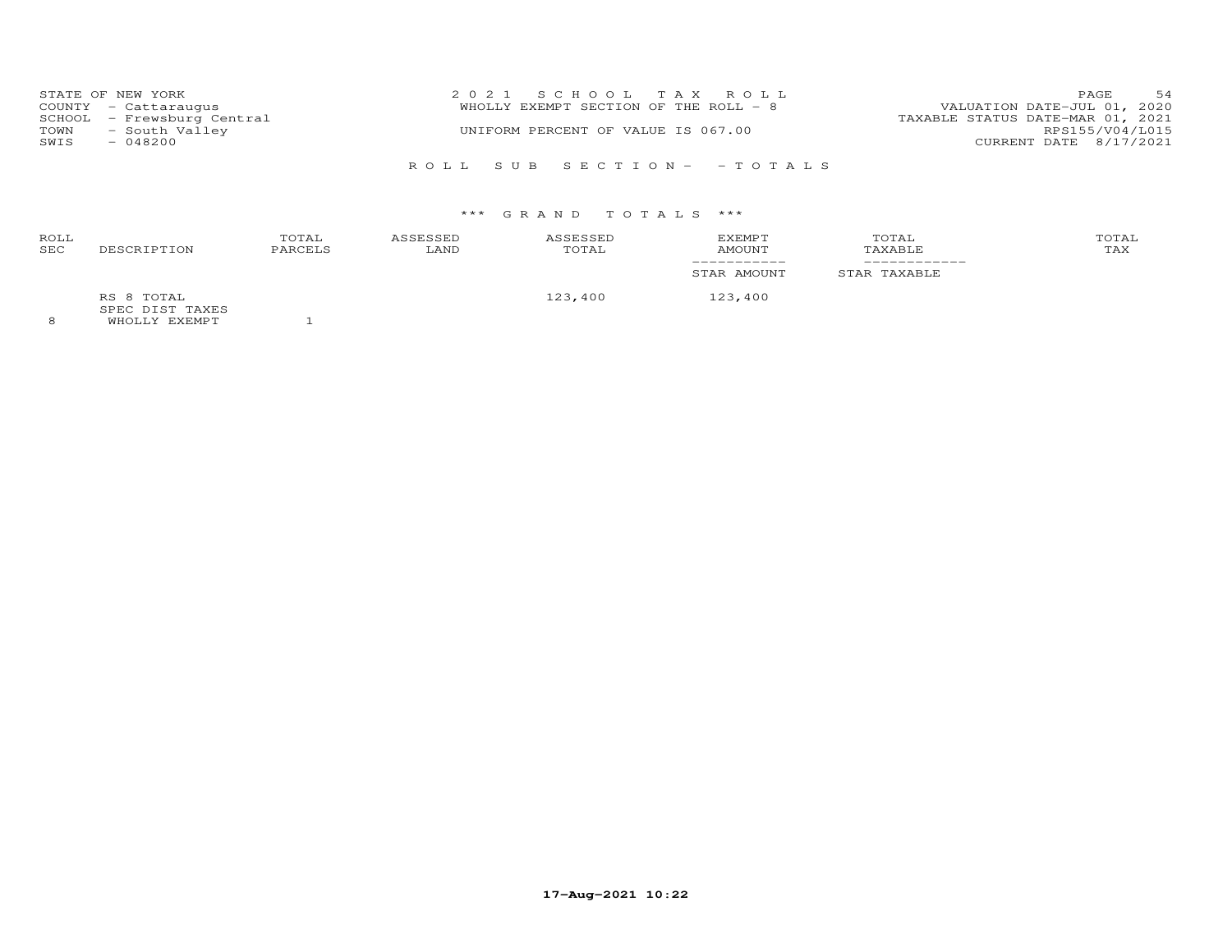|      | STATE OF NEW YORK          | 2021 SCHOOL TAX ROLL                  | 54<br><b>PAGE</b>                |
|------|----------------------------|---------------------------------------|----------------------------------|
|      | COUNTY - Cattaraugus       | WHOLLY EXEMPT SECTION OF THE ROLL - 8 | VALUATION DATE-JUL 01, 2020      |
|      | SCHOOL - Frewsburg Central |                                       | TAXABLE STATUS DATE-MAR 01, 2021 |
| TOWN | - South Valley             | UNIFORM PERCENT OF VALUE IS 067.00    | RPS155/V04/L015                  |
| SWIS | $-048200$                  |                                       | CURRENT DATE 8/17/2021           |
|      |                            |                                       |                                  |

R O L L S U B S E C T I O N - - T O T A L S

# \*\*\* G R A N D T O T A L S \*\*\*

| ROLL<br>SEC | DESCRIPTION                                           | TOTAL<br>PARCELS | ASSESSED<br>LAND | ASSESSED<br>TOTAL | EXEMPT<br>AMOUNT | TOTAL<br>TAXABLE | TOTAL<br>TAX |
|-------------|-------------------------------------------------------|------------------|------------------|-------------------|------------------|------------------|--------------|
|             |                                                       |                  |                  |                   | STAR AMOUNT      | STAR TAXABLE     |              |
|             | RS 8 TOTAL<br>SPEC DIST TAXES<br><b>WUOTIV EVEMBT</b> |                  |                  | 123,400           | 123,400          |                  |              |

8 WHOLLY EXEMPT 1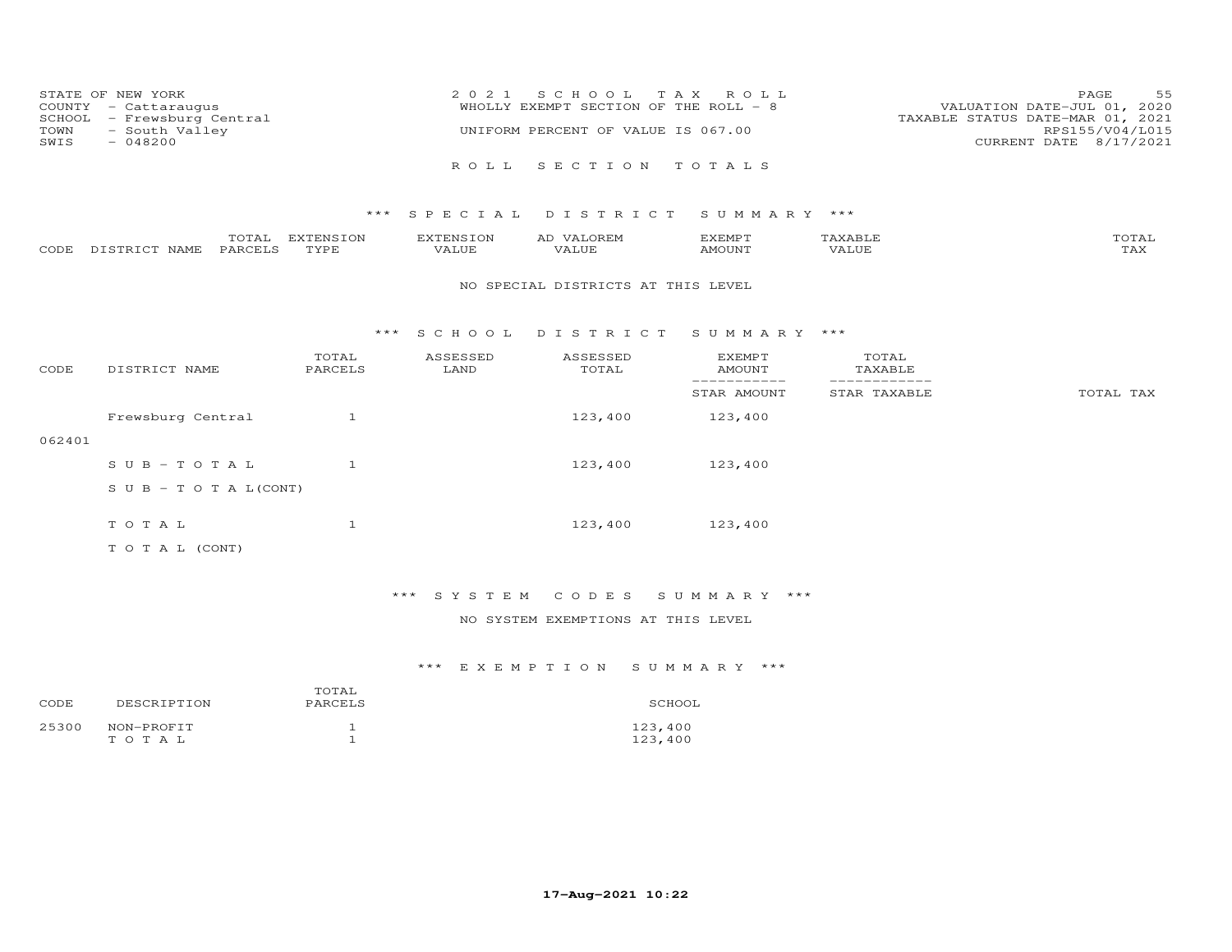| STATE OF NEW YORK<br>COUNTY - Cattaraugus<br>SCHOOL - Frewsburg Central<br>TOWN - South Valley<br>SWIS<br>$-048200$ | 2021 SCHOOL TAX ROLL<br>WHOLLY EXEMPT SECTION OF THE ROLL - 8<br>UNIFORM PERCENT OF VALUE IS 067.00 | 55<br>PAGE<br>VALUATION DATE-JUL 01, 2020<br>TAXABLE STATUS DATE-MAR 01, 2021<br>RPS155/V04/L015<br>CURRENT DATE 8/17/2021 |
|---------------------------------------------------------------------------------------------------------------------|-----------------------------------------------------------------------------------------------------|----------------------------------------------------------------------------------------------------------------------------|
|                                                                                                                     | ROLL SECTION TOTALS                                                                                 |                                                                                                                            |

|      |                  | $- - -$<br>$\sim$ | EXTENSION | <b>AYTEMSTON</b> | EXEMPT       |       | $m \wedge m \wedge \tau$<br>OTAL |
|------|------------------|-------------------|-----------|------------------|--------------|-------|----------------------------------|
| CODE | NAME<br>DISTRICT | PARCELS           | TVDF      | ۳ تا سلمہ        | <b>MOUNT</b> | VALUE | ב/בית.                           |

#### NO SPECIAL DISTRICTS AT THIS LEVEL

#### \*\*\* S C H O O L D I S T R I C T S U M M A R Y \*\*\*

| CODE   | DISTRICT NAME                    | TOTAL<br>PARCELS | ASSESSED<br>LAND | ASSESSED<br>TOTAL | <b>EXEMPT</b><br>AMOUNT | TOTAL<br>TAXABLE |           |
|--------|----------------------------------|------------------|------------------|-------------------|-------------------------|------------------|-----------|
|        |                                  |                  |                  |                   | STAR AMOUNT             | STAR TAXABLE     | TOTAL TAX |
|        | Frewsburg Central                |                  |                  | 123,400           | 123,400                 |                  |           |
| 062401 |                                  |                  |                  |                   |                         |                  |           |
|        | $SUB - TO T AL$                  |                  |                  | 123,400           | 123,400                 |                  |           |
|        | $S \cup B - T \cup T A L (CONT)$ |                  |                  |                   |                         |                  |           |
|        | TOTAL                            |                  |                  | 123,400           | 123,400                 |                  |           |
|        | T O T A L (CONT)                 |                  |                  |                   |                         |                  |           |

# \*\*\* S Y S T E M C O D E S S U M M A R Y \*\*\*

### NO SYSTEM EXEMPTIONS AT THIS LEVEL

| CODE  | DESCRIPTION         | TOTAL<br>PARCELS | SCHOOL             |
|-------|---------------------|------------------|--------------------|
| 25300 | NON-PROFIT<br>TOTAL |                  | 123,400<br>123,400 |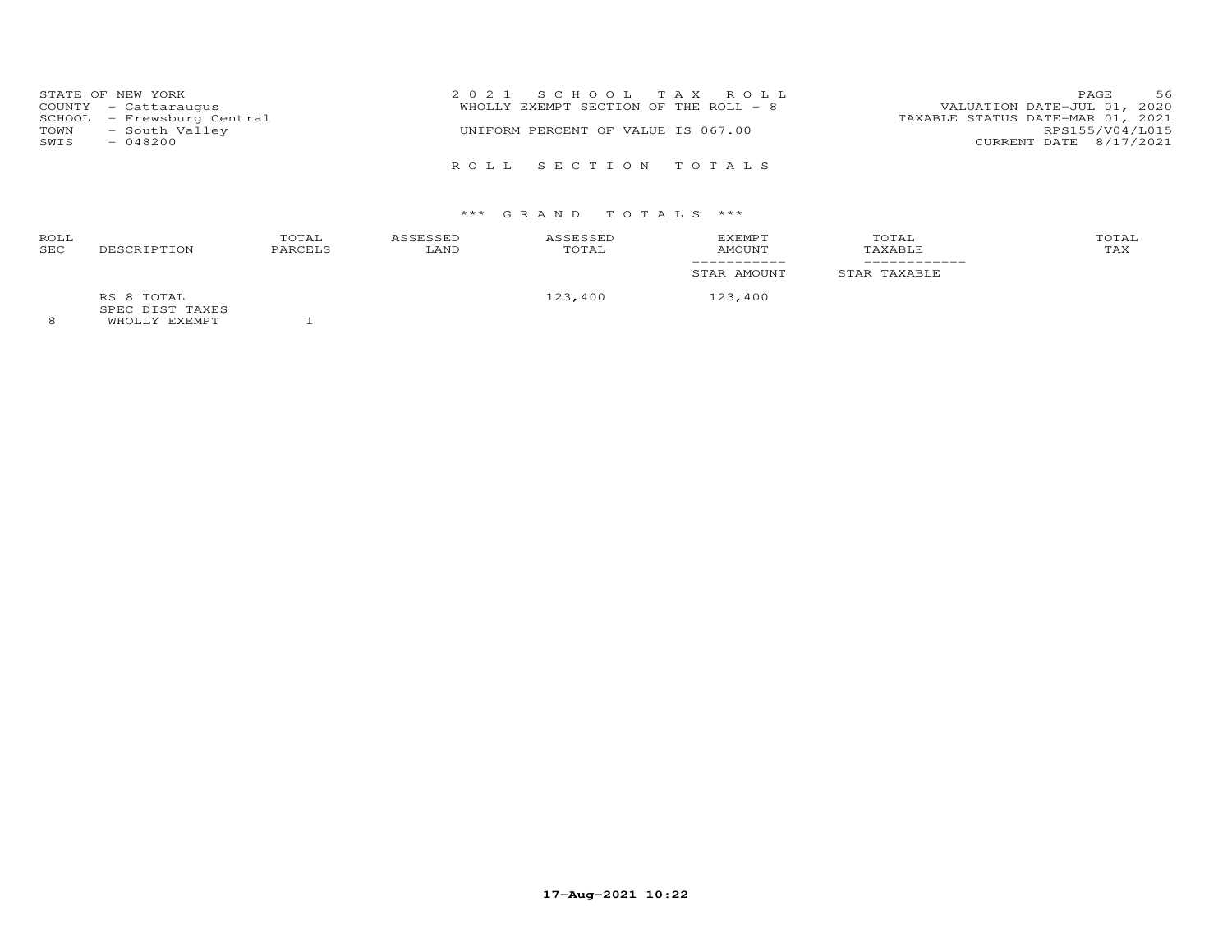| STATE OF NEW YORK          | 2021 SCHOOL TAX ROLL                  | 56<br>PAGE                       |
|----------------------------|---------------------------------------|----------------------------------|
| COUNTY - Cattaraugus       | WHOLLY EXEMPT SECTION OF THE ROLL - 8 | VALUATION DATE-JUL 01, 2020      |
| SCHOOL - Frewsburg Central |                                       | TAXABLE STATUS DATE-MAR 01, 2021 |
| - South Valley<br>TOWN     | UNIFORM PERCENT OF VALUE IS 067.00    | RPS155/V04/L015                  |
| SWIS<br>$-048200$          |                                       | CURRENT DATE 8/17/2021           |
|                            |                                       |                                  |
|                            | ROLL SECTION TOTALS                   |                                  |

| <b>ROLL</b><br><b>SEC</b> | DESCRIPTION                                             | TOTAL<br>PARCELS | ASSESSED<br>LAND | ASSESSED<br>TOTAL | <b>EXEMPT</b><br>AMOUNT | TOTAL<br>TAXABLE | TOTAL<br>TAX |
|---------------------------|---------------------------------------------------------|------------------|------------------|-------------------|-------------------------|------------------|--------------|
|                           |                                                         |                  |                  |                   | STAR AMOUNT             | STAR TAXABLE     |              |
| $\sim$                    | RS 8 TOTAL<br>SPEC DIST TAXES<br>______________________ |                  |                  | 123,400           | 123,400                 |                  |              |

8 WHOLLY EXEMPT 1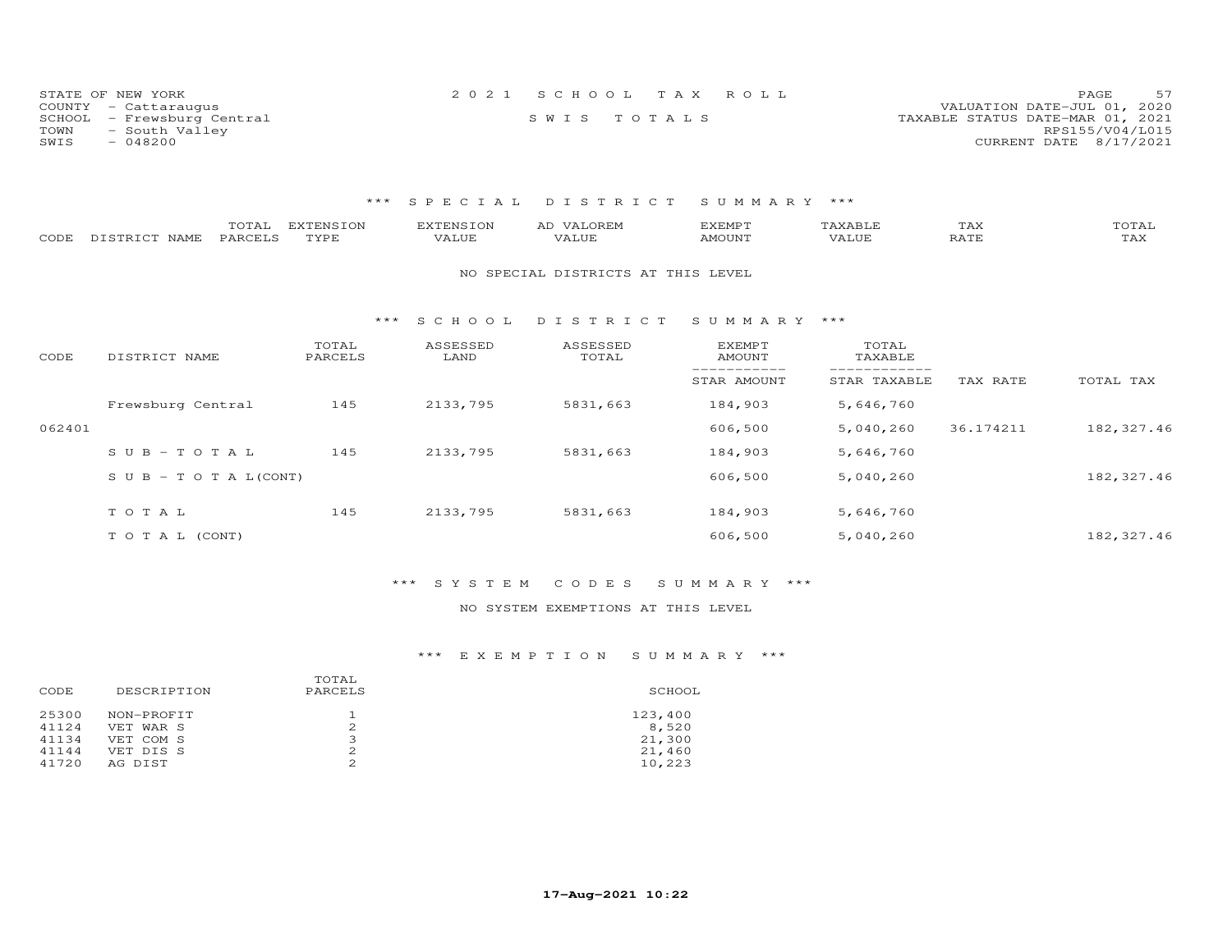| STATE OF NEW YORK          | 2021 SCHOOL TAX ROLL | 57<br>PAGE                       |
|----------------------------|----------------------|----------------------------------|
| COUNTY - Cattaraugus       |                      | VALUATION DATE-JUL 01, 2020      |
| SCHOOL - Frewsburg Central | SWIS TOTALS          | TAXABLE STATUS DATE-MAR 01, 2021 |
| TOWN<br>- South Valley     |                      | RPS155/V04/L015                  |
| $-048200$<br>SWIS          |                      | CURRENT DATE 8/17/2021           |

| CODE   | TOTAL<br>DISTRICT NAME<br>PARCELS | <b>EXTENSION</b><br>TYPE | <b>EXTENSION</b><br>VALUE | AD VALOREM<br>VALUE                | <b>EXEMPT</b><br><b>AMOUNT</b> | TAXABLE<br>VALUE | TAX<br><b>RATE</b> | TOTAL<br>TAX |
|--------|-----------------------------------|--------------------------|---------------------------|------------------------------------|--------------------------------|------------------|--------------------|--------------|
|        |                                   |                          |                           | NO SPECIAL DISTRICTS AT THIS LEVEL |                                |                  |                    |              |
|        |                                   | $***$                    | SCHOOL                    | DISTRICT                           | SUMMARY ***                    |                  |                    |              |
| CODE   | DISTRICT NAME                     | TOTAL<br>PARCELS         | ASSESSED<br>LAND          | ASSESSED<br>TOTAL                  | EXEMPT<br><b>AMOUNT</b>        | TOTAL<br>TAXABLE |                    |              |
|        |                                   |                          |                           |                                    | STAR AMOUNT                    | STAR TAXABLE     | TAX RATE           | TOTAL TAX    |
|        | Frewsburg Central                 | 145                      | 2133,795                  | 5831,663                           | 184,903                        | 5,646,760        |                    |              |
| 062401 |                                   |                          |                           |                                    | 606,500                        | 5,040,260        | 36.174211          | 182, 327.46  |
|        | $SUB - TO T AL$                   | 145                      | 2133,795                  | 5831,663                           | 184,903                        | 5,646,760        |                    |              |
|        | $S \cup B - T \cup T A L (CONT)$  |                          |                           |                                    | 606,500                        | 5,040,260        |                    | 182, 327.46  |
|        | TOTAL                             | 145                      | 2133,795                  | 5831,663                           | 184,903                        | 5,646,760        |                    |              |
|        | TO TAL (CONT)                     |                          |                           |                                    | 606,500                        | 5,040,260        |                    | 182, 327.46  |

### \*\*\* S Y S T E M C O D E S S U M M A R Y \*\*\*

### NO SYSTEM EXEMPTIONS AT THIS LEVEL

| 123,400<br>8,520<br>21,300<br>21,460<br>10,223 |
|------------------------------------------------|
|                                                |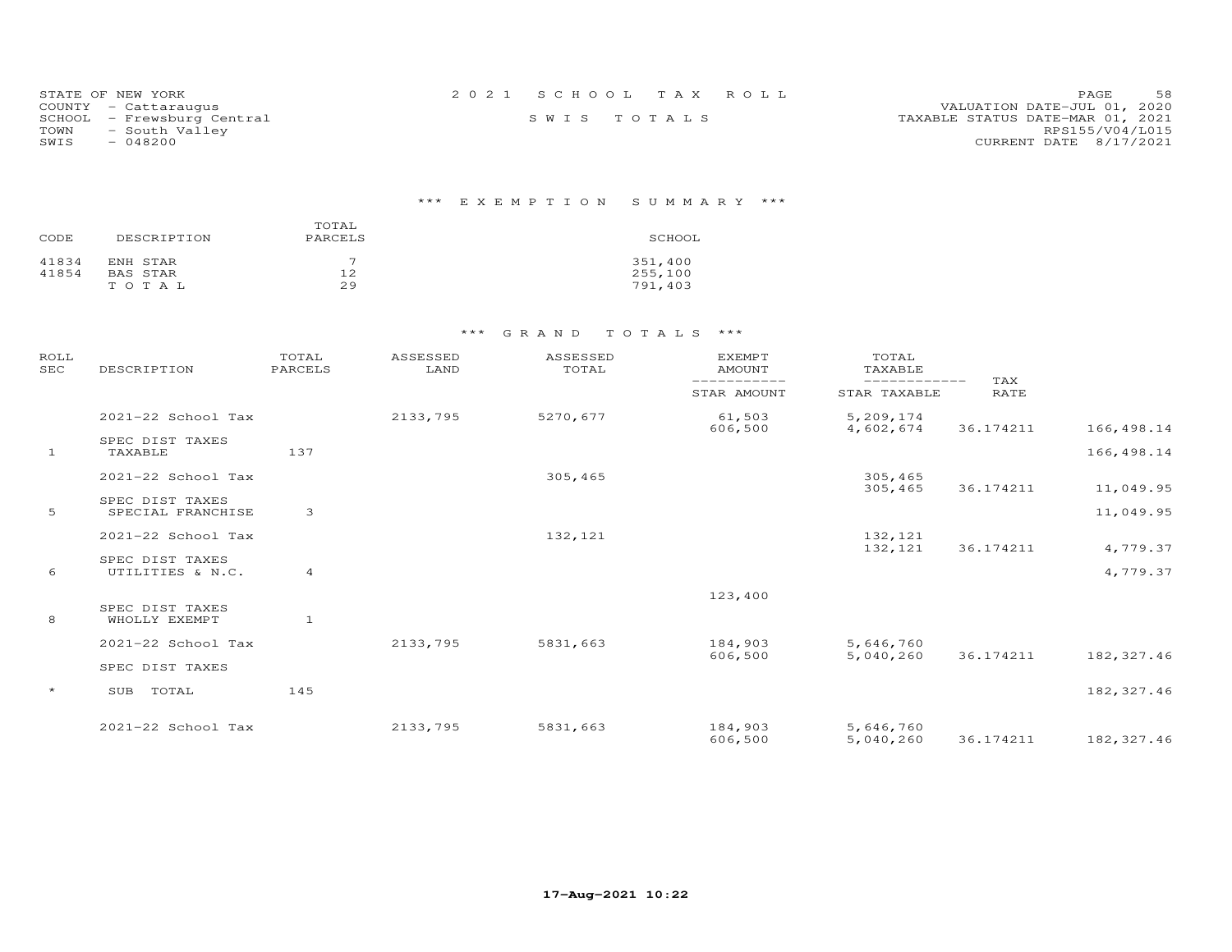| STATE OF NEW YORK          | 2021 SCHOOL TAX ROLL | 58<br>PAGE.                      |
|----------------------------|----------------------|----------------------------------|
| COUNTY - Cattaraugus       |                      | VALUATION DATE-JUL 01, 2020      |
| SCHOOL - Frewsburg Central | SWIS TOTALS          | TAXABLE STATUS DATE-MAR 01, 2021 |
| - South Valley<br>TOWN     |                      | RPS155/V04/L015                  |
| SWIS<br>- 048200           |                      | CURRENT DATE 8/17/2021           |

# \*\*\* E X E M P T I O N S U M M A R Y \*\*\*

| CODE  | DESCRIPTION | TOTAL<br>PARCELS | SCHOOL  |
|-------|-------------|------------------|---------|
| 41834 | ENH STAR    |                  | 351,400 |
| 41854 | BAS STAR    | 12               | 255,100 |
|       | TOTAL       | 29               | 791,403 |

| ROLL<br><b>SEC</b> | DESCRIPTION                           | TOTAL<br>PARCELS | ASSESSED<br>LAND | ASSESSED<br>TOTAL | <b>EXEMPT</b><br>AMOUNT | TOTAL<br>TAXABLE             |                           |             |
|--------------------|---------------------------------------|------------------|------------------|-------------------|-------------------------|------------------------------|---------------------------|-------------|
|                    |                                       |                  |                  |                   | STAR AMOUNT             | ------------<br>STAR TAXABLE | <b>TAX</b><br><b>RATE</b> |             |
|                    | 2021-22 School Tax                    |                  | 2133,795         | 5270,677          | 61,503<br>606,500       | 5,209,174<br>4,602,674       | 36.174211                 | 166,498.14  |
| -1                 | SPEC DIST TAXES<br>TAXABLE            | 137              |                  |                   |                         |                              |                           | 166,498.14  |
|                    | 2021-22 School Tax                    |                  |                  | 305,465           |                         | 305,465<br>305,465           | 36.174211                 | 11,049.95   |
| 5                  | SPEC DIST TAXES<br>SPECIAL FRANCHISE  | 3                |                  |                   |                         |                              |                           | 11,049.95   |
|                    | 2021-22 School Tax                    |                  |                  | 132,121           |                         | 132,121<br>132,121           | 36.174211                 | 4,779.37    |
| 6                  | SPEC DIST TAXES<br>UTILITIES & N.C.   | $\overline{4}$   |                  |                   |                         |                              |                           | 4,779.37    |
| 8                  | SPEC DIST TAXES<br>WHOLLY EXEMPT      | $\mathbf{1}$     |                  |                   | 123,400                 |                              |                           |             |
|                    | 2021-22 School Tax<br>SPEC DIST TAXES |                  | 2133,795         | 5831,663          | 184,903<br>606,500      | 5,646,760<br>5,040,260       | 36.174211                 | 182, 327.46 |
| $\star$            | TOTAL<br>SUB                          | 145              |                  |                   |                         |                              |                           | 182, 327.46 |
|                    | 2021-22 School Tax                    |                  | 2133,795         | 5831,663          | 184,903<br>606,500      | 5,646,760<br>5,040,260       | 36.174211                 | 182, 327.46 |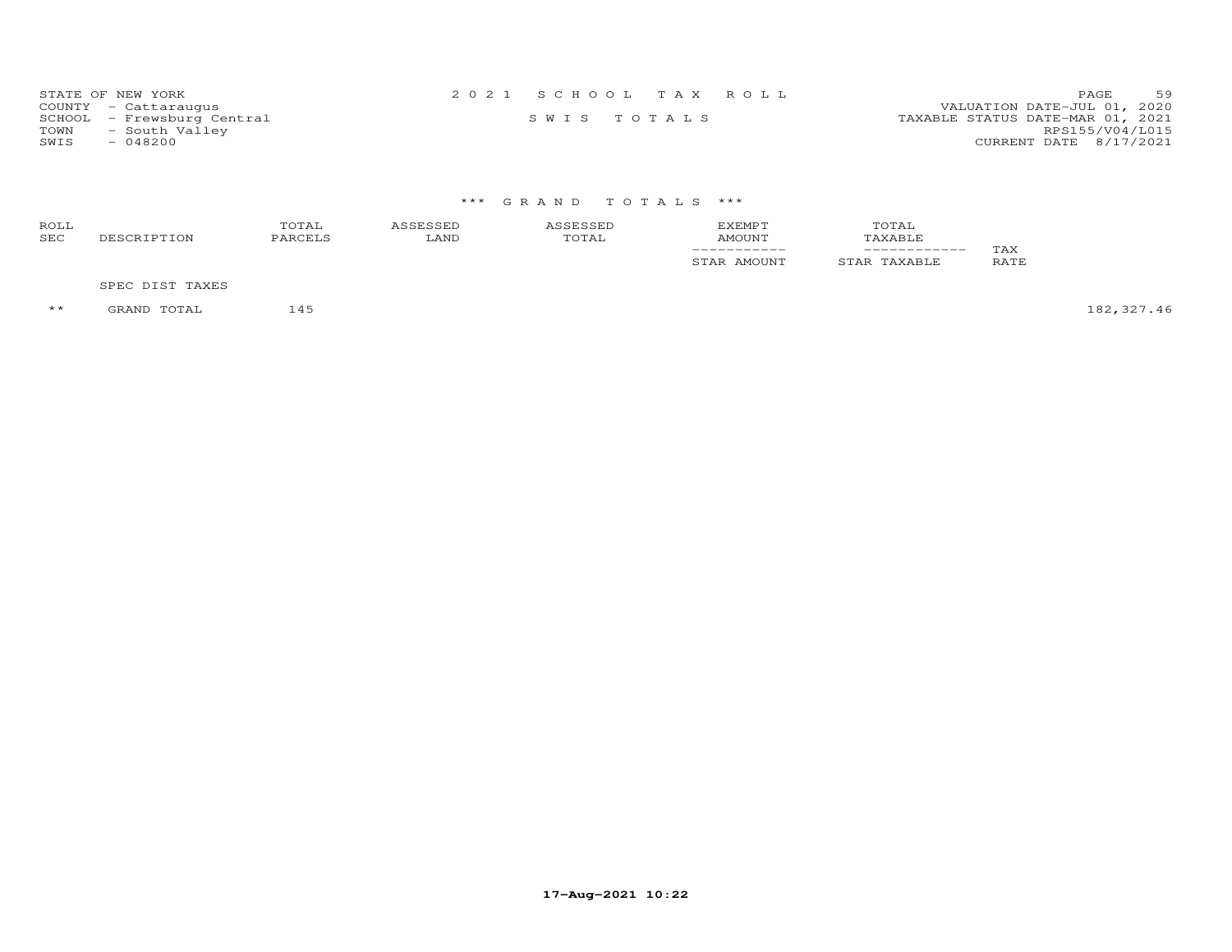| STATE OF NEW YORK          | 2021 SCHOOL TAX ROLL | 59<br>PAGE.                      |
|----------------------------|----------------------|----------------------------------|
| COUNTY - Cattaraugus       |                      | VALUATION DATE-JUL 01, 2020      |
| SCHOOL - Frewsburg Central | SWIS TOTALS          | TAXABLE STATUS DATE-MAR 01, 2021 |
| - South Valley<br>TOWN     |                      | RPS155/V04/L015                  |
| $-048200$<br>SWIS          |                      | CURRENT DATE 8/17/2021           |

| ROLL<br>SEC | DESCRIPTION     | TOTAL<br>PARCELS | ASSESSED<br>LAND | ASSESSED<br>TOTAL | <b>EXEMPT</b><br><b>AMOUNT</b><br>STAR AMOUNT | TOTAL<br>TAXABLE<br>STAR TAXABLE | TAX<br>RATE |
|-------------|-----------------|------------------|------------------|-------------------|-----------------------------------------------|----------------------------------|-------------|
|             | SPEC DIST TAXES |                  |                  |                   |                                               |                                  |             |

\*\* GRAND TOTAL 145 182,327.46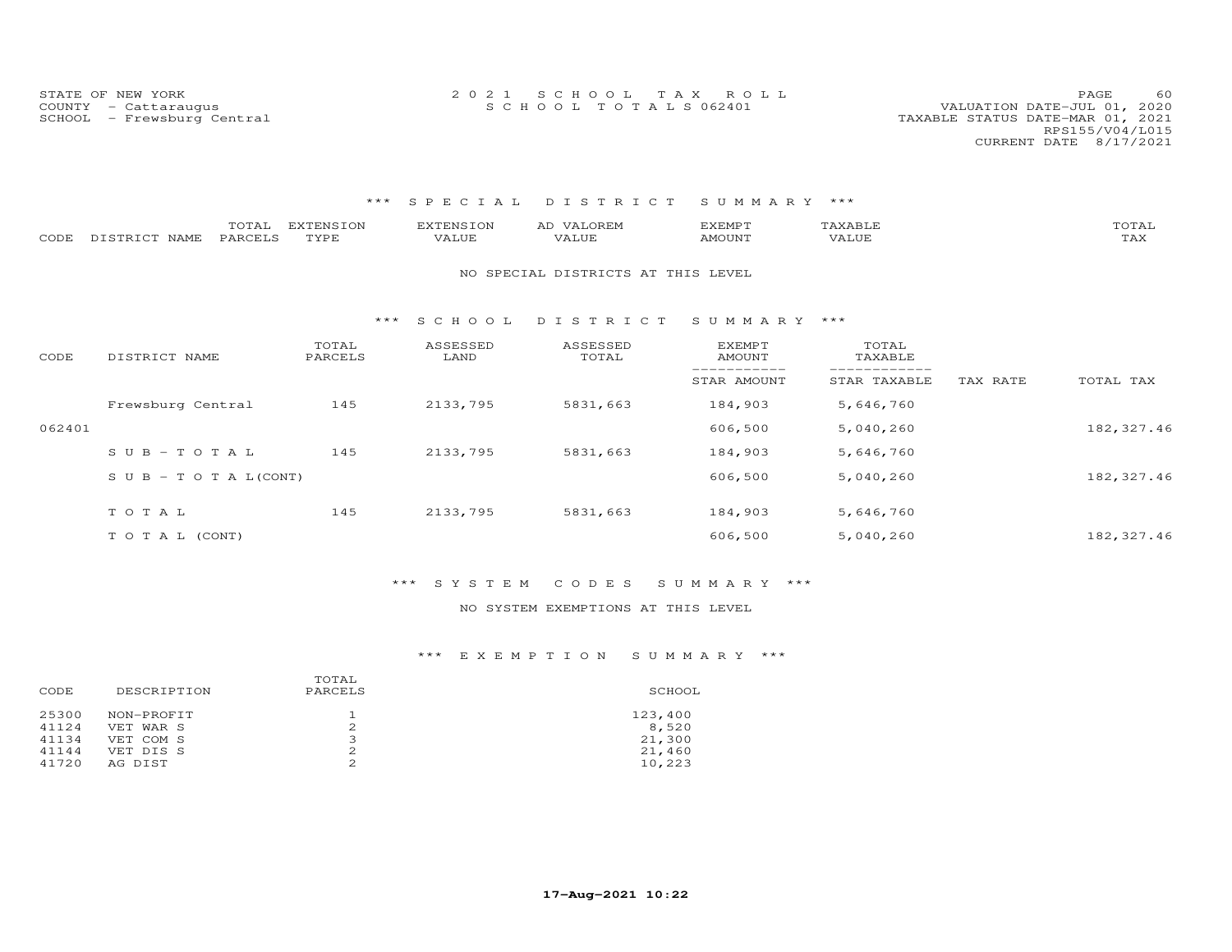STATE OF NEW YORK 2 0 2 1 S C H O O L T A X R O L L PAGE 60COUNTY - Cattaraugus S C H O O L T O T A L S 062401 VALUATION DATE-JUL 01, 2020

### VALUATION DATE-JUL 01, 2020 SCHOOL - Frewsburg Central TAXABLE STATUS DATE-MAR 01, 2021 RPS155/V04/L015CURRENT DATE 8/17/2021

#### \*\*\* S P E C I A L D I S T R I C T S U M M A R Y \*\*\*

| CODE   | TOTAL<br>DISTRICT NAME<br>PARCELS | <b>EXTENSION</b><br>TYPE | <b>EXTENSION</b><br>VALUE | AD VALOREM<br>VALUE                | <b>EXEMPT</b><br><b>AMOUNT</b> | TAXABLE<br>VALUE |          | TOTAL<br>TAX |
|--------|-----------------------------------|--------------------------|---------------------------|------------------------------------|--------------------------------|------------------|----------|--------------|
|        |                                   |                          |                           | NO SPECIAL DISTRICTS AT THIS LEVEL |                                |                  |          |              |
|        |                                   | ***                      | S C H O O L               | DISTRICT                           | SUMMARY ***                    |                  |          |              |
| CODE   | DISTRICT NAME                     | TOTAL<br>PARCELS         | ASSESSED<br>LAND          | ASSESSED<br>TOTAL                  | EXEMPT<br><b>AMOUNT</b>        | TOTAL<br>TAXABLE |          |              |
|        |                                   |                          |                           |                                    | STAR AMOUNT                    | STAR TAXABLE     | TAX RATE | TOTAL TAX    |
|        | Frewsburg Central                 | 145                      | 2133,795                  | 5831,663                           | 184,903                        | 5,646,760        |          |              |
| 062401 |                                   |                          |                           |                                    | 606,500                        | 5,040,260        |          | 182, 327.46  |
|        | $SUB - TO T AL$                   | 145                      | 2133,795                  | 5831,663                           | 184,903                        | 5,646,760        |          |              |
|        | S U B - T O T A $L$ (CONT)        |                          |                           |                                    | 606,500                        | 5,040,260        |          | 182, 327.46  |
|        | TOTAL                             | 145                      | 2133,795                  | 5831,663                           | 184,903                        | 5,646,760        |          |              |
|        | TO TAL (CONT)                     |                          |                           |                                    | 606,500                        | 5,040,260        |          | 182, 327.46  |

#### \*\*\* S Y S T E M C O D E S S U M M A R Y \*\*\*

#### NO SYSTEM EXEMPTIONS AT THIS LEVEL

| DESCRIPTION<br>CODE                                                                                       | TOTAL<br>PARCELS | SCHOOL                                         |
|-----------------------------------------------------------------------------------------------------------|------------------|------------------------------------------------|
| 25300<br>NON-PROFIT<br>41124<br>VET WAR S<br>41134<br>VET COM S<br>41144<br>VET DIS S<br>41720<br>AG DIST | 2<br>2           | 123,400<br>8,520<br>21,300<br>21,460<br>10,223 |